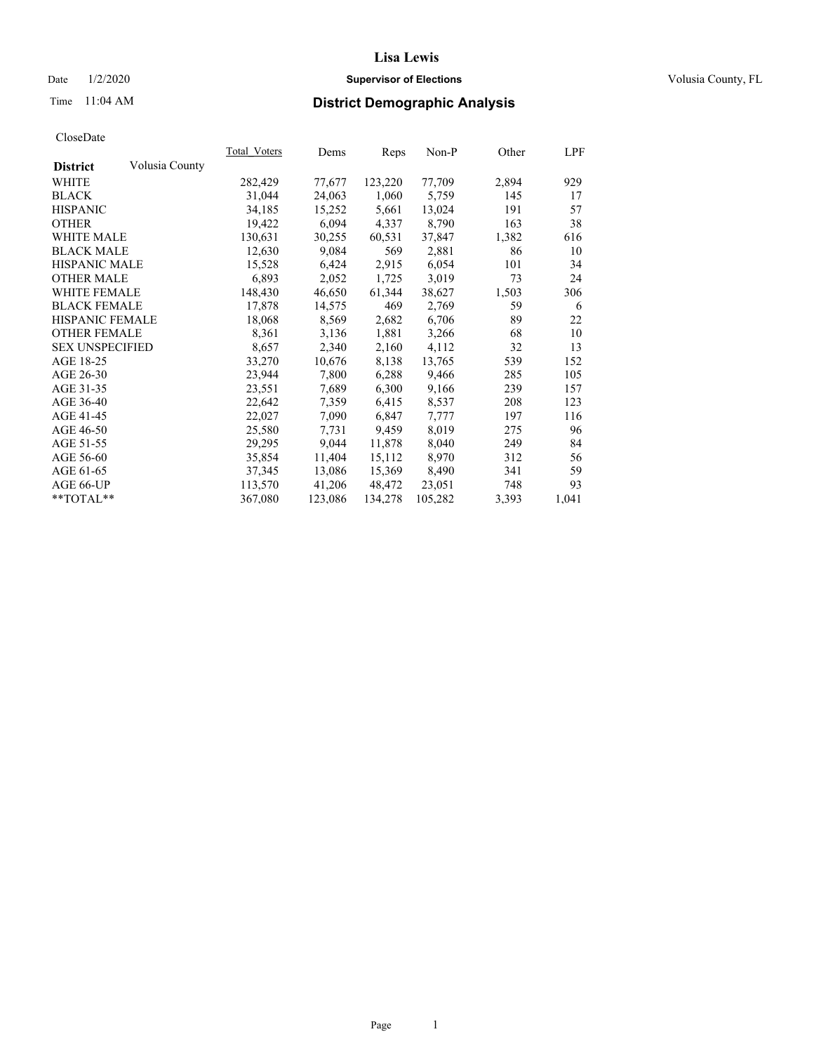#### Date  $1/2/2020$  **Supervisor of Elections Supervisor of Elections** Volusia County, FL

# Time 11:04 AM **District Demographic Analysis**

|                        |                | Total Voters | Dems    | Reps    | $Non-P$ | Other | <u>LPF</u> |
|------------------------|----------------|--------------|---------|---------|---------|-------|------------|
| <b>District</b>        | Volusia County |              |         |         |         |       |            |
| WHITE                  |                | 282,429      | 77,677  | 123,220 | 77,709  | 2,894 | 929        |
| <b>BLACK</b>           |                | 31,044       | 24,063  | 1,060   | 5,759   | 145   | 17         |
| <b>HISPANIC</b>        |                | 34,185       | 15,252  | 5,661   | 13,024  | 191   | 57         |
| <b>OTHER</b>           |                | 19,422       | 6,094   | 4,337   | 8,790   | 163   | 38         |
| WHITE MALE             |                | 130,631      | 30,255  | 60,531  | 37,847  | 1,382 | 616        |
| <b>BLACK MALE</b>      |                | 12,630       | 9,084   | 569     | 2,881   | 86    | 10         |
| <b>HISPANIC MALE</b>   |                | 15,528       | 6,424   | 2,915   | 6,054   | 101   | 34         |
| <b>OTHER MALE</b>      |                | 6,893        | 2,052   | 1,725   | 3,019   | 73    | 24         |
| <b>WHITE FEMALE</b>    |                | 148,430      | 46,650  | 61,344  | 38,627  | 1,503 | 306        |
| <b>BLACK FEMALE</b>    |                | 17,878       | 14,575  | 469     | 2,769   | 59    | 6          |
| HISPANIC FEMALE        |                | 18,068       | 8,569   | 2,682   | 6,706   | 89    | 22         |
| <b>OTHER FEMALE</b>    |                | 8,361        | 3,136   | 1,881   | 3,266   | 68    | 10         |
| <b>SEX UNSPECIFIED</b> |                | 8,657        | 2,340   | 2,160   | 4,112   | 32    | 13         |
| AGE 18-25              |                | 33,270       | 10,676  | 8,138   | 13,765  | 539   | 152        |
| AGE 26-30              |                | 23,944       | 7,800   | 6,288   | 9,466   | 285   | 105        |
| AGE 31-35              |                | 23,551       | 7,689   | 6,300   | 9,166   | 239   | 157        |
| AGE 36-40              |                | 22,642       | 7,359   | 6,415   | 8,537   | 208   | 123        |
| AGE 41-45              |                | 22,027       | 7,090   | 6,847   | 7,777   | 197   | 116        |
| AGE 46-50              |                | 25,580       | 7,731   | 9,459   | 8,019   | 275   | 96         |
| AGE 51-55              |                | 29,295       | 9,044   | 11,878  | 8,040   | 249   | 84         |
| AGE 56-60              |                | 35,854       | 11,404  | 15,112  | 8,970   | 312   | 56         |
| AGE 61-65              |                | 37,345       | 13,086  | 15,369  | 8,490   | 341   | 59         |
| AGE 66-UP              |                | 113,570      | 41,206  | 48,472  | 23,051  | 748   | 93         |
| $*$ $TOTAL**$          |                | 367,080      | 123,086 | 134,278 | 105,282 | 3,393 | 1,041      |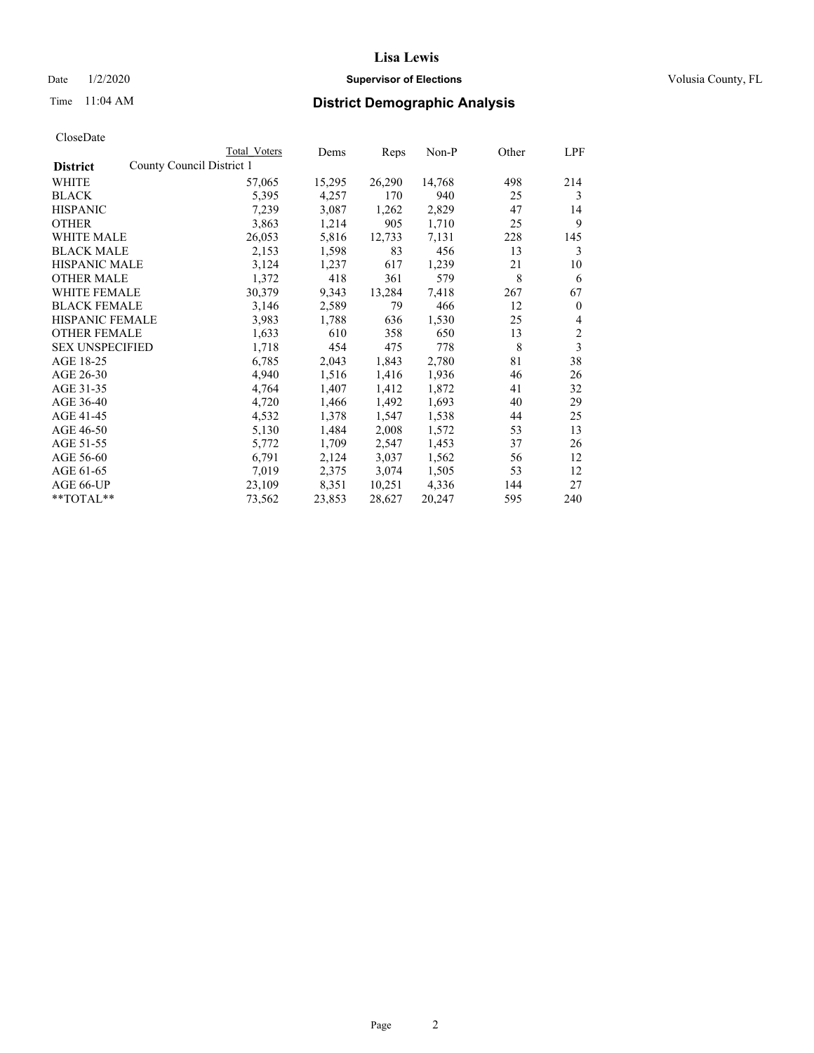### Date  $1/2/2020$  **Supervisor of Elections Supervisor of Elections** Volusia County, FL

|                                              | Total Voters | Dems   | Reps   | Non-P  | Other | LPF            |
|----------------------------------------------|--------------|--------|--------|--------|-------|----------------|
| County Council District 1<br><b>District</b> |              |        |        |        |       |                |
| WHITE                                        | 57,065       | 15,295 | 26,290 | 14,768 | 498   | 214            |
| <b>BLACK</b>                                 | 5,395        | 4,257  | 170    | 940    | 25    | 3              |
| <b>HISPANIC</b>                              | 7,239        | 3,087  | 1,262  | 2,829  | 47    | 14             |
| <b>OTHER</b>                                 | 3,863        | 1,214  | 905    | 1,710  | 25    | 9              |
| WHITE MALE                                   | 26,053       | 5,816  | 12,733 | 7,131  | 228   | 145            |
| <b>BLACK MALE</b>                            | 2,153        | 1,598  | 83     | 456    | 13    | 3              |
| <b>HISPANIC MALE</b>                         | 3,124        | 1,237  | 617    | 1,239  | 21    | 10             |
| <b>OTHER MALE</b>                            | 1,372        | 418    | 361    | 579    | 8     | 6              |
| <b>WHITE FEMALE</b>                          | 30,379       | 9,343  | 13,284 | 7,418  | 267   | 67             |
| <b>BLACK FEMALE</b>                          | 3,146        | 2,589  | 79     | 466    | 12    | $\mathbf{0}$   |
| HISPANIC FEMALE                              | 3,983        | 1,788  | 636    | 1,530  | 25    | 4              |
| <b>OTHER FEMALE</b>                          | 1,633        | 610    | 358    | 650    | 13    | $\overline{2}$ |
| <b>SEX UNSPECIFIED</b>                       | 1,718        | 454    | 475    | 778    | 8     | 3              |
| AGE 18-25                                    | 6,785        | 2,043  | 1,843  | 2,780  | 81    | 38             |
| AGE 26-30                                    | 4,940        | 1,516  | 1,416  | 1,936  | 46    | 26             |
| AGE 31-35                                    | 4,764        | 1,407  | 1,412  | 1,872  | 41    | 32             |
| AGE 36-40                                    | 4,720        | 1,466  | 1,492  | 1,693  | 40    | 29             |
| AGE 41-45                                    | 4,532        | 1,378  | 1,547  | 1,538  | 44    | 25             |
| AGE 46-50                                    | 5,130        | 1,484  | 2,008  | 1,572  | 53    | 13             |
| AGE 51-55                                    | 5,772        | 1,709  | 2,547  | 1,453  | 37    | 26             |
| AGE 56-60                                    | 6,791        | 2,124  | 3,037  | 1,562  | 56    | 12             |
| AGE 61-65                                    | 7,019        | 2,375  | 3,074  | 1,505  | 53    | 12             |
| AGE 66-UP                                    | 23,109       | 8,351  | 10,251 | 4,336  | 144   | 27             |
| $*$ $TOTAL**$                                | 73,562       | 23,853 | 28,627 | 20,247 | 595   | 240            |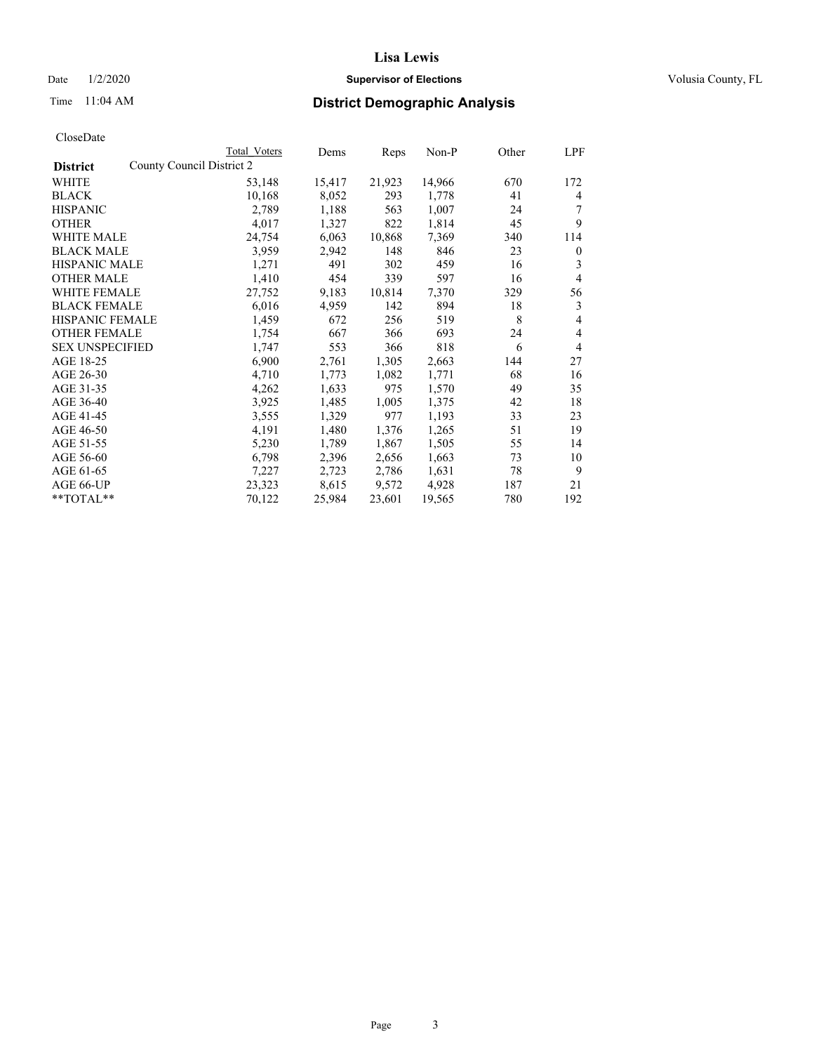### Date  $1/2/2020$  **Supervisor of Elections Supervisor of Elections** Volusia County, FL

|                                              | Total Voters | Dems   | Reps   | Non-P  | Other | LPF            |
|----------------------------------------------|--------------|--------|--------|--------|-------|----------------|
| County Council District 2<br><b>District</b> |              |        |        |        |       |                |
| WHITE                                        | 53,148       | 15,417 | 21,923 | 14,966 | 670   | 172            |
| <b>BLACK</b>                                 | 10,168       | 8,052  | 293    | 1,778  | 41    | 4              |
| <b>HISPANIC</b>                              | 2,789        | 1,188  | 563    | 1,007  | 24    | 7              |
| <b>OTHER</b>                                 | 4,017        | 1,327  | 822    | 1,814  | 45    | 9              |
| WHITE MALE                                   | 24,754       | 6,063  | 10,868 | 7,369  | 340   | 114            |
| <b>BLACK MALE</b>                            | 3,959        | 2,942  | 148    | 846    | 23    | $\mathbf{0}$   |
| <b>HISPANIC MALE</b>                         | 1,271        | 491    | 302    | 459    | 16    | 3              |
| <b>OTHER MALE</b>                            | 1,410        | 454    | 339    | 597    | 16    | $\overline{4}$ |
| WHITE FEMALE                                 | 27,752       | 9,183  | 10,814 | 7,370  | 329   | 56             |
| <b>BLACK FEMALE</b>                          | 6,016        | 4,959  | 142    | 894    | 18    | 3              |
| <b>HISPANIC FEMALE</b>                       | 1,459        | 672    | 256    | 519    | 8     | 4              |
| <b>OTHER FEMALE</b>                          | 1,754        | 667    | 366    | 693    | 24    | 4              |
| <b>SEX UNSPECIFIED</b>                       | 1,747        | 553    | 366    | 818    | 6     | 4              |
| AGE 18-25                                    | 6,900        | 2,761  | 1,305  | 2,663  | 144   | 27             |
| AGE 26-30                                    | 4,710        | 1,773  | 1,082  | 1,771  | 68    | 16             |
| AGE 31-35                                    | 4,262        | 1,633  | 975    | 1,570  | 49    | 35             |
| AGE 36-40                                    | 3,925        | 1,485  | 1,005  | 1,375  | 42    | 18             |
| AGE 41-45                                    | 3,555        | 1,329  | 977    | 1,193  | 33    | 23             |
| AGE 46-50                                    | 4,191        | 1,480  | 1,376  | 1,265  | 51    | 19             |
| AGE 51-55                                    | 5,230        | 1,789  | 1,867  | 1,505  | 55    | 14             |
| AGE 56-60                                    | 6,798        | 2,396  | 2,656  | 1,663  | 73    | 10             |
| AGE 61-65                                    | 7,227        | 2,723  | 2,786  | 1,631  | 78    | 9              |
| AGE 66-UP                                    | 23,323       | 8,615  | 9,572  | 4,928  | 187   | 21             |
| $*$ $TOTAL**$                                | 70,122       | 25,984 | 23,601 | 19,565 | 780   | 192            |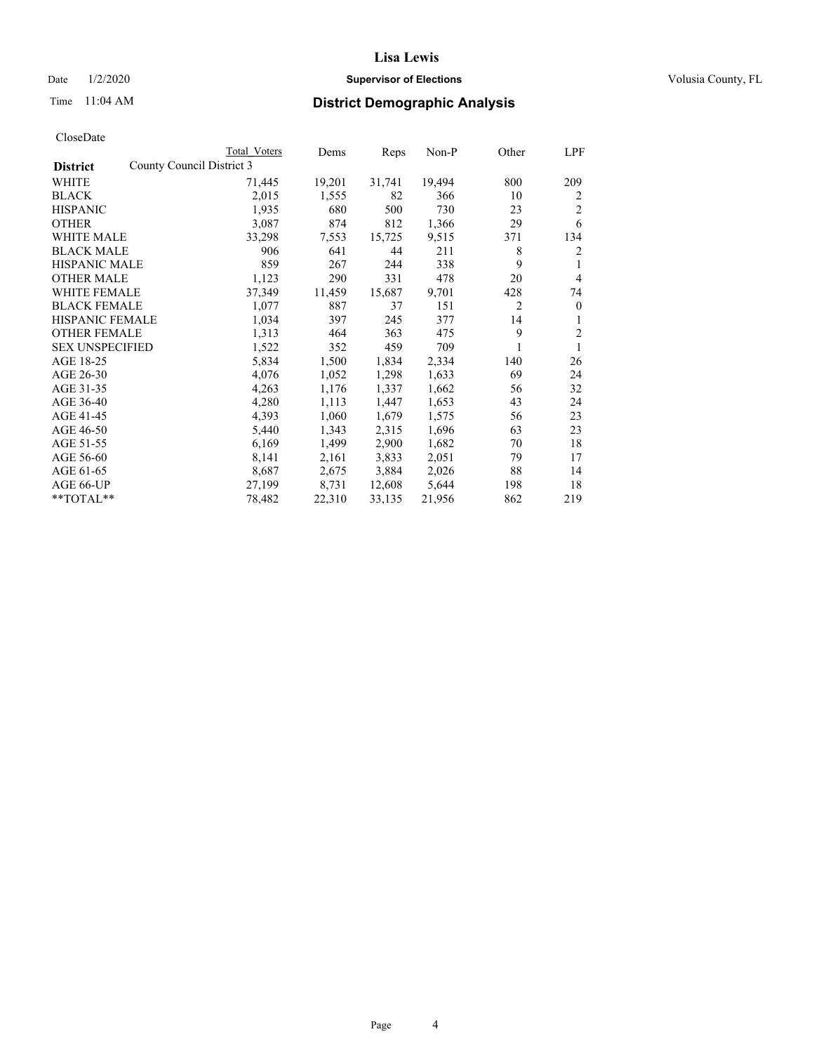### Date  $1/2/2020$  **Supervisor of Elections Supervisor of Elections** Volusia County, FL

|                        |                           | Total Voters | Dems   | Reps   | $Non-P$ | Other | LPF            |
|------------------------|---------------------------|--------------|--------|--------|---------|-------|----------------|
| <b>District</b>        | County Council District 3 |              |        |        |         |       |                |
| WHITE                  |                           | 71,445       | 19,201 | 31,741 | 19,494  | 800   | 209            |
| <b>BLACK</b>           |                           | 2,015        | 1,555  | 82     | 366     | 10    | 2              |
| <b>HISPANIC</b>        |                           | 1,935        | 680    | 500    | 730     | 23    | $\overline{2}$ |
| <b>OTHER</b>           |                           | 3,087        | 874    | 812    | 1,366   | 29    | 6              |
| WHITE MALE             |                           | 33,298       | 7,553  | 15,725 | 9,515   | 371   | 134            |
| <b>BLACK MALE</b>      |                           | 906          | 641    | 44     | 211     | 8     | 2              |
| <b>HISPANIC MALE</b>   |                           | 859          | 267    | 244    | 338     | 9     | 1              |
| <b>OTHER MALE</b>      |                           | 1,123        | 290    | 331    | 478     | 20    | $\overline{4}$ |
| WHITE FEMALE           |                           | 37,349       | 11,459 | 15,687 | 9,701   | 428   | 74             |
| <b>BLACK FEMALE</b>    |                           | 1,077        | 887    | 37     | 151     | 2     | $\mathbf{0}$   |
| HISPANIC FEMALE        |                           | 1,034        | 397    | 245    | 377     | 14    | 1              |
| <b>OTHER FEMALE</b>    |                           | 1,313        | 464    | 363    | 475     | 9     | $\overline{c}$ |
| <b>SEX UNSPECIFIED</b> |                           | 1,522        | 352    | 459    | 709     |       | 1              |
| AGE 18-25              |                           | 5,834        | 1,500  | 1,834  | 2,334   | 140   | 26             |
| AGE 26-30              |                           | 4,076        | 1,052  | 1,298  | 1,633   | 69    | 24             |
| AGE 31-35              |                           | 4,263        | 1,176  | 1,337  | 1,662   | 56    | 32             |
| AGE 36-40              |                           | 4,280        | 1,113  | 1,447  | 1,653   | 43    | 24             |
| AGE 41-45              |                           | 4,393        | 1,060  | 1,679  | 1,575   | 56    | 23             |
| AGE 46-50              |                           | 5,440        | 1,343  | 2,315  | 1,696   | 63    | 23             |
| AGE 51-55              |                           | 6,169        | 1,499  | 2,900  | 1,682   | 70    | 18             |
| AGE 56-60              |                           | 8,141        | 2,161  | 3,833  | 2,051   | 79    | 17             |
| AGE 61-65              |                           | 8,687        | 2,675  | 3,884  | 2,026   | 88    | 14             |
| AGE 66-UP              |                           | 27,199       | 8,731  | 12,608 | 5,644   | 198   | 18             |
| **TOTAL**              |                           | 78,482       | 22,310 | 33,135 | 21,956  | 862   | 219            |
|                        |                           |              |        |        |         |       |                |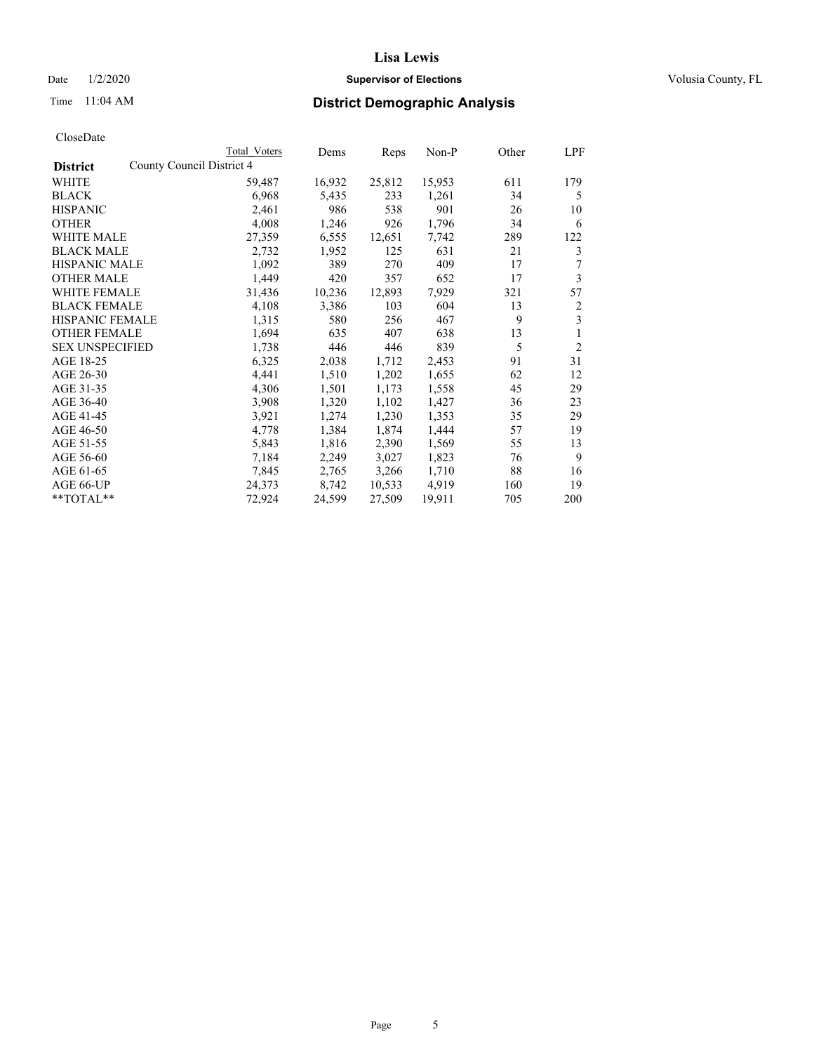### Date  $1/2/2020$  **Supervisor of Elections Supervisor of Elections** Volusia County, FL

| CloseDate |
|-----------|
|-----------|

|                                              | Total Voters | Dems   | Reps   | Non-P  | Other | LPF            |
|----------------------------------------------|--------------|--------|--------|--------|-------|----------------|
| County Council District 4<br><b>District</b> |              |        |        |        |       |                |
| WHITE                                        | 59,487       | 16,932 | 25,812 | 15,953 | 611   | 179            |
| <b>BLACK</b>                                 | 6,968        | 5,435  | 233    | 1,261  | 34    | 5              |
| <b>HISPANIC</b>                              | 2,461        | 986    | 538    | 901    | 26    | 10             |
| <b>OTHER</b>                                 | 4,008        | 1,246  | 926    | 1,796  | 34    | 6              |
| WHITE MALE                                   | 27,359       | 6,555  | 12,651 | 7,742  | 289   | 122            |
| <b>BLACK MALE</b>                            | 2,732        | 1,952  | 125    | 631    | 21    | 3              |
| <b>HISPANIC MALE</b>                         | 1,092        | 389    | 270    | 409    | 17    | 7              |
| <b>OTHER MALE</b>                            | 1,449        | 420    | 357    | 652    | 17    | 3              |
| WHITE FEMALE                                 | 31,436       | 10,236 | 12,893 | 7,929  | 321   | 57             |
| <b>BLACK FEMALE</b>                          | 4,108        | 3,386  | 103    | 604    | 13    | 2              |
| <b>HISPANIC FEMALE</b>                       | 1,315        | 580    | 256    | 467    | 9     | 3              |
| <b>OTHER FEMALE</b>                          | 1,694        | 635    | 407    | 638    | 13    | 1              |
| <b>SEX UNSPECIFIED</b>                       | 1,738        | 446    | 446    | 839    | 5     | $\overline{2}$ |
| AGE 18-25                                    | 6,325        | 2,038  | 1,712  | 2,453  | 91    | 31             |
| AGE 26-30                                    | 4,441        | 1,510  | 1,202  | 1,655  | 62    | 12             |
| AGE 31-35                                    | 4,306        | 1,501  | 1,173  | 1,558  | 45    | 29             |
| AGE 36-40                                    | 3,908        | 1,320  | 1,102  | 1,427  | 36    | 23             |
| AGE 41-45                                    | 3,921        | 1,274  | 1,230  | 1,353  | 35    | 29             |
| AGE 46-50                                    | 4,778        | 1,384  | 1,874  | 1,444  | 57    | 19             |
| AGE 51-55                                    | 5,843        | 1,816  | 2,390  | 1,569  | 55    | 13             |
| AGE 56-60                                    | 7,184        | 2,249  | 3,027  | 1,823  | 76    | 9              |
| AGE 61-65                                    | 7,845        | 2,765  | 3,266  | 1,710  | 88    | 16             |
| AGE 66-UP                                    | 24,373       | 8,742  | 10,533 | 4,919  | 160   | 19             |
| $*$ $TOTAL**$                                | 72,924       | 24,599 | 27,509 | 19,911 | 705   | 200            |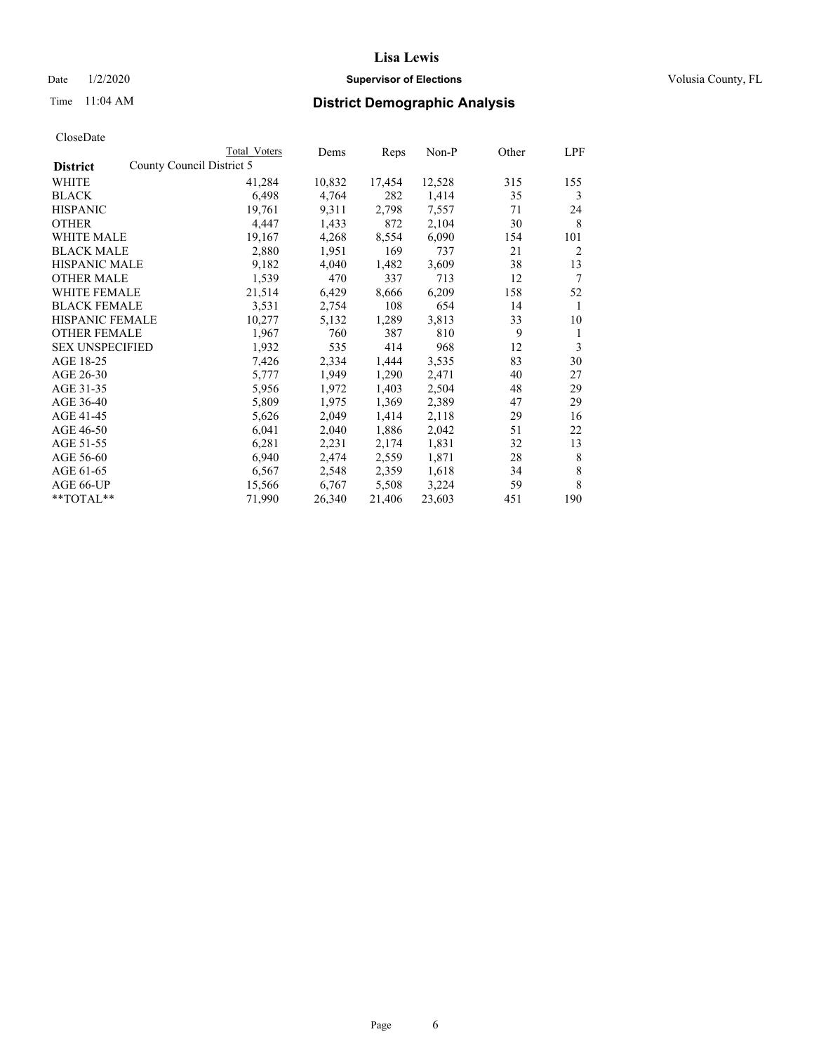### Date  $1/2/2020$  **Supervisor of Elections Supervisor of Elections** Volusia County, FL

|                                              | Total Voters | Dems   | Reps   | Non-P  | Other | LPF |
|----------------------------------------------|--------------|--------|--------|--------|-------|-----|
| County Council District 5<br><b>District</b> |              |        |        |        |       |     |
| WHITE                                        | 41,284       | 10,832 | 17,454 | 12,528 | 315   | 155 |
| <b>BLACK</b>                                 | 6,498        | 4,764  | 282    | 1,414  | 35    | 3   |
| <b>HISPANIC</b>                              | 19,761       | 9,311  | 2,798  | 7,557  | 71    | 24  |
| <b>OTHER</b>                                 | 4,447        | 1,433  | 872    | 2,104  | 30    | 8   |
| <b>WHITE MALE</b>                            | 19,167       | 4,268  | 8,554  | 6,090  | 154   | 101 |
| <b>BLACK MALE</b>                            | 2,880        | 1,951  | 169    | 737    | 21    | 2   |
| <b>HISPANIC MALE</b>                         | 9,182        | 4,040  | 1,482  | 3,609  | 38    | 13  |
| <b>OTHER MALE</b>                            | 1,539        | 470    | 337    | 713    | 12    | 7   |
| WHITE FEMALE                                 | 21,514       | 6,429  | 8,666  | 6,209  | 158   | 52  |
| <b>BLACK FEMALE</b>                          | 3,531        | 2,754  | 108    | 654    | 14    | 1   |
| <b>HISPANIC FEMALE</b>                       | 10,277       | 5,132  | 1,289  | 3,813  | 33    | 10  |
| <b>OTHER FEMALE</b>                          | 1,967        | 760    | 387    | 810    | 9     | 1   |
| <b>SEX UNSPECIFIED</b>                       | 1,932        | 535    | 414    | 968    | 12    | 3   |
| AGE 18-25                                    | 7,426        | 2,334  | 1,444  | 3,535  | 83    | 30  |
| AGE 26-30                                    | 5,777        | 1,949  | 1,290  | 2,471  | 40    | 27  |
| AGE 31-35                                    | 5,956        | 1,972  | 1,403  | 2,504  | 48    | 29  |
| AGE 36-40                                    | 5,809        | 1,975  | 1,369  | 2,389  | 47    | 29  |
| AGE 41-45                                    | 5,626        | 2,049  | 1,414  | 2,118  | 29    | 16  |
| AGE 46-50                                    | 6,041        | 2,040  | 1,886  | 2,042  | 51    | 22  |
| AGE 51-55                                    | 6,281        | 2,231  | 2,174  | 1,831  | 32    | 13  |
| AGE 56-60                                    | 6,940        | 2,474  | 2,559  | 1,871  | 28    | 8   |
| AGE 61-65                                    | 6,567        | 2,548  | 2,359  | 1,618  | 34    | 8   |
| AGE 66-UP                                    | 15,566       | 6,767  | 5,508  | 3,224  | 59    | 8   |
| **TOTAL**                                    | 71,990       | 26,340 | 21,406 | 23,603 | 451   | 190 |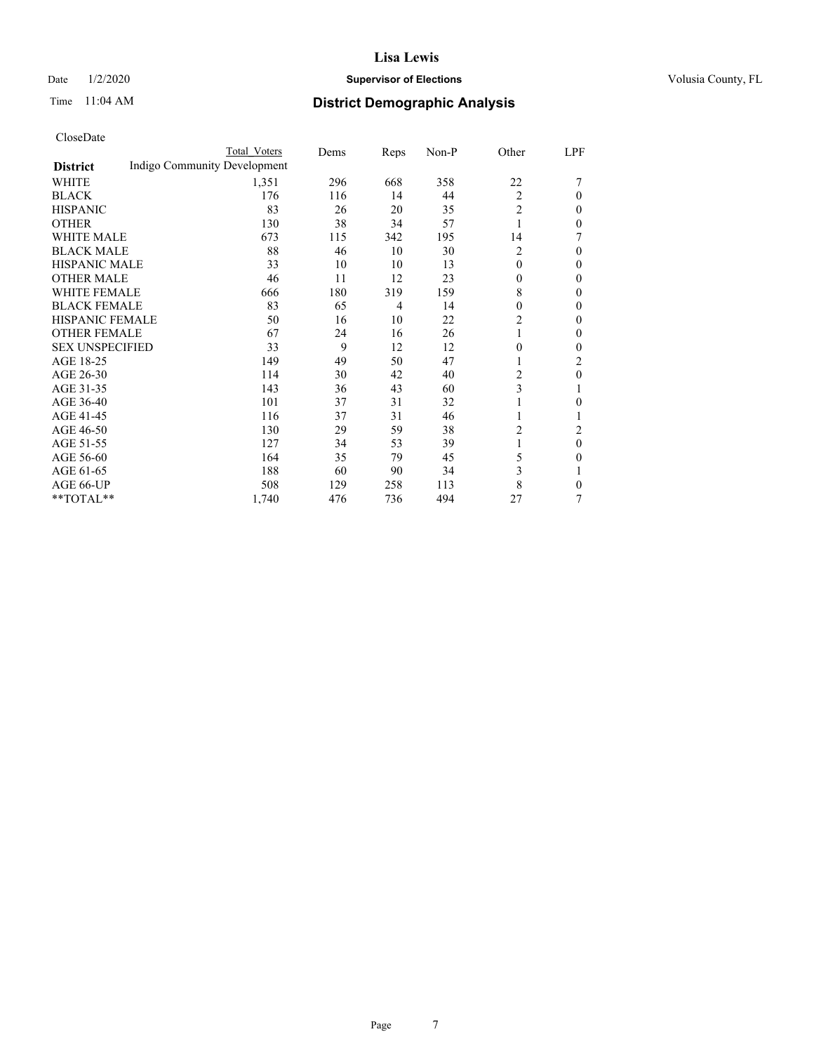### Date  $1/2/2020$  **Supervisor of Elections Supervisor of Elections** Volusia County, FL

# Time 11:04 AM **District Demographic Analysis**

|                        | Total Voters                 | Dems | Reps           | Non-P | Other          | LPF            |
|------------------------|------------------------------|------|----------------|-------|----------------|----------------|
| <b>District</b>        | Indigo Community Development |      |                |       |                |                |
| WHITE                  | 1,351                        | 296  | 668            | 358   | 22             |                |
| <b>BLACK</b>           | 176                          | 116  | 14             | 44    | 2              | 0              |
| <b>HISPANIC</b>        | 83                           | 26   | 20             | 35    | $\overline{c}$ | 0              |
| <b>OTHER</b>           | 130                          | 38   | 34             | 57    | 1              | 0              |
| <b>WHITE MALE</b>      | 673                          | 115  | 342            | 195   | 14             |                |
| <b>BLACK MALE</b>      | 88                           | 46   | 10             | 30    | 2              | 0              |
| <b>HISPANIC MALE</b>   | 33                           | 10   | 10             | 13    | $\theta$       | 0              |
| <b>OTHER MALE</b>      | 46                           | 11   | 12             | 23    | $\mathbf{0}$   | 0              |
| <b>WHITE FEMALE</b>    | 666                          | 180  | 319            | 159   | 8              | 0              |
| <b>BLACK FEMALE</b>    | 83                           | 65   | $\overline{4}$ | 14    | $\theta$       | 0              |
| <b>HISPANIC FEMALE</b> | 50                           | 16   | 10             | 22    | 2              | 0              |
| <b>OTHER FEMALE</b>    | 67                           | 24   | 16             | 26    | 1              | 0              |
| <b>SEX UNSPECIFIED</b> | 33                           | 9    | 12             | 12    | $\mathbf{0}$   | 0              |
| AGE 18-25              | 149                          | 49   | 50             | 47    | 1              | 2              |
| AGE 26-30              | 114                          | 30   | 42             | 40    | 2              | $\mathbf{0}$   |
| AGE 31-35              | 143                          | 36   | 43             | 60    | 3              |                |
| AGE 36-40              | 101                          | 37   | 31             | 32    | 1              | 0              |
| AGE 41-45              | 116                          | 37   | 31             | 46    |                |                |
| AGE 46-50              | 130                          | 29   | 59             | 38    | 2              | $\overline{c}$ |
| AGE 51-55              | 127                          | 34   | 53             | 39    | 1              | $\mathbf{0}$   |
| AGE 56-60              | 164                          | 35   | 79             | 45    | 5              | 0              |
| AGE 61-65              | 188                          | 60   | 90             | 34    | 3              |                |
| AGE 66-UP              | 508                          | 129  | 258            | 113   | 8              | 0              |
| **TOTAL**              | 1,740                        | 476  | 736            | 494   | 27             | 7              |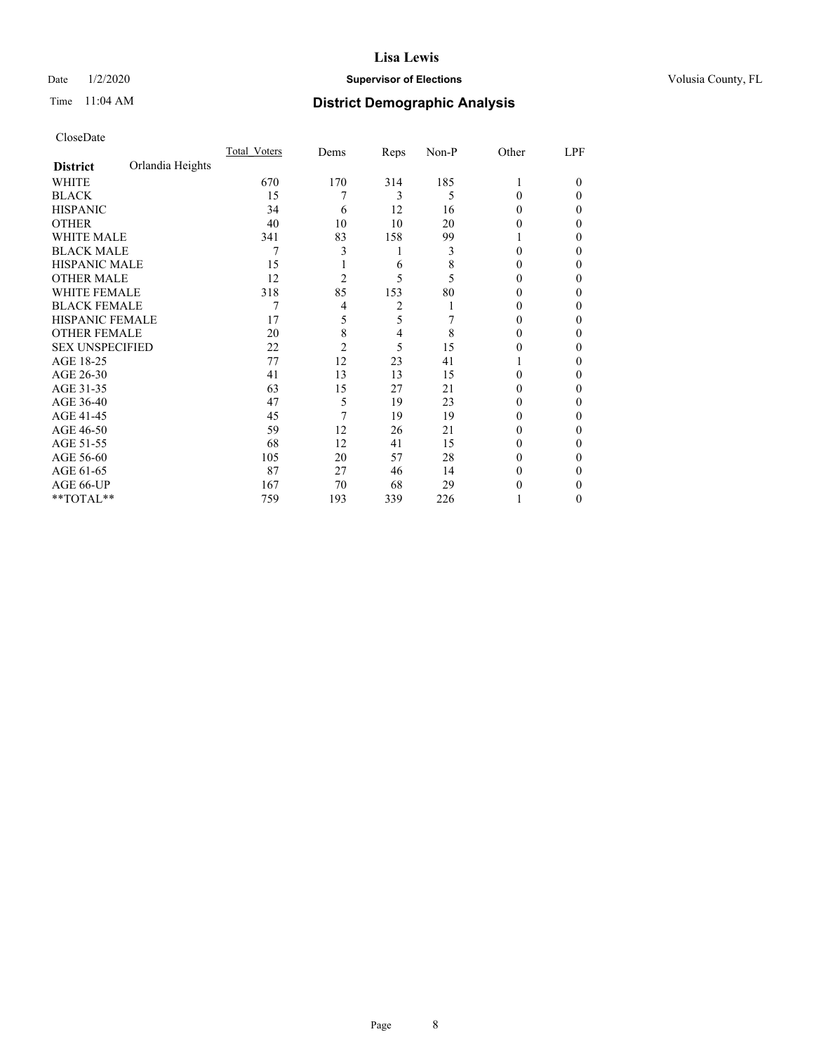### Date  $1/2/2020$  **Supervisor of Elections Supervisor of Elections** Volusia County, FL

# Time 11:04 AM **District Demographic Analysis**

|                        |                  | Total Voters | Dems           | Reps | Non-P | Other  | LPF    |
|------------------------|------------------|--------------|----------------|------|-------|--------|--------|
| <b>District</b>        | Orlandia Heights |              |                |      |       |        |        |
| WHITE                  |                  | 670          | 170            | 314  | 185   | 1      | $_{0}$ |
| <b>BLACK</b>           |                  | 15           | 7              | 3    | 5     | 0      | 0      |
| <b>HISPANIC</b>        |                  | 34           | 6              | 12   | 16    | $_{0}$ | 0      |
| <b>OTHER</b>           |                  | 40           | 10             | 10   | 20    | 0      | 0      |
| <b>WHITE MALE</b>      |                  | 341          | 83             | 158  | 99    |        | 0      |
| <b>BLACK MALE</b>      |                  | 7            | 3              | 1    | 3     | 0      | 0      |
| <b>HISPANIC MALE</b>   |                  | 15           |                | 6    | 8     | 0      | 0      |
| <b>OTHER MALE</b>      |                  | 12           | $\overline{2}$ | 5    | 5     | 0      | 0      |
| <b>WHITE FEMALE</b>    |                  | 318          | 85             | 153  | 80    |        | 0      |
| <b>BLACK FEMALE</b>    |                  | 7            | 4              | 2    |       | $_{0}$ | 0      |
| <b>HISPANIC FEMALE</b> |                  | 17           | 5              | 5    |       | $_{0}$ | 0      |
| <b>OTHER FEMALE</b>    |                  | 20           | 8              | 4    | 8     | $_{0}$ | 0      |
| <b>SEX UNSPECIFIED</b> |                  | 22           | $\overline{c}$ | 5    | 15    | 0      | 0      |
| AGE 18-25              |                  | 77           | 12             | 23   | 41    |        | 0      |
| AGE 26-30              |                  | 41           | 13             | 13   | 15    | 0      | 0      |
| AGE 31-35              |                  | 63           | 15             | 27   | 21    |        | 0      |
| AGE 36-40              |                  | 47           | 5              | 19   | 23    | 0      | 0      |
| AGE 41-45              |                  | 45           | 7              | 19   | 19    | 0      | 0      |
| AGE 46-50              |                  | 59           | 12             | 26   | 21    | $_{0}$ | 0      |
| AGE 51-55              |                  | 68           | 12             | 41   | 15    | 0      | 0      |
| AGE 56-60              |                  | 105          | 20             | 57   | 28    | $_{0}$ | 0      |
| AGE 61-65              |                  | 87           | 27             | 46   | 14    | $_{0}$ | 0      |
| AGE 66-UP              |                  | 167          | 70             | 68   | 29    |        | 0      |
| **TOTAL**              |                  | 759          | 193            | 339  | 226   |        | 0      |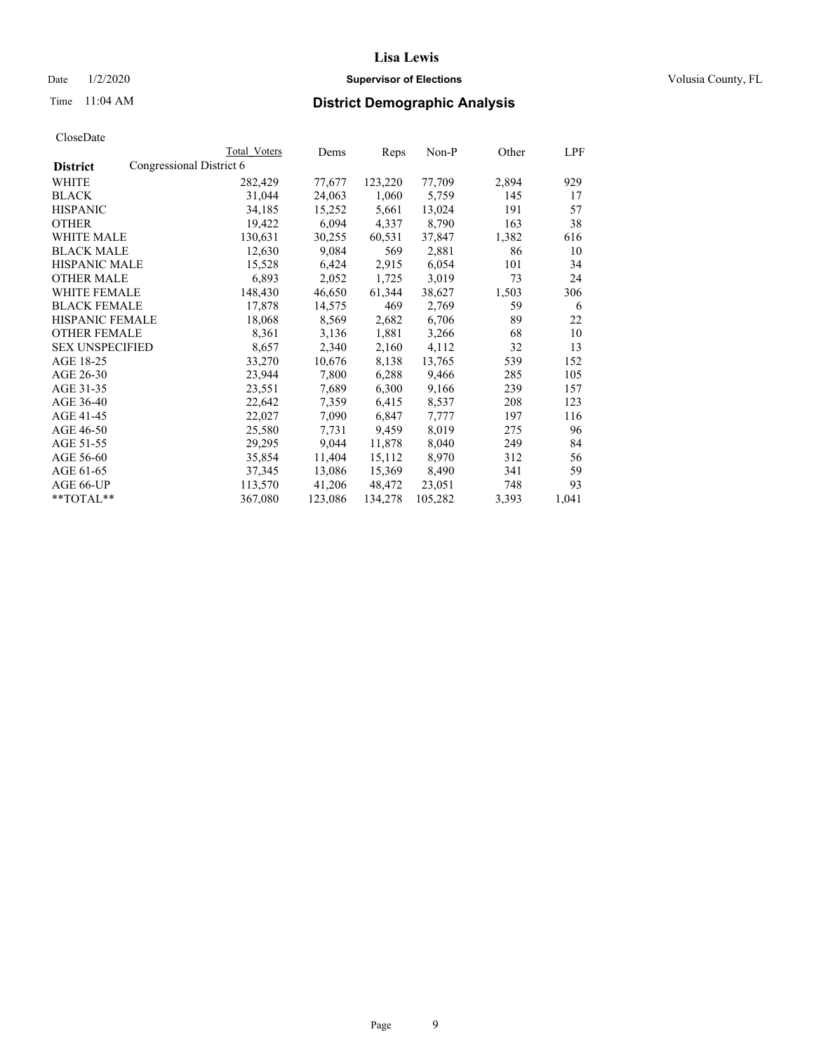### Date  $1/2/2020$  **Supervisor of Elections Supervisor of Elections** Volusia County, FL

| CloseDate |
|-----------|
|-----------|

|                        |                          | Total Voters | Dems    | Reps    | Non-P   | Other | <u>LPF</u> |
|------------------------|--------------------------|--------------|---------|---------|---------|-------|------------|
| <b>District</b>        | Congressional District 6 |              |         |         |         |       |            |
| WHITE                  |                          | 282,429      | 77,677  | 123,220 | 77,709  | 2,894 | 929        |
| <b>BLACK</b>           |                          | 31,044       | 24,063  | 1,060   | 5,759   | 145   | 17         |
| <b>HISPANIC</b>        |                          | 34,185       | 15,252  | 5,661   | 13,024  | 191   | 57         |
| <b>OTHER</b>           |                          | 19,422       | 6,094   | 4,337   | 8,790   | 163   | 38         |
| WHITE MALE             |                          | 130,631      | 30,255  | 60,531  | 37,847  | 1,382 | 616        |
| <b>BLACK MALE</b>      |                          | 12,630       | 9,084   | 569     | 2,881   | 86    | 10         |
| <b>HISPANIC MALE</b>   |                          | 15,528       | 6,424   | 2,915   | 6,054   | 101   | 34         |
| <b>OTHER MALE</b>      |                          | 6,893        | 2,052   | 1,725   | 3,019   | 73    | 24         |
| <b>WHITE FEMALE</b>    |                          | 148,430      | 46,650  | 61,344  | 38,627  | 1,503 | 306        |
| <b>BLACK FEMALE</b>    |                          | 17,878       | 14,575  | 469     | 2,769   | 59    | 6          |
| HISPANIC FEMALE        |                          | 18,068       | 8,569   | 2,682   | 6,706   | 89    | 22         |
| <b>OTHER FEMALE</b>    |                          | 8,361        | 3,136   | 1,881   | 3,266   | 68    | 10         |
| <b>SEX UNSPECIFIED</b> |                          | 8,657        | 2,340   | 2,160   | 4,112   | 32    | 13         |
| AGE 18-25              |                          | 33,270       | 10,676  | 8,138   | 13,765  | 539   | 152        |
| AGE 26-30              |                          | 23,944       | 7,800   | 6,288   | 9,466   | 285   | 105        |
| AGE 31-35              |                          | 23,551       | 7,689   | 6,300   | 9,166   | 239   | 157        |
| AGE 36-40              |                          | 22,642       | 7,359   | 6,415   | 8,537   | 208   | 123        |
| AGE 41-45              |                          | 22,027       | 7,090   | 6,847   | 7,777   | 197   | 116        |
| AGE 46-50              |                          | 25,580       | 7,731   | 9,459   | 8,019   | 275   | 96         |
| AGE 51-55              |                          | 29,295       | 9,044   | 11,878  | 8,040   | 249   | 84         |
| AGE 56-60              |                          | 35,854       | 11,404  | 15,112  | 8,970   | 312   | 56         |
| AGE 61-65              |                          | 37,345       | 13,086  | 15,369  | 8,490   | 341   | 59         |
| AGE 66-UP              |                          | 113,570      | 41,206  | 48,472  | 23,051  | 748   | 93         |
| $*$ $TOTAL**$          |                          | 367,080      | 123,086 | 134,278 | 105,282 | 3,393 | 1,041      |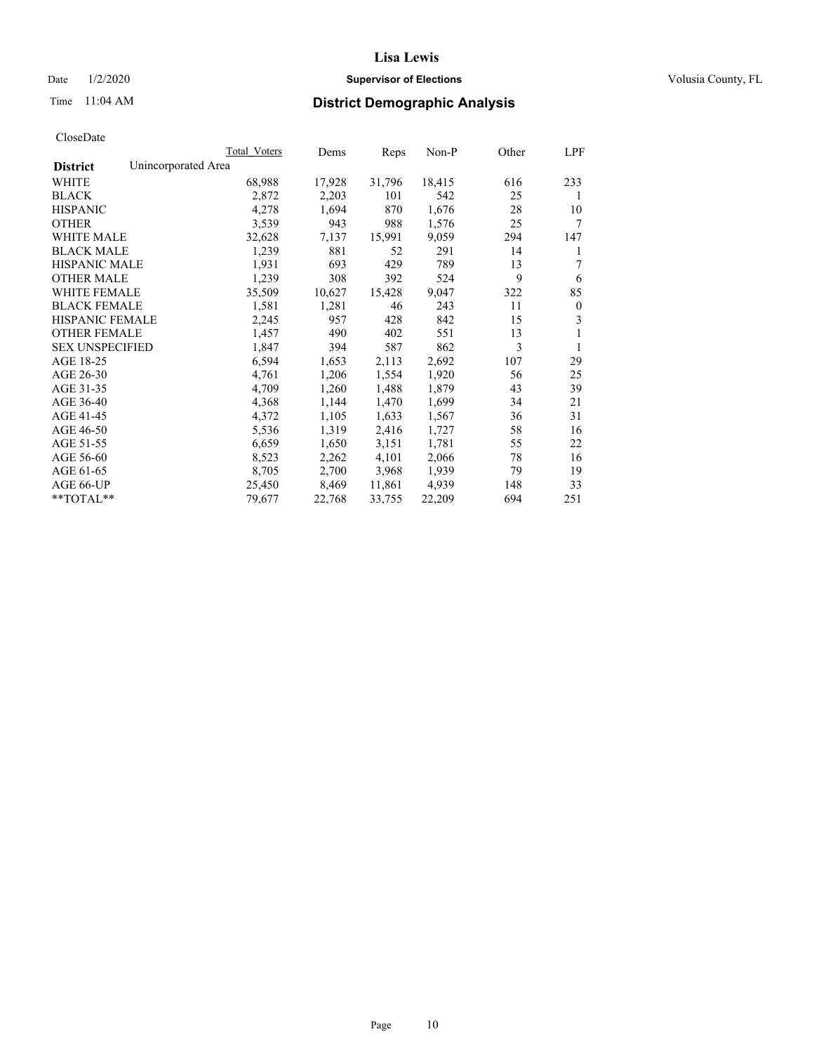### Date  $1/2/2020$  **Supervisor of Elections Supervisor of Elections** Volusia County, FL

## Time 11:04 AM **District Demographic Analysis**

|                        | Total Voters        | Dems   | Reps   | Non-P  | Other | LPF          |
|------------------------|---------------------|--------|--------|--------|-------|--------------|
| <b>District</b>        | Unincorporated Area |        |        |        |       |              |
| WHITE                  | 68,988              | 17,928 | 31,796 | 18,415 | 616   | 233          |
| <b>BLACK</b>           | 2,872               | 2,203  | 101    | 542    | 25    | 1            |
| <b>HISPANIC</b>        | 4,278               | 1,694  | 870    | 1,676  | 28    | 10           |
| <b>OTHER</b>           | 3,539               | 943    | 988    | 1,576  | 25    | 7            |
| WHITE MALE             | 32,628              | 7,137  | 15,991 | 9,059  | 294   | 147          |
| <b>BLACK MALE</b>      | 1,239               | 881    | 52     | 291    | 14    | 1            |
| <b>HISPANIC MALE</b>   | 1,931               | 693    | 429    | 789    | 13    | 7            |
| <b>OTHER MALE</b>      | 1,239               | 308    | 392    | 524    | 9     | 6            |
| WHITE FEMALE           | 35,509              | 10,627 | 15,428 | 9,047  | 322   | 85           |
| <b>BLACK FEMALE</b>    | 1,581               | 1,281  | 46     | 243    | 11    | $\mathbf{0}$ |
| <b>HISPANIC FEMALE</b> | 2,245               | 957    | 428    | 842    | 15    | 3            |
| <b>OTHER FEMALE</b>    | 1,457               | 490    | 402    | 551    | 13    | 1            |
| <b>SEX UNSPECIFIED</b> | 1,847               | 394    | 587    | 862    | 3     | 1            |
| AGE 18-25              | 6,594               | 1,653  | 2,113  | 2,692  | 107   | 29           |
| AGE 26-30              | 4,761               | 1,206  | 1,554  | 1,920  | 56    | 25           |
| AGE 31-35              | 4,709               | 1,260  | 1,488  | 1,879  | 43    | 39           |
| AGE 36-40              | 4,368               | 1,144  | 1,470  | 1,699  | 34    | 21           |
| AGE 41-45              | 4,372               | 1,105  | 1,633  | 1,567  | 36    | 31           |
| AGE 46-50              | 5,536               | 1,319  | 2,416  | 1,727  | 58    | 16           |
| AGE 51-55              | 6,659               | 1,650  | 3,151  | 1,781  | 55    | 22           |
| AGE 56-60              | 8,523               | 2,262  | 4,101  | 2,066  | 78    | 16           |
| AGE 61-65              | 8,705               | 2,700  | 3,968  | 1,939  | 79    | 19           |
| AGE 66-UP              | 25,450              | 8,469  | 11,861 | 4.939  | 148   | 33           |
| $*$ $TOTAL**$          | 79,677              | 22,768 | 33,755 | 22,209 | 694   | 251          |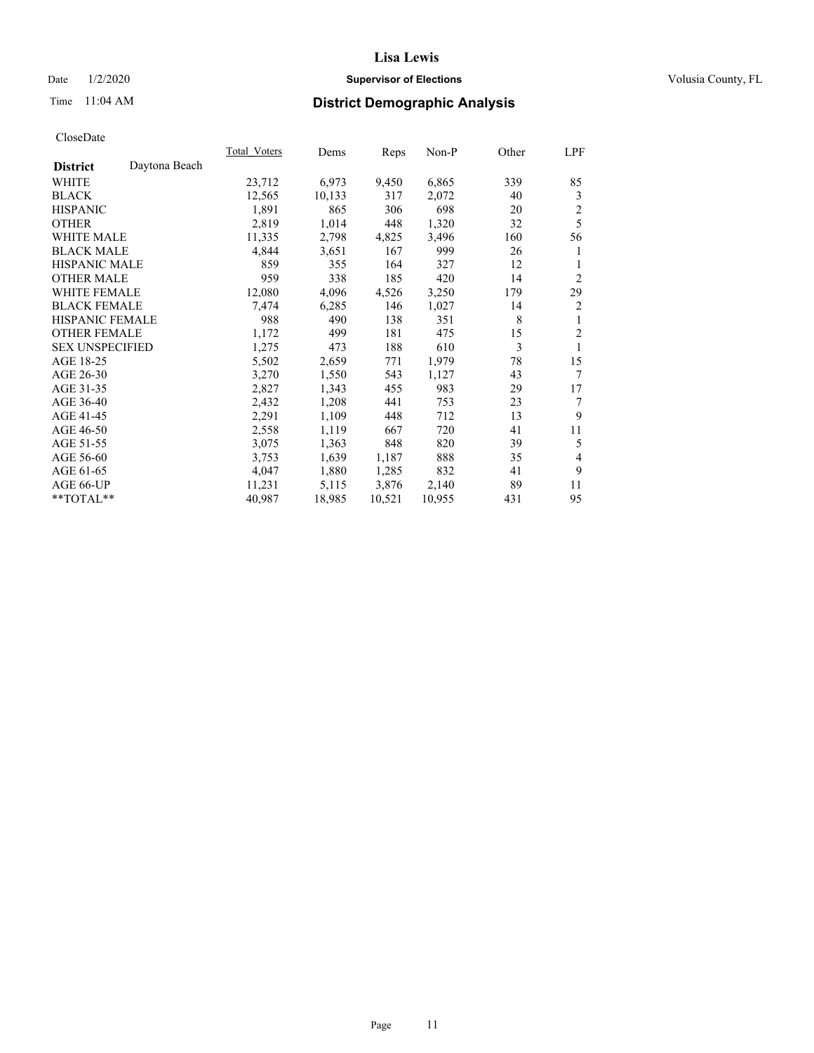### Date  $1/2/2020$  **Supervisor of Elections Supervisor of Elections** Volusia County, FL

# Time 11:04 AM **District Demographic Analysis**

|                        |               | Total Voters | Dems   | Reps   | Non-P  | Other | LPF            |
|------------------------|---------------|--------------|--------|--------|--------|-------|----------------|
| <b>District</b>        | Daytona Beach |              |        |        |        |       |                |
| WHITE                  |               | 23,712       | 6,973  | 9,450  | 6,865  | 339   | 85             |
| <b>BLACK</b>           |               | 12,565       | 10,133 | 317    | 2,072  | 40    | 3              |
| <b>HISPANIC</b>        |               | 1,891        | 865    | 306    | 698    | 20    | $\overline{2}$ |
| <b>OTHER</b>           |               | 2,819        | 1,014  | 448    | 1,320  | 32    | 5              |
| WHITE MALE             |               | 11,335       | 2,798  | 4,825  | 3,496  | 160   | 56             |
| <b>BLACK MALE</b>      |               | 4,844        | 3,651  | 167    | 999    | 26    | 1              |
| <b>HISPANIC MALE</b>   |               | 859          | 355    | 164    | 327    | 12    | 1              |
| <b>OTHER MALE</b>      |               | 959          | 338    | 185    | 420    | 14    | 2              |
| WHITE FEMALE           |               | 12,080       | 4,096  | 4,526  | 3,250  | 179   | 29             |
| <b>BLACK FEMALE</b>    |               | 7,474        | 6,285  | 146    | 1,027  | 14    | 2              |
| <b>HISPANIC FEMALE</b> |               | 988          | 490    | 138    | 351    | 8     | 1              |
| <b>OTHER FEMALE</b>    |               | 1,172        | 499    | 181    | 475    | 15    | 2              |
| <b>SEX UNSPECIFIED</b> |               | 1,275        | 473    | 188    | 610    | 3     | 1              |
| AGE 18-25              |               | 5,502        | 2,659  | 771    | 1,979  | 78    | 15             |
| AGE 26-30              |               | 3,270        | 1,550  | 543    | 1,127  | 43    | 7              |
| AGE 31-35              |               | 2,827        | 1,343  | 455    | 983    | 29    | 17             |
| AGE 36-40              |               | 2,432        | 1,208  | 441    | 753    | 23    | 7              |
| AGE 41-45              |               | 2,291        | 1,109  | 448    | 712    | 13    | 9              |
| AGE 46-50              |               | 2,558        | 1,119  | 667    | 720    | 41    | 11             |
| AGE 51-55              |               | 3,075        | 1,363  | 848    | 820    | 39    | 5              |
| AGE 56-60              |               | 3,753        | 1,639  | 1,187  | 888    | 35    | 4              |
| AGE 61-65              |               | 4,047        | 1,880  | 1,285  | 832    | 41    | 9              |
| AGE 66-UP              |               | 11,231       | 5,115  | 3,876  | 2,140  | 89    | 11             |
| $*$ TOTAL $*$          |               | 40,987       | 18,985 | 10,521 | 10,955 | 431   | 95             |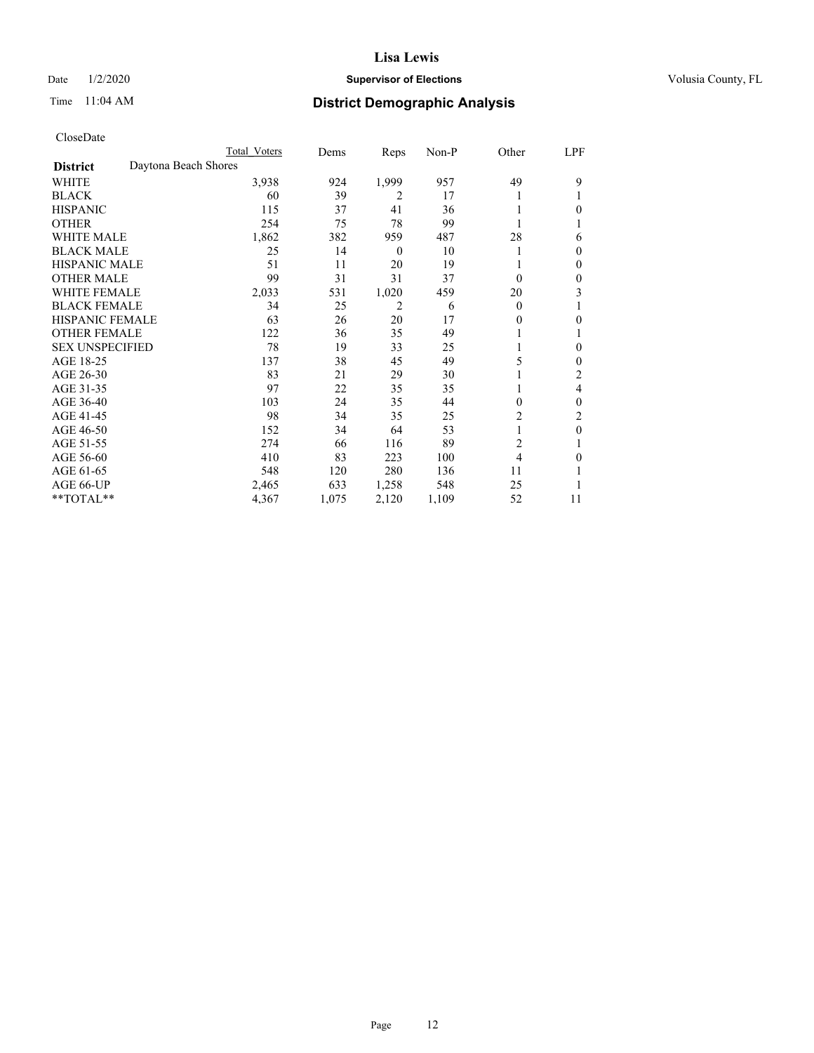### Date  $1/2/2020$  **Supervisor of Elections Supervisor of Elections** Volusia County, FL

# Time 11:04 AM **District Demographic Analysis**

|                        |                      | Total Voters | Dems  | Reps             | Non-P | Other          | LPF          |
|------------------------|----------------------|--------------|-------|------------------|-------|----------------|--------------|
| <b>District</b>        | Daytona Beach Shores |              |       |                  |       |                |              |
| WHITE                  |                      | 3,938        | 924   | 1,999            | 957   | 49             | 9            |
| <b>BLACK</b>           |                      | 60           | 39    | 2                | 17    |                |              |
| <b>HISPANIC</b>        |                      | 115          | 37    | 41               | 36    |                | 0            |
| <b>OTHER</b>           |                      | 254          | 75    | 78               | 99    |                |              |
| <b>WHITE MALE</b>      |                      | 1,862        | 382   | 959              | 487   | 28             | 6            |
| <b>BLACK MALE</b>      |                      | 25           | 14    | $\boldsymbol{0}$ | 10    |                | $\Omega$     |
| <b>HISPANIC MALE</b>   |                      | 51           | 11    | 20               | 19    |                | 0            |
| <b>OTHER MALE</b>      |                      | 99           | 31    | 31               | 37    | $\theta$       | $\mathbf{0}$ |
| WHITE FEMALE           |                      | 2,033        | 531   | 1,020            | 459   | 20             | 3            |
| <b>BLACK FEMALE</b>    |                      | 34           | 25    | 2                | 6     | $\theta$       |              |
| <b>HISPANIC FEMALE</b> |                      | 63           | 26    | 20               | 17    | 0              | 0            |
| <b>OTHER FEMALE</b>    |                      | 122          | 36    | 35               | 49    |                |              |
| <b>SEX UNSPECIFIED</b> |                      | 78           | 19    | 33               | 25    |                | $\theta$     |
| AGE 18-25              |                      | 137          | 38    | 45               | 49    | 5              | $\Omega$     |
| AGE 26-30              |                      | 83           | 21    | 29               | 30    |                | 2            |
| AGE 31-35              |                      | 97           | 22    | 35               | 35    |                | 4            |
| AGE 36-40              |                      | 103          | 24    | 35               | 44    | 0              | $\theta$     |
| AGE 41-45              |                      | 98           | 34    | 35               | 25    | 2              | 2            |
| AGE 46-50              |                      | 152          | 34    | 64               | 53    | 1              | $\theta$     |
| AGE 51-55              |                      | 274          | 66    | 116              | 89    | $\overline{2}$ |              |
| AGE 56-60              |                      | 410          | 83    | 223              | 100   | 4              | 0            |
| AGE 61-65              |                      | 548          | 120   | 280              | 136   | 11             |              |
| AGE 66-UP              |                      | 2,465        | 633   | 1,258            | 548   | 25             |              |
| **TOTAL**              |                      | 4,367        | 1,075 | 2,120            | 1,109 | 52             | 11           |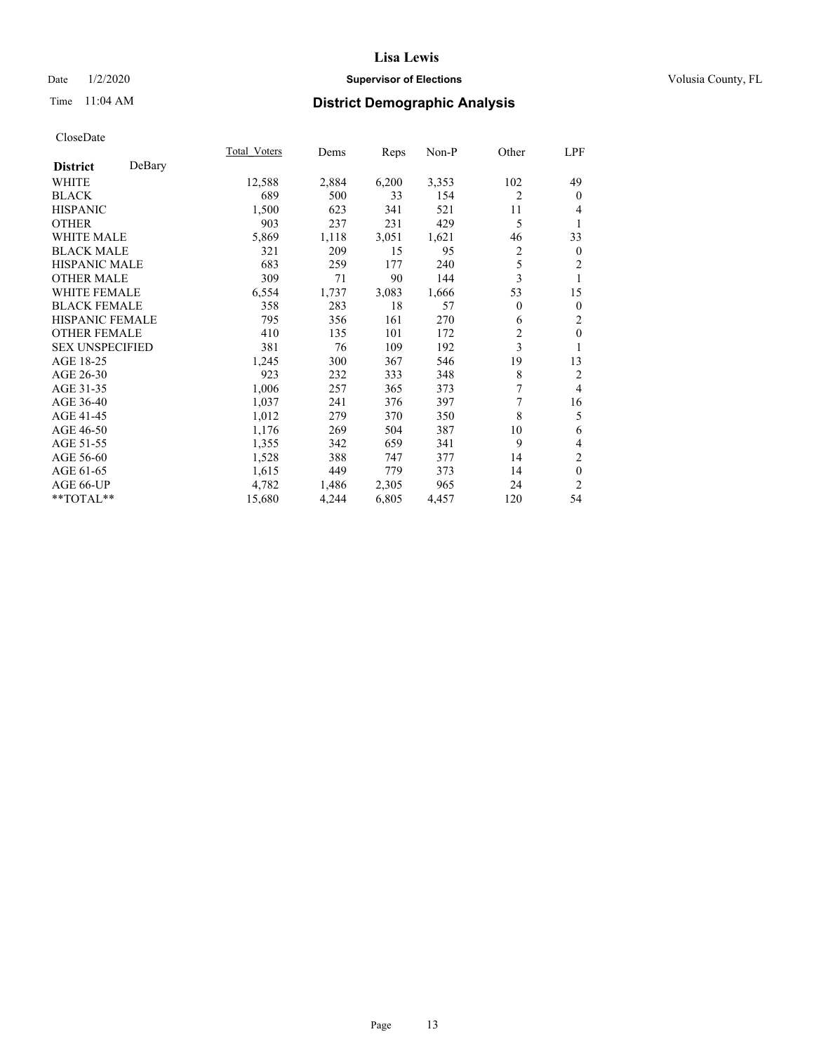### Date  $1/2/2020$  **Supervisor of Elections Supervisor of Elections** Volusia County, FL

# Time 11:04 AM **District Demographic Analysis**

|                        |        | Total Voters | Dems  | Reps  | Non-P | Other          | LPF            |
|------------------------|--------|--------------|-------|-------|-------|----------------|----------------|
| <b>District</b>        | DeBary |              |       |       |       |                |                |
| WHITE                  |        | 12,588       | 2,884 | 6,200 | 3,353 | 102            | 49             |
| <b>BLACK</b>           |        | 689          | 500   | 33    | 154   | 2              | $\mathbf{0}$   |
| <b>HISPANIC</b>        |        | 1,500        | 623   | 341   | 521   | 11             | 4              |
| <b>OTHER</b>           |        | 903          | 237   | 231   | 429   | 5              | 1              |
| WHITE MALE             |        | 5,869        | 1,118 | 3,051 | 1,621 | 46             | 33             |
| <b>BLACK MALE</b>      |        | 321          | 209   | 15    | 95    | $\overline{c}$ | $\mathbf{0}$   |
| <b>HISPANIC MALE</b>   |        | 683          | 259   | 177   | 240   | 5              | 2              |
| <b>OTHER MALE</b>      |        | 309          | 71    | 90    | 144   | 3              | 1              |
| <b>WHITE FEMALE</b>    |        | 6,554        | 1,737 | 3,083 | 1,666 | 53             | 15             |
| <b>BLACK FEMALE</b>    |        | 358          | 283   | 18    | 57    | $\overline{0}$ | $\mathbf{0}$   |
| <b>HISPANIC FEMALE</b> |        | 795          | 356   | 161   | 270   | 6              | 2              |
| <b>OTHER FEMALE</b>    |        | 410          | 135   | 101   | 172   | $\overline{c}$ | $\theta$       |
| <b>SEX UNSPECIFIED</b> |        | 381          | 76    | 109   | 192   | 3              | 1              |
| AGE 18-25              |        | 1,245        | 300   | 367   | 546   | 19             | 13             |
| AGE 26-30              |        | 923          | 232   | 333   | 348   | 8              | 2              |
| AGE 31-35              |        | 1,006        | 257   | 365   | 373   | 7              | $\overline{4}$ |
| AGE 36-40              |        | 1,037        | 241   | 376   | 397   | 7              | 16             |
| AGE 41-45              |        | 1,012        | 279   | 370   | 350   | 8              | 5              |
| AGE 46-50              |        | 1,176        | 269   | 504   | 387   | 10             | 6              |
| AGE 51-55              |        | 1,355        | 342   | 659   | 341   | 9              | 4              |
| AGE 56-60              |        | 1,528        | 388   | 747   | 377   | 14             | $\overline{c}$ |
| AGE 61-65              |        | 1,615        | 449   | 779   | 373   | 14             | $\mathbf{0}$   |
| AGE 66-UP              |        | 4,782        | 1,486 | 2,305 | 965   | 24             | 2              |
| **TOTAL**              |        | 15,680       | 4,244 | 6,805 | 4,457 | 120            | 54             |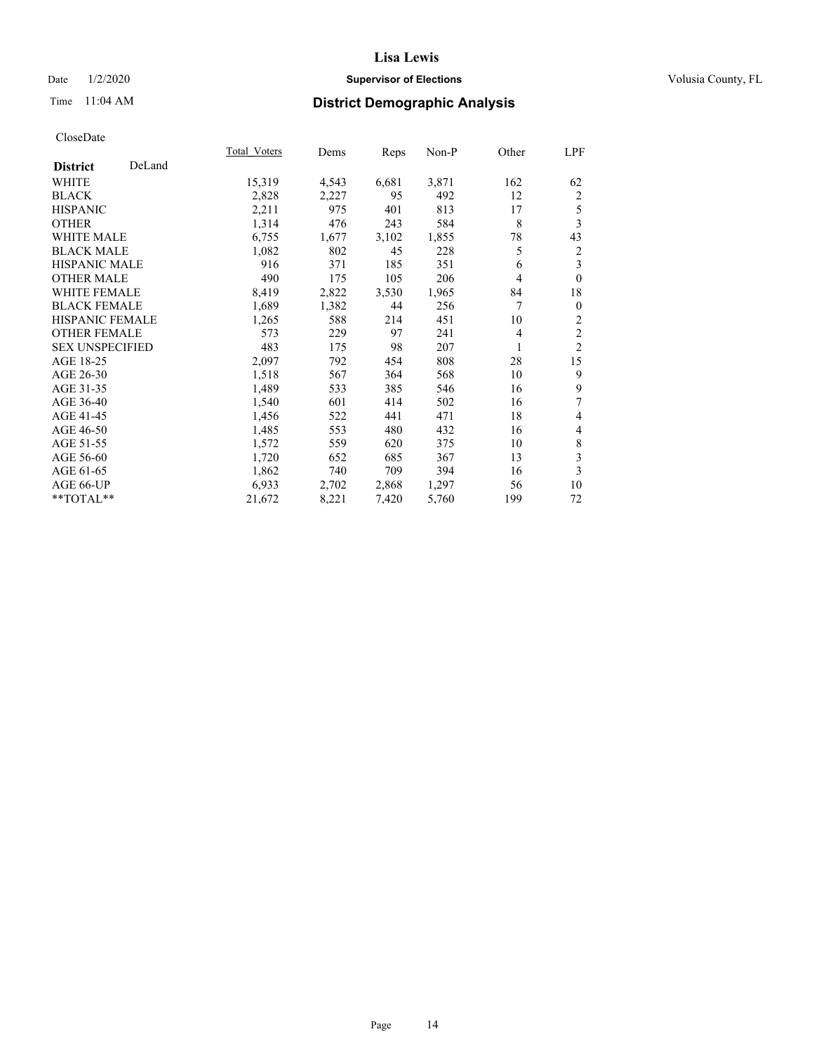### Date  $1/2/2020$  **Supervisor of Elections Supervisor of Elections** Volusia County, FL

# Time 11:04 AM **District Demographic Analysis**

|                        |        | Total Voters | Dems  | Reps  | Non-P | Other          | LPF                     |
|------------------------|--------|--------------|-------|-------|-------|----------------|-------------------------|
| <b>District</b>        | DeLand |              |       |       |       |                |                         |
| WHITE                  |        | 15,319       | 4,543 | 6,681 | 3,871 | 162            | 62                      |
| <b>BLACK</b>           |        | 2,828        | 2,227 | 95    | 492   | 12             | 2                       |
| <b>HISPANIC</b>        |        | 2,211        | 975   | 401   | 813   | 17             | 5                       |
| <b>OTHER</b>           |        | 1,314        | 476   | 243   | 584   | 8              | 3                       |
| WHITE MALE             |        | 6,755        | 1,677 | 3,102 | 1,855 | 78             | 43                      |
| <b>BLACK MALE</b>      |        | 1,082        | 802   | 45    | 228   | 5              | 2                       |
| <b>HISPANIC MALE</b>   |        | 916          | 371   | 185   | 351   | 6              | 3                       |
| <b>OTHER MALE</b>      |        | 490          | 175   | 105   | 206   | 4              | $\mathbf{0}$            |
| WHITE FEMALE           |        | 8,419        | 2,822 | 3,530 | 1,965 | 84             | 18                      |
| <b>BLACK FEMALE</b>    |        | 1,689        | 1,382 | 44    | 256   | 7              | $\mathbf{0}$            |
| <b>HISPANIC FEMALE</b> |        | 1,265        | 588   | 214   | 451   | 10             | 2                       |
| <b>OTHER FEMALE</b>    |        | 573          | 229   | 97    | 241   | $\overline{4}$ | $\overline{c}$          |
| <b>SEX UNSPECIFIED</b> |        | 483          | 175   | 98    | 207   | 1              | $\overline{2}$          |
| AGE 18-25              |        | 2,097        | 792   | 454   | 808   | 28             | 15                      |
| AGE 26-30              |        | 1,518        | 567   | 364   | 568   | 10             | 9                       |
| AGE 31-35              |        | 1,489        | 533   | 385   | 546   | 16             | 9                       |
| AGE 36-40              |        | 1,540        | 601   | 414   | 502   | 16             | 7                       |
| AGE 41-45              |        | 1,456        | 522   | 441   | 471   | 18             | 4                       |
| AGE 46-50              |        | 1,485        | 553   | 480   | 432   | 16             | 4                       |
| AGE 51-55              |        | 1,572        | 559   | 620   | 375   | 10             | 8                       |
| AGE 56-60              |        | 1,720        | 652   | 685   | 367   | 13             | $\overline{\mathbf{3}}$ |
| AGE 61-65              |        | 1,862        | 740   | 709   | 394   | 16             | 3                       |
| AGE 66-UP              |        | 6,933        | 2,702 | 2,868 | 1,297 | 56             | 10                      |
| **TOTAL**              |        | 21,672       | 8,221 | 7,420 | 5,760 | 199            | 72                      |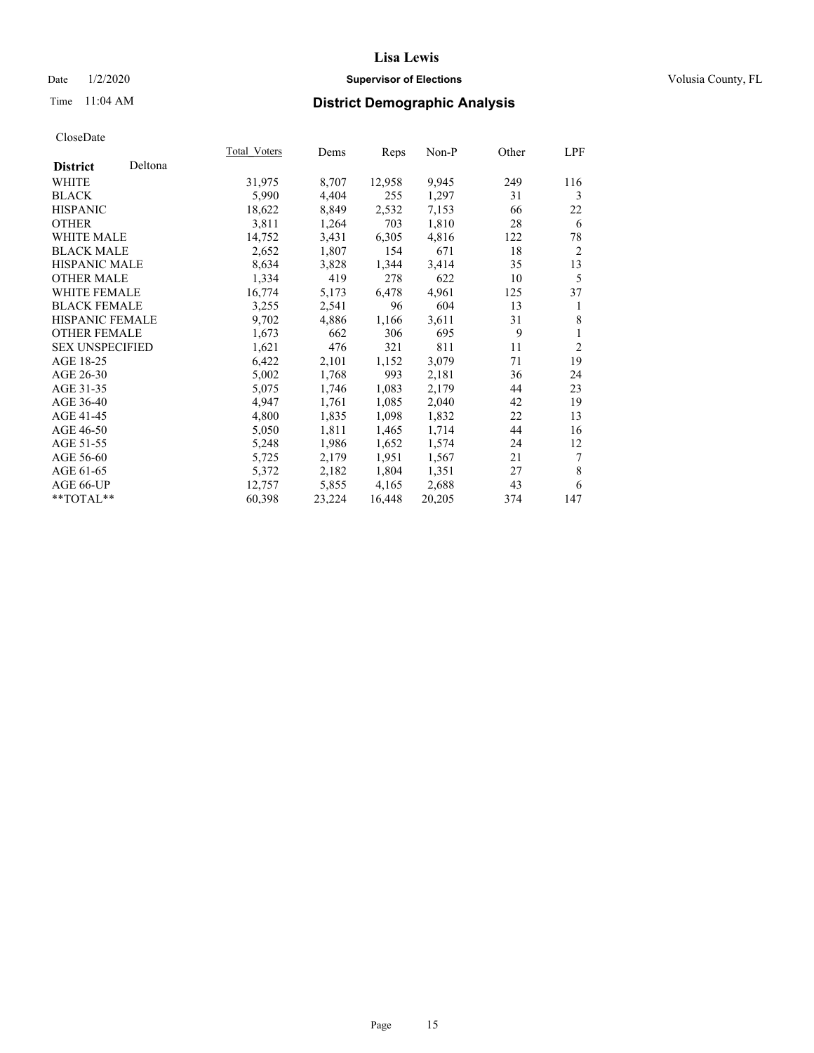### Date  $1/2/2020$  **Supervisor of Elections Supervisor of Elections** Volusia County, FL

# Time 11:04 AM **District Demographic Analysis**

|                        |         | Total Voters | Dems   | Reps   | Non-P  | Other | LPF            |
|------------------------|---------|--------------|--------|--------|--------|-------|----------------|
| <b>District</b>        | Deltona |              |        |        |        |       |                |
| WHITE                  |         | 31,975       | 8,707  | 12,958 | 9,945  | 249   | 116            |
| <b>BLACK</b>           |         | 5,990        | 4,404  | 255    | 1,297  | 31    | 3              |
| <b>HISPANIC</b>        |         | 18,622       | 8,849  | 2,532  | 7,153  | 66    | 22             |
| <b>OTHER</b>           |         | 3,811        | 1,264  | 703    | 1,810  | 28    | 6              |
| <b>WHITE MALE</b>      |         | 14,752       | 3,431  | 6,305  | 4,816  | 122   | 78             |
| <b>BLACK MALE</b>      |         | 2,652        | 1,807  | 154    | 671    | 18    | $\overline{2}$ |
| <b>HISPANIC MALE</b>   |         | 8,634        | 3,828  | 1,344  | 3,414  | 35    | 13             |
| <b>OTHER MALE</b>      |         | 1,334        | 419    | 278    | 622    | 10    | 5              |
| <b>WHITE FEMALE</b>    |         | 16,774       | 5,173  | 6,478  | 4,961  | 125   | 37             |
| <b>BLACK FEMALE</b>    |         | 3,255        | 2,541  | 96     | 604    | 13    | 1              |
| <b>HISPANIC FEMALE</b> |         | 9,702        | 4,886  | 1,166  | 3,611  | 31    | 8              |
| <b>OTHER FEMALE</b>    |         | 1,673        | 662    | 306    | 695    | 9     | 1              |
| <b>SEX UNSPECIFIED</b> |         | 1,621        | 476    | 321    | 811    | 11    | $\overline{2}$ |
| AGE 18-25              |         | 6,422        | 2,101  | 1,152  | 3,079  | 71    | 19             |
| AGE 26-30              |         | 5,002        | 1,768  | 993    | 2,181  | 36    | 24             |
| AGE 31-35              |         | 5,075        | 1,746  | 1,083  | 2,179  | 44    | 23             |
| AGE 36-40              |         | 4,947        | 1,761  | 1,085  | 2,040  | 42    | 19             |
| AGE 41-45              |         | 4,800        | 1,835  | 1,098  | 1,832  | 22    | 13             |
| AGE 46-50              |         | 5,050        | 1,811  | 1,465  | 1,714  | 44    | 16             |
| AGE 51-55              |         | 5,248        | 1,986  | 1,652  | 1,574  | 24    | 12             |
| AGE 56-60              |         | 5,725        | 2,179  | 1,951  | 1,567  | 21    | 7              |
| AGE 61-65              |         | 5,372        | 2,182  | 1,804  | 1,351  | 27    | 8              |
| AGE 66-UP              |         | 12,757       | 5,855  | 4,165  | 2,688  | 43    | 6              |
| **TOTAL**              |         | 60,398       | 23,224 | 16,448 | 20,205 | 374   | 147            |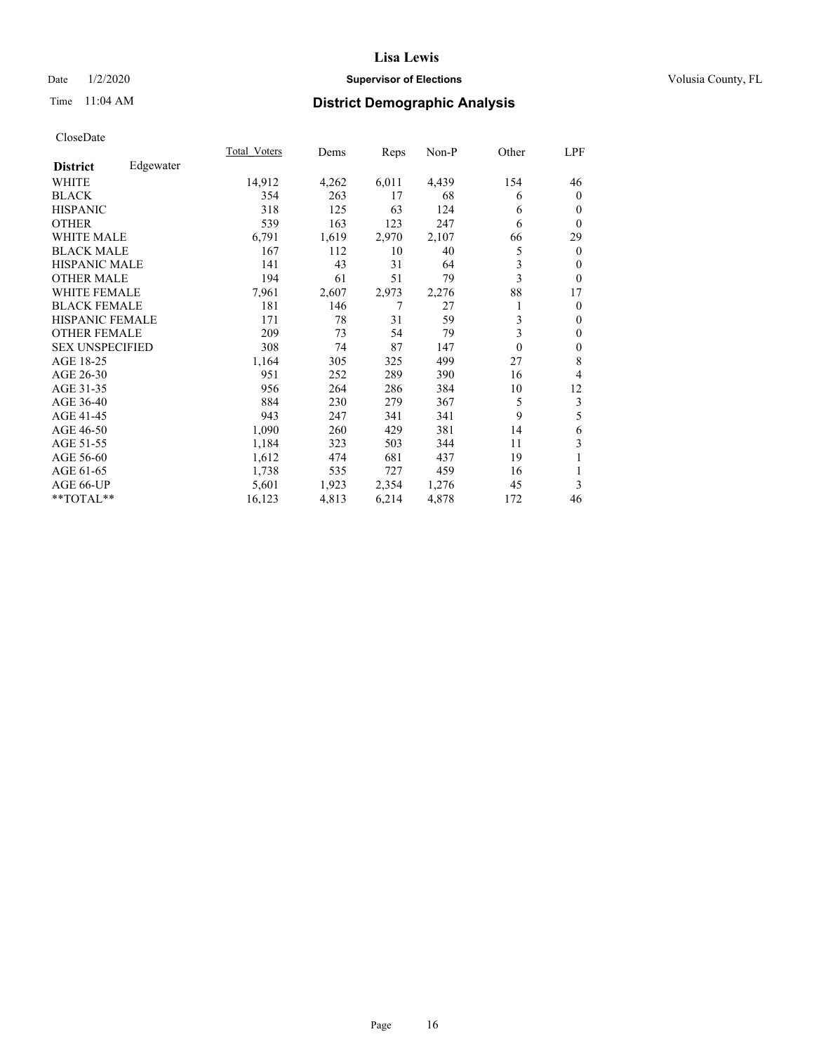### Date  $1/2/2020$  **Supervisor of Elections Supervisor of Elections** Volusia County, FL

# Time 11:04 AM **District Demographic Analysis**

|                        |           | Total Voters | Dems  | Reps  | Non-P | Other    | LPF          |
|------------------------|-----------|--------------|-------|-------|-------|----------|--------------|
| <b>District</b>        | Edgewater |              |       |       |       |          |              |
| WHITE                  |           | 14,912       | 4,262 | 6,011 | 4,439 | 154      | 46           |
| <b>BLACK</b>           |           | 354          | 263   | 17    | 68    | 6        | $\mathbf{0}$ |
| <b>HISPANIC</b>        |           | 318          | 125   | 63    | 124   | 6        | $\theta$     |
| <b>OTHER</b>           |           | 539          | 163   | 123   | 247   | 6        | $\theta$     |
| WHITE MALE             |           | 6,791        | 1,619 | 2,970 | 2,107 | 66       | 29           |
| <b>BLACK MALE</b>      |           | 167          | 112   | 10    | 40    | 5        | $\mathbf{0}$ |
| <b>HISPANIC MALE</b>   |           | 141          | 43    | 31    | 64    | 3        | $\theta$     |
| <b>OTHER MALE</b>      |           | 194          | 61    | 51    | 79    | 3        | $\mathbf{0}$ |
| <b>WHITE FEMALE</b>    |           | 7,961        | 2,607 | 2,973 | 2,276 | 88       | 17           |
| <b>BLACK FEMALE</b>    |           | 181          | 146   | 7     | 27    | 1        | $\theta$     |
| <b>HISPANIC FEMALE</b> |           | 171          | 78    | 31    | 59    | 3        | $\theta$     |
| <b>OTHER FEMALE</b>    |           | 209          | 73    | 54    | 79    | 3        | $\mathbf{0}$ |
| <b>SEX UNSPECIFIED</b> |           | 308          | 74    | 87    | 147   | $\theta$ | $\mathbf{0}$ |
| AGE 18-25              |           | 1,164        | 305   | 325   | 499   | 27       | 8            |
| AGE 26-30              |           | 951          | 252   | 289   | 390   | 16       | 4            |
| AGE 31-35              |           | 956          | 264   | 286   | 384   | 10       | 12           |
| AGE 36-40              |           | 884          | 230   | 279   | 367   | 5        | 3            |
| AGE 41-45              |           | 943          | 247   | 341   | 341   | 9        | 5            |
| AGE 46-50              |           | 1,090        | 260   | 429   | 381   | 14       | 6            |
| AGE 51-55              |           | 1,184        | 323   | 503   | 344   | 11       | 3            |
| AGE 56-60              |           | 1,612        | 474   | 681   | 437   | 19       | 1            |
| AGE 61-65              |           | 1,738        | 535   | 727   | 459   | 16       | 1            |
| AGE 66-UP              |           | 5,601        | 1,923 | 2,354 | 1,276 | 45       | 3            |
| **TOTAL**              |           | 16,123       | 4,813 | 6,214 | 4,878 | 172      | 46           |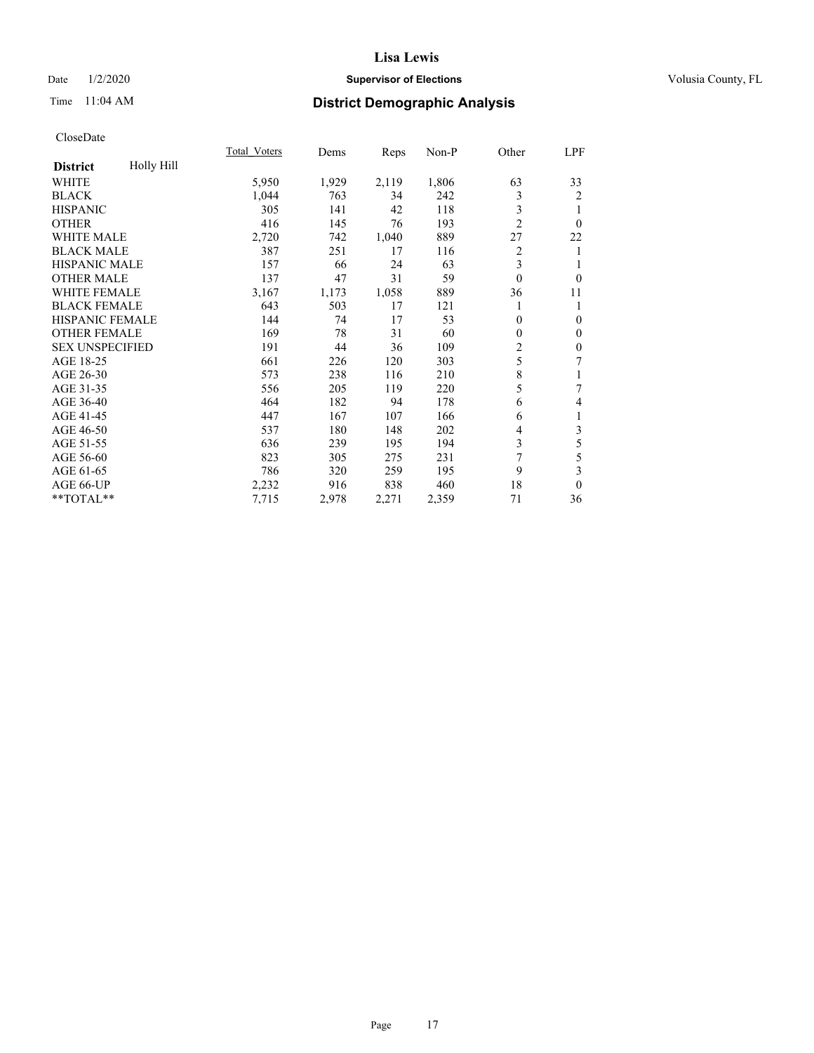### Date  $1/2/2020$  **Supervisor of Elections Supervisor of Elections** Volusia County, FL

# Time 11:04 AM **District Demographic Analysis**

|                        |            | Total Voters | Dems  | Reps  | Non-P | Other          | LPF              |
|------------------------|------------|--------------|-------|-------|-------|----------------|------------------|
| <b>District</b>        | Holly Hill |              |       |       |       |                |                  |
| WHITE                  |            | 5,950        | 1,929 | 2,119 | 1,806 | 63             | 33               |
| <b>BLACK</b>           |            | 1,044        | 763   | 34    | 242   | 3              | 2                |
| <b>HISPANIC</b>        |            | 305          | 141   | 42    | 118   | 3              | 1                |
| <b>OTHER</b>           |            | 416          | 145   | 76    | 193   | $\overline{2}$ | $\theta$         |
| <b>WHITE MALE</b>      |            | 2,720        | 742   | 1,040 | 889   | 27             | 22               |
| <b>BLACK MALE</b>      |            | 387          | 251   | 17    | 116   | 2              | 1                |
| <b>HISPANIC MALE</b>   |            | 157          | 66    | 24    | 63    | 3              | 1                |
| <b>OTHER MALE</b>      |            | 137          | 47    | 31    | 59    | $\mathbf{0}$   | $\theta$         |
| <b>WHITE FEMALE</b>    |            | 3,167        | 1,173 | 1,058 | 889   | 36             | 11               |
| <b>BLACK FEMALE</b>    |            | 643          | 503   | 17    | 121   | 1              | 1                |
| <b>HISPANIC FEMALE</b> |            | 144          | 74    | 17    | 53    | $\theta$       | $\overline{0}$   |
| <b>OTHER FEMALE</b>    |            | 169          | 78    | 31    | 60    | $\theta$       | $\theta$         |
| <b>SEX UNSPECIFIED</b> |            | 191          | 44    | 36    | 109   | $\overline{c}$ | $\boldsymbol{0}$ |
| AGE 18-25              |            | 661          | 226   | 120   | 303   | 5              | 7                |
| AGE 26-30              |            | 573          | 238   | 116   | 210   | $\,8\,$        | 1                |
| AGE 31-35              |            | 556          | 205   | 119   | 220   | 5              | 7                |
| AGE 36-40              |            | 464          | 182   | 94    | 178   | 6              | $\overline{4}$   |
| AGE 41-45              |            | 447          | 167   | 107   | 166   | 6              | $\mathbf{1}$     |
| AGE 46-50              |            | 537          | 180   | 148   | 202   | 4              | $\mathfrak{Z}$   |
| AGE 51-55              |            | 636          | 239   | 195   | 194   | 3              | $\mathfrak s$    |
| AGE 56-60              |            | 823          | 305   | 275   | 231   | 7              | 5                |
| AGE 61-65              |            | 786          | 320   | 259   | 195   | 9              | 3                |
| AGE 66-UP              |            | 2,232        | 916   | 838   | 460   | 18             | $\theta$         |
| **TOTAL**              |            | 7,715        | 2,978 | 2,271 | 2,359 | 71             | 36               |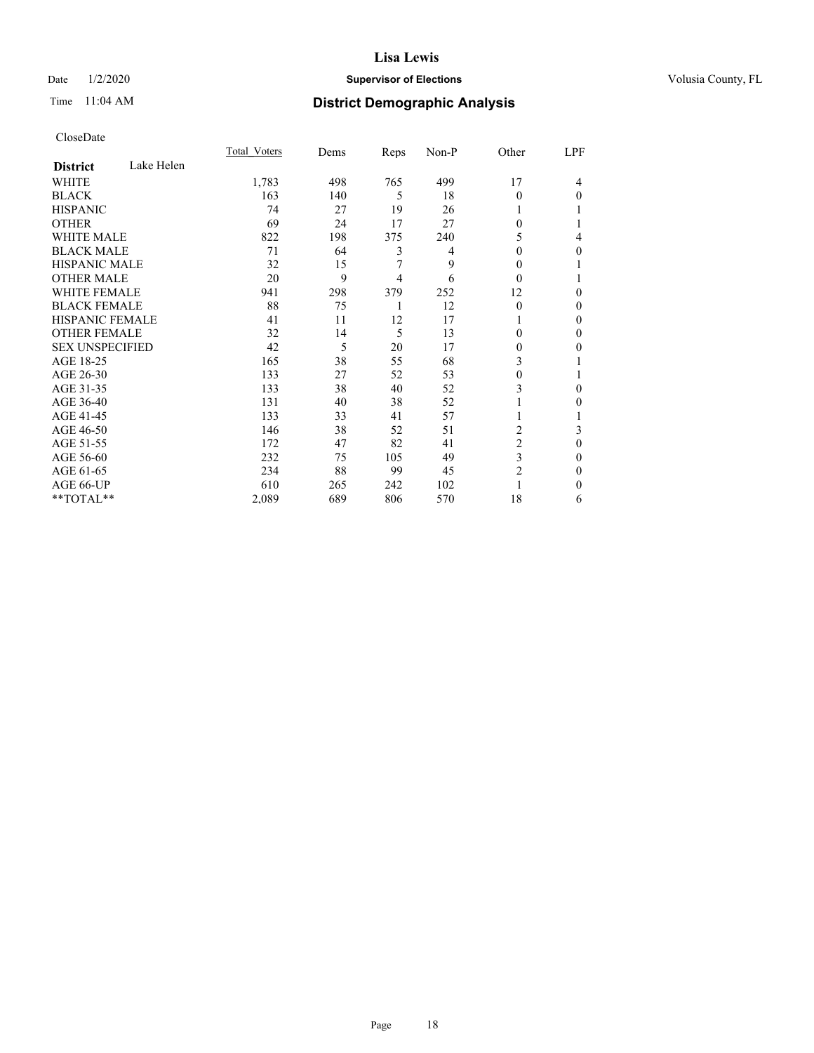### Date  $1/2/2020$  **Supervisor of Elections Supervisor of Elections** Volusia County, FL

# Time 11:04 AM **District Demographic Analysis**

|                        |            | Total Voters | Dems | Reps | Non-P | Other          | LPF |
|------------------------|------------|--------------|------|------|-------|----------------|-----|
| <b>District</b>        | Lake Helen |              |      |      |       |                |     |
| WHITE                  |            | 1,783        | 498  | 765  | 499   | 17             | 4   |
| <b>BLACK</b>           |            | 163          | 140  | 5    | 18    | 0              | 0   |
| <b>HISPANIC</b>        |            | 74           | 27   | 19   | 26    |                |     |
| <b>OTHER</b>           |            | 69           | 24   | 17   | 27    | 0              |     |
| <b>WHITE MALE</b>      |            | 822          | 198  | 375  | 240   | 5              | 4   |
| <b>BLACK MALE</b>      |            | 71           | 64   | 3    | 4     | 0              | 0   |
| <b>HISPANIC MALE</b>   |            | 32           | 15   | 7    | 9     | 0              |     |
| <b>OTHER MALE</b>      |            | 20           | 9    | 4    | 6     | $\Omega$       |     |
| <b>WHITE FEMALE</b>    |            | 941          | 298  | 379  | 252   | 12             | 0   |
| <b>BLACK FEMALE</b>    |            | 88           | 75   | 1    | 12    | $\theta$       | 0   |
| <b>HISPANIC FEMALE</b> |            | 41           | 11   | 12   | 17    |                | 0   |
| <b>OTHER FEMALE</b>    |            | 32           | 14   | 5    | 13    | 0              | 0   |
| <b>SEX UNSPECIFIED</b> |            | 42           | 5    | 20   | 17    | 0              | 0   |
| AGE 18-25              |            | 165          | 38   | 55   | 68    | 3              |     |
| AGE 26-30              |            | 133          | 27   | 52   | 53    | 0              |     |
| AGE 31-35              |            | 133          | 38   | 40   | 52    | 3              | 0   |
| AGE 36-40              |            | 131          | 40   | 38   | 52    |                | 0   |
| AGE 41-45              |            | 133          | 33   | 41   | 57    |                |     |
| AGE 46-50              |            | 146          | 38   | 52   | 51    | 2              | 3   |
| AGE 51-55              |            | 172          | 47   | 82   | 41    | $\overline{c}$ | 0   |
| AGE 56-60              |            | 232          | 75   | 105  | 49    | 3              | 0   |
| AGE 61-65              |            | 234          | 88   | 99   | 45    | 2              | 0   |
| AGE 66-UP              |            | 610          | 265  | 242  | 102   |                | 0   |
| **TOTAL**              |            | 2,089        | 689  | 806  | 570   | 18             | 6   |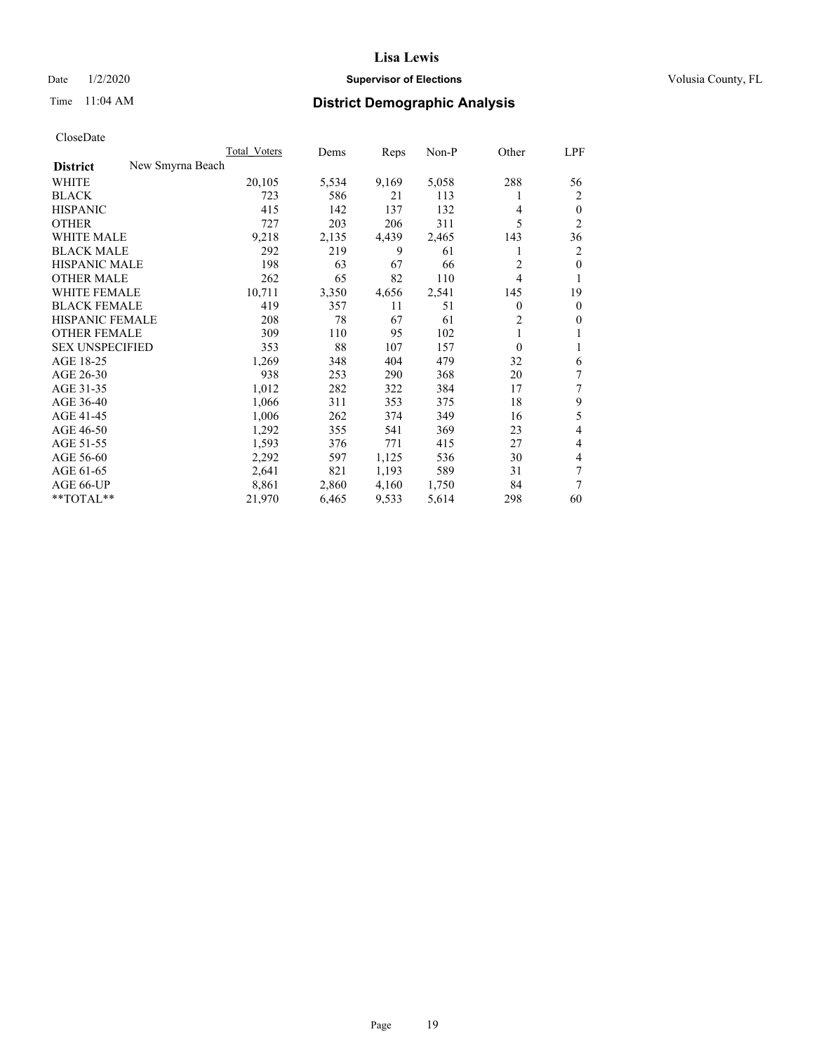### Date  $1/2/2020$  **Supervisor of Elections Supervisor of Elections** Volusia County, FL

# Time 11:04 AM **District Demographic Analysis**

|                                     | Total Voters | Dems  | Reps  | $Non-P$ | Other    | LPF            |
|-------------------------------------|--------------|-------|-------|---------|----------|----------------|
| New Smyrna Beach<br><b>District</b> |              |       |       |         |          |                |
| WHITE                               | 20,105       | 5,534 | 9,169 | 5,058   | 288      | 56             |
| <b>BLACK</b>                        | 723          | 586   | 21    | 113     | 1        | 2              |
| <b>HISPANIC</b>                     | 415          | 142   | 137   | 132     | 4        | $\theta$       |
| <b>OTHER</b>                        | 727          | 203   | 206   | 311     | 5        | $\overline{2}$ |
| <b>WHITE MALE</b>                   | 9,218        | 2,135 | 4,439 | 2,465   | 143      | 36             |
| <b>BLACK MALE</b>                   | 292          | 219   | 9     | 61      | 1        | 2              |
| <b>HISPANIC MALE</b>                | 198          | 63    | 67    | 66      | 2        | $\theta$       |
| <b>OTHER MALE</b>                   | 262          | 65    | 82    | 110     | 4        | 1              |
| <b>WHITE FEMALE</b>                 | 10,711       | 3,350 | 4,656 | 2,541   | 145      | 19             |
| <b>BLACK FEMALE</b>                 | 419          | 357   | 11    | 51      | 0        | $\mathbf{0}$   |
| HISPANIC FEMALE                     | 208          | 78    | 67    | 61      | 2        | $\mathbf{0}$   |
| <b>OTHER FEMALE</b>                 | 309          | 110   | 95    | 102     | 1        | 1              |
| <b>SEX UNSPECIFIED</b>              | 353          | 88    | 107   | 157     | $\theta$ | 1              |
| AGE 18-25                           | 1,269        | 348   | 404   | 479     | 32       | 6              |
| AGE 26-30                           | 938          | 253   | 290   | 368     | 20       | 7              |
| AGE 31-35                           | 1,012        | 282   | 322   | 384     | 17       | 7              |
| AGE 36-40                           | 1,066        | 311   | 353   | 375     | 18       | 9              |
| AGE 41-45                           | 1,006        | 262   | 374   | 349     | 16       | 5              |
| AGE 46-50                           | 1,292        | 355   | 541   | 369     | 23       | 4              |
| AGE 51-55                           | 1,593        | 376   | 771   | 415     | 27       | 4              |
| AGE 56-60                           | 2,292        | 597   | 1,125 | 536     | 30       | 4              |
| AGE 61-65                           | 2,641        | 821   | 1,193 | 589     | 31       | 7              |
| AGE 66-UP                           | 8,861        | 2,860 | 4,160 | 1,750   | 84       | 7              |
| **TOTAL**                           | 21,970       | 6,465 | 9,533 | 5,614   | 298      | 60             |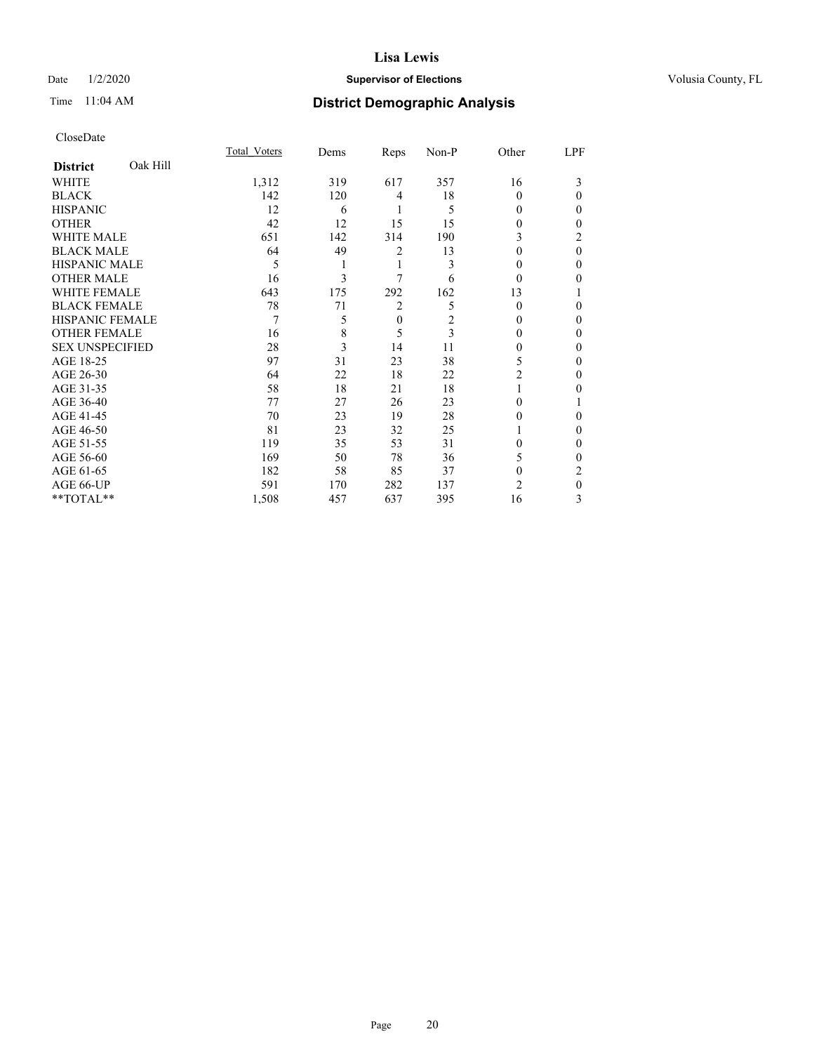### Date  $1/2/2020$  **Supervisor of Elections Supervisor of Elections** Volusia County, FL

# Time 11:04 AM **District Demographic Analysis**

|                        |          | Total Voters | Dems | Reps             | Non-P | Other          | LPF      |
|------------------------|----------|--------------|------|------------------|-------|----------------|----------|
| <b>District</b>        | Oak Hill |              |      |                  |       |                |          |
| WHITE                  |          | 1,312        | 319  | 617              | 357   | 16             | 3        |
| <b>BLACK</b>           |          | 142          | 120  | 4                | 18    | 0              | 0        |
| <b>HISPANIC</b>        |          | 12           | 6    | 1                | 5     | 0              | 0        |
| <b>OTHER</b>           |          | 42           | 12   | 15               | 15    | 0              | 0        |
| WHITE MALE             |          | 651          | 142  | 314              | 190   | 3              | 2        |
| <b>BLACK MALE</b>      |          | 64           | 49   | 2                | 13    | $\theta$       | $\theta$ |
| <b>HISPANIC MALE</b>   |          | 5            |      | 1                | 3     | $\theta$       | 0        |
| <b>OTHER MALE</b>      |          | 16           | 3    | 7                | 6     | $\Omega$       | 0        |
| WHITE FEMALE           |          | 643          | 175  | 292              | 162   | 13             |          |
| <b>BLACK FEMALE</b>    |          | 78           | 71   | 2                | 5     | $\Omega$       | 0        |
| <b>HISPANIC FEMALE</b> |          | 7            | 5    | $\boldsymbol{0}$ | 2     | $\Omega$       | 0        |
| <b>OTHER FEMALE</b>    |          | 16           | 8    | 5                | 3     | $\Omega$       | 0        |
| <b>SEX UNSPECIFIED</b> |          | 28           | 3    | 14               | 11    | 0              | 0        |
| AGE 18-25              |          | 97           | 31   | 23               | 38    | 5              | 0        |
| AGE 26-30              |          | 64           | 22   | 18               | 22    | 2              | 0        |
| AGE 31-35              |          | 58           | 18   | 21               | 18    |                | 0        |
| AGE 36-40              |          | 77           | 27   | 26               | 23    | 0              |          |
| AGE 41-45              |          | 70           | 23   | 19               | 28    | $\theta$       | 0        |
| AGE 46-50              |          | 81           | 23   | 32               | 25    |                | 0        |
| AGE 51-55              |          | 119          | 35   | 53               | 31    | 0              | 0        |
| AGE 56-60              |          | 169          | 50   | 78               | 36    | 5              | 0        |
| AGE 61-65              |          | 182          | 58   | 85               | 37    | $\theta$       | 2        |
| AGE 66-UP              |          | 591          | 170  | 282              | 137   | $\overline{c}$ | 0        |
| **TOTAL**              |          | 1,508        | 457  | 637              | 395   | 16             | 3        |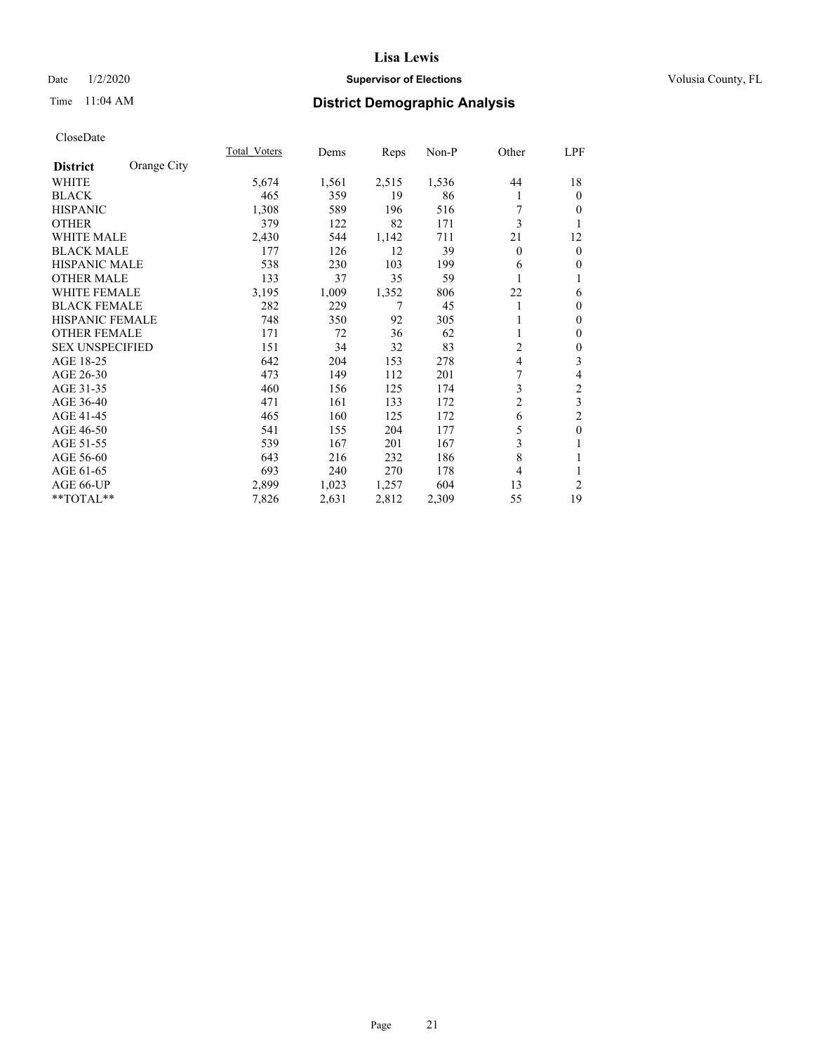### Date  $1/2/2020$  **Supervisor of Elections Supervisor of Elections** Volusia County, FL

# Time 11:04 AM **District Demographic Analysis**

|                        |             | Total Voters | Dems  | Reps  | Non-P | Other          | LPF            |
|------------------------|-------------|--------------|-------|-------|-------|----------------|----------------|
| <b>District</b>        | Orange City |              |       |       |       |                |                |
| WHITE                  |             | 5,674        | 1,561 | 2,515 | 1,536 | 44             | 18             |
| <b>BLACK</b>           |             | 465          | 359   | 19    | 86    | 1              | $\mathbf{0}$   |
| <b>HISPANIC</b>        |             | 1,308        | 589   | 196   | 516   | 7              | $\Omega$       |
| <b>OTHER</b>           |             | 379          | 122   | 82    | 171   | 3              | 1              |
| WHITE MALE             |             | 2,430        | 544   | 1,142 | 711   | 21             | 12             |
| <b>BLACK MALE</b>      |             | 177          | 126   | 12    | 39    | $\theta$       | $\mathbf{0}$   |
| <b>HISPANIC MALE</b>   |             | 538          | 230   | 103   | 199   | 6              | $\theta$       |
| <b>OTHER MALE</b>      |             | 133          | 37    | 35    | 59    |                | 1              |
| <b>WHITE FEMALE</b>    |             | 3,195        | 1,009 | 1,352 | 806   | 22             | 6              |
| <b>BLACK FEMALE</b>    |             | 282          | 229   | 7     | 45    | 1              | $\mathbf{0}$   |
| <b>HISPANIC FEMALE</b> |             | 748          | 350   | 92    | 305   |                | $\theta$       |
| <b>OTHER FEMALE</b>    |             | 171          | 72    | 36    | 62    |                | $\mathbf{0}$   |
| <b>SEX UNSPECIFIED</b> |             | 151          | 34    | 32    | 83    | $\overline{c}$ | $\mathbf{0}$   |
| AGE 18-25              |             | 642          | 204   | 153   | 278   | 4              | 3              |
| AGE 26-30              |             | 473          | 149   | 112   | 201   | 7              | 4              |
| AGE 31-35              |             | 460          | 156   | 125   | 174   | 3              | $\overline{c}$ |
| AGE 36-40              |             | 471          | 161   | 133   | 172   | $\overline{c}$ | 3              |
| AGE 41-45              |             | 465          | 160   | 125   | 172   | 6              | $\overline{c}$ |
| AGE 46-50              |             | 541          | 155   | 204   | 177   | 5              | $\mathbf{0}$   |
| AGE 51-55              |             | 539          | 167   | 201   | 167   | 3              | 1              |
| AGE 56-60              |             | 643          | 216   | 232   | 186   | 8              | 1              |
| AGE 61-65              |             | 693          | 240   | 270   | 178   | 4              | 1              |
| AGE 66-UP              |             | 2,899        | 1,023 | 1,257 | 604   | 13             | $\overline{c}$ |
| **TOTAL**              |             | 7,826        | 2,631 | 2,812 | 2,309 | 55             | 19             |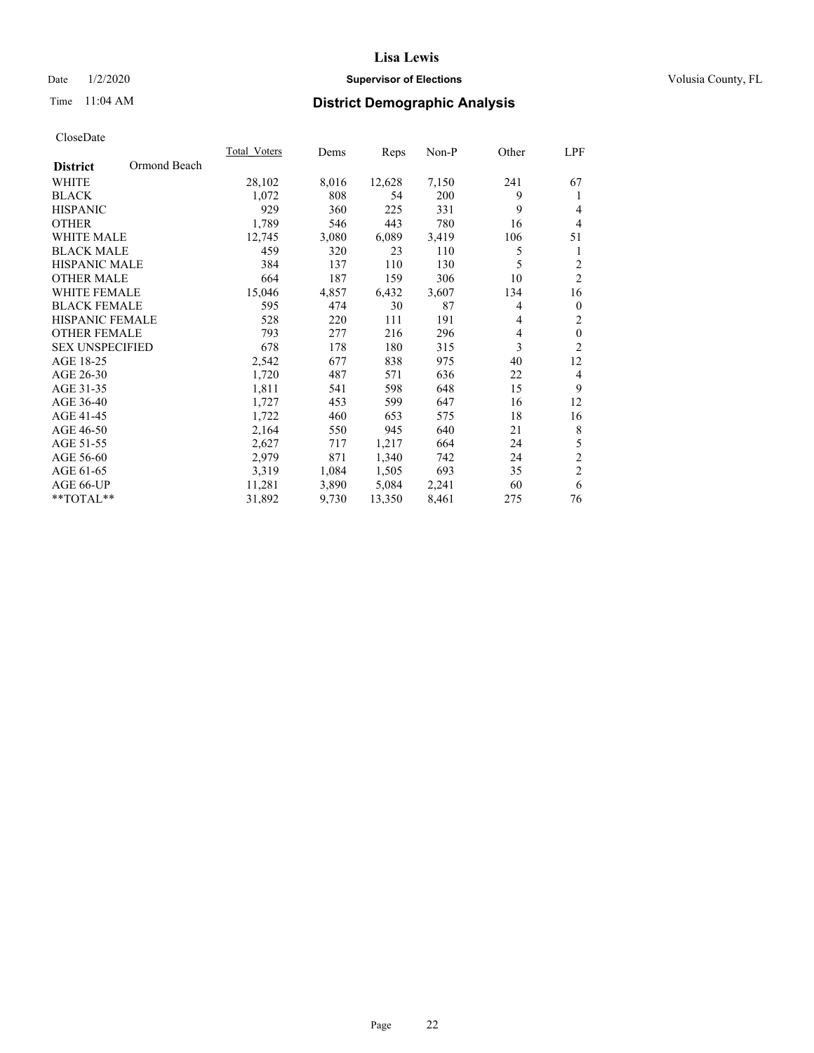### Date  $1/2/2020$  **Supervisor of Elections Supervisor of Elections** Volusia County, FL

# Time 11:04 AM **District Demographic Analysis**

|                        |              | Total Voters | Dems  | Reps   | Non-P | Other | LPF              |
|------------------------|--------------|--------------|-------|--------|-------|-------|------------------|
| <b>District</b>        | Ormond Beach |              |       |        |       |       |                  |
| WHITE                  |              | 28,102       | 8,016 | 12,628 | 7,150 | 241   | 67               |
| <b>BLACK</b>           |              | 1,072        | 808   | 54     | 200   | 9     | 1                |
| <b>HISPANIC</b>        |              | 929          | 360   | 225    | 331   | 9     | $\overline{4}$   |
| <b>OTHER</b>           |              | 1,789        | 546   | 443    | 780   | 16    | $\overline{4}$   |
| <b>WHITE MALE</b>      |              | 12,745       | 3,080 | 6,089  | 3,419 | 106   | 51               |
| <b>BLACK MALE</b>      |              | 459          | 320   | 23     | 110   | 5     | 1                |
| <b>HISPANIC MALE</b>   |              | 384          | 137   | 110    | 130   | 5     | $\overline{2}$   |
| <b>OTHER MALE</b>      |              | 664          | 187   | 159    | 306   | 10    | $\overline{2}$   |
| <b>WHITE FEMALE</b>    |              | 15,046       | 4,857 | 6,432  | 3,607 | 134   | 16               |
| <b>BLACK FEMALE</b>    |              | 595          | 474   | 30     | 87    | 4     | $\overline{0}$   |
| <b>HISPANIC FEMALE</b> |              | 528          | 220   | 111    | 191   | 4     | $\mathfrak{2}$   |
| <b>OTHER FEMALE</b>    |              | 793          | 277   | 216    | 296   | 4     | $\boldsymbol{0}$ |
| <b>SEX UNSPECIFIED</b> |              | 678          | 178   | 180    | 315   | 3     | $\overline{2}$   |
| AGE 18-25              |              | 2,542        | 677   | 838    | 975   | 40    | 12               |
| AGE 26-30              |              | 1,720        | 487   | 571    | 636   | 22    | 4                |
| AGE 31-35              |              | 1,811        | 541   | 598    | 648   | 15    | 9                |
| AGE 36-40              |              | 1,727        | 453   | 599    | 647   | 16    | 12               |
| AGE 41-45              |              | 1,722        | 460   | 653    | 575   | 18    | 16               |
| AGE 46-50              |              | 2,164        | 550   | 945    | 640   | 21    | 8                |
| AGE 51-55              |              | 2,627        | 717   | 1,217  | 664   | 24    | $\mathfrak s$    |
| AGE 56-60              |              | 2,979        | 871   | 1,340  | 742   | 24    | $\overline{c}$   |
| AGE 61-65              |              | 3,319        | 1,084 | 1,505  | 693   | 35    | $\overline{2}$   |
| AGE 66-UP              |              | 11,281       | 3,890 | 5,084  | 2,241 | 60    | 6                |
| **TOTAL**              |              | 31,892       | 9,730 | 13,350 | 8,461 | 275   | 76               |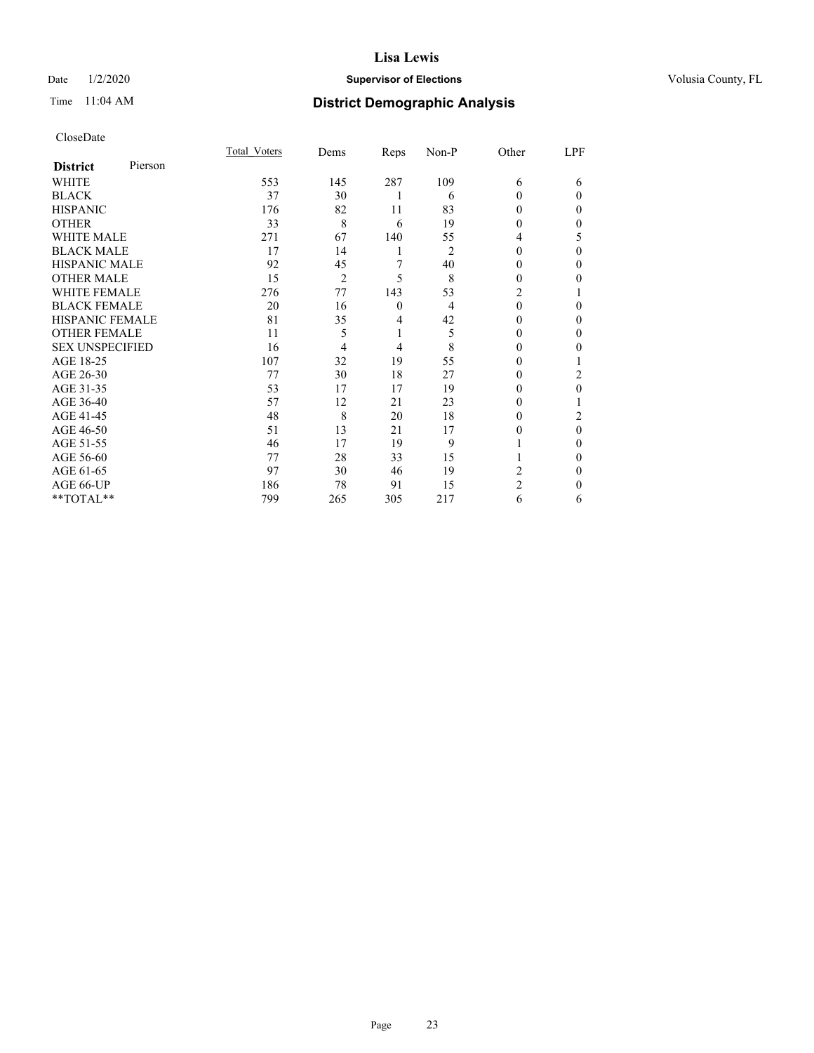### Date  $1/2/2020$  **Supervisor of Elections Supervisor of Elections** Volusia County, FL

| CloseDate |
|-----------|
|-----------|

|                        |         | Total Voters | Dems | Reps         | Non-P          | Other          | LPF      |
|------------------------|---------|--------------|------|--------------|----------------|----------------|----------|
| <b>District</b>        | Pierson |              |      |              |                |                |          |
| WHITE                  |         | 553          | 145  | 287          | 109            | 6              | 6        |
| <b>BLACK</b>           |         | 37           | 30   |              | 6              | $\Omega$       | $\Omega$ |
| <b>HISPANIC</b>        |         | 176          | 82   | 11           | 83             | 0              | 0        |
| <b>OTHER</b>           |         | 33           | 8    | 6            | 19             | 0              | 0        |
| <b>WHITE MALE</b>      |         | 271          | 67   | 140          | 55             | 4              | 5        |
| <b>BLACK MALE</b>      |         | 17           | 14   | 1            | $\overline{2}$ | $\Omega$       | $\Omega$ |
| <b>HISPANIC MALE</b>   |         | 92           | 45   | 7            | 40             | $_{0}$         | 0        |
| <b>OTHER MALE</b>      |         | 15           | 2    | 5            | 8              | 0              | 0        |
| <b>WHITE FEMALE</b>    |         | 276          | 77   | 143          | 53             | 2              |          |
| <b>BLACK FEMALE</b>    |         | 20           | 16   | $\mathbf{0}$ | 4              | $\Omega$       | 0        |
| <b>HISPANIC FEMALE</b> |         | 81           | 35   | 4            | 42             | 0              | 0        |
| <b>OTHER FEMALE</b>    |         | 11           | 5    | 1            | 5              | 0              | 0        |
| <b>SEX UNSPECIFIED</b> |         | 16           | 4    | 4            | 8              | 0              | 0        |
| AGE 18-25              |         | 107          | 32   | 19           | 55             | 0              |          |
| AGE 26-30              |         | 77           | 30   | 18           | 27             | $\theta$       | 2        |
| AGE 31-35              |         | 53           | 17   | 17           | 19             |                | 0        |
| AGE 36-40              |         | 57           | 12   | 21           | 23             | 0              |          |
| AGE 41-45              |         | 48           | 8    | 20           | 18             | $_{0}$         | 2        |
| AGE 46-50              |         | 51           | 13   | 21           | 17             | 0              | $\theta$ |
| AGE 51-55              |         | 46           | 17   | 19           | 9              |                | 0        |
| AGE 56-60              |         | 77           | 28   | 33           | 15             |                | 0        |
| AGE 61-65              |         | 97           | 30   | 46           | 19             | 2              | 0        |
| AGE 66-UP              |         | 186          | 78   | 91           | 15             | $\overline{c}$ | 0        |
| **TOTAL**              |         | 799          | 265  | 305          | 217            | 6              | 6        |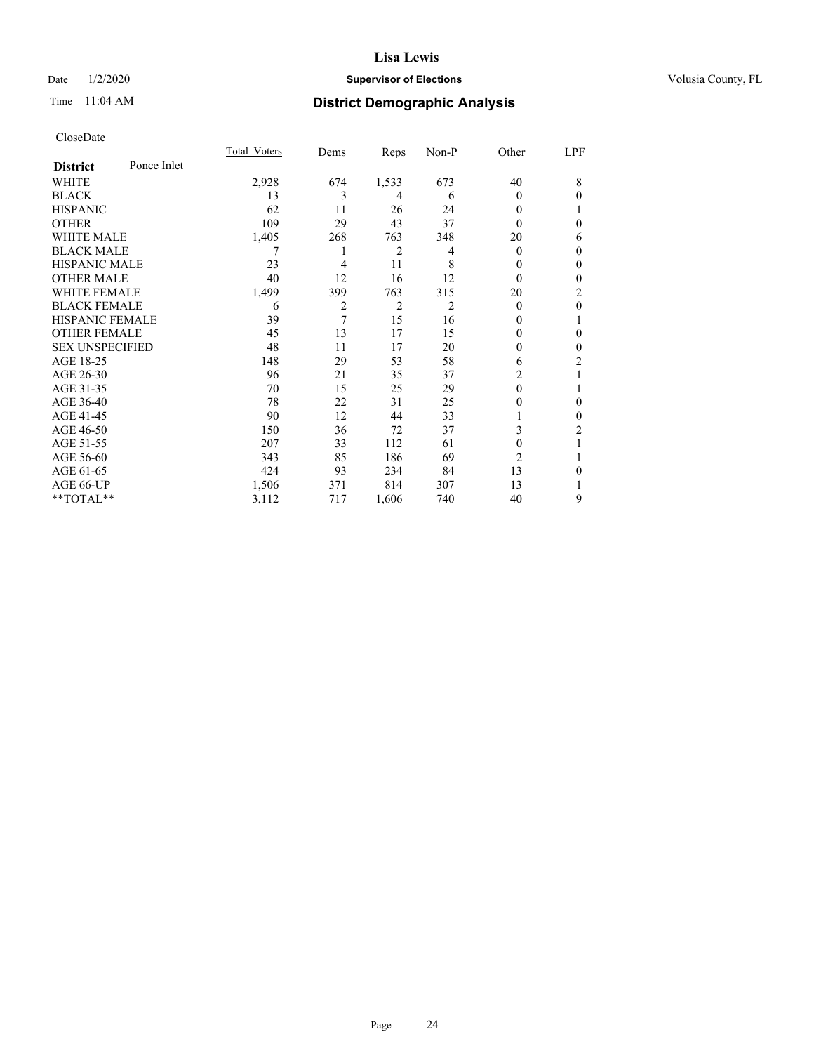### Date  $1/2/2020$  **Supervisor of Elections Supervisor of Elections** Volusia County, FL

# Time 11:04 AM **District Demographic Analysis**

|                        |             | Total Voters | Dems | Reps           | Non-P | Other          | LPF          |
|------------------------|-------------|--------------|------|----------------|-------|----------------|--------------|
| <b>District</b>        | Ponce Inlet |              |      |                |       |                |              |
| WHITE                  |             | 2,928        | 674  | 1,533          | 673   | 40             | 8            |
| <b>BLACK</b>           |             | 13           | 3    | 4              | 6     | $\theta$       | $\theta$     |
| <b>HISPANIC</b>        |             | 62           | 11   | 26             | 24    | 0              |              |
| <b>OTHER</b>           |             | 109          | 29   | 43             | 37    | 0              | $\theta$     |
| <b>WHITE MALE</b>      |             | 1,405        | 268  | 763            | 348   | 20             | 6            |
| <b>BLACK MALE</b>      |             | 7            | 1    | 2              | 4     | $\theta$       | $\mathbf{0}$ |
| <b>HISPANIC MALE</b>   |             | 23           | 4    | 11             | 8     | 0              | $\mathbf{0}$ |
| <b>OTHER MALE</b>      |             | 40           | 12   | 16             | 12    | $\theta$       | $\mathbf{0}$ |
| <b>WHITE FEMALE</b>    |             | 1,499        | 399  | 763            | 315   | 20             | 2            |
| <b>BLACK FEMALE</b>    |             | 6            | 2    | $\overline{2}$ | 2     | $\theta$       | $\mathbf{0}$ |
| <b>HISPANIC FEMALE</b> |             | 39           | 7    | 15             | 16    | 0              | 1            |
| <b>OTHER FEMALE</b>    |             | 45           | 13   | 17             | 15    | 0              | $\theta$     |
| <b>SEX UNSPECIFIED</b> |             | 48           | 11   | 17             | 20    | 0              | $\mathbf{0}$ |
| AGE 18-25              |             | 148          | 29   | 53             | 58    | 6              | 2            |
| AGE 26-30              |             | 96           | 21   | 35             | 37    | 2              | 1            |
| AGE 31-35              |             | 70           | 15   | 25             | 29    | 0              |              |
| AGE 36-40              |             | 78           | 22   | 31             | 25    | 0              | $\mathbf{0}$ |
| AGE 41-45              |             | 90           | 12   | 44             | 33    |                | $\theta$     |
| AGE 46-50              |             | 150          | 36   | 72             | 37    | 3              | 2            |
| AGE 51-55              |             | 207          | 33   | 112            | 61    | $\theta$       | 1            |
| AGE 56-60              |             | 343          | 85   | 186            | 69    | $\overline{c}$ | 1            |
| AGE 61-65              |             | 424          | 93   | 234            | 84    | 13             | $\theta$     |
| AGE 66-UP              |             | 1,506        | 371  | 814            | 307   | 13             | 1            |
| **TOTAL**              |             | 3,112        | 717  | 1,606          | 740   | 40             | 9            |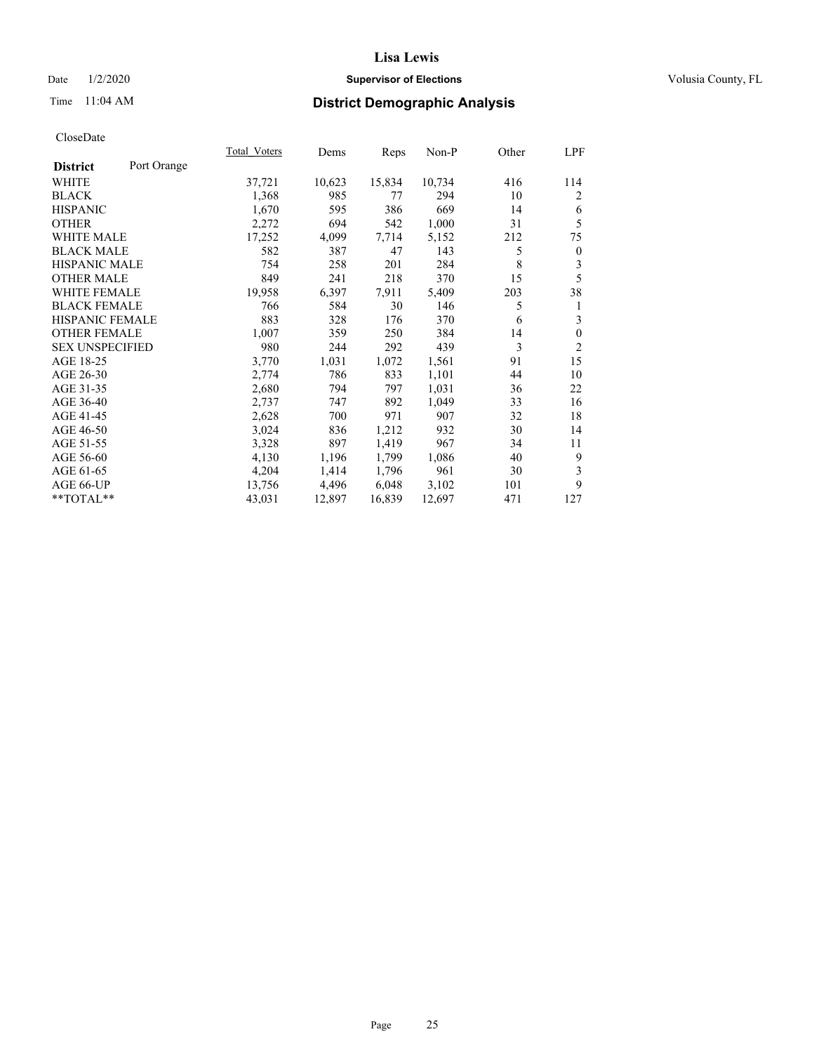### Date  $1/2/2020$  **Supervisor of Elections Supervisor of Elections** Volusia County, FL

# Time 11:04 AM **District Demographic Analysis**

|                                | <b>Total Voters</b> | Dems   | Reps   | Non-P  | Other | LPF              |
|--------------------------------|---------------------|--------|--------|--------|-------|------------------|
| Port Orange<br><b>District</b> |                     |        |        |        |       |                  |
| WHITE                          | 37,721              | 10,623 | 15,834 | 10,734 | 416   | 114              |
| <b>BLACK</b>                   | 1,368               | 985    | 77     | 294    | 10    | 2                |
| <b>HISPANIC</b>                | 1,670               | 595    | 386    | 669    | 14    | 6                |
| <b>OTHER</b>                   | 2,272               | 694    | 542    | 1,000  | 31    | 5                |
| <b>WHITE MALE</b>              | 17,252              | 4,099  | 7,714  | 5,152  | 212   | 75               |
| <b>BLACK MALE</b>              | 582                 | 387    | 47     | 143    | 5     | $\boldsymbol{0}$ |
| HISPANIC MALE                  | 754                 | 258    | 201    | 284    | 8     | 3                |
| <b>OTHER MALE</b>              | 849                 | 241    | 218    | 370    | 15    | 5                |
| WHITE FEMALE                   | 19,958              | 6,397  | 7,911  | 5,409  | 203   | 38               |
| <b>BLACK FEMALE</b>            | 766                 | 584    | 30     | 146    | 5     | 1                |
| HISPANIC FEMALE                | 883                 | 328    | 176    | 370    | 6     | 3                |
| <b>OTHER FEMALE</b>            | 1,007               | 359    | 250    | 384    | 14    | $\mathbf{0}$     |
| <b>SEX UNSPECIFIED</b>         | 980                 | 244    | 292    | 439    | 3     | $\overline{c}$   |
| AGE 18-25                      | 3,770               | 1,031  | 1,072  | 1,561  | 91    | 15               |
| AGE 26-30                      | 2,774               | 786    | 833    | 1,101  | 44    | 10               |
| AGE 31-35                      | 2,680               | 794    | 797    | 1,031  | 36    | 22               |
| AGE 36-40                      | 2,737               | 747    | 892    | 1,049  | 33    | 16               |
| AGE 41-45                      | 2,628               | 700    | 971    | 907    | 32    | 18               |
| AGE 46-50                      | 3,024               | 836    | 1,212  | 932    | 30    | 14               |
| AGE 51-55                      | 3,328               | 897    | 1,419  | 967    | 34    | 11               |
| AGE 56-60                      | 4,130               | 1,196  | 1,799  | 1,086  | 40    | 9                |
| AGE 61-65                      | 4,204               | 1,414  | 1,796  | 961    | 30    | 3                |
| AGE 66-UP                      | 13,756              | 4,496  | 6,048  | 3,102  | 101   | 9                |
| **TOTAL**                      | 43,031              | 12,897 | 16,839 | 12,697 | 471   | 127              |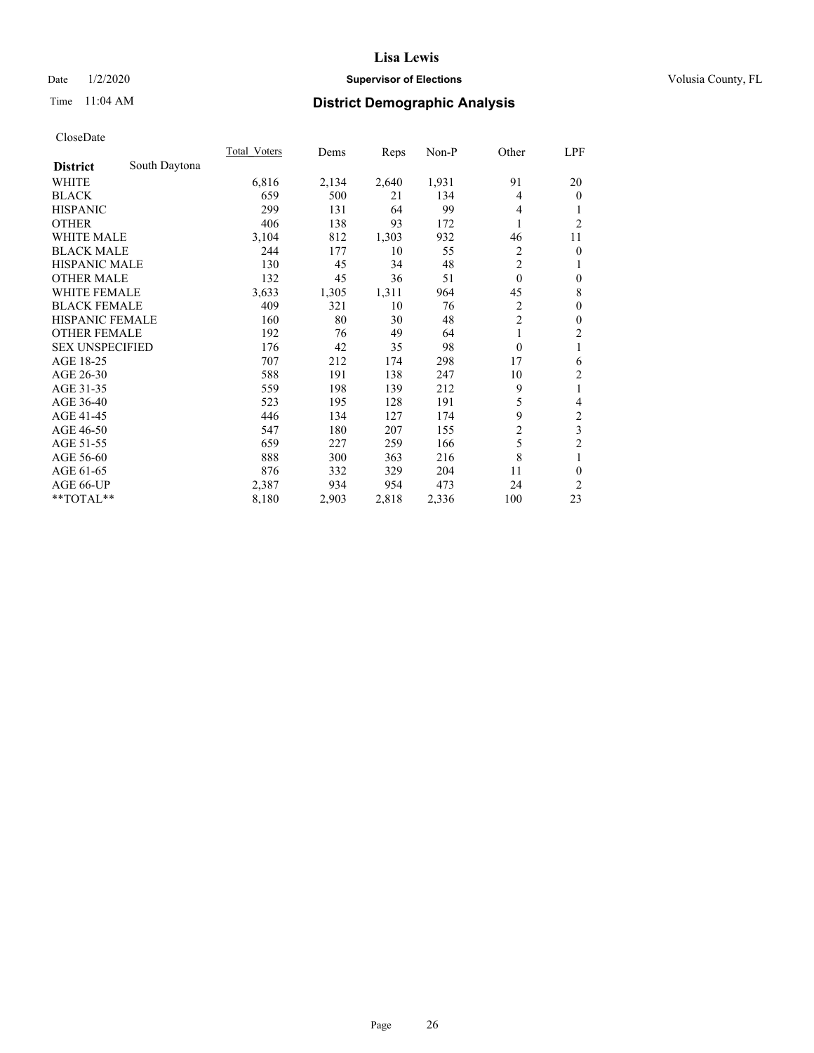### Date  $1/2/2020$  **Supervisor of Elections Supervisor of Elections** Volusia County, FL

# Time 11:04 AM **District Demographic Analysis**

|                        |               | Total Voters | Dems  | Reps  | Non-P | Other          | <u>LPF</u>              |
|------------------------|---------------|--------------|-------|-------|-------|----------------|-------------------------|
| <b>District</b>        | South Daytona |              |       |       |       |                |                         |
| WHITE                  |               | 6,816        | 2,134 | 2,640 | 1,931 | 91             | 20                      |
| <b>BLACK</b>           |               | 659          | 500   | 21    | 134   | 4              | $\overline{0}$          |
| <b>HISPANIC</b>        |               | 299          | 131   | 64    | 99    | 4              |                         |
| <b>OTHER</b>           |               | 406          | 138   | 93    | 172   | 1              | $\overline{2}$          |
| WHITE MALE             |               | 3,104        | 812   | 1,303 | 932   | 46             | 11                      |
| <b>BLACK MALE</b>      |               | 244          | 177   | 10    | 55    | $\overline{2}$ | $\theta$                |
| <b>HISPANIC MALE</b>   |               | 130          | 45    | 34    | 48    | $\overline{2}$ | 1                       |
| <b>OTHER MALE</b>      |               | 132          | 45    | 36    | 51    | $\mathbf{0}$   | $\mathbf{0}$            |
| <b>WHITE FEMALE</b>    |               | 3,633        | 1,305 | 1,311 | 964   | 45             | 8                       |
| <b>BLACK FEMALE</b>    |               | 409          | 321   | 10    | 76    | 2              | $\mathbf{0}$            |
| HISPANIC FEMALE        |               | 160          | 80    | 30    | 48    | $\overline{2}$ | $\mathbf{0}$            |
| <b>OTHER FEMALE</b>    |               | 192          | 76    | 49    | 64    | 1              | $\overline{2}$          |
| <b>SEX UNSPECIFIED</b> |               | 176          | 42    | 35    | 98    | $\theta$       | 1                       |
| AGE 18-25              |               | 707          | 212   | 174   | 298   | 17             | 6                       |
| AGE 26-30              |               | 588          | 191   | 138   | 247   | 10             | $\overline{c}$          |
| AGE 31-35              |               | 559          | 198   | 139   | 212   | 9              | 1                       |
| AGE 36-40              |               | 523          | 195   | 128   | 191   | 5              | 4                       |
| AGE 41-45              |               | 446          | 134   | 127   | 174   | 9              | $\overline{\mathbf{c}}$ |
| AGE 46-50              |               | 547          | 180   | 207   | 155   | $\mathfrak{2}$ | 3                       |
| AGE 51-55              |               | 659          | 227   | 259   | 166   | 5              | $\overline{2}$          |
| AGE 56-60              |               | 888          | 300   | 363   | 216   | 8              | 1                       |
| AGE 61-65              |               | 876          | 332   | 329   | 204   | 11             | $\theta$                |
| AGE 66-UP              |               | 2,387        | 934   | 954   | 473   | 24             | 2                       |
| **TOTAL**              |               | 8,180        | 2,903 | 2,818 | 2,336 | 100            | 23                      |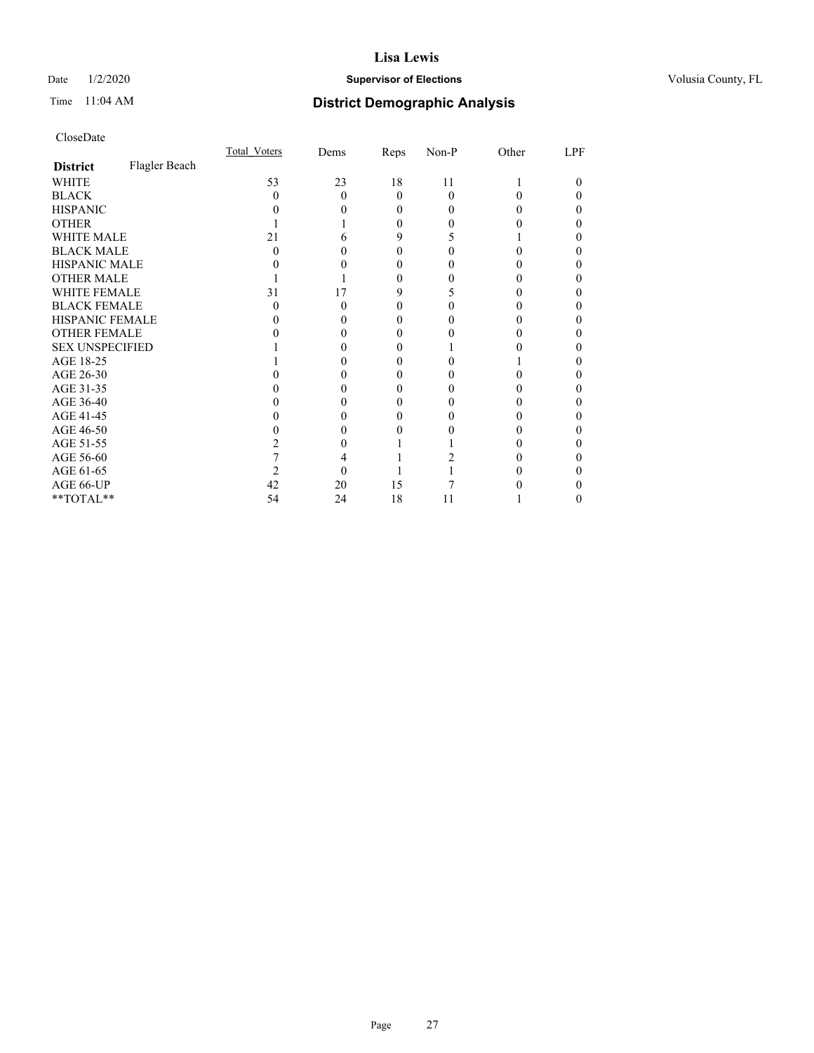### Date  $1/2/2020$  **Supervisor of Elections Supervisor of Elections** Volusia County, FL

# Time 11:04 AM **District Demographic Analysis**

|                        |               | <b>Total Voters</b> | Dems         | Reps     | Non-P    | Other | LPF |
|------------------------|---------------|---------------------|--------------|----------|----------|-------|-----|
| <b>District</b>        | Flagler Beach |                     |              |          |          |       |     |
| <b>WHITE</b>           |               | 53                  | 23           | 18       | 11       |       | 0   |
| <b>BLACK</b>           |               | 0                   | $\mathbf{0}$ | $\Omega$ | $\Omega$ | 0     |     |
| <b>HISPANIC</b>        |               |                     |              | 0        | 0        |       |     |
| <b>OTHER</b>           |               |                     |              | 0        |          |       |     |
| WHITE MALE             |               | 21                  |              | 9        |          |       |     |
| <b>BLACK MALE</b>      |               | 0                   |              | 0        |          |       |     |
| <b>HISPANIC MALE</b>   |               |                     |              | 0        |          |       |     |
| <b>OTHER MALE</b>      |               |                     |              | 0        |          |       | 0   |
| <b>WHITE FEMALE</b>    |               | 31                  | 17           | 9        |          |       |     |
| <b>BLACK FEMALE</b>    |               | $\theta$            | 0            | 0        | 0        |       | 0   |
| <b>HISPANIC FEMALE</b> |               |                     |              |          |          |       |     |
| <b>OTHER FEMALE</b>    |               |                     |              | 0        |          |       |     |
| <b>SEX UNSPECIFIED</b> |               |                     |              |          |          |       |     |
| AGE 18-25              |               |                     |              | $_{0}$   |          |       |     |
| AGE 26-30              |               |                     |              | $_{0}$   |          |       | 0   |
| AGE 31-35              |               |                     |              |          |          |       |     |
| AGE 36-40              |               |                     |              | 0        | 0        |       | 0   |
| AGE 41-45              |               |                     |              | $\theta$ |          |       |     |
| AGE 46-50              |               |                     |              |          |          |       |     |
| AGE 51-55              |               |                     |              |          |          |       |     |
| AGE 56-60              |               |                     |              |          |          |       |     |
| AGE 61-65              |               |                     |              |          |          |       |     |
| AGE 66-UP              |               | 42                  | 20           | 15       |          |       |     |
| **TOTAL**              |               | 54                  | 24           | 18       | 11       |       | 0   |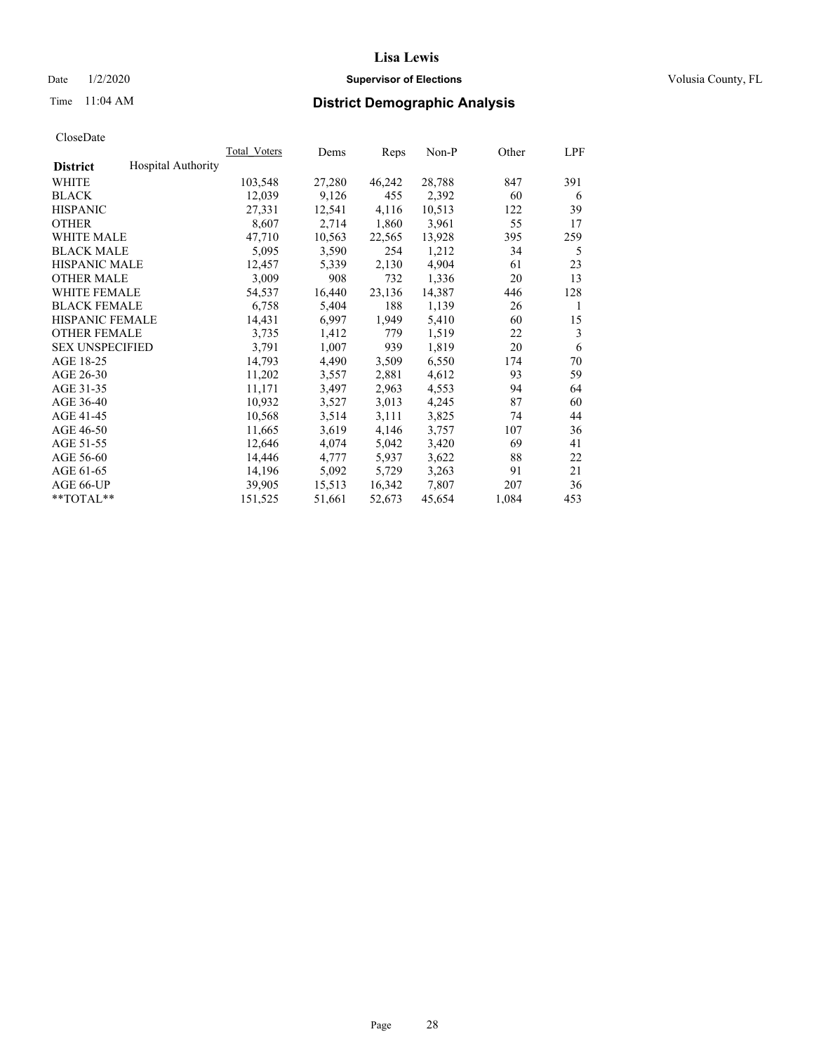### Date  $1/2/2020$  **Supervisor of Elections Supervisor of Elections** Volusia County, FL

# Time 11:04 AM **District Demographic Analysis**

|                        |                           | Total Voters | Dems   | Reps   | Non-P  | Other | LPF |
|------------------------|---------------------------|--------------|--------|--------|--------|-------|-----|
| <b>District</b>        | <b>Hospital Authority</b> |              |        |        |        |       |     |
| WHITE                  |                           | 103,548      | 27,280 | 46,242 | 28,788 | 847   | 391 |
| <b>BLACK</b>           |                           | 12,039       | 9,126  | 455    | 2,392  | 60    | 6   |
| <b>HISPANIC</b>        |                           | 27,331       | 12,541 | 4,116  | 10,513 | 122   | 39  |
| <b>OTHER</b>           |                           | 8,607        | 2,714  | 1,860  | 3,961  | 55    | 17  |
| WHITE MALE             |                           | 47,710       | 10,563 | 22,565 | 13,928 | 395   | 259 |
| <b>BLACK MALE</b>      |                           | 5,095        | 3,590  | 254    | 1,212  | 34    | 5   |
| <b>HISPANIC MALE</b>   |                           | 12,457       | 5,339  | 2,130  | 4,904  | 61    | 23  |
| <b>OTHER MALE</b>      |                           | 3,009        | 908    | 732    | 1,336  | 20    | 13  |
| <b>WHITE FEMALE</b>    |                           | 54,537       | 16,440 | 23,136 | 14,387 | 446   | 128 |
| <b>BLACK FEMALE</b>    |                           | 6,758        | 5,404  | 188    | 1,139  | 26    | 1   |
| <b>HISPANIC FEMALE</b> |                           | 14,431       | 6,997  | 1,949  | 5,410  | 60    | 15  |
| <b>OTHER FEMALE</b>    |                           | 3,735        | 1,412  | 779    | 1,519  | 22    | 3   |
| <b>SEX UNSPECIFIED</b> |                           | 3,791        | 1,007  | 939    | 1,819  | 20    | 6   |
| AGE 18-25              |                           | 14,793       | 4,490  | 3,509  | 6,550  | 174   | 70  |
| AGE 26-30              |                           | 11,202       | 3,557  | 2,881  | 4,612  | 93    | 59  |
| AGE 31-35              |                           | 11,171       | 3,497  | 2,963  | 4,553  | 94    | 64  |
| AGE 36-40              |                           | 10,932       | 3,527  | 3,013  | 4,245  | 87    | 60  |
| AGE 41-45              |                           | 10,568       | 3,514  | 3,111  | 3,825  | 74    | 44  |
| AGE 46-50              |                           | 11,665       | 3,619  | 4,146  | 3,757  | 107   | 36  |
| AGE 51-55              |                           | 12,646       | 4,074  | 5,042  | 3,420  | 69    | 41  |
| AGE 56-60              |                           | 14,446       | 4,777  | 5,937  | 3,622  | 88    | 22  |
| AGE 61-65              |                           | 14,196       | 5,092  | 5,729  | 3,263  | 91    | 21  |
| AGE 66-UP              |                           | 39,905       | 15,513 | 16,342 | 7,807  | 207   | 36  |
| $*$ TOTAL $*$          |                           | 151,525      | 51,661 | 52,673 | 45,654 | 1,084 | 453 |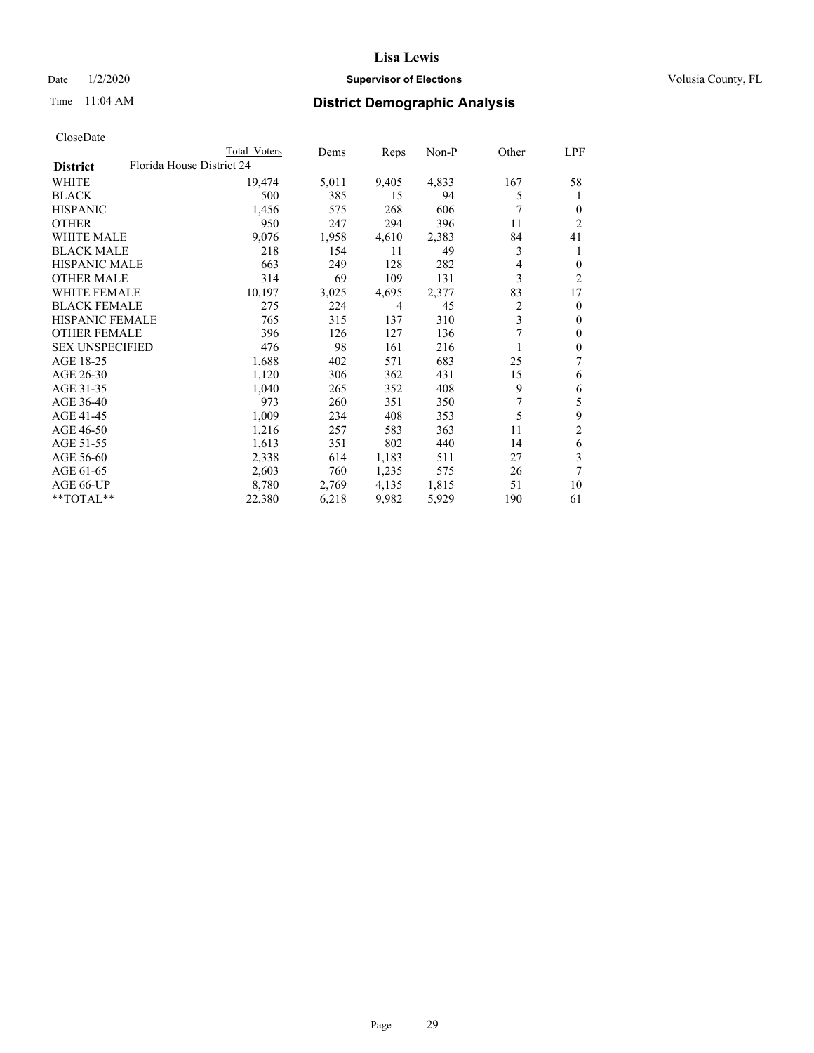### Date  $1/2/2020$  **Supervisor of Elections Supervisor of Elections** Volusia County, FL

| CloseDate |
|-----------|
|-----------|

|                        |                           | Total Voters | Dems  | Reps           | Non-P | Other | LPF            |
|------------------------|---------------------------|--------------|-------|----------------|-------|-------|----------------|
| <b>District</b>        | Florida House District 24 |              |       |                |       |       |                |
| WHITE                  |                           | 19,474       | 5,011 | 9,405          | 4,833 | 167   | 58             |
| <b>BLACK</b>           |                           | 500          | 385   | 15             | 94    | 5     | 1              |
| <b>HISPANIC</b>        |                           | 1,456        | 575   | 268            | 606   | 7     | $\theta$       |
| <b>OTHER</b>           |                           | 950          | 247   | 294            | 396   | 11    | 2              |
| <b>WHITE MALE</b>      |                           | 9,076        | 1,958 | 4,610          | 2,383 | 84    | 41             |
| <b>BLACK MALE</b>      |                           | 218          | 154   | 11             | 49    | 3     | 1              |
| HISPANIC MALE          |                           | 663          | 249   | 128            | 282   | 4     | $\Omega$       |
| <b>OTHER MALE</b>      |                           | 314          | 69    | 109            | 131   | 3     | $\overline{c}$ |
| <b>WHITE FEMALE</b>    |                           | 10,197       | 3,025 | 4,695          | 2,377 | 83    | 17             |
| <b>BLACK FEMALE</b>    |                           | 275          | 224   | $\overline{4}$ | 45    | 2     | $\theta$       |
| <b>HISPANIC FEMALE</b> |                           | 765          | 315   | 137            | 310   | 3     | $\mathbf{0}$   |
| <b>OTHER FEMALE</b>    |                           | 396          | 126   | 127            | 136   | 7     | $\mathbf{0}$   |
| <b>SEX UNSPECIFIED</b> |                           | 476          | 98    | 161            | 216   |       | $\theta$       |
| AGE 18-25              |                           | 1,688        | 402   | 571            | 683   | 25    | 7              |
| AGE 26-30              |                           | 1,120        | 306   | 362            | 431   | 15    | 6              |
| AGE 31-35              |                           | 1,040        | 265   | 352            | 408   | 9     | 6              |
| AGE 36-40              |                           | 973          | 260   | 351            | 350   | 7     | 5              |
| AGE 41-45              |                           | 1,009        | 234   | 408            | 353   | 5     | 9              |
| AGE 46-50              |                           | 1,216        | 257   | 583            | 363   | 11    | $\overline{2}$ |
| AGE 51-55              |                           | 1,613        | 351   | 802            | 440   | 14    | 6              |
| AGE 56-60              |                           | 2,338        | 614   | 1,183          | 511   | 27    | 3              |
| AGE 61-65              |                           | 2,603        | 760   | 1,235          | 575   | 26    | 7              |
| AGE 66-UP              |                           | 8,780        | 2,769 | 4,135          | 1,815 | 51    | 10             |
| **TOTAL**              |                           | 22,380       | 6,218 | 9,982          | 5,929 | 190   | 61             |
|                        |                           |              |       |                |       |       |                |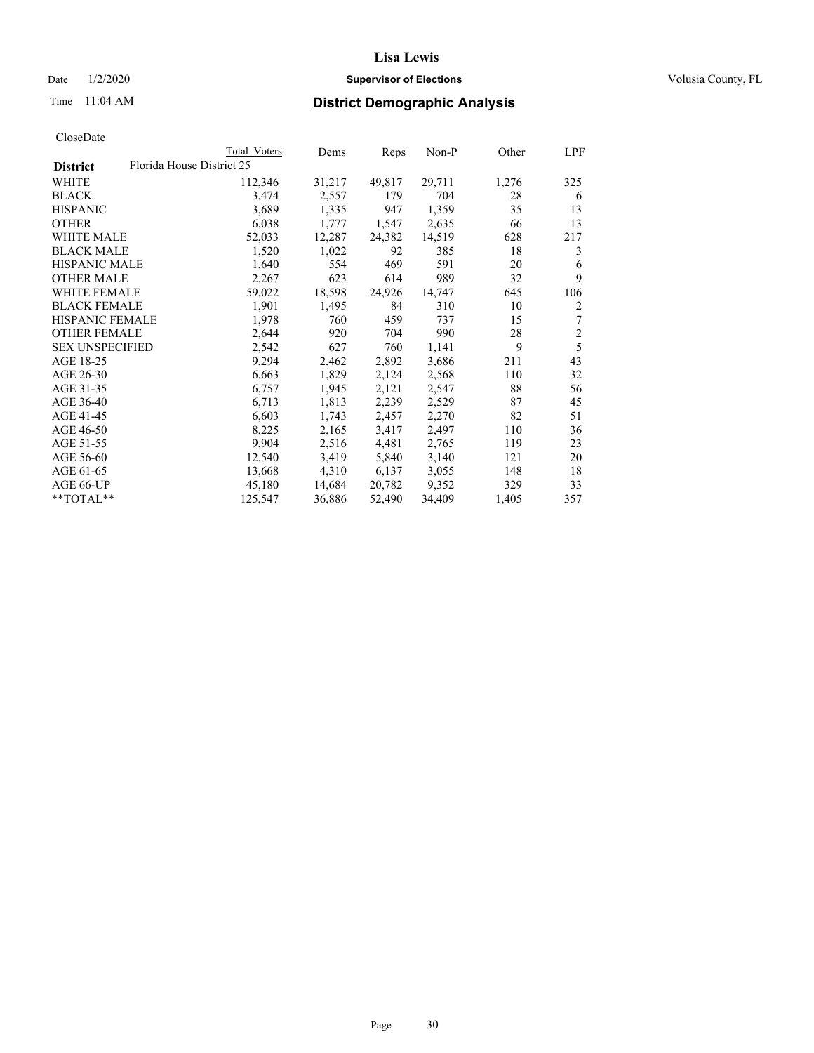### Date  $1/2/2020$  **Supervisor of Elections Supervisor of Elections** Volusia County, FL

# Time 11:04 AM **District Demographic Analysis**

| Total Voters              | Dems   | Reps   | $Non-P$ | Other | LPF            |
|---------------------------|--------|--------|---------|-------|----------------|
| Florida House District 25 |        |        |         |       |                |
| 112,346                   | 31,217 | 49,817 | 29,711  | 1,276 | 325            |
| 3,474                     | 2,557  | 179    | 704     | 28    | 6              |
| 3,689                     | 1,335  | 947    | 1,359   | 35    | 13             |
| 6,038                     | 1,777  | 1,547  | 2,635   | 66    | 13             |
| 52,033                    | 12,287 | 24,382 | 14,519  | 628   | 217            |
| 1,520                     | 1,022  | 92     | 385     | 18    | 3              |
| 1,640                     | 554    | 469    | 591     | 20    | 6              |
| 2,267                     | 623    | 614    | 989     | 32    | 9              |
| 59,022                    | 18,598 | 24,926 | 14,747  | 645   | 106            |
| 1,901                     | 1,495  | 84     | 310     | 10    | $\overline{2}$ |
| 1,978                     | 760    | 459    | 737     | 15    | 7              |
| 2,644                     | 920    | 704    | 990     | 28    | $\sqrt{2}$     |
| 2,542                     | 627    | 760    | 1,141   | 9     | 5              |
| 9,294                     | 2,462  | 2,892  | 3,686   | 211   | 43             |
| 6,663                     | 1,829  | 2,124  | 2,568   | 110   | 32             |
| 6,757                     | 1,945  | 2,121  | 2,547   | 88    | 56             |
| 6,713                     | 1,813  | 2,239  | 2,529   | 87    | 45             |
| 6,603                     | 1,743  | 2,457  | 2,270   | 82    | 51             |
| 8,225                     | 2,165  | 3,417  | 2,497   | 110   | 36             |
| 9,904                     | 2,516  | 4,481  | 2,765   | 119   | 23             |
| 12,540                    | 3,419  | 5,840  | 3,140   | 121   | 20             |
| 13,668                    | 4,310  | 6,137  | 3,055   | 148   | 18             |
| 45,180                    | 14,684 | 20,782 | 9,352   | 329   | 33             |
| 125,547                   | 36,886 | 52,490 | 34,409  | 1,405 | 357            |
|                           |        |        |         |       |                |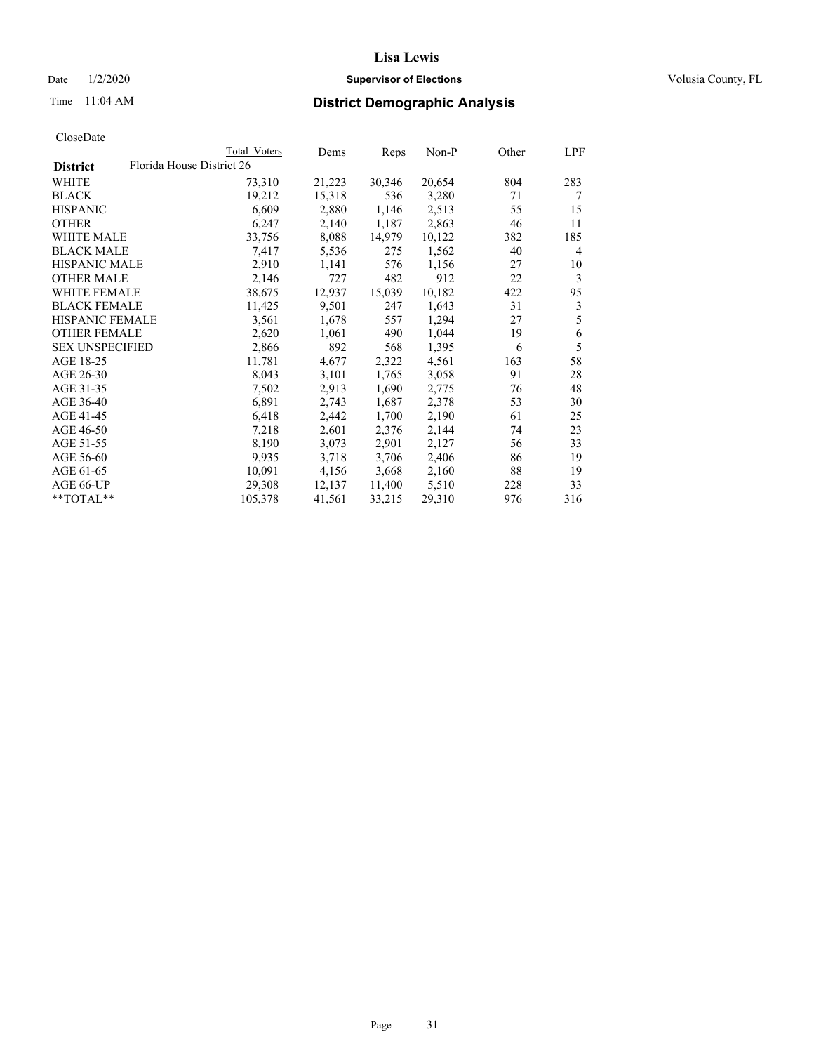### Date  $1/2/2020$  **Supervisor of Elections Supervisor of Elections** Volusia County, FL

|                        |                           | <b>Total Voters</b> | Dems   | Reps   | Non-P  | Other | LPF |
|------------------------|---------------------------|---------------------|--------|--------|--------|-------|-----|
| <b>District</b>        | Florida House District 26 |                     |        |        |        |       |     |
| WHITE                  |                           | 73,310              | 21,223 | 30,346 | 20,654 | 804   | 283 |
| <b>BLACK</b>           |                           | 19,212              | 15,318 | 536    | 3,280  | 71    | 7   |
| <b>HISPANIC</b>        |                           | 6,609               | 2,880  | 1,146  | 2,513  | 55    | 15  |
| OTHER                  |                           | 6,247               | 2,140  | 1,187  | 2,863  | 46    | 11  |
| WHITE MALE             |                           | 33,756              | 8,088  | 14,979 | 10,122 | 382   | 185 |
| <b>BLACK MALE</b>      |                           | 7,417               | 5,536  | 275    | 1,562  | 40    | 4   |
| HISPANIC MALE          |                           | 2,910               | 1,141  | 576    | 1,156  | 27    | 10  |
| <b>OTHER MALE</b>      |                           | 2,146               | 727    | 482    | 912    | 22    | 3   |
| <b>WHITE FEMALE</b>    |                           | 38,675              | 12,937 | 15,039 | 10,182 | 422   | 95  |
| <b>BLACK FEMALE</b>    |                           | 11,425              | 9,501  | 247    | 1,643  | 31    | 3   |
| HISPANIC FEMALE        |                           | 3,561               | 1,678  | 557    | 1,294  | 27    | 5   |
| <b>OTHER FEMALE</b>    |                           | 2,620               | 1,061  | 490    | 1,044  | 19    | 6   |
| <b>SEX UNSPECIFIED</b> |                           | 2,866               | 892    | 568    | 1,395  | 6     | 5   |
| AGE 18-25              |                           | 11,781              | 4,677  | 2,322  | 4,561  | 163   | 58  |
| AGE 26-30              |                           | 8,043               | 3,101  | 1,765  | 3,058  | 91    | 28  |
| AGE 31-35              |                           | 7,502               | 2,913  | 1,690  | 2,775  | 76    | 48  |
| AGE 36-40              |                           | 6,891               | 2,743  | 1,687  | 2,378  | 53    | 30  |
| AGE 41-45              |                           | 6,418               | 2,442  | 1,700  | 2,190  | 61    | 25  |
| AGE 46-50              |                           | 7,218               | 2,601  | 2,376  | 2,144  | 74    | 23  |
| AGE 51-55              |                           | 8,190               | 3,073  | 2,901  | 2,127  | 56    | 33  |
| AGE 56-60              |                           | 9,935               | 3,718  | 3,706  | 2,406  | 86    | 19  |
| AGE 61-65              |                           | 10,091              | 4,156  | 3,668  | 2,160  | 88    | 19  |
| AGE 66-UP              |                           | 29,308              | 12,137 | 11,400 | 5,510  | 228   | 33  |
| **TOTAL**              |                           | 105,378             | 41,561 | 33,215 | 29,310 | 976   | 316 |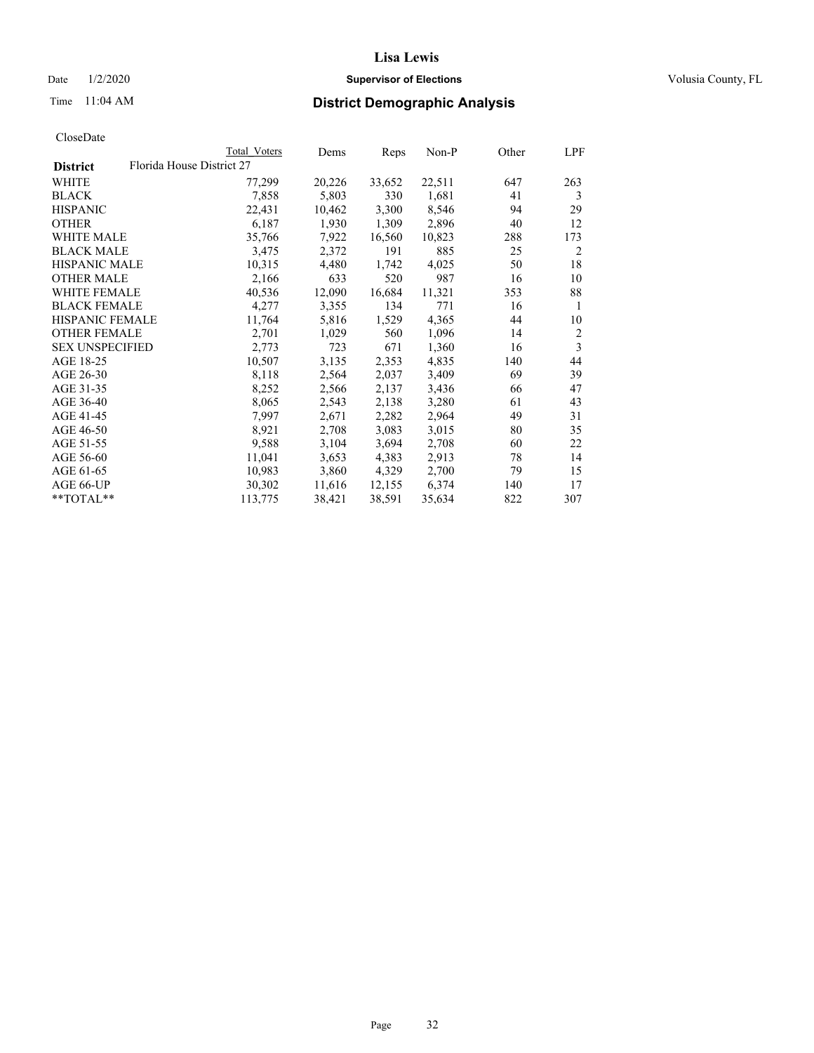### Date  $1/2/2020$  **Supervisor of Elections Supervisor of Elections** Volusia County, FL

|                        | Total Voters              | Dems   | Reps   | Non-P  | Other | LPF            |
|------------------------|---------------------------|--------|--------|--------|-------|----------------|
| <b>District</b>        | Florida House District 27 |        |        |        |       |                |
| WHITE                  | 77,299                    | 20,226 | 33,652 | 22,511 | 647   | 263            |
| BLACK                  | 7,858                     | 5,803  | 330    | 1,681  | 41    | 3              |
| <b>HISPANIC</b>        | 22,431                    | 10,462 | 3,300  | 8,546  | 94    | 29             |
| <b>OTHER</b>           | 6,187                     | 1,930  | 1,309  | 2,896  | 40    | 12             |
| <b>WHITE MALE</b>      | 35,766                    | 7,922  | 16,560 | 10,823 | 288   | 173            |
| <b>BLACK MALE</b>      | 3,475                     | 2,372  | 191    | 885    | 25    | 2              |
| <b>HISPANIC MALE</b>   | 10,315                    | 4,480  | 1,742  | 4,025  | 50    | 18             |
| <b>OTHER MALE</b>      | 2,166                     | 633    | 520    | 987    | 16    | 10             |
| <b>WHITE FEMALE</b>    | 40,536                    | 12,090 | 16,684 | 11,321 | 353   | 88             |
| <b>BLACK FEMALE</b>    | 4,277                     | 3,355  | 134    | 771    | 16    | 1              |
| HISPANIC FEMALE        | 11,764                    | 5,816  | 1,529  | 4,365  | 44    | 10             |
| <b>OTHER FEMALE</b>    | 2,701                     | 1,029  | 560    | 1,096  | 14    | $\overline{c}$ |
| <b>SEX UNSPECIFIED</b> | 2,773                     | 723    | 671    | 1,360  | 16    | 3              |
| AGE 18-25              | 10,507                    | 3,135  | 2,353  | 4,835  | 140   | 44             |
| AGE 26-30              | 8,118                     | 2,564  | 2,037  | 3,409  | 69    | 39             |
| AGE 31-35              | 8,252                     | 2,566  | 2,137  | 3,436  | 66    | 47             |
| AGE 36-40              | 8,065                     | 2,543  | 2,138  | 3,280  | 61    | 43             |
| AGE 41-45              | 7,997                     | 2,671  | 2,282  | 2,964  | 49    | 31             |
| AGE 46-50              | 8,921                     | 2,708  | 3,083  | 3,015  | 80    | 35             |
| AGE 51-55              | 9,588                     | 3,104  | 3,694  | 2,708  | 60    | 22             |
| AGE 56-60              | 11,041                    | 3,653  | 4,383  | 2,913  | 78    | 14             |
| AGE 61-65              | 10,983                    | 3,860  | 4,329  | 2,700  | 79    | 15             |
| AGE 66-UP              | 30,302                    | 11,616 | 12,155 | 6,374  | 140   | 17             |
| **TOTAL**              | 113,775                   | 38,421 | 38,591 | 35,634 | 822   | 307            |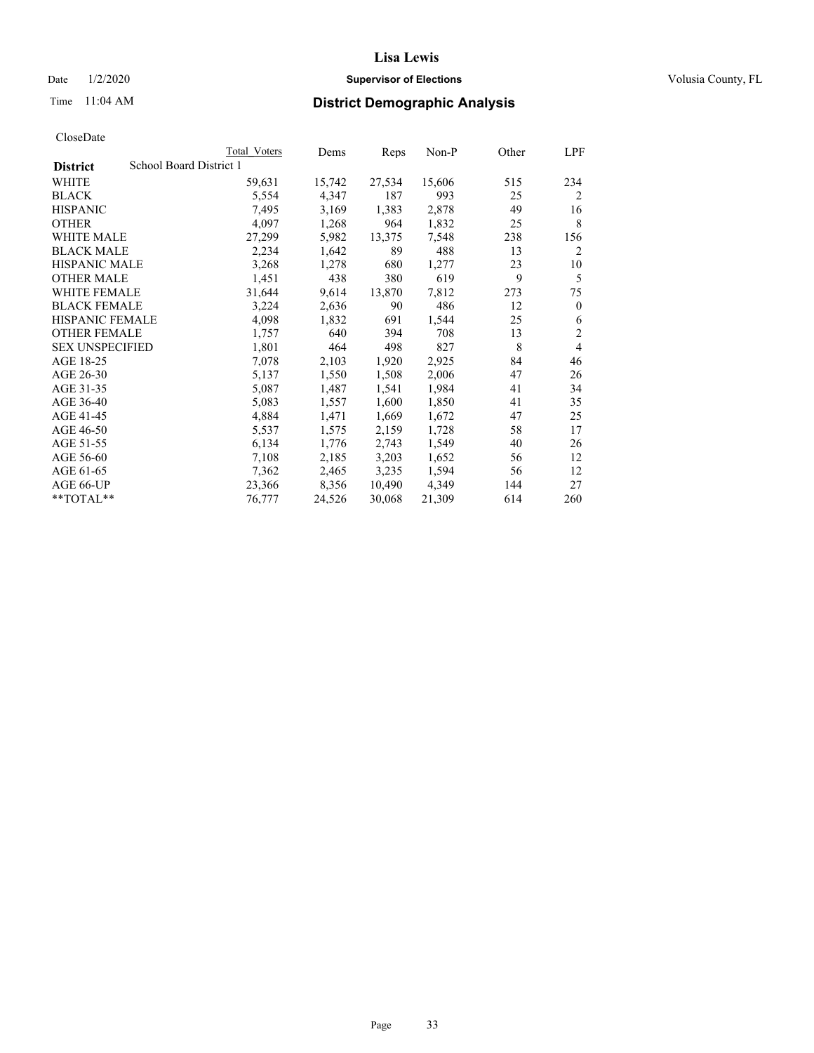### Date  $1/2/2020$  **Supervisor of Elections Supervisor of Elections** Volusia County, FL

# Time 11:04 AM **District Demographic Analysis**

|                        |                         | Total Voters | Dems   | Reps   | Non-P  | Other | LPF            |
|------------------------|-------------------------|--------------|--------|--------|--------|-------|----------------|
| <b>District</b>        | School Board District 1 |              |        |        |        |       |                |
| WHITE                  |                         | 59,631       | 15,742 | 27,534 | 15,606 | 515   | 234            |
| <b>BLACK</b>           |                         | 5,554        | 4,347  | 187    | 993    | 25    | $\overline{2}$ |
| <b>HISPANIC</b>        |                         | 7,495        | 3,169  | 1,383  | 2,878  | 49    | 16             |
| <b>OTHER</b>           |                         | 4,097        | 1,268  | 964    | 1,832  | 25    | 8              |
| WHITE MALE             |                         | 27,299       | 5,982  | 13,375 | 7,548  | 238   | 156            |
| <b>BLACK MALE</b>      |                         | 2,234        | 1,642  | 89     | 488    | 13    | 2              |
| <b>HISPANIC MALE</b>   |                         | 3,268        | 1,278  | 680    | 1,277  | 23    | 10             |
| <b>OTHER MALE</b>      |                         | 1,451        | 438    | 380    | 619    | 9     | 5              |
| WHITE FEMALE           |                         | 31,644       | 9,614  | 13,870 | 7,812  | 273   | 75             |
| <b>BLACK FEMALE</b>    |                         | 3,224        | 2,636  | 90     | 486    | 12    | $\mathbf{0}$   |
| <b>HISPANIC FEMALE</b> |                         | 4,098        | 1,832  | 691    | 1,544  | 25    | 6              |
| <b>OTHER FEMALE</b>    |                         | 1,757        | 640    | 394    | 708    | 13    | $\mathfrak{2}$ |
| <b>SEX UNSPECIFIED</b> |                         | 1,801        | 464    | 498    | 827    | 8     | 4              |
| AGE 18-25              |                         | 7,078        | 2,103  | 1,920  | 2,925  | 84    | 46             |
| AGE 26-30              |                         | 5,137        | 1,550  | 1,508  | 2,006  | 47    | 26             |
| AGE 31-35              |                         | 5,087        | 1,487  | 1,541  | 1,984  | 41    | 34             |
| AGE 36-40              |                         | 5,083        | 1,557  | 1,600  | 1,850  | 41    | 35             |
| AGE 41-45              |                         | 4,884        | 1,471  | 1,669  | 1,672  | 47    | 25             |
| AGE 46-50              |                         | 5,537        | 1,575  | 2,159  | 1,728  | 58    | 17             |
| AGE 51-55              |                         | 6,134        | 1,776  | 2,743  | 1,549  | 40    | 26             |
| AGE 56-60              |                         | 7,108        | 2,185  | 3,203  | 1,652  | 56    | 12             |
| AGE 61-65              |                         | 7,362        | 2,465  | 3,235  | 1,594  | 56    | 12             |
| AGE 66-UP              |                         | 23,366       | 8,356  | 10,490 | 4,349  | 144   | 27             |
| $*$ $TOTAL**$          |                         | 76,777       | 24,526 | 30,068 | 21,309 | 614   | 260            |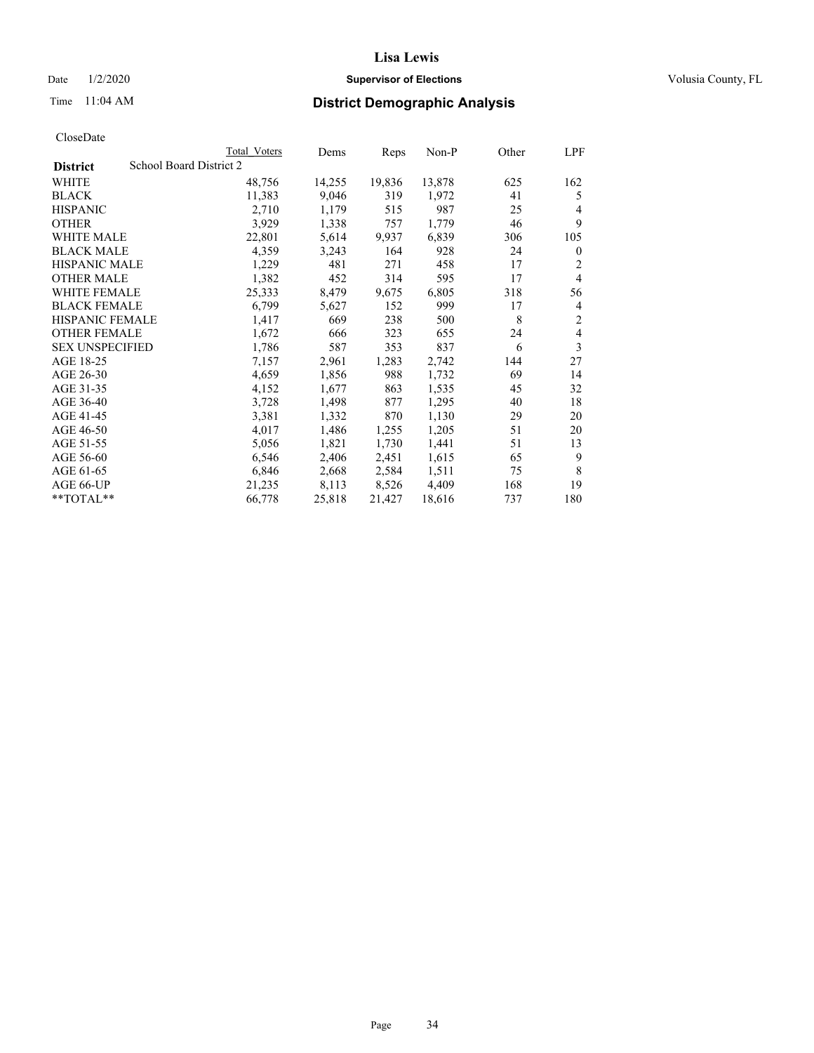Date  $1/2/2020$  **Supervisor of Elections Supervisor of Elections** Volusia County, FL

# Time 11:04 AM **District Demographic Analysis**

|                                            | Total Voters | Dems   | Reps   | Non-P  | Other | LPF |
|--------------------------------------------|--------------|--------|--------|--------|-------|-----|
| School Board District 2<br><b>District</b> |              |        |        |        |       |     |
| WHITE                                      | 48,756       | 14,255 | 19,836 | 13,878 | 625   | 162 |
| <b>BLACK</b>                               | 11,383       | 9,046  | 319    | 1,972  | 41    | 5   |
| <b>HISPANIC</b>                            | 2,710        | 1,179  | 515    | 987    | 25    | 4   |
| <b>OTHER</b>                               | 3,929        | 1,338  | 757    | 1,779  | 46    | 9   |
| WHITE MALE                                 | 22,801       | 5,614  | 9,937  | 6,839  | 306   | 105 |
| <b>BLACK MALE</b>                          | 4,359        | 3,243  | 164    | 928    | 24    | 0   |
| <b>HISPANIC MALE</b>                       | 1,229        | 481    | 271    | 458    | 17    | 2   |
| <b>OTHER MALE</b>                          | 1,382        | 452    | 314    | 595    | 17    | 4   |
| <b>WHITE FEMALE</b>                        | 25,333       | 8,479  | 9,675  | 6,805  | 318   | 56  |
| <b>BLACK FEMALE</b>                        | 6,799        | 5,627  | 152    | 999    | 17    | 4   |
| HISPANIC FEMALE                            | 1,417        | 669    | 238    | 500    | 8     | 2   |
| <b>OTHER FEMALE</b>                        | 1,672        | 666    | 323    | 655    | 24    | 4   |
| <b>SEX UNSPECIFIED</b>                     | 1,786        | 587    | 353    | 837    | 6     | 3   |
| AGE 18-25                                  | 7,157        | 2,961  | 1,283  | 2,742  | 144   | 27  |
| AGE 26-30                                  | 4,659        | 1,856  | 988    | 1,732  | 69    | 14  |
| AGE 31-35                                  | 4,152        | 1,677  | 863    | 1,535  | 45    | 32  |
| AGE 36-40                                  | 3,728        | 1,498  | 877    | 1,295  | 40    | 18  |
| AGE 41-45                                  | 3,381        | 1,332  | 870    | 1,130  | 29    | 20  |
| AGE 46-50                                  | 4,017        | 1,486  | 1,255  | 1,205  | 51    | 20  |
| AGE 51-55                                  | 5,056        | 1,821  | 1,730  | 1,441  | 51    | 13  |
| AGE 56-60                                  | 6,546        | 2,406  | 2,451  | 1,615  | 65    | 9   |
| AGE 61-65                                  | 6,846        | 2,668  | 2,584  | 1,511  | 75    | 8   |
| AGE 66-UP                                  | 21,235       | 8,113  | 8,526  | 4,409  | 168   | 19  |
| $*$ TOTAL $*$                              | 66,778       | 25,818 | 21,427 | 18,616 | 737   | 180 |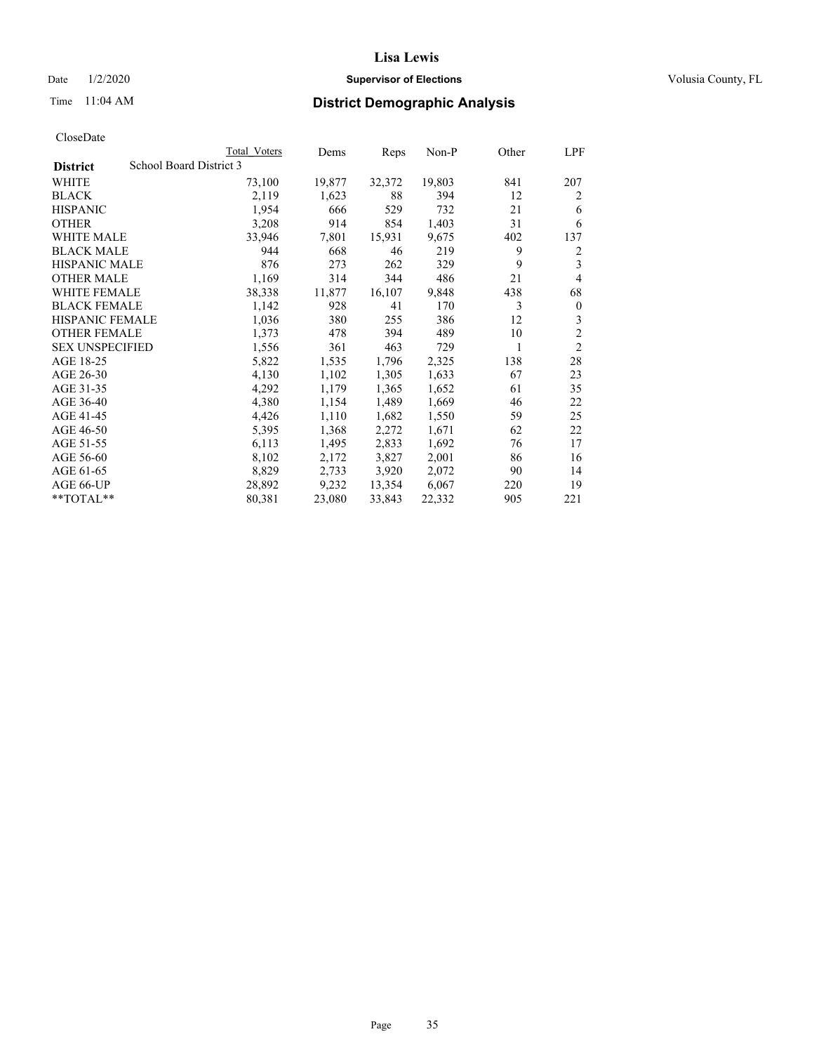### Date  $1/2/2020$  **Supervisor of Elections Supervisor of Elections** Volusia County, FL

# Time 11:04 AM **District Demographic Analysis**

|                        | Total Voters            | Dems   | Reps   | Non-P  | Other | LPF            |
|------------------------|-------------------------|--------|--------|--------|-------|----------------|
| <b>District</b>        | School Board District 3 |        |        |        |       |                |
| WHITE                  | 73,100                  | 19,877 | 32,372 | 19,803 | 841   | 207            |
| <b>BLACK</b>           | 2,119                   | 1,623  | 88     | 394    | 12    | 2              |
| <b>HISPANIC</b>        | 1,954                   | 666    | 529    | 732    | 21    | 6              |
| <b>OTHER</b>           | 3,208                   | 914    | 854    | 1,403  | 31    | 6              |
| WHITE MALE             | 33,946                  | 7,801  | 15,931 | 9,675  | 402   | 137            |
| <b>BLACK MALE</b>      | 944                     | 668    | 46     | 219    | 9     | 2              |
| <b>HISPANIC MALE</b>   | 876                     | 273    | 262    | 329    | 9     | 3              |
| <b>OTHER MALE</b>      | 1,169                   | 314    | 344    | 486    | 21    | 4              |
| WHITE FEMALE           | 38,338                  | 11,877 | 16,107 | 9,848  | 438   | 68             |
| <b>BLACK FEMALE</b>    | 1,142                   | 928    | 41     | 170    | 3     | $\mathbf{0}$   |
| <b>HISPANIC FEMALE</b> | 1,036                   | 380    | 255    | 386    | 12    | 3              |
| <b>OTHER FEMALE</b>    | 1,373                   | 478    | 394    | 489    | 10    | $\overline{c}$ |
| <b>SEX UNSPECIFIED</b> | 1,556                   | 361    | 463    | 729    | 1     | $\overline{2}$ |
| AGE 18-25              | 5,822                   | 1,535  | 1,796  | 2,325  | 138   | 28             |
| AGE 26-30              | 4,130                   | 1,102  | 1,305  | 1,633  | 67    | 23             |
| AGE 31-35              | 4,292                   | 1,179  | 1,365  | 1,652  | 61    | 35             |
| AGE 36-40              | 4,380                   | 1,154  | 1,489  | 1,669  | 46    | 22             |
| AGE 41-45              | 4,426                   | 1,110  | 1,682  | 1,550  | 59    | 25             |
| AGE 46-50              | 5,395                   | 1,368  | 2,272  | 1,671  | 62    | 22             |
| AGE 51-55              | 6,113                   | 1,495  | 2,833  | 1,692  | 76    | 17             |
| AGE 56-60              | 8,102                   | 2,172  | 3,827  | 2,001  | 86    | 16             |
| AGE 61-65              | 8,829                   | 2,733  | 3,920  | 2,072  | 90    | 14             |
| AGE 66-UP              | 28,892                  | 9,232  | 13,354 | 6,067  | 220   | 19             |
| $*$ $TOTAL**$          | 80,381                  | 23,080 | 33,843 | 22,332 | 905   | 221            |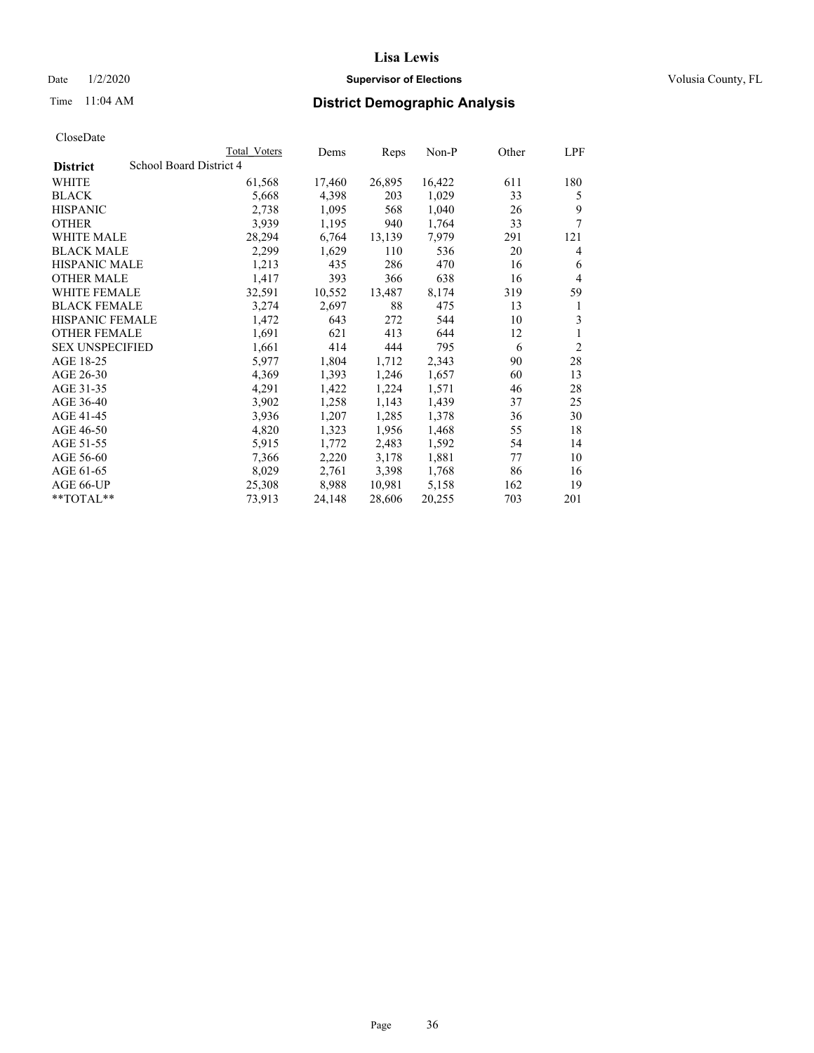### Date  $1/2/2020$  **Supervisor of Elections Supervisor of Elections** Volusia County, FL

# Time 11:04 AM **District Demographic Analysis**

|                        |                         | Total Voters | Dems   | Reps   | Non-P  | Other | LPF            |
|------------------------|-------------------------|--------------|--------|--------|--------|-------|----------------|
| <b>District</b>        | School Board District 4 |              |        |        |        |       |                |
| WHITE                  |                         | 61,568       | 17,460 | 26,895 | 16,422 | 611   | 180            |
| <b>BLACK</b>           |                         | 5,668        | 4,398  | 203    | 1,029  | 33    | 5              |
| <b>HISPANIC</b>        |                         | 2,738        | 1,095  | 568    | 1,040  | 26    | 9              |
| <b>OTHER</b>           |                         | 3,939        | 1,195  | 940    | 1,764  | 33    | 7              |
| WHITE MALE             |                         | 28,294       | 6,764  | 13,139 | 7,979  | 291   | 121            |
| <b>BLACK MALE</b>      |                         | 2,299        | 1,629  | 110    | 536    | 20    | 4              |
| <b>HISPANIC MALE</b>   |                         | 1,213        | 435    | 286    | 470    | 16    | 6              |
| <b>OTHER MALE</b>      |                         | 1,417        | 393    | 366    | 638    | 16    | 4              |
| WHITE FEMALE           |                         | 32,591       | 10,552 | 13,487 | 8,174  | 319   | 59             |
| <b>BLACK FEMALE</b>    |                         | 3,274        | 2,697  | 88     | 475    | 13    | 1              |
| <b>HISPANIC FEMALE</b> |                         | 1,472        | 643    | 272    | 544    | 10    | 3              |
| <b>OTHER FEMALE</b>    |                         | 1,691        | 621    | 413    | 644    | 12    | 1              |
| <b>SEX UNSPECIFIED</b> |                         | 1,661        | 414    | 444    | 795    | 6     | $\overline{2}$ |
| AGE 18-25              |                         | 5,977        | 1,804  | 1,712  | 2,343  | 90    | 28             |
| AGE 26-30              |                         | 4,369        | 1,393  | 1,246  | 1,657  | 60    | 13             |
| AGE 31-35              |                         | 4,291        | 1,422  | 1,224  | 1,571  | 46    | 28             |
| AGE 36-40              |                         | 3,902        | 1,258  | 1,143  | 1,439  | 37    | 25             |
| AGE 41-45              |                         | 3,936        | 1,207  | 1,285  | 1,378  | 36    | 30             |
| AGE 46-50              |                         | 4,820        | 1,323  | 1,956  | 1,468  | 55    | 18             |
| AGE 51-55              |                         | 5,915        | 1,772  | 2,483  | 1,592  | 54    | 14             |
| AGE 56-60              |                         | 7,366        | 2,220  | 3,178  | 1,881  | 77    | 10             |
| AGE 61-65              |                         | 8,029        | 2,761  | 3,398  | 1,768  | 86    | 16             |
| AGE 66-UP              |                         | 25,308       | 8,988  | 10,981 | 5,158  | 162   | 19             |
| $*$ $TOTAL**$          |                         | 73,913       | 24,148 | 28,606 | 20,255 | 703   | 201            |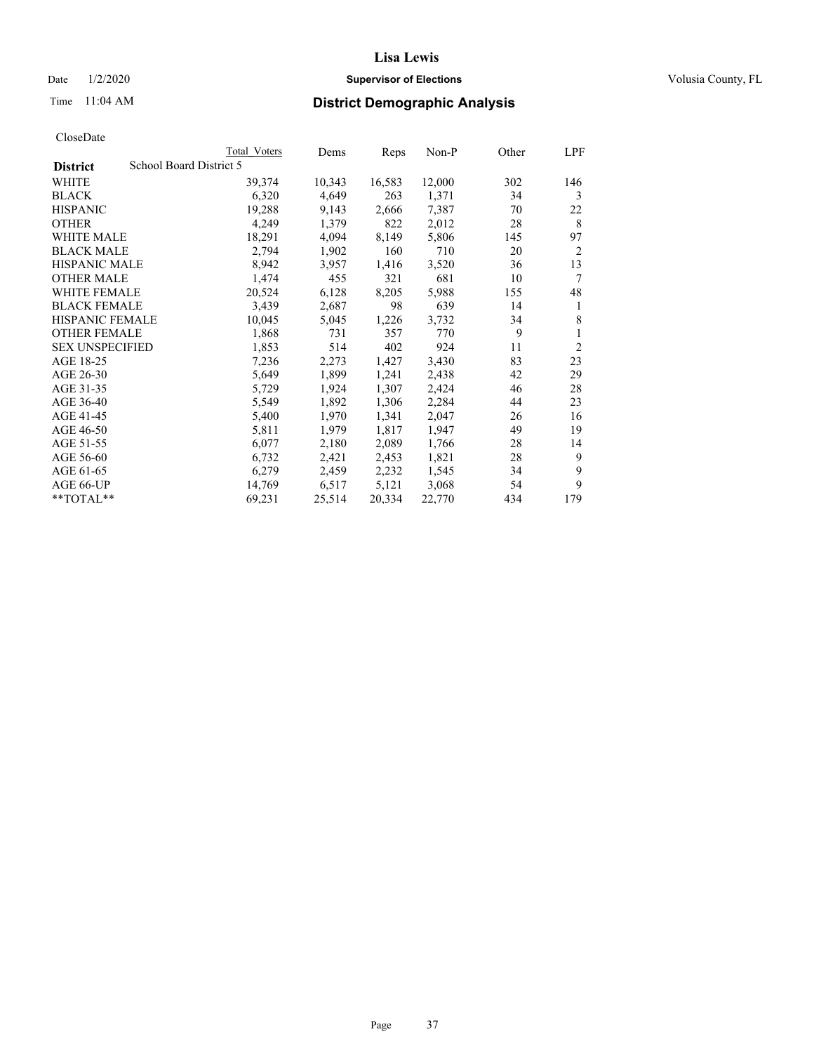## Date  $1/2/2020$  **Supervisor of Elections Supervisor of Elections** Volusia County, FL

# Time 11:04 AM **District Demographic Analysis**

|                        |                         | Total Voters | Dems   | Reps   | Non-P  | Other | LPF            |
|------------------------|-------------------------|--------------|--------|--------|--------|-------|----------------|
| <b>District</b>        | School Board District 5 |              |        |        |        |       |                |
| WHITE                  |                         | 39,374       | 10,343 | 16,583 | 12,000 | 302   | 146            |
| <b>BLACK</b>           |                         | 6,320        | 4,649  | 263    | 1,371  | 34    | 3              |
| <b>HISPANIC</b>        |                         | 19,288       | 9,143  | 2,666  | 7,387  | 70    | 22             |
| <b>OTHER</b>           |                         | 4,249        | 1,379  | 822    | 2,012  | 28    | 8              |
| WHITE MALE             |                         | 18,291       | 4,094  | 8,149  | 5,806  | 145   | 97             |
| <b>BLACK MALE</b>      |                         | 2,794        | 1,902  | 160    | 710    | 20    | 2              |
| <b>HISPANIC MALE</b>   |                         | 8,942        | 3,957  | 1,416  | 3,520  | 36    | 13             |
| <b>OTHER MALE</b>      |                         | 1,474        | 455    | 321    | 681    | 10    | 7              |
| WHITE FEMALE           |                         | 20,524       | 6,128  | 8,205  | 5,988  | 155   | 48             |
| <b>BLACK FEMALE</b>    |                         | 3,439        | 2,687  | 98     | 639    | 14    | 1              |
| <b>HISPANIC FEMALE</b> |                         | 10,045       | 5,045  | 1,226  | 3,732  | 34    | 8              |
| <b>OTHER FEMALE</b>    |                         | 1,868        | 731    | 357    | 770    | 9     | 1              |
| <b>SEX UNSPECIFIED</b> |                         | 1,853        | 514    | 402    | 924    | 11    | $\overline{2}$ |
| AGE 18-25              |                         | 7,236        | 2,273  | 1,427  | 3,430  | 83    | 23             |
| AGE 26-30              |                         | 5,649        | 1,899  | 1,241  | 2,438  | 42    | 29             |
| AGE 31-35              |                         | 5,729        | 1,924  | 1,307  | 2,424  | 46    | 28             |
| AGE 36-40              |                         | 5,549        | 1,892  | 1,306  | 2,284  | 44    | 23             |
| AGE 41-45              |                         | 5,400        | 1,970  | 1,341  | 2,047  | 26    | 16             |
| AGE 46-50              |                         | 5,811        | 1,979  | 1,817  | 1,947  | 49    | 19             |
| AGE 51-55              |                         | 6,077        | 2,180  | 2,089  | 1,766  | 28    | 14             |
| AGE 56-60              |                         | 6,732        | 2,421  | 2,453  | 1,821  | 28    | 9              |
| AGE 61-65              |                         | 6,279        | 2,459  | 2,232  | 1,545  | 34    | 9              |
| AGE 66-UP              |                         | 14,769       | 6,517  | 5,121  | 3,068  | 54    | 9              |
| $*$ TOTAL $*$          |                         | 69,231       | 25,514 | 20,334 | 22,770 | 434   | 179            |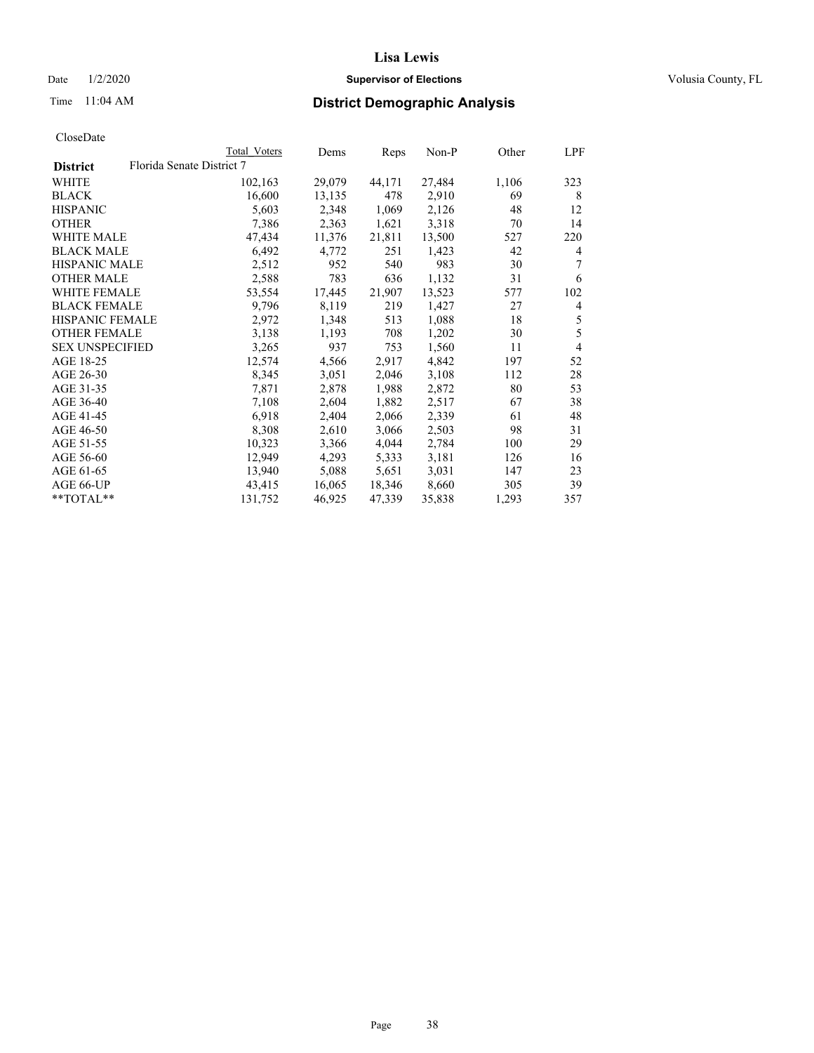## Date  $1/2/2020$  **Supervisor of Elections Supervisor of Elections** Volusia County, FL

# Time 11:04 AM **District Demographic Analysis**

|                        |                           | Total Voters | Dems   | Reps   | Non-P  | Other | LPF            |
|------------------------|---------------------------|--------------|--------|--------|--------|-------|----------------|
| <b>District</b>        | Florida Senate District 7 |              |        |        |        |       |                |
| WHITE                  |                           | 102,163      | 29,079 | 44,171 | 27,484 | 1,106 | 323            |
| <b>BLACK</b>           |                           | 16,600       | 13,135 | 478    | 2,910  | 69    | 8              |
| <b>HISPANIC</b>        |                           | 5,603        | 2,348  | 1,069  | 2,126  | 48    | 12             |
| <b>OTHER</b>           |                           | 7,386        | 2,363  | 1,621  | 3,318  | 70    | 14             |
| WHITE MALE             |                           | 47,434       | 11,376 | 21,811 | 13,500 | 527   | 220            |
| <b>BLACK MALE</b>      |                           | 6,492        | 4,772  | 251    | 1,423  | 42    | 4              |
| <b>HISPANIC MALE</b>   |                           | 2,512        | 952    | 540    | 983    | 30    | 7              |
| <b>OTHER MALE</b>      |                           | 2,588        | 783    | 636    | 1,132  | 31    | 6              |
| <b>WHITE FEMALE</b>    |                           | 53,554       | 17,445 | 21,907 | 13,523 | 577   | 102            |
| <b>BLACK FEMALE</b>    |                           | 9,796        | 8,119  | 219    | 1,427  | 27    | $\overline{4}$ |
| <b>HISPANIC FEMALE</b> |                           | 2,972        | 1,348  | 513    | 1,088  | 18    | 5              |
| <b>OTHER FEMALE</b>    |                           | 3,138        | 1,193  | 708    | 1,202  | 30    | 5              |
| <b>SEX UNSPECIFIED</b> |                           | 3,265        | 937    | 753    | 1,560  | 11    | $\overline{4}$ |
| AGE 18-25              |                           | 12,574       | 4,566  | 2,917  | 4,842  | 197   | 52             |
| AGE 26-30              |                           | 8,345        | 3,051  | 2,046  | 3,108  | 112   | 28             |
| AGE 31-35              |                           | 7,871        | 2,878  | 1,988  | 2,872  | 80    | 53             |
| AGE 36-40              |                           | 7,108        | 2,604  | 1,882  | 2,517  | 67    | 38             |
| AGE 41-45              |                           | 6,918        | 2,404  | 2,066  | 2,339  | 61    | 48             |
| AGE 46-50              |                           | 8,308        | 2,610  | 3,066  | 2,503  | 98    | 31             |
| AGE 51-55              |                           | 10,323       | 3,366  | 4,044  | 2,784  | 100   | 29             |
| AGE 56-60              |                           | 12,949       | 4,293  | 5,333  | 3,181  | 126   | 16             |
| AGE 61-65              |                           | 13,940       | 5,088  | 5,651  | 3,031  | 147   | 23             |
| AGE 66-UP              |                           | 43,415       | 16,065 | 18,346 | 8,660  | 305   | 39             |
| $*$ TOTAL $*$          |                           | 131,752      | 46,925 | 47,339 | 35,838 | 1,293 | 357            |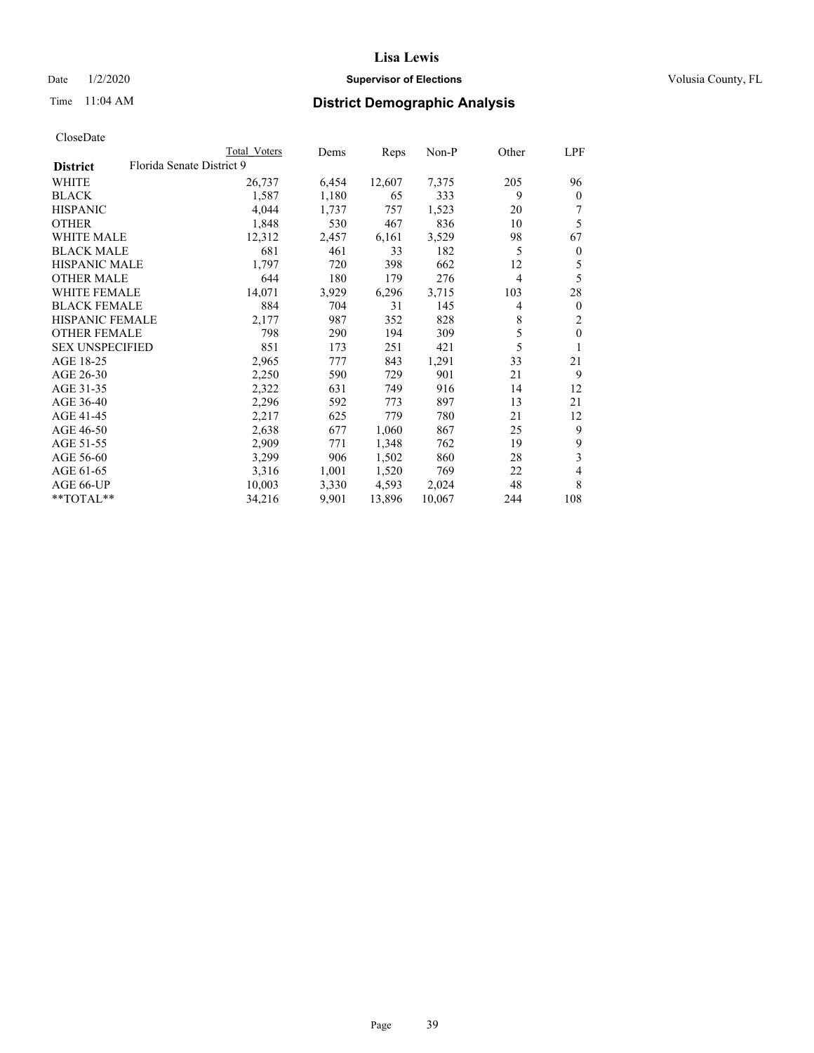## Date  $1/2/2020$  **Supervisor of Elections Supervisor of Elections** Volusia County, FL

| CloseDate |
|-----------|
|-----------|

|                     |                           | Total Voters | Dems  | Reps   | Non-P  | Other          | LPF              |
|---------------------|---------------------------|--------------|-------|--------|--------|----------------|------------------|
| <b>District</b>     | Florida Senate District 9 |              |       |        |        |                |                  |
| WHITE               |                           | 26,737       | 6,454 | 12,607 | 7,375  | 205            | 96               |
| BLACK               |                           | 1,587        | 1,180 | 65     | 333    | 9              | $\theta$         |
| HISPANIC            |                           | 4,044        | 1,737 | 757    | 1,523  | 20             |                  |
| OTHER               |                           | 1,848        | 530   | 467    | 836    | 10             | 5                |
| <b>WHITE MALE</b>   |                           | 12,312       | 2,457 | 6,161  | 3,529  | 98             | 67               |
| BLACK MALE          |                           | 681          | 461   | 33     | 182    | 5              | $\boldsymbol{0}$ |
| HISPANIC MALE       |                           | 1,797        | 720   | 398    | 662    | 12             | 5                |
| OTHER MALE          |                           | 644          | 180   | 179    | 276    | $\overline{4}$ | 5                |
| WHITE FEMALE        |                           | 14,071       | 3,929 | 6,296  | 3,715  | 103            | 28               |
| BLACK FEMALE        |                           | 884          | 704   | 31     | 145    | $\overline{4}$ | $\theta$         |
| HISPANIC FEMALE     |                           | 2,177        | 987   | 352    | 828    | 8              | 2                |
| <b>OTHER FEMALE</b> |                           | 798          | 290   | 194    | 309    | 5              | $\mathbf{0}$     |
| SEX UNSPECIFIED     |                           | 851          | 173   | 251    | 421    | 5              |                  |
| AGE 18-25           |                           | 2,965        | 777   | 843    | 1,291  | 33             | 21               |
| AGE 26-30           |                           | 2,250        | 590   | 729    | 901    | 21             | 9                |
| AGE 31-35           |                           | 2,322        | 631   | 749    | 916    | 14             | 12               |
| AGE 36-40           |                           | 2,296        | 592   | 773    | 897    | 13             | 21               |
| AGE 41-45           |                           | 2,217        | 625   | 779    | 780    | 21             | 12               |
| AGE 46-50           |                           | 2,638        | 677   | 1,060  | 867    | 25             | 9                |
| AGE 51-55           |                           | 2,909        | 771   | 1,348  | 762    | 19             | 9                |
| AGE 56-60           |                           | 3,299        | 906   | 1,502  | 860    | 28             | 3                |
| AGE 61-65           |                           | 3,316        | 1,001 | 1,520  | 769    | 22             | 4                |
| AGE 66-UP           |                           | 10,003       | 3,330 | 4,593  | 2,024  | 48             | 8                |
| **TOTAL**           |                           | 34,216       | 9,901 | 13,896 | 10,067 | 244            | 108              |
|                     |                           |              |       |        |        |                |                  |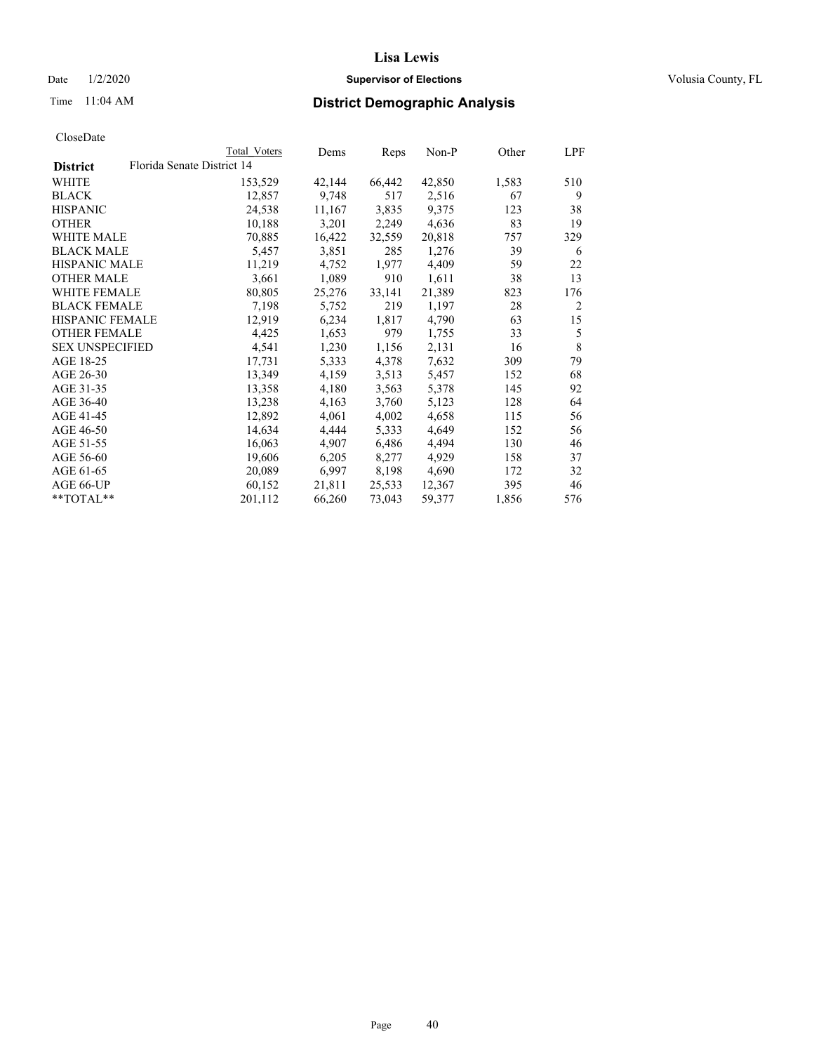## Date  $1/2/2020$  **Supervisor of Elections Supervisor of Elections** Volusia County, FL

| CloseDate |
|-----------|
|-----------|

|                        |                            | Total Voters | Dems   | Reps   | Non-P  | Other | LPF |
|------------------------|----------------------------|--------------|--------|--------|--------|-------|-----|
| <b>District</b>        | Florida Senate District 14 |              |        |        |        |       |     |
| WHITE                  |                            | 153,529      | 42,144 | 66,442 | 42,850 | 1,583 | 510 |
| <b>BLACK</b>           |                            | 12,857       | 9,748  | 517    | 2,516  | 67    | 9   |
| <b>HISPANIC</b>        |                            | 24,538       | 11,167 | 3,835  | 9,375  | 123   | 38  |
| <b>OTHER</b>           |                            | 10,188       | 3,201  | 2,249  | 4,636  | 83    | 19  |
| WHITE MALE             |                            | 70,885       | 16,422 | 32,559 | 20,818 | 757   | 329 |
| <b>BLACK MALE</b>      |                            | 5,457        | 3,851  | 285    | 1,276  | 39    | 6   |
| <b>HISPANIC MALE</b>   |                            | 11,219       | 4,752  | 1,977  | 4,409  | 59    | 22  |
| <b>OTHER MALE</b>      |                            | 3,661        | 1,089  | 910    | 1,611  | 38    | 13  |
| <b>WHITE FEMALE</b>    |                            | 80,805       | 25,276 | 33,141 | 21,389 | 823   | 176 |
| <b>BLACK FEMALE</b>    |                            | 7,198        | 5,752  | 219    | 1,197  | 28    | 2   |
| <b>HISPANIC FEMALE</b> |                            | 12,919       | 6,234  | 1,817  | 4,790  | 63    | 15  |
| <b>OTHER FEMALE</b>    |                            | 4,425        | 1,653  | 979    | 1,755  | 33    | 5   |
| <b>SEX UNSPECIFIED</b> |                            | 4,541        | 1,230  | 1,156  | 2,131  | 16    | 8   |
| AGE 18-25              |                            | 17,731       | 5,333  | 4,378  | 7,632  | 309   | 79  |
| AGE 26-30              |                            | 13,349       | 4,159  | 3,513  | 5,457  | 152   | 68  |
| AGE 31-35              |                            | 13,358       | 4,180  | 3,563  | 5,378  | 145   | 92  |
| AGE 36-40              |                            | 13,238       | 4,163  | 3,760  | 5,123  | 128   | 64  |
| AGE 41-45              |                            | 12,892       | 4,061  | 4,002  | 4,658  | 115   | 56  |
| AGE 46-50              |                            | 14,634       | 4,444  | 5,333  | 4,649  | 152   | 56  |
| AGE 51-55              |                            | 16,063       | 4,907  | 6,486  | 4,494  | 130   | 46  |
| AGE 56-60              |                            | 19,606       | 6,205  | 8,277  | 4,929  | 158   | 37  |
| AGE 61-65              |                            | 20,089       | 6,997  | 8,198  | 4,690  | 172   | 32  |
| AGE 66-UP              |                            | 60,152       | 21,811 | 25,533 | 12,367 | 395   | 46  |
| $*$ $TOTAL**$          |                            | 201,112      | 66,260 | 73,043 | 59,377 | 1,856 | 576 |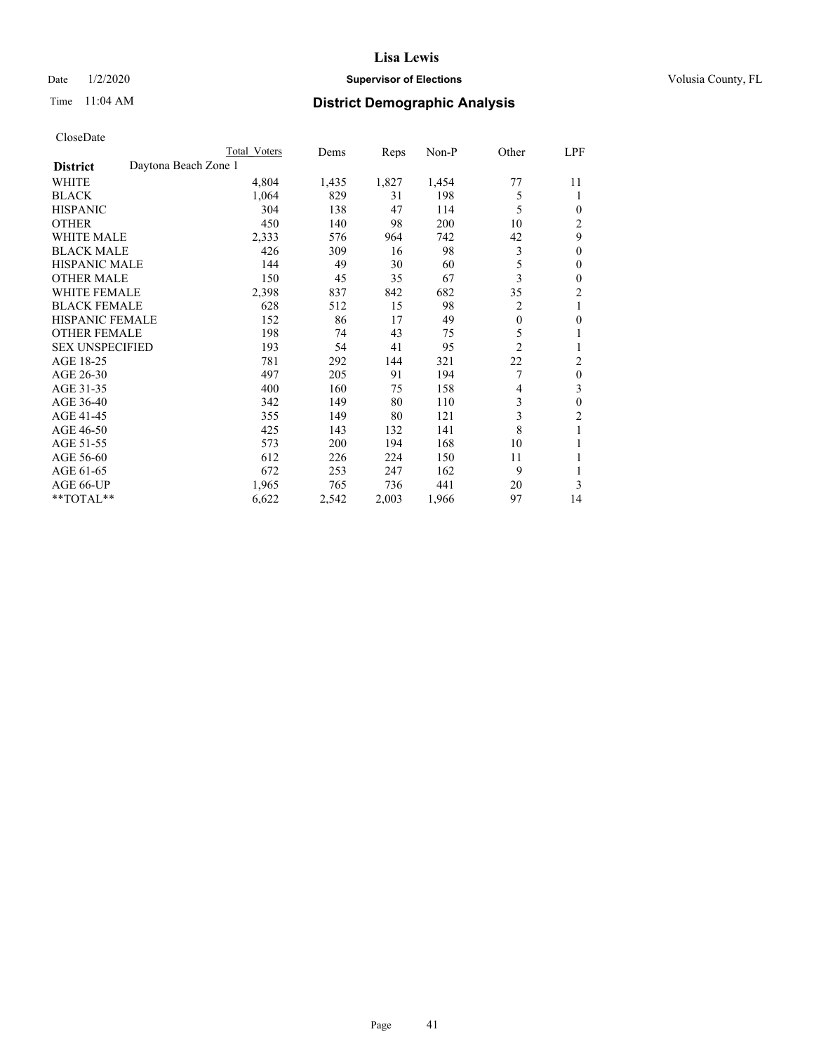## Date  $1/2/2020$  **Supervisor of Elections Supervisor of Elections** Volusia County, FL

# Time 11:04 AM **District Demographic Analysis**

|                        |                      | Total Voters | Dems  | Reps  | $Non-P$ | Other          | LPF            |
|------------------------|----------------------|--------------|-------|-------|---------|----------------|----------------|
| <b>District</b>        | Daytona Beach Zone 1 |              |       |       |         |                |                |
| WHITE                  |                      | 4,804        | 1,435 | 1,827 | 1,454   | 77             | 11             |
| <b>BLACK</b>           |                      | 1,064        | 829   | 31    | 198     | 5              | 1              |
| <b>HISPANIC</b>        |                      | 304          | 138   | 47    | 114     | 5              | 0              |
| <b>OTHER</b>           |                      | 450          | 140   | 98    | 200     | 10             | $\overline{c}$ |
| <b>WHITE MALE</b>      |                      | 2,333        | 576   | 964   | 742     | 42             | 9              |
| <b>BLACK MALE</b>      |                      | 426          | 309   | 16    | 98      | 3              | $\mathbf{0}$   |
| <b>HISPANIC MALE</b>   |                      | 144          | 49    | 30    | 60      | 5              | $\theta$       |
| <b>OTHER MALE</b>      |                      | 150          | 45    | 35    | 67      | 3              | $\theta$       |
| <b>WHITE FEMALE</b>    |                      | 2,398        | 837   | 842   | 682     | 35             | $\overline{2}$ |
| <b>BLACK FEMALE</b>    |                      | 628          | 512   | 15    | 98      | 2              | 1              |
| <b>HISPANIC FEMALE</b> |                      | 152          | 86    | 17    | 49      | $\theta$       | $\theta$       |
| <b>OTHER FEMALE</b>    |                      | 198          | 74    | 43    | 75      | 5              | 1              |
| <b>SEX UNSPECIFIED</b> |                      | 193          | 54    | 41    | 95      | $\overline{2}$ |                |
| AGE 18-25              |                      | 781          | 292   | 144   | 321     | 22             | 2              |
| AGE 26-30              |                      | 497          | 205   | 91    | 194     | 7              | $\theta$       |
| AGE 31-35              |                      | 400          | 160   | 75    | 158     | 4              | 3              |
| AGE 36-40              |                      | 342          | 149   | 80    | 110     | 3              | $\theta$       |
| AGE 41-45              |                      | 355          | 149   | 80    | 121     | 3              | $\overline{2}$ |
| AGE 46-50              |                      | 425          | 143   | 132   | 141     | 8              | 1              |
| AGE 51-55              |                      | 573          | 200   | 194   | 168     | 10             | 1              |
| AGE 56-60              |                      | 612          | 226   | 224   | 150     | 11             | 1              |
| AGE 61-65              |                      | 672          | 253   | 247   | 162     | 9              |                |
| AGE 66-UP              |                      | 1,965        | 765   | 736   | 441     | 20             | 3              |
| **TOTAL**              |                      | 6,622        | 2,542 | 2,003 | 1,966   | 97             | 14             |
|                        |                      |              |       |       |         |                |                |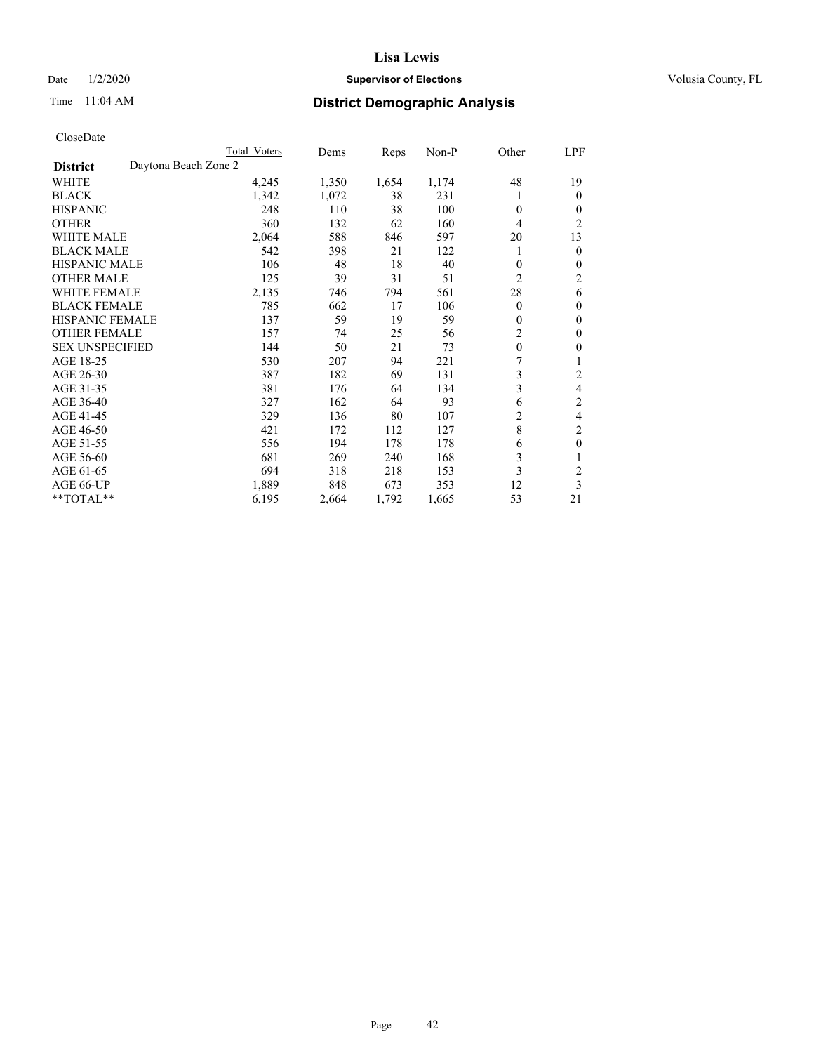## Date  $1/2/2020$  **Supervisor of Elections Supervisor of Elections** Volusia County, FL

# Time 11:04 AM **District Demographic Analysis**

|                        | Total Voters         | Dems  | Reps  | Non-P | Other          | LPF            |
|------------------------|----------------------|-------|-------|-------|----------------|----------------|
| <b>District</b>        | Daytona Beach Zone 2 |       |       |       |                |                |
| WHITE                  | 4,245                | 1,350 | 1,654 | 1,174 | 48             | 19             |
| <b>BLACK</b>           | 1,342                | 1,072 | 38    | 231   |                | $\mathbf{0}$   |
| <b>HISPANIC</b>        | 248                  | 110   | 38    | 100   | $\Omega$       | $\Omega$       |
| <b>OTHER</b>           | 360                  | 132   | 62    | 160   | 4              | $\overline{2}$ |
| <b>WHITE MALE</b>      | 2,064                | 588   | 846   | 597   | 20             | 13             |
| <b>BLACK MALE</b>      | 542                  | 398   | 21    | 122   | 1              | $\theta$       |
| <b>HISPANIC MALE</b>   | 106                  | 48    | 18    | 40    | $\mathbf{0}$   | $\theta$       |
| <b>OTHER MALE</b>      | 125                  | 39    | 31    | 51    | $\overline{2}$ | $\overline{c}$ |
| <b>WHITE FEMALE</b>    | 2,135                | 746   | 794   | 561   | 28             | 6              |
| <b>BLACK FEMALE</b>    | 785                  | 662   | 17    | 106   | $\Omega$       | $\theta$       |
| <b>HISPANIC FEMALE</b> | 137                  | 59    | 19    | 59    | $\Omega$       | $\theta$       |
| <b>OTHER FEMALE</b>    | 157                  | 74    | 25    | 56    | $\overline{c}$ | $\theta$       |
| <b>SEX UNSPECIFIED</b> | 144                  | 50    | 21    | 73    | $\mathbf{0}$   | $\theta$       |
| AGE 18-25              | 530                  | 207   | 94    | 221   | 7              |                |
| AGE 26-30              | 387                  | 182   | 69    | 131   | 3              | 2              |
| AGE 31-35              | 381                  | 176   | 64    | 134   | 3              | 4              |
| AGE 36-40              | 327                  | 162   | 64    | 93    | 6              | 2              |
| AGE 41-45              | 329                  | 136   | 80    | 107   | 2              | 4              |
| AGE 46-50              | 421                  | 172   | 112   | 127   | 8              | 2              |
| AGE 51-55              | 556                  | 194   | 178   | 178   | 6              | $\theta$       |
| AGE 56-60              | 681                  | 269   | 240   | 168   | 3              |                |
| AGE 61-65              | 694                  | 318   | 218   | 153   | 3              | $\overline{2}$ |
| AGE 66-UP              | 1,889                | 848   | 673   | 353   | 12             | 3              |
| **TOTAL**              | 6,195                | 2,664 | 1,792 | 1,665 | 53             | 21             |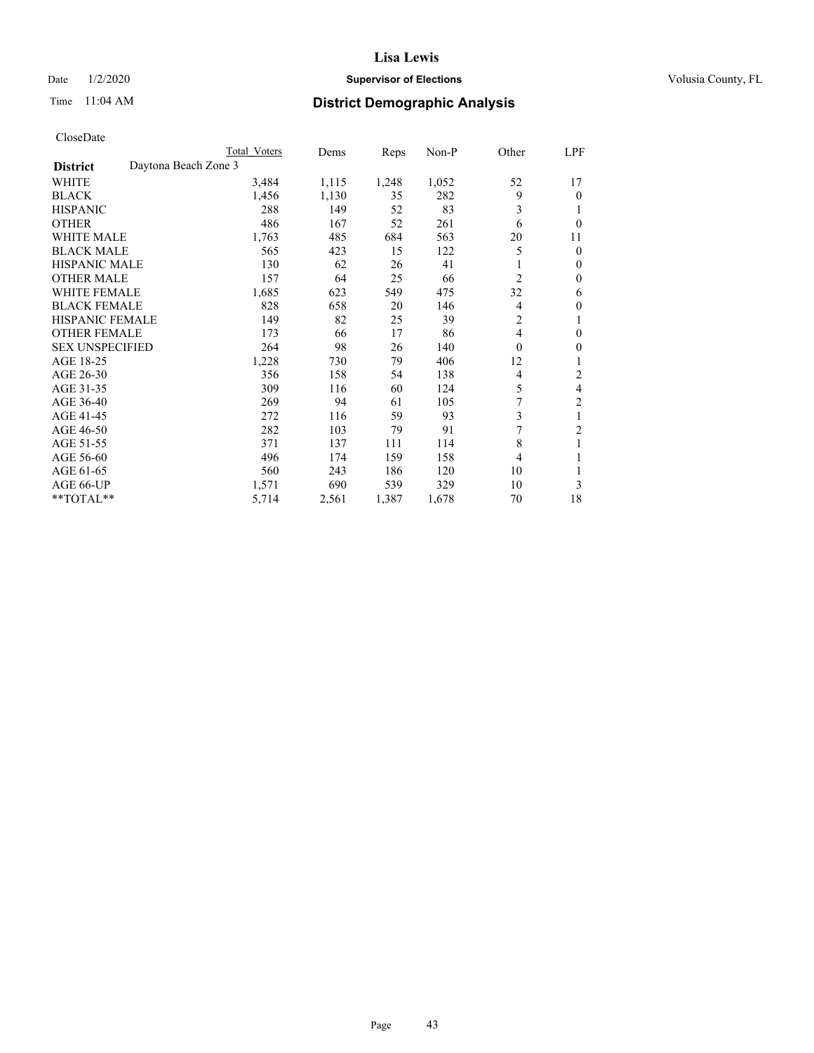## Date  $1/2/2020$  **Supervisor of Elections Supervisor of Elections** Volusia County, FL

# Time 11:04 AM **District Demographic Analysis**

|                        |                      | Total Voters | Dems  | Reps  | Non-P | Other | LPF            |
|------------------------|----------------------|--------------|-------|-------|-------|-------|----------------|
| <b>District</b>        | Daytona Beach Zone 3 |              |       |       |       |       |                |
| WHITE                  |                      | 3,484        | 1,115 | 1,248 | 1,052 | 52    | 17             |
| <b>BLACK</b>           |                      | 1,456        | 1,130 | 35    | 282   | 9     | $\mathbf{0}$   |
| <b>HISPANIC</b>        |                      | 288          | 149   | 52    | 83    | 3     | 1              |
| <b>OTHER</b>           |                      | 486          | 167   | 52    | 261   | 6     | $\theta$       |
| <b>WHITE MALE</b>      |                      | 1,763        | 485   | 684   | 563   | 20    | 11             |
| <b>BLACK MALE</b>      |                      | 565          | 423   | 15    | 122   | 5     | $\mathbf{0}$   |
| <b>HISPANIC MALE</b>   |                      | 130          | 62    | 26    | 41    |       | $\mathbf{0}$   |
| <b>OTHER MALE</b>      |                      | 157          | 64    | 25    | 66    | 2     | $\mathbf{0}$   |
| <b>WHITE FEMALE</b>    |                      | 1,685        | 623   | 549   | 475   | 32    | 6              |
| <b>BLACK FEMALE</b>    |                      | 828          | 658   | 20    | 146   | 4     | $\mathbf{0}$   |
| <b>HISPANIC FEMALE</b> |                      | 149          | 82    | 25    | 39    | 2     | 1              |
| <b>OTHER FEMALE</b>    |                      | 173          | 66    | 17    | 86    | 4     | $\theta$       |
| <b>SEX UNSPECIFIED</b> |                      | 264          | 98    | 26    | 140   | 0     | $\theta$       |
| AGE 18-25              |                      | 1,228        | 730   | 79    | 406   | 12    | 1              |
| AGE 26-30              |                      | 356          | 158   | 54    | 138   | 4     | 2              |
| AGE 31-35              |                      | 309          | 116   | 60    | 124   | 5     | 4              |
| AGE 36-40              |                      | 269          | 94    | 61    | 105   | 7     | $\overline{2}$ |
| AGE 41-45              |                      | 272          | 116   | 59    | 93    | 3     | 1              |
| AGE 46-50              |                      | 282          | 103   | 79    | 91    | 7     | 2              |
| AGE 51-55              |                      | 371          | 137   | 111   | 114   | 8     | 1              |
| AGE 56-60              |                      | 496          | 174   | 159   | 158   | 4     |                |
| AGE 61-65              |                      | 560          | 243   | 186   | 120   | 10    | 1              |
| AGE 66-UP              |                      | 1,571        | 690   | 539   | 329   | 10    | 3              |
| **TOTAL**              |                      | 5,714        | 2,561 | 1,387 | 1,678 | 70    | 18             |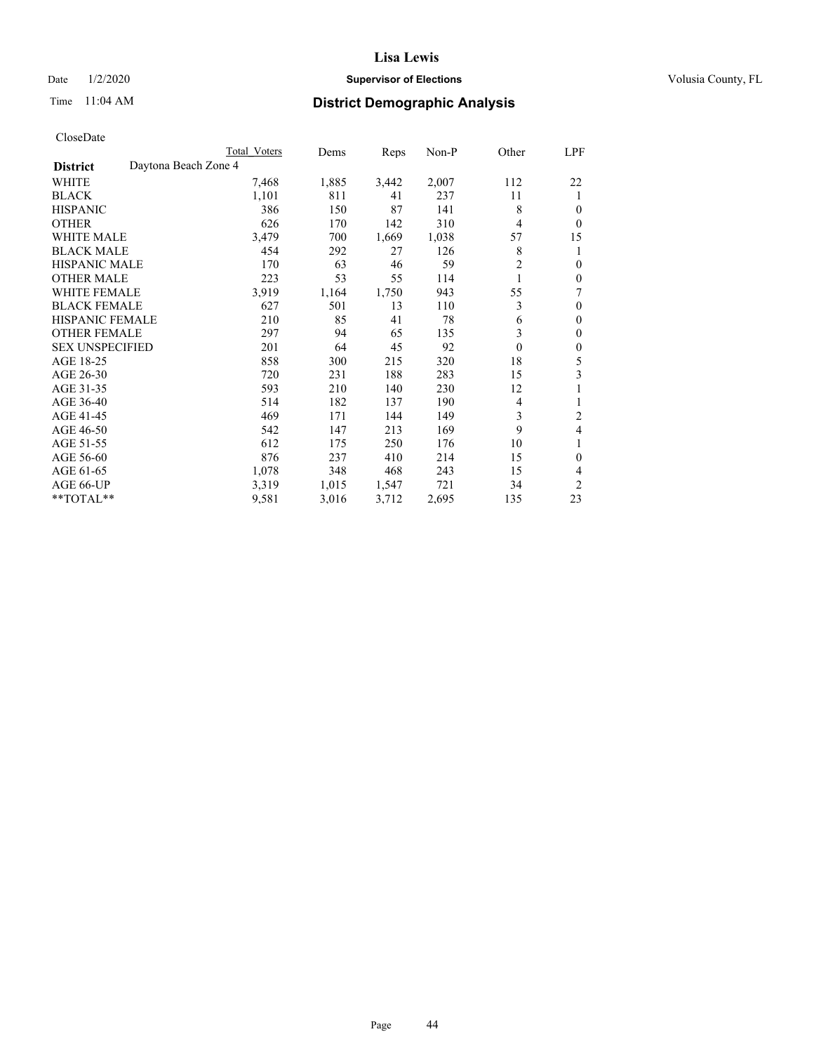## Date  $1/2/2020$  **Supervisor of Elections Supervisor of Elections** Volusia County, FL

# Time 11:04 AM **District Demographic Analysis**

|                        |                      | <b>Total Voters</b> | Dems  | Reps  | Non-P | Other            | LPF            |
|------------------------|----------------------|---------------------|-------|-------|-------|------------------|----------------|
| <b>District</b>        | Daytona Beach Zone 4 |                     |       |       |       |                  |                |
| WHITE                  |                      | 7,468               | 1,885 | 3,442 | 2,007 | 112              | 22             |
| <b>BLACK</b>           |                      | 1,101               | 811   | 41    | 237   | 11               | 1              |
| <b>HISPANIC</b>        |                      | 386                 | 150   | 87    | 141   | 8                | $\theta$       |
| <b>OTHER</b>           |                      | 626                 | 170   | 142   | 310   | 4                | $\theta$       |
| <b>WHITE MALE</b>      |                      | 3,479               | 700   | 1,669 | 1,038 | 57               | 15             |
| <b>BLACK MALE</b>      |                      | 454                 | 292   | 27    | 126   | 8                | 1              |
| <b>HISPANIC MALE</b>   |                      | 170                 | 63    | 46    | 59    | $\overline{2}$   | $\mathbf{0}$   |
| <b>OTHER MALE</b>      |                      | 223                 | 53    | 55    | 114   | 1                | $\mathbf{0}$   |
| WHITE FEMALE           |                      | 3,919               | 1,164 | 1,750 | 943   | 55               | 7              |
| <b>BLACK FEMALE</b>    |                      | 627                 | 501   | 13    | 110   | 3                | $\mathbf{0}$   |
| <b>HISPANIC FEMALE</b> |                      | 210                 | 85    | 41    | 78    | 6                | $\mathbf{0}$   |
| <b>OTHER FEMALE</b>    |                      | 297                 | 94    | 65    | 135   | 3                | $\mathbf{0}$   |
| <b>SEX UNSPECIFIED</b> |                      | 201                 | 64    | 45    | 92    | $\boldsymbol{0}$ | $\mathbf{0}$   |
| AGE 18-25              |                      | 858                 | 300   | 215   | 320   | 18               | 5              |
| AGE 26-30              |                      | 720                 | 231   | 188   | 283   | 15               | 3              |
| AGE 31-35              |                      | 593                 | 210   | 140   | 230   | 12               | 1              |
| AGE 36-40              |                      | 514                 | 182   | 137   | 190   | 4                | 1              |
| AGE 41-45              |                      | 469                 | 171   | 144   | 149   | 3                | $\overline{2}$ |
| AGE 46-50              |                      | 542                 | 147   | 213   | 169   | 9                | 4              |
| AGE 51-55              |                      | 612                 | 175   | 250   | 176   | 10               | 1              |
| AGE 56-60              |                      | 876                 | 237   | 410   | 214   | 15               | $\theta$       |
| AGE 61-65              |                      | 1,078               | 348   | 468   | 243   | 15               | 4              |
| AGE 66-UP              |                      | 3,319               | 1,015 | 1,547 | 721   | 34               | $\overline{2}$ |
| **TOTAL**              |                      | 9,581               | 3,016 | 3,712 | 2,695 | 135              | 23             |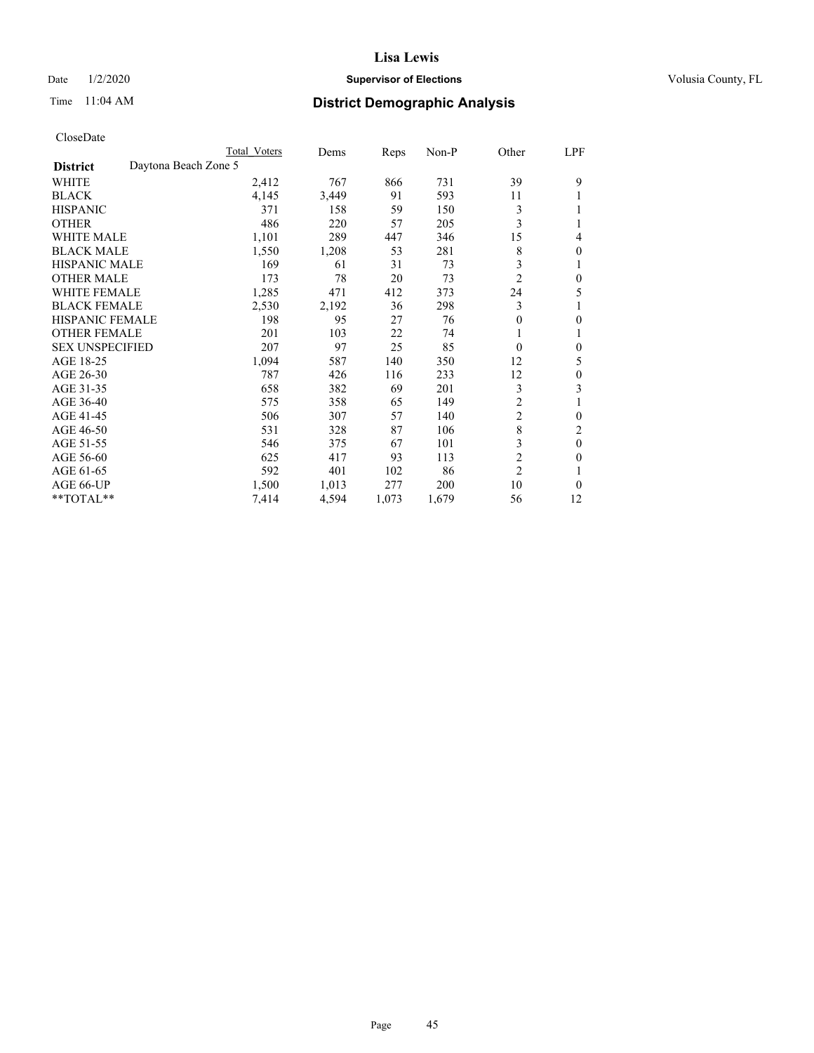## Date  $1/2/2020$  **Supervisor of Elections** Volusia County, FL

## Time 11:04 AM **District Demographic Analysis**

|                                         | Total Voters | Dems  | Reps  | $Non-P$ | Other          | <u>LPF</u>   |
|-----------------------------------------|--------------|-------|-------|---------|----------------|--------------|
| Daytona Beach Zone 5<br><b>District</b> |              |       |       |         |                |              |
| WHITE                                   | 2,412        | 767   | 866   | 731     | 39             | 9            |
| <b>BLACK</b>                            | 4,145        | 3,449 | 91    | 593     | 11             |              |
| <b>HISPANIC</b>                         | 371          | 158   | 59    | 150     | 3              |              |
| <b>OTHER</b>                            | 486          | 220   | 57    | 205     | 3              |              |
| <b>WHITE MALE</b>                       | 1,101        | 289   | 447   | 346     | 15             | 4            |
| <b>BLACK MALE</b>                       | 1,550        | 1,208 | 53    | 281     | 8              | 0            |
| <b>HISPANIC MALE</b>                    | 169          | 61    | 31    | 73      | 3              |              |
| <b>OTHER MALE</b>                       | 173          | 78    | 20    | 73      | $\overline{2}$ | $\theta$     |
| WHITE FEMALE                            | 1,285        | 471   | 412   | 373     | 24             | 5            |
| <b>BLACK FEMALE</b>                     | 2,530        | 2,192 | 36    | 298     | 3              |              |
| <b>HISPANIC FEMALE</b>                  | 198          | 95    | 27    | 76      | $\mathbf{0}$   | 0            |
| <b>OTHER FEMALE</b>                     | 201          | 103   | 22    | 74      | 1              |              |
| <b>SEX UNSPECIFIED</b>                  | 207          | 97    | 25    | 85      | $\theta$       | 0            |
| AGE 18-25                               | 1,094        | 587   | 140   | 350     | 12             | 5            |
| AGE 26-30                               | 787          | 426   | 116   | 233     | 12             | $\Omega$     |
| AGE 31-35                               | 658          | 382   | 69    | 201     | 3              | 3            |
| AGE 36-40                               | 575          | 358   | 65    | 149     | $\overline{2}$ |              |
| AGE 41-45                               | 506          | 307   | 57    | 140     | $\overline{c}$ | 0            |
| AGE 46-50                               | 531          | 328   | 87    | 106     | 8              | 2            |
| AGE 51-55                               | 546          | 375   | 67    | 101     | 3              | $\mathbf{0}$ |
| AGE 56-60                               | 625          | 417   | 93    | 113     | $\overline{c}$ | 0            |
| AGE 61-65                               | 592          | 401   | 102   | 86      | $\overline{2}$ |              |
| AGE 66-UP                               | 1,500        | 1,013 | 277   | 200     | 10             | 0            |
| $*$ TOTAL $*$                           | 7,414        | 4,594 | 1,073 | 1,679   | 56             | 12           |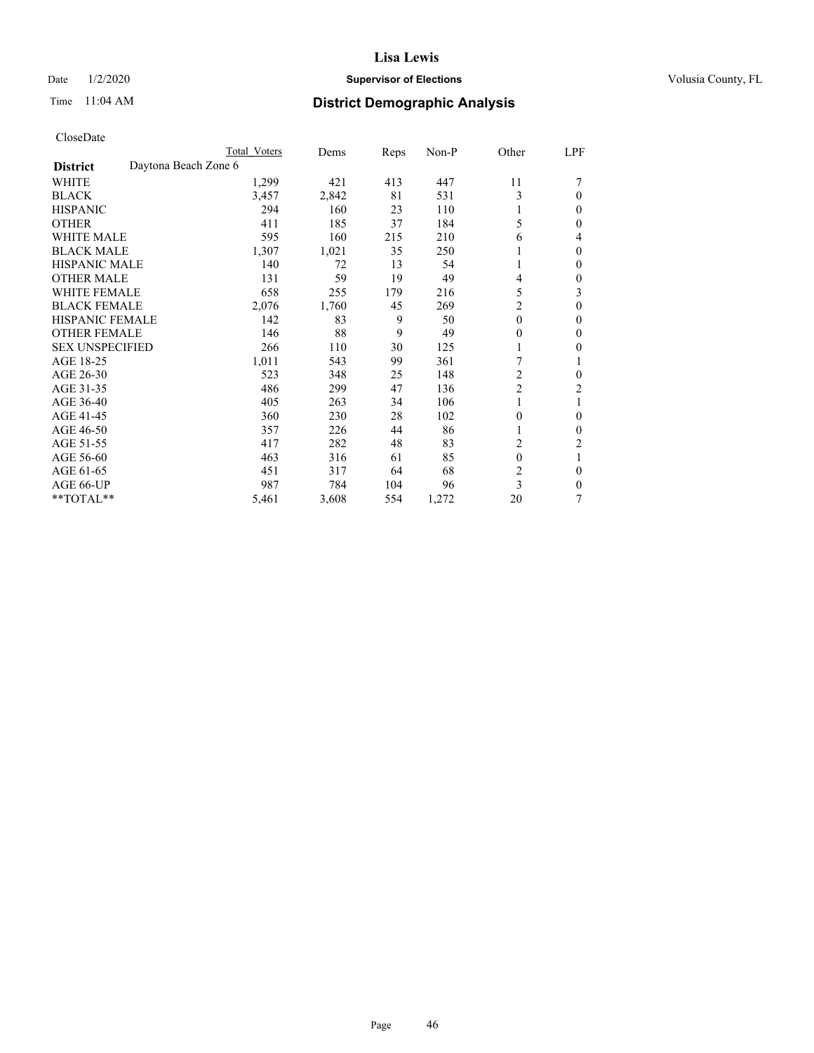## Date  $1/2/2020$  **Supervisor of Elections Supervisor of Elections** Volusia County, FL

# Time 11:04 AM **District Demographic Analysis**

|                                         | Total Voters | Dems  | Reps | Non-P | Other          | LPF            |
|-----------------------------------------|--------------|-------|------|-------|----------------|----------------|
| Daytona Beach Zone 6<br><b>District</b> |              |       |      |       |                |                |
| <b>WHITE</b>                            | 1,299        | 421   | 413  | 447   | 11             |                |
| <b>BLACK</b>                            | 3,457        | 2,842 | 81   | 531   | 3              | $\Omega$       |
| <b>HISPANIC</b>                         | 294          | 160   | 23   | 110   |                | 0              |
| <b>OTHER</b>                            | 411          | 185   | 37   | 184   | 5              | 0              |
| <b>WHITE MALE</b>                       | 595          | 160   | 215  | 210   | 6              | 4              |
| <b>BLACK MALE</b>                       | 1,307        | 1,021 | 35   | 250   |                | 0              |
| HISPANIC MALE                           | 140          | 72    | 13   | 54    |                | 0              |
| <b>OTHER MALE</b>                       | 131          | 59    | 19   | 49    | $\overline{4}$ | 0              |
| <b>WHITE FEMALE</b>                     | 658          | 255   | 179  | 216   | 5              | 3              |
| <b>BLACK FEMALE</b>                     | 2,076        | 1,760 | 45   | 269   | $\overline{c}$ | 0              |
| <b>HISPANIC FEMALE</b>                  | 142          | 83    | 9    | 50    | $\mathbf{0}$   | $\mathbf{0}$   |
| <b>OTHER FEMALE</b>                     | 146          | 88    | 9    | 49    | $\mathbf{0}$   | 0              |
| <b>SEX UNSPECIFIED</b>                  | 266          | 110   | 30   | 125   |                | 0              |
| AGE 18-25                               | 1,011        | 543   | 99   | 361   | 7              |                |
| AGE 26-30                               | 523          | 348   | 25   | 148   | 2              | 0              |
| AGE 31-35                               | 486          | 299   | 47   | 136   | $\overline{c}$ | $\overline{2}$ |
| AGE 36-40                               | 405          | 263   | 34   | 106   |                |                |
| AGE 41-45                               | 360          | 230   | 28   | 102   | $\mathbf{0}$   | $\mathbf{0}$   |
| AGE 46-50                               | 357          | 226   | 44   | 86    |                | 0              |
| AGE 51-55                               | 417          | 282   | 48   | 83    | $\overline{c}$ | 2              |
| AGE 56-60                               | 463          | 316   | 61   | 85    | $\theta$       | 1              |
| AGE 61-65                               | 451          | 317   | 64   | 68    | $\overline{2}$ | 0              |
| AGE 66-UP                               | 987          | 784   | 104  | 96    | 3              | $\theta$       |
| **TOTAL**                               | 5,461        | 3,608 | 554  | 1,272 | 20             | 7              |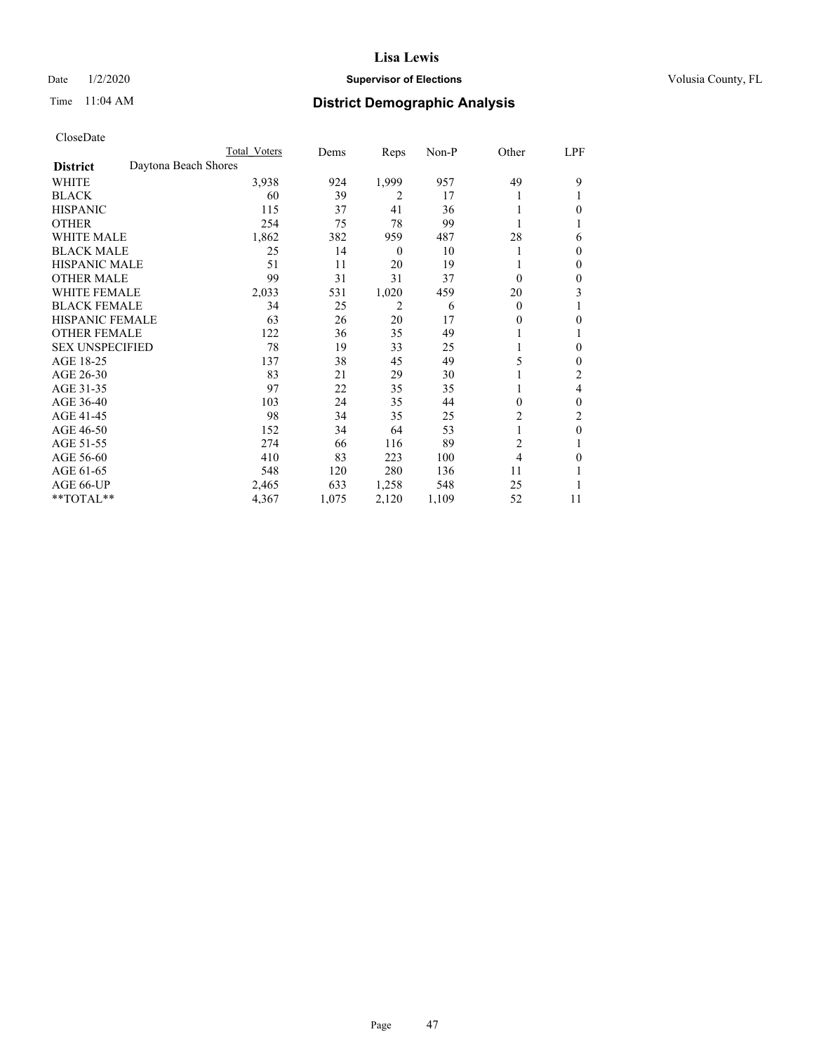## Date  $1/2/2020$  **Supervisor of Elections Supervisor of Elections** Volusia County, FL

# Time 11:04 AM **District Demographic Analysis**

|                        |                      | Total Voters | Dems  | Reps             | Non-P | Other          | LPF          |
|------------------------|----------------------|--------------|-------|------------------|-------|----------------|--------------|
| <b>District</b>        | Daytona Beach Shores |              |       |                  |       |                |              |
| WHITE                  |                      | 3,938        | 924   | 1,999            | 957   | 49             | 9            |
| <b>BLACK</b>           |                      | 60           | 39    | 2                | 17    |                |              |
| <b>HISPANIC</b>        |                      | 115          | 37    | 41               | 36    |                | 0            |
| <b>OTHER</b>           |                      | 254          | 75    | 78               | 99    |                |              |
| <b>WHITE MALE</b>      |                      | 1,862        | 382   | 959              | 487   | 28             | 6            |
| <b>BLACK MALE</b>      |                      | 25           | 14    | $\boldsymbol{0}$ | 10    |                | $\Omega$     |
| <b>HISPANIC MALE</b>   |                      | 51           | 11    | 20               | 19    |                | 0            |
| <b>OTHER MALE</b>      |                      | 99           | 31    | 31               | 37    | $\theta$       | $\mathbf{0}$ |
| WHITE FEMALE           |                      | 2,033        | 531   | 1,020            | 459   | 20             | 3            |
| <b>BLACK FEMALE</b>    |                      | 34           | 25    | 2                | 6     | $\theta$       |              |
| <b>HISPANIC FEMALE</b> |                      | 63           | 26    | 20               | 17    | 0              | 0            |
| <b>OTHER FEMALE</b>    |                      | 122          | 36    | 35               | 49    |                |              |
| <b>SEX UNSPECIFIED</b> |                      | 78           | 19    | 33               | 25    |                | $\theta$     |
| AGE 18-25              |                      | 137          | 38    | 45               | 49    | 5              | $\Omega$     |
| AGE 26-30              |                      | 83           | 21    | 29               | 30    |                | 2            |
| AGE 31-35              |                      | 97           | 22    | 35               | 35    |                | 4            |
| AGE 36-40              |                      | 103          | 24    | 35               | 44    | 0              | $\theta$     |
| AGE 41-45              |                      | 98           | 34    | 35               | 25    | 2              | 2            |
| AGE 46-50              |                      | 152          | 34    | 64               | 53    | 1              | $\theta$     |
| AGE 51-55              |                      | 274          | 66    | 116              | 89    | $\overline{2}$ |              |
| AGE 56-60              |                      | 410          | 83    | 223              | 100   | 4              | 0            |
| AGE 61-65              |                      | 548          | 120   | 280              | 136   | 11             |              |
| AGE 66-UP              |                      | 2,465        | 633   | 1,258            | 548   | 25             |              |
| **TOTAL**              |                      | 4,367        | 1,075 | 2,120            | 1,109 | 52             | 11           |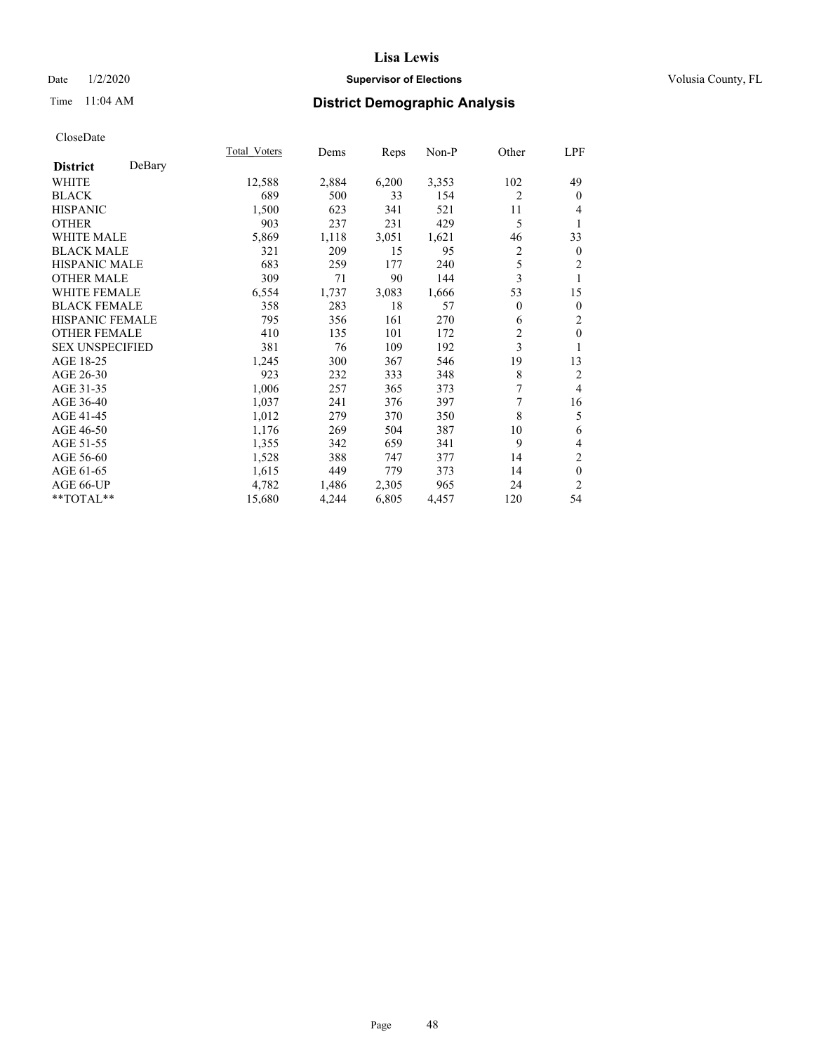## Date  $1/2/2020$  **Supervisor of Elections Supervisor of Elections** Volusia County, FL

# Time 11:04 AM **District Demographic Analysis**

|                        |        | Total Voters | Dems  | Reps  | Non-P | Other          | LPF            |
|------------------------|--------|--------------|-------|-------|-------|----------------|----------------|
| <b>District</b>        | DeBary |              |       |       |       |                |                |
| WHITE                  |        | 12,588       | 2,884 | 6,200 | 3,353 | 102            | 49             |
| <b>BLACK</b>           |        | 689          | 500   | 33    | 154   | 2              | $\mathbf{0}$   |
| <b>HISPANIC</b>        |        | 1,500        | 623   | 341   | 521   | 11             | 4              |
| <b>OTHER</b>           |        | 903          | 237   | 231   | 429   | 5              | 1              |
| WHITE MALE             |        | 5,869        | 1,118 | 3,051 | 1,621 | 46             | 33             |
| <b>BLACK MALE</b>      |        | 321          | 209   | 15    | 95    | $\overline{c}$ | $\mathbf{0}$   |
| <b>HISPANIC MALE</b>   |        | 683          | 259   | 177   | 240   | 5              | 2              |
| <b>OTHER MALE</b>      |        | 309          | 71    | 90    | 144   | 3              | 1              |
| <b>WHITE FEMALE</b>    |        | 6,554        | 1,737 | 3,083 | 1,666 | 53             | 15             |
| <b>BLACK FEMALE</b>    |        | 358          | 283   | 18    | 57    | $\overline{0}$ | $\mathbf{0}$   |
| <b>HISPANIC FEMALE</b> |        | 795          | 356   | 161   | 270   | 6              | 2              |
| <b>OTHER FEMALE</b>    |        | 410          | 135   | 101   | 172   | $\overline{2}$ | $\mathbf{0}$   |
| <b>SEX UNSPECIFIED</b> |        | 381          | 76    | 109   | 192   | 3              | 1              |
| AGE 18-25              |        | 1,245        | 300   | 367   | 546   | 19             | 13             |
| AGE 26-30              |        | 923          | 232   | 333   | 348   | 8              | 2              |
| AGE 31-35              |        | 1,006        | 257   | 365   | 373   | 7              | $\overline{4}$ |
| AGE 36-40              |        | 1,037        | 241   | 376   | 397   | 7              | 16             |
| AGE 41-45              |        | 1,012        | 279   | 370   | 350   | 8              | 5              |
| AGE 46-50              |        | 1,176        | 269   | 504   | 387   | 10             | 6              |
| AGE 51-55              |        | 1,355        | 342   | 659   | 341   | 9              | 4              |
| AGE 56-60              |        | 1,528        | 388   | 747   | 377   | 14             | $\overline{2}$ |
| AGE 61-65              |        | 1,615        | 449   | 779   | 373   | 14             | $\mathbf{0}$   |
| AGE 66-UP              |        | 4,782        | 1,486 | 2,305 | 965   | 24             | $\overline{c}$ |
| **TOTAL**              |        | 15,680       | 4,244 | 6,805 | 4,457 | 120            | 54             |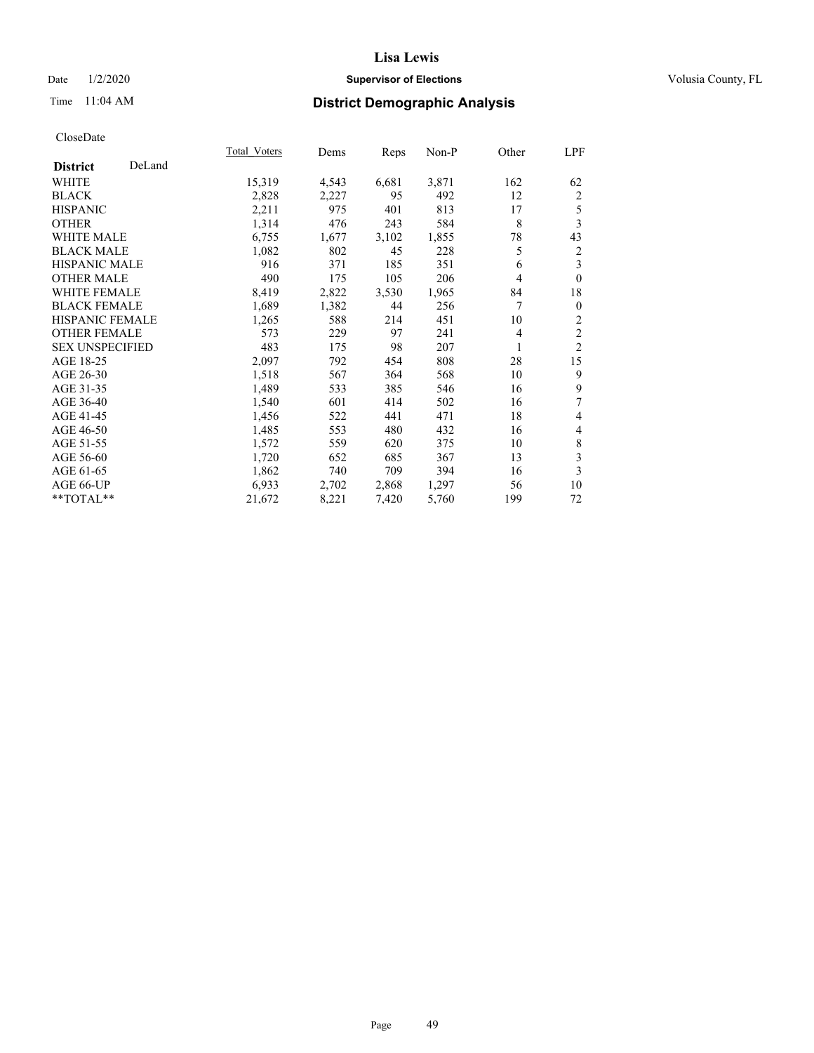## Date  $1/2/2020$  **Supervisor of Elections Supervisor of Elections** Volusia County, FL

## Time 11:04 AM **District Demographic Analysis**

|                        |        | Total Voters | Dems  | Reps  | Non-P | Other          | LPF            |
|------------------------|--------|--------------|-------|-------|-------|----------------|----------------|
| <b>District</b>        | DeLand |              |       |       |       |                |                |
| WHITE                  |        | 15,319       | 4,543 | 6,681 | 3,871 | 162            | 62             |
| <b>BLACK</b>           |        | 2,828        | 2,227 | 95    | 492   | 12             | 2              |
| <b>HISPANIC</b>        |        | 2,211        | 975   | 401   | 813   | 17             | 5              |
| <b>OTHER</b>           |        | 1,314        | 476   | 243   | 584   | 8              | 3              |
| <b>WHITE MALE</b>      |        | 6,755        | 1,677 | 3,102 | 1,855 | 78             | 43             |
| <b>BLACK MALE</b>      |        | 1,082        | 802   | 45    | 228   | 5              | 2              |
| <b>HISPANIC MALE</b>   |        | 916          | 371   | 185   | 351   | 6              | 3              |
| <b>OTHER MALE</b>      |        | 490          | 175   | 105   | 206   | 4              | $\mathbf{0}$   |
| <b>WHITE FEMALE</b>    |        | 8,419        | 2,822 | 3,530 | 1,965 | 84             | 18             |
| <b>BLACK FEMALE</b>    |        | 1,689        | 1,382 | 44    | 256   | 7              | $\mathbf{0}$   |
| <b>HISPANIC FEMALE</b> |        | 1,265        | 588   | 214   | 451   | 10             | 2              |
| <b>OTHER FEMALE</b>    |        | 573          | 229   | 97    | 241   | $\overline{4}$ | $\overline{c}$ |
| <b>SEX UNSPECIFIED</b> |        | 483          | 175   | 98    | 207   | 1              | $\overline{2}$ |
| AGE 18-25              |        | 2,097        | 792   | 454   | 808   | 28             | 15             |
| AGE 26-30              |        | 1,518        | 567   | 364   | 568   | 10             | 9              |
| AGE 31-35              |        | 1,489        | 533   | 385   | 546   | 16             | 9              |
| AGE 36-40              |        | 1,540        | 601   | 414   | 502   | 16             | 7              |
| AGE 41-45              |        | 1,456        | 522   | 441   | 471   | 18             | 4              |
| AGE 46-50              |        | 1,485        | 553   | 480   | 432   | 16             | 4              |
| AGE 51-55              |        | 1,572        | 559   | 620   | 375   | 10             | 8              |
| AGE 56-60              |        | 1,720        | 652   | 685   | 367   | 13             | 3              |
| AGE 61-65              |        | 1,862        | 740   | 709   | 394   | 16             | 3              |
| AGE 66-UP              |        | 6,933        | 2,702 | 2,868 | 1,297 | 56             | 10             |
| **TOTAL**              |        | 21,672       | 8,221 | 7,420 | 5,760 | 199            | 72             |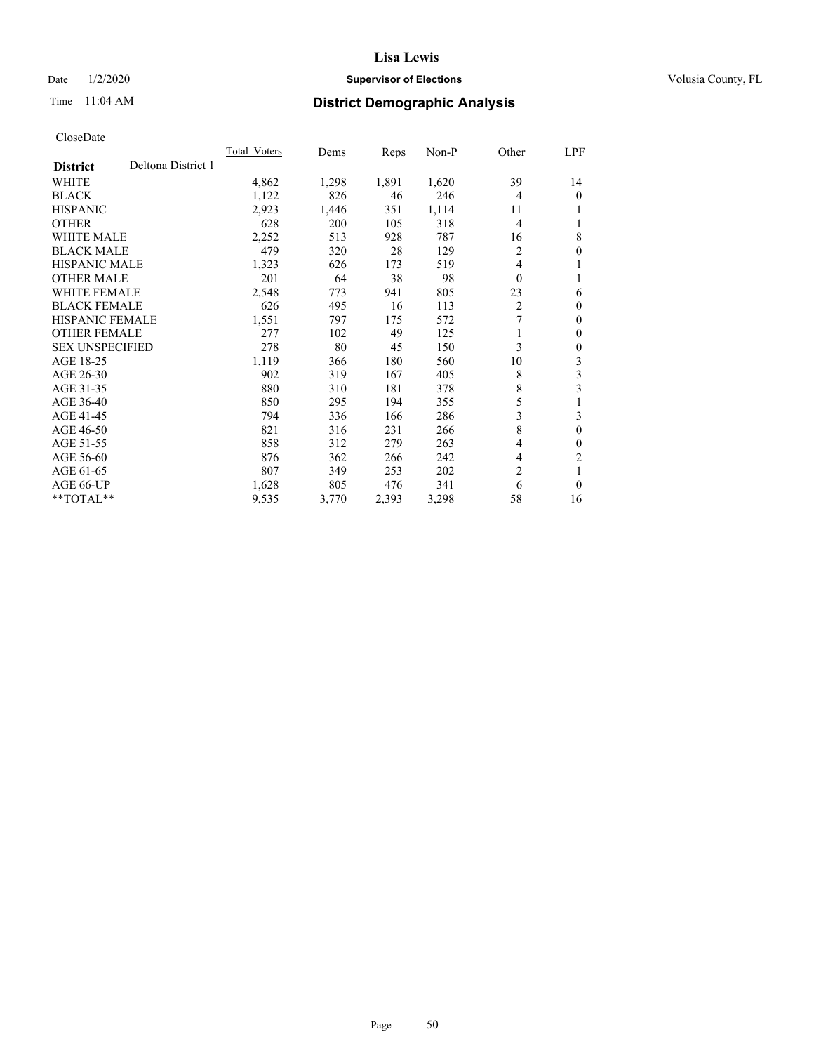## Date  $1/2/2020$  **Supervisor of Elections Supervisor of Elections** Volusia County, FL

## Time 11:04 AM **District Demographic Analysis**

|                                       | Total Voters | Dems  | Reps  | Non-P | Other          | LPF            |
|---------------------------------------|--------------|-------|-------|-------|----------------|----------------|
| Deltona District 1<br><b>District</b> |              |       |       |       |                |                |
| WHITE                                 | 4,862        | 1,298 | 1,891 | 1,620 | 39             | 14             |
| <b>BLACK</b>                          | 1,122        | 826   | 46    | 246   | $\overline{4}$ | 0              |
| <b>HISPANIC</b>                       | 2,923        | 1,446 | 351   | 1,114 | 11             |                |
| <b>OTHER</b>                          | 628          | 200   | 105   | 318   | $\overline{4}$ |                |
| <b>WHITE MALE</b>                     | 2,252        | 513   | 928   | 787   | 16             | 8              |
| <b>BLACK MALE</b>                     | 479          | 320   | 28    | 129   | 2              | 0              |
| <b>HISPANIC MALE</b>                  | 1,323        | 626   | 173   | 519   | 4              |                |
| <b>OTHER MALE</b>                     | 201          | 64    | 38    | 98    | $\theta$       | 1              |
| WHITE FEMALE                          | 2,548        | 773   | 941   | 805   | 23             | 6              |
| <b>BLACK FEMALE</b>                   | 626          | 495   | 16    | 113   | $\overline{2}$ | 0              |
| <b>HISPANIC FEMALE</b>                | 1,551        | 797   | 175   | 572   | 7              | 0              |
| <b>OTHER FEMALE</b>                   | 277          | 102   | 49    | 125   | 1              | 0              |
| <b>SEX UNSPECIFIED</b>                | 278          | 80    | 45    | 150   | 3              | 0              |
| AGE 18-25                             | 1,119        | 366   | 180   | 560   | 10             | 3              |
| AGE 26-30                             | 902          | 319   | 167   | 405   | 8              | 3              |
| AGE 31-35                             | 880          | 310   | 181   | 378   | 8              | 3              |
| AGE 36-40                             | 850          | 295   | 194   | 355   | 5              |                |
| AGE 41-45                             | 794          | 336   | 166   | 286   | 3              | 3              |
| AGE 46-50                             | 821          | 316   | 231   | 266   | 8              | 0              |
| AGE 51-55                             | 858          | 312   | 279   | 263   | 4              | 0              |
| AGE 56-60                             | 876          | 362   | 266   | 242   | 4              | $\overline{c}$ |
| AGE 61-65                             | 807          | 349   | 253   | 202   | 2              | 1              |
| AGE 66-UP                             | 1,628        | 805   | 476   | 341   | 6              | $\theta$       |
| $*$ *TOTAL $*$ *                      | 9,535        | 3,770 | 2,393 | 3,298 | 58             | 16             |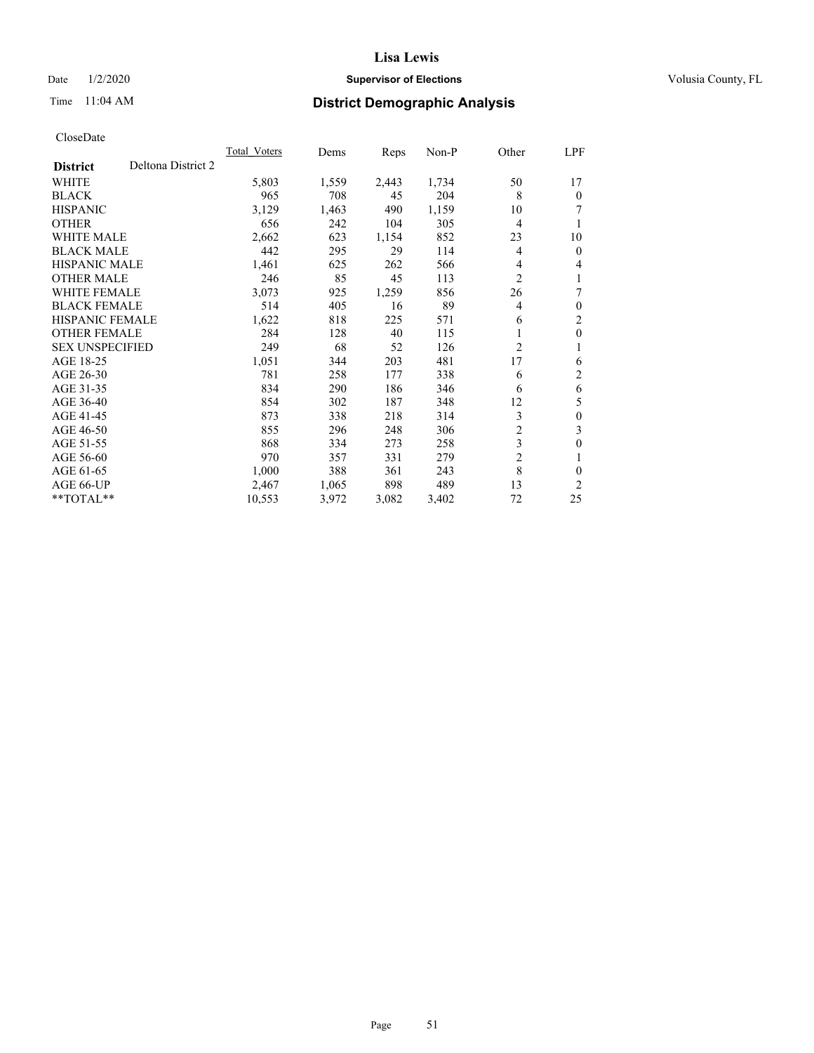## Date  $1/2/2020$  **Supervisor of Elections Supervisor of Elections** Volusia County, FL

# Time 11:04 AM **District Demographic Analysis**

|                        | <b>Total Voters</b> | Dems  | Reps  | $Non-P$ | Other          | LPF              |
|------------------------|---------------------|-------|-------|---------|----------------|------------------|
| <b>District</b>        | Deltona District 2  |       |       |         |                |                  |
| <b>WHITE</b>           | 5,803               | 1,559 | 2,443 | 1,734   | 50             | 17               |
| <b>BLACK</b>           | 965                 | 708   | 45    | 204     | 8              | $\theta$         |
| <b>HISPANIC</b>        | 3,129               | 1,463 | 490   | 1,159   | 10             | 7                |
| <b>OTHER</b>           | 656                 | 242   | 104   | 305     | 4              | 1                |
| <b>WHITE MALE</b>      | 2,662               | 623   | 1,154 | 852     | 23             | 10               |
| <b>BLACK MALE</b>      | 442                 | 295   | 29    | 114     | 4              | $\mathbf{0}$     |
| HISPANIC MALE          | 1,461               | 625   | 262   | 566     | 4              | 4                |
| <b>OTHER MALE</b>      | 246                 | 85    | 45    | 113     | $\overline{c}$ | 1                |
| <b>WHITE FEMALE</b>    | 3,073               | 925   | 1,259 | 856     | 26             | 7                |
| <b>BLACK FEMALE</b>    | 514                 | 405   | 16    | 89      | 4              | $\theta$         |
| <b>HISPANIC FEMALE</b> | 1,622               | 818   | 225   | 571     | 6              | $\overline{2}$   |
| <b>OTHER FEMALE</b>    | 284                 | 128   | 40    | 115     | 1              | $\theta$         |
| <b>SEX UNSPECIFIED</b> | 249                 | 68    | 52    | 126     | 2              | 1                |
| AGE 18-25              | 1,051               | 344   | 203   | 481     | 17             | 6                |
| AGE 26-30              | 781                 | 258   | 177   | 338     | 6              | 2                |
| AGE 31-35              | 834                 | 290   | 186   | 346     | 6              | 6                |
| AGE 36-40              | 854                 | 302   | 187   | 348     | 12             | 5                |
| AGE 41-45              | 873                 | 338   | 218   | 314     | 3              | $\boldsymbol{0}$ |
| AGE 46-50              | 855                 | 296   | 248   | 306     | $\overline{c}$ | 3                |
| AGE 51-55              | 868                 | 334   | 273   | 258     | 3              | $\theta$         |
| AGE 56-60              | 970                 | 357   | 331   | 279     | $\overline{2}$ | 1                |
| AGE 61-65              | 1,000               | 388   | 361   | 243     | 8              | 0                |
| AGE 66-UP              | 2,467               | 1,065 | 898   | 489     | 13             | $\overline{2}$   |
| $*$ TOTAL $*$          | 10,553              | 3,972 | 3,082 | 3,402   | 72             | 25               |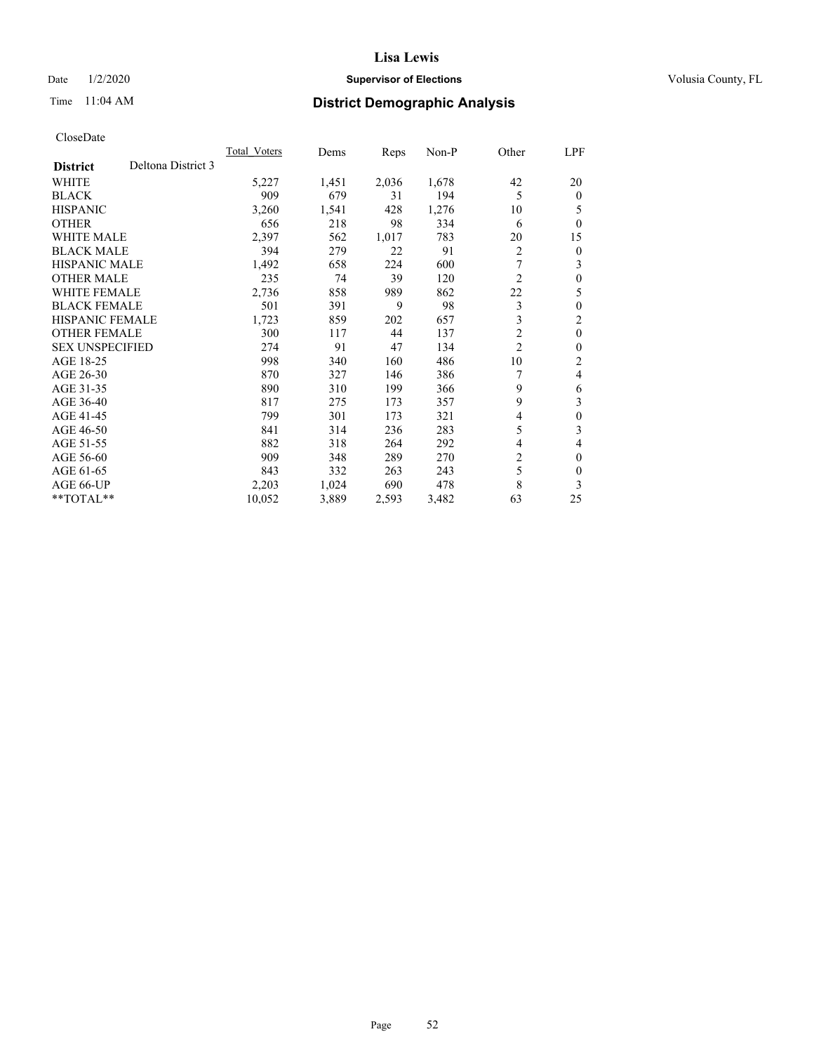## Date  $1/2/2020$  **Supervisor of Elections Supervisor of Elections** Volusia County, FL

# Time 11:04 AM **District Demographic Analysis**

|                                       | Total Voters | Dems  | Reps  | $Non-P$ | Other          | LPF      |
|---------------------------------------|--------------|-------|-------|---------|----------------|----------|
| Deltona District 3<br><b>District</b> |              |       |       |         |                |          |
| <b>WHITE</b>                          | 5,227        | 1,451 | 2,036 | 1,678   | 42             | 20       |
| <b>BLACK</b>                          | 909          | 679   | 31    | 194     | 5              | $\Omega$ |
| <b>HISPANIC</b>                       | 3,260        | 1,541 | 428   | 1,276   | 10             | 5        |
| <b>OTHER</b>                          | 656          | 218   | 98    | 334     | 6              | $\Omega$ |
| <b>WHITE MALE</b>                     | 2,397        | 562   | 1,017 | 783     | 20             | 15       |
| <b>BLACK MALE</b>                     | 394          | 279   | 22    | 91      | 2              | 0        |
| HISPANIC MALE                         | 1,492        | 658   | 224   | 600     | 7              | 3        |
| <b>OTHER MALE</b>                     | 235          | 74    | 39    | 120     | $\overline{c}$ | 0        |
| WHITE FEMALE                          | 2,736        | 858   | 989   | 862     | 22             | 5        |
| <b>BLACK FEMALE</b>                   | 501          | 391   | 9     | 98      | 3              | 0        |
| <b>HISPANIC FEMALE</b>                | 1,723        | 859   | 202   | 657     | 3              | 2        |
| <b>OTHER FEMALE</b>                   | 300          | 117   | 44    | 137     | $\overline{c}$ | 0        |
| <b>SEX UNSPECIFIED</b>                | 274          | 91    | 47    | 134     | $\overline{2}$ | 0        |
| AGE 18-25                             | 998          | 340   | 160   | 486     | 10             | 2        |
| AGE 26-30                             | 870          | 327   | 146   | 386     |                | 4        |
| AGE 31-35                             | 890          | 310   | 199   | 366     | 9              | 6        |
| AGE 36-40                             | 817          | 275   | 173   | 357     | 9              | 3        |
| AGE 41-45                             | 799          | 301   | 173   | 321     | 4              | 0        |
| AGE 46-50                             | 841          | 314   | 236   | 283     | 5              | 3        |
| AGE 51-55                             | 882          | 318   | 264   | 292     | 4              | 4        |
| AGE 56-60                             | 909          | 348   | 289   | 270     | $\overline{2}$ | 0        |
| AGE 61-65                             | 843          | 332   | 263   | 243     | 5              | 0        |
| AGE 66-UP                             | 2,203        | 1,024 | 690   | 478     | 8              | 3        |
| $*$ TOTAL $*$                         | 10,052       | 3,889 | 2,593 | 3,482   | 63             | 25       |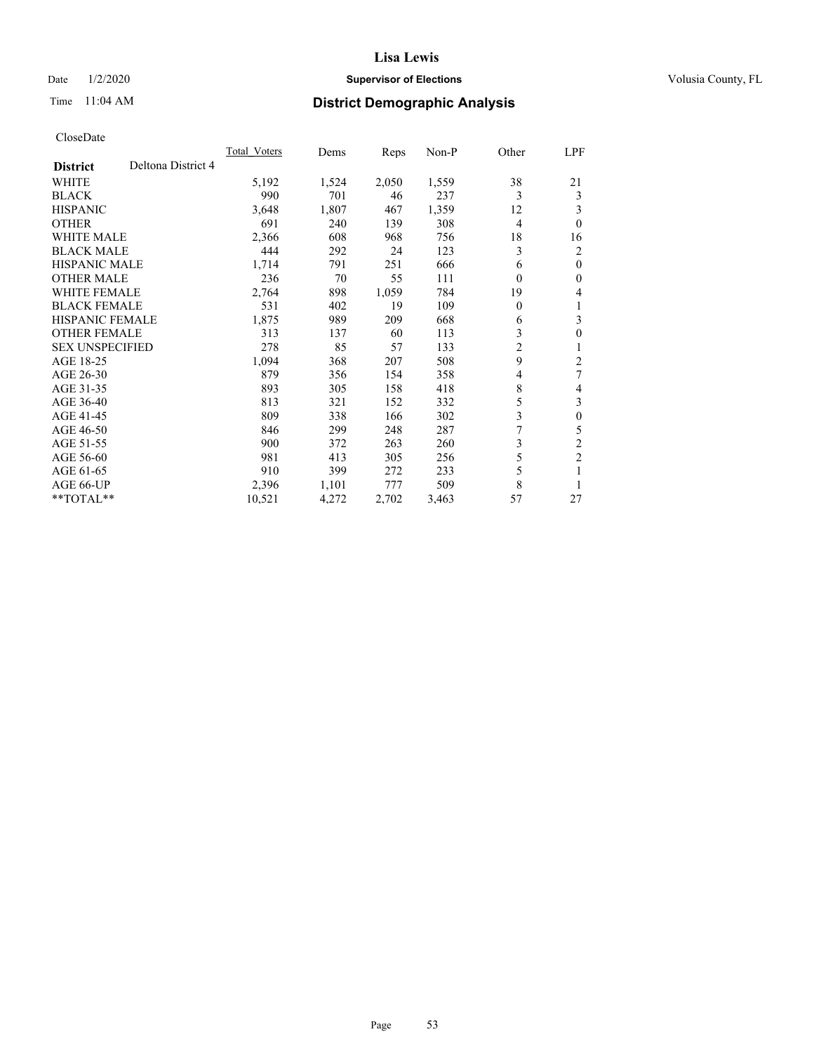## Date  $1/2/2020$  **Supervisor of Elections Supervisor of Elections** Volusia County, FL

# Time 11:04 AM **District Demographic Analysis**

|                        |                    | Total Voters | Dems  | Reps  | Non-P | Other          | LPF            |
|------------------------|--------------------|--------------|-------|-------|-------|----------------|----------------|
| <b>District</b>        | Deltona District 4 |              |       |       |       |                |                |
| WHITE                  |                    | 5,192        | 1,524 | 2,050 | 1,559 | 38             | 21             |
| <b>BLACK</b>           |                    | 990          | 701   | 46    | 237   | 3              | 3              |
| <b>HISPANIC</b>        |                    | 3,648        | 1,807 | 467   | 1,359 | 12             | 3              |
| <b>OTHER</b>           |                    | 691          | 240   | 139   | 308   | 4              | $\theta$       |
| <b>WHITE MALE</b>      |                    | 2,366        | 608   | 968   | 756   | 18             | 16             |
| <b>BLACK MALE</b>      |                    | 444          | 292   | 24    | 123   | 3              | $\overline{2}$ |
| <b>HISPANIC MALE</b>   |                    | 1,714        | 791   | 251   | 666   | 6              | $\theta$       |
| <b>OTHER MALE</b>      |                    | 236          | 70    | 55    | 111   | 0              | $\theta$       |
| <b>WHITE FEMALE</b>    |                    | 2,764        | 898   | 1,059 | 784   | 19             | 4              |
| <b>BLACK FEMALE</b>    |                    | 531          | 402   | 19    | 109   | 0              | 1              |
| <b>HISPANIC FEMALE</b> |                    | 1,875        | 989   | 209   | 668   | 6              | 3              |
| <b>OTHER FEMALE</b>    |                    | 313          | 137   | 60    | 113   | 3              | $\theta$       |
| <b>SEX UNSPECIFIED</b> |                    | 278          | 85    | 57    | 133   | 2              | 1              |
| AGE 18-25              |                    | 1,094        | 368   | 207   | 508   | 9              | 2              |
| AGE 26-30              |                    | 879          | 356   | 154   | 358   | 4              | 7              |
| AGE 31-35              |                    | 893          | 305   | 158   | 418   | 8              | 4              |
| AGE 36-40              |                    | 813          | 321   | 152   | 332   | 5              | 3              |
| AGE 41-45              |                    | 809          | 338   | 166   | 302   | 3              | $\theta$       |
| AGE 46-50              |                    | 846          | 299   | 248   | 287   | $\overline{7}$ | 5              |
| AGE 51-55              |                    | 900          | 372   | 263   | 260   | 3              | $\mathfrak{2}$ |
| AGE 56-60              |                    | 981          | 413   | 305   | 256   | 5              | $\overline{2}$ |
| AGE 61-65              |                    | 910          | 399   | 272   | 233   | 5              |                |
| AGE 66-UP              |                    | 2,396        | 1,101 | 777   | 509   | 8              |                |
| **TOTAL**              |                    | 10,521       | 4,272 | 2,702 | 3,463 | 57             | 27             |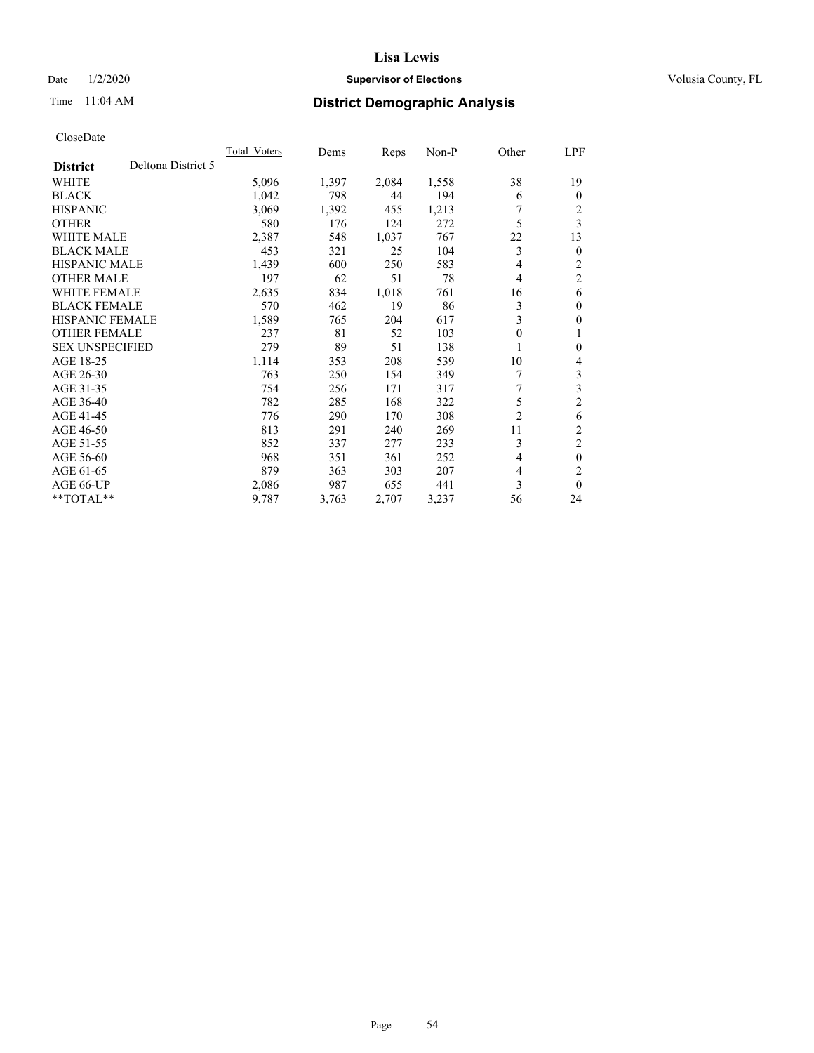## Date  $1/2/2020$  **Supervisor of Elections Supervisor of Elections** Volusia County, FL

# Time 11:04 AM **District Demographic Analysis**

|                                       | Total Voters | Dems  | Reps  | $Non-P$ | Other          | LPF            |
|---------------------------------------|--------------|-------|-------|---------|----------------|----------------|
| Deltona District 5<br><b>District</b> |              |       |       |         |                |                |
| WHITE                                 | 5,096        | 1,397 | 2,084 | 1,558   | 38             | 19             |
| <b>BLACK</b>                          | 1,042        | 798   | 44    | 194     | 6              | $\Omega$       |
| <b>HISPANIC</b>                       | 3,069        | 1,392 | 455   | 1,213   |                | 2              |
| <b>OTHER</b>                          | 580          | 176   | 124   | 272     | 5              | 3              |
| <b>WHITE MALE</b>                     | 2,387        | 548   | 1,037 | 767     | 22             | 13             |
| <b>BLACK MALE</b>                     | 453          | 321   | 25    | 104     | 3              | $\overline{0}$ |
| <b>HISPANIC MALE</b>                  | 1,439        | 600   | 250   | 583     | 4              | $\overline{c}$ |
| <b>OTHER MALE</b>                     | 197          | 62    | 51    | 78      | 4              | $\overline{2}$ |
| WHITE FEMALE                          | 2,635        | 834   | 1,018 | 761     | 16             | 6              |
| <b>BLACK FEMALE</b>                   | 570          | 462   | 19    | 86      | 3              | $\mathbf{0}$   |
| <b>HISPANIC FEMALE</b>                | 1,589        | 765   | 204   | 617     | 3              | 0              |
| <b>OTHER FEMALE</b>                   | 237          | 81    | 52    | 103     | 0              | 1              |
| <b>SEX UNSPECIFIED</b>                | 279          | 89    | 51    | 138     |                | 0              |
| AGE 18-25                             | 1,114        | 353   | 208   | 539     | 10             | 4              |
| AGE 26-30                             | 763          | 250   | 154   | 349     |                | 3              |
| AGE 31-35                             | 754          | 256   | 171   | 317     | 7              | 3              |
| AGE 36-40                             | 782          | 285   | 168   | 322     | 5              | $\overline{2}$ |
| AGE 41-45                             | 776          | 290   | 170   | 308     | $\overline{2}$ | 6              |
| AGE 46-50                             | 813          | 291   | 240   | 269     | 11             | 2              |
| AGE 51-55                             | 852          | 337   | 277   | 233     | 3              | 2              |
| AGE 56-60                             | 968          | 351   | 361   | 252     | 4              | $\theta$       |
| AGE 61-65                             | 879          | 363   | 303   | 207     | 4              | 2              |
| AGE 66-UP                             | 2,086        | 987   | 655   | 441     | 3              | $\theta$       |
| $*$ TOTAL $*$                         | 9,787        | 3,763 | 2,707 | 3,237   | 56             | 24             |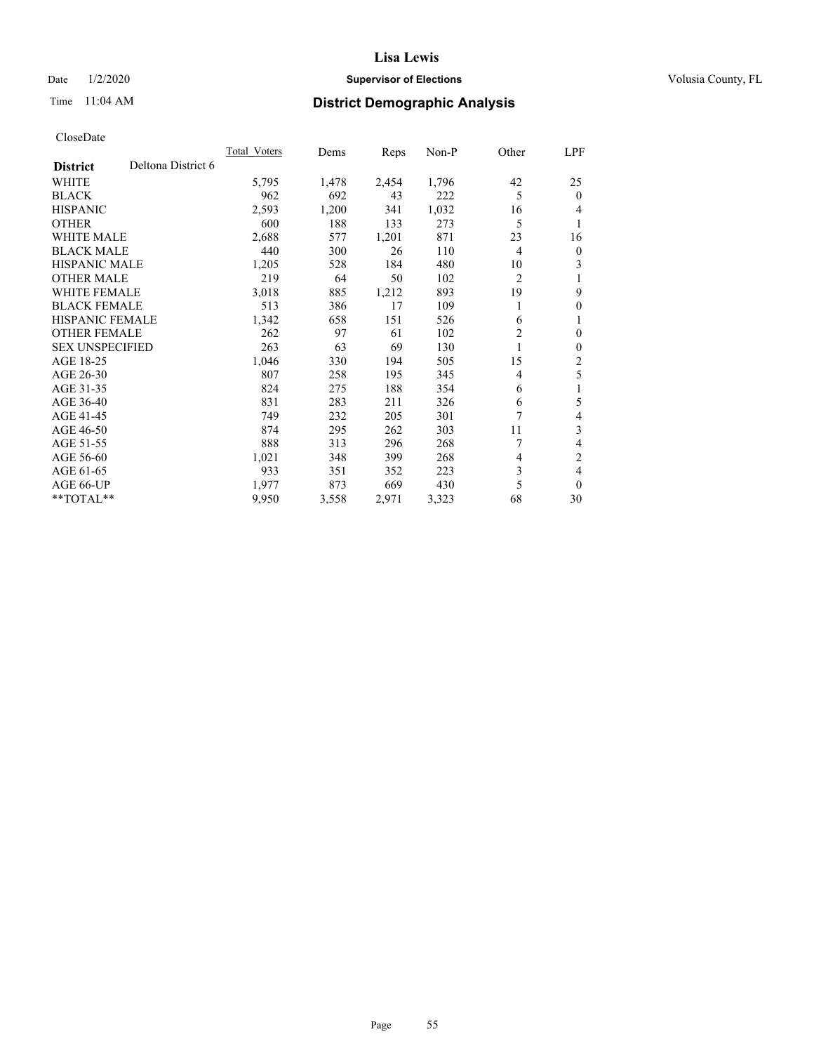## Date  $1/2/2020$  **Supervisor of Elections Supervisor of Elections** Volusia County, FL

# Time 11:04 AM **District Demographic Analysis**

|                                       | Total Voters | Dems  | Reps  | $Non-P$ | Other          | <u>LPF</u>     |
|---------------------------------------|--------------|-------|-------|---------|----------------|----------------|
| Deltona District 6<br><b>District</b> |              |       |       |         |                |                |
| WHITE                                 | 5,795        | 1,478 | 2,454 | 1,796   | 42             | 25             |
| <b>BLACK</b>                          | 962          | 692   | 43    | 222     | 5              | $\theta$       |
| <b>HISPANIC</b>                       | 2,593        | 1,200 | 341   | 1,032   | 16             | 4              |
| <b>OTHER</b>                          | 600          | 188   | 133   | 273     | 5              | 1              |
| <b>WHITE MALE</b>                     | 2,688        | 577   | 1,201 | 871     | 23             | 16             |
| <b>BLACK MALE</b>                     | 440          | 300   | 26    | 110     | $\overline{4}$ | $\mathbf{0}$   |
| <b>HISPANIC MALE</b>                  | 1,205        | 528   | 184   | 480     | 10             | 3              |
| <b>OTHER MALE</b>                     | 219          | 64    | 50    | 102     | 2              | 1              |
| WHITE FEMALE                          | 3,018        | 885   | 1,212 | 893     | 19             | 9              |
| <b>BLACK FEMALE</b>                   | 513          | 386   | 17    | 109     |                | $\mathbf{0}$   |
| <b>HISPANIC FEMALE</b>                | 1,342        | 658   | 151   | 526     | 6              | 1              |
| <b>OTHER FEMALE</b>                   | 262          | 97    | 61    | 102     | $\overline{c}$ | $\mathbf{0}$   |
| <b>SEX UNSPECIFIED</b>                | 263          | 63    | 69    | 130     |                | $\mathbf{0}$   |
| AGE 18-25                             | 1,046        | 330   | 194   | 505     | 15             | 2              |
| AGE 26-30                             | 807          | 258   | 195   | 345     | 4              | 5              |
| AGE 31-35                             | 824          | 275   | 188   | 354     | 6              | 1              |
| AGE 36-40                             | 831          | 283   | 211   | 326     | 6              | 5              |
| AGE 41-45                             | 749          | 232   | 205   | 301     | 7              | 4              |
| AGE 46-50                             | 874          | 295   | 262   | 303     | 11             | 3              |
| AGE 51-55                             | 888          | 313   | 296   | 268     | 7              | 4              |
| AGE 56-60                             | 1,021        | 348   | 399   | 268     | 4              | $\overline{2}$ |
| AGE 61-65                             | 933          | 351   | 352   | 223     | 3              | 4              |
| AGE 66-UP                             | 1,977        | 873   | 669   | 430     | 5              | $\theta$       |
| **TOTAL**                             | 9,950        | 3,558 | 2,971 | 3,323   | 68             | 30             |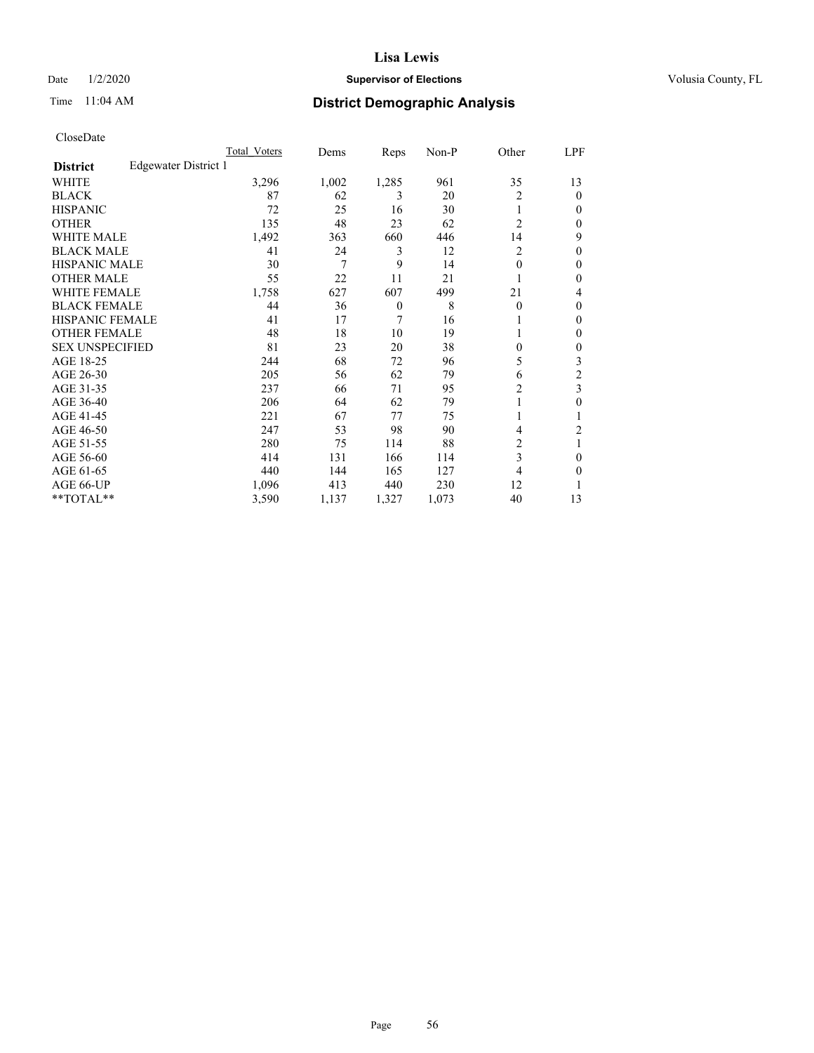## Date  $1/2/2020$  **Supervisor of Elections Supervisor of Elections** Volusia County, FL

# Time 11:04 AM **District Demographic Analysis**

|                        |                      | Total Voters | Dems  | Reps     | Non-P | Other          | LPF    |
|------------------------|----------------------|--------------|-------|----------|-------|----------------|--------|
| <b>District</b>        | Edgewater District 1 |              |       |          |       |                |        |
| WHITE                  |                      | 3,296        | 1,002 | 1,285    | 961   | 35             | 13     |
| <b>BLACK</b>           |                      | 87           | 62    | 3        | 20    | 2              | 0      |
| <b>HISPANIC</b>        |                      | 72           | 25    | 16       | 30    |                | $_{0}$ |
| <b>OTHER</b>           |                      | 135          | 48    | 23       | 62    | $\overline{2}$ | 0      |
| <b>WHITE MALE</b>      |                      | 1,492        | 363   | 660      | 446   | 14             | 9      |
| <b>BLACK MALE</b>      |                      | 41           | 24    | 3        | 12    | $\overline{c}$ | 0      |
| <b>HISPANIC MALE</b>   |                      | 30           | 7     | 9        | 14    | $\theta$       | 0      |
| <b>OTHER MALE</b>      |                      | 55           | 22    | 11       | 21    |                | 0      |
| <b>WHITE FEMALE</b>    |                      | 1,758        | 627   | 607      | 499   | 21             | 4      |
| <b>BLACK FEMALE</b>    |                      | 44           | 36    | $\theta$ | 8     | $\Omega$       | 0      |
| <b>HISPANIC FEMALE</b> |                      | 41           | 17    | 7        | 16    |                | 0      |
| <b>OTHER FEMALE</b>    |                      | 48           | 18    | 10       | 19    |                | 0      |
| <b>SEX UNSPECIFIED</b> |                      | 81           | 23    | 20       | 38    | $\Omega$       | 0      |
| AGE 18-25              |                      | 244          | 68    | 72       | 96    | 5              | 3      |
| AGE 26-30              |                      | 205          | 56    | 62       | 79    | 6              | 2      |
| AGE 31-35              |                      | 237          | 66    | 71       | 95    | 2              | 3      |
| AGE 36-40              |                      | 206          | 64    | 62       | 79    |                | 0      |
| AGE 41-45              |                      | 221          | 67    | 77       | 75    |                |        |
| AGE 46-50              |                      | 247          | 53    | 98       | 90    | 4              | 2      |
| AGE 51-55              |                      | 280          | 75    | 114      | 88    | 2              |        |
| AGE 56-60              |                      | 414          | 131   | 166      | 114   | 3              | 0      |
| AGE 61-65              |                      | 440          | 144   | 165      | 127   | 4              | 0      |
| AGE 66-UP              |                      | 1,096        | 413   | 440      | 230   | 12             |        |
| **TOTAL**              |                      | 3,590        | 1,137 | 1,327    | 1,073 | 40             | 13     |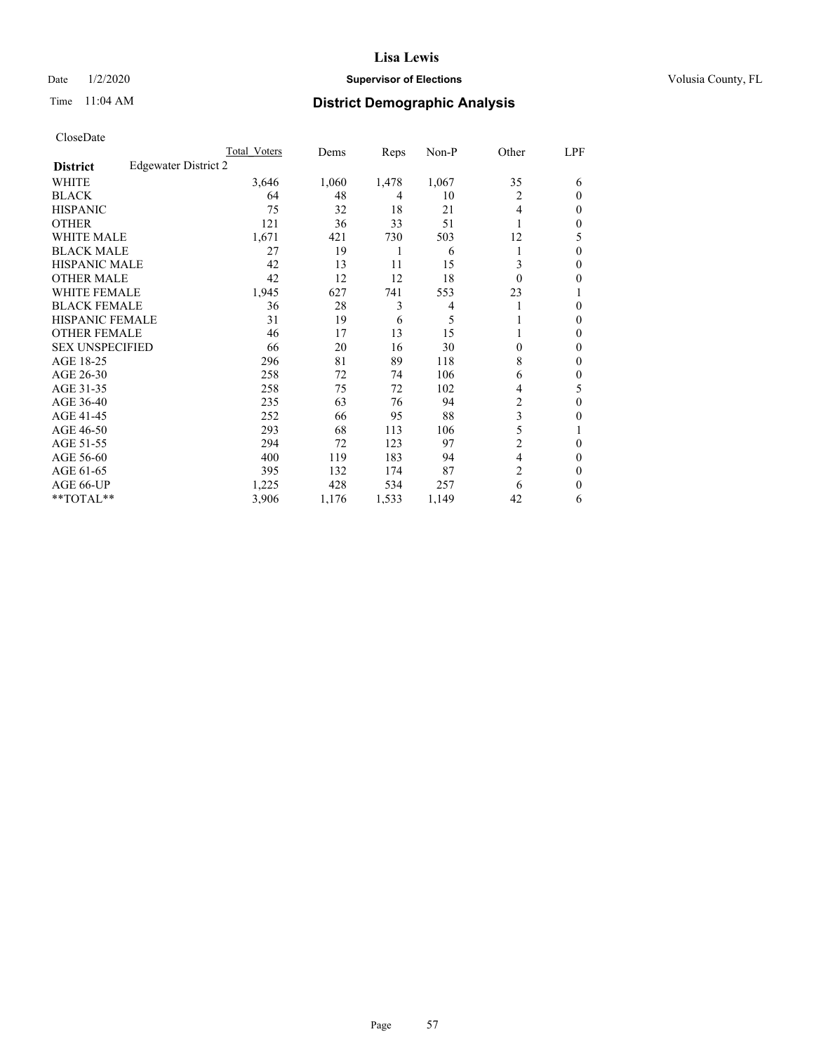## Date  $1/2/2020$  **Supervisor of Elections Supervisor of Elections** Volusia County, FL

# Time 11:04 AM **District Demographic Analysis**

|                        |                      | Total Voters | Dems  | Reps  | Non-P          | Other          | LPF    |
|------------------------|----------------------|--------------|-------|-------|----------------|----------------|--------|
| <b>District</b>        | Edgewater District 2 |              |       |       |                |                |        |
| WHITE                  |                      | 3,646        | 1,060 | 1,478 | 1,067          | 35             | 6      |
| <b>BLACK</b>           |                      | 64           | 48    | 4     | 10             | 2              | 0      |
| <b>HISPANIC</b>        |                      | 75           | 32    | 18    | 21             | 4              | $_{0}$ |
| <b>OTHER</b>           |                      | 121          | 36    | 33    | 51             |                | 0      |
| WHITE MALE             |                      | 1,671        | 421   | 730   | 503            | 12             | 5      |
| <b>BLACK MALE</b>      |                      | 27           | 19    | 1     | 6              |                | 0      |
| <b>HISPANIC MALE</b>   |                      | 42           | 13    | 11    | 15             | 3              | 0      |
| <b>OTHER MALE</b>      |                      | 42           | 12    | 12    | 18             | $\Omega$       | 0      |
| WHITE FEMALE           |                      | 1,945        | 627   | 741   | 553            | 23             |        |
| <b>BLACK FEMALE</b>    |                      | 36           | 28    | 3     | $\overline{4}$ |                | 0      |
| <b>HISPANIC FEMALE</b> |                      | 31           | 19    | 6     | 5              |                | 0      |
| <b>OTHER FEMALE</b>    |                      | 46           | 17    | 13    | 15             |                | 0      |
| <b>SEX UNSPECIFIED</b> |                      | 66           | 20    | 16    | 30             | 0              | 0      |
| AGE 18-25              |                      | 296          | 81    | 89    | 118            | 8              | 0      |
| AGE 26-30              |                      | 258          | 72    | 74    | 106            | 6              | 0      |
| AGE 31-35              |                      | 258          | 75    | 72    | 102            | 4              | 5      |
| AGE 36-40              |                      | 235          | 63    | 76    | 94             | 2              | 0      |
| AGE 41-45              |                      | 252          | 66    | 95    | 88             | 3              | 0      |
| AGE 46-50              |                      | 293          | 68    | 113   | 106            | 5              |        |
| AGE 51-55              |                      | 294          | 72    | 123   | 97             | 2              | 0      |
| AGE 56-60              |                      | 400          | 119   | 183   | 94             | 4              | 0      |
| AGE 61-65              |                      | 395          | 132   | 174   | 87             | $\overline{2}$ | 0      |
| AGE 66-UP              |                      | 1,225        | 428   | 534   | 257            | 6              | 0      |
| **TOTAL**              |                      | 3,906        | 1,176 | 1,533 | 1,149          | 42             | 6      |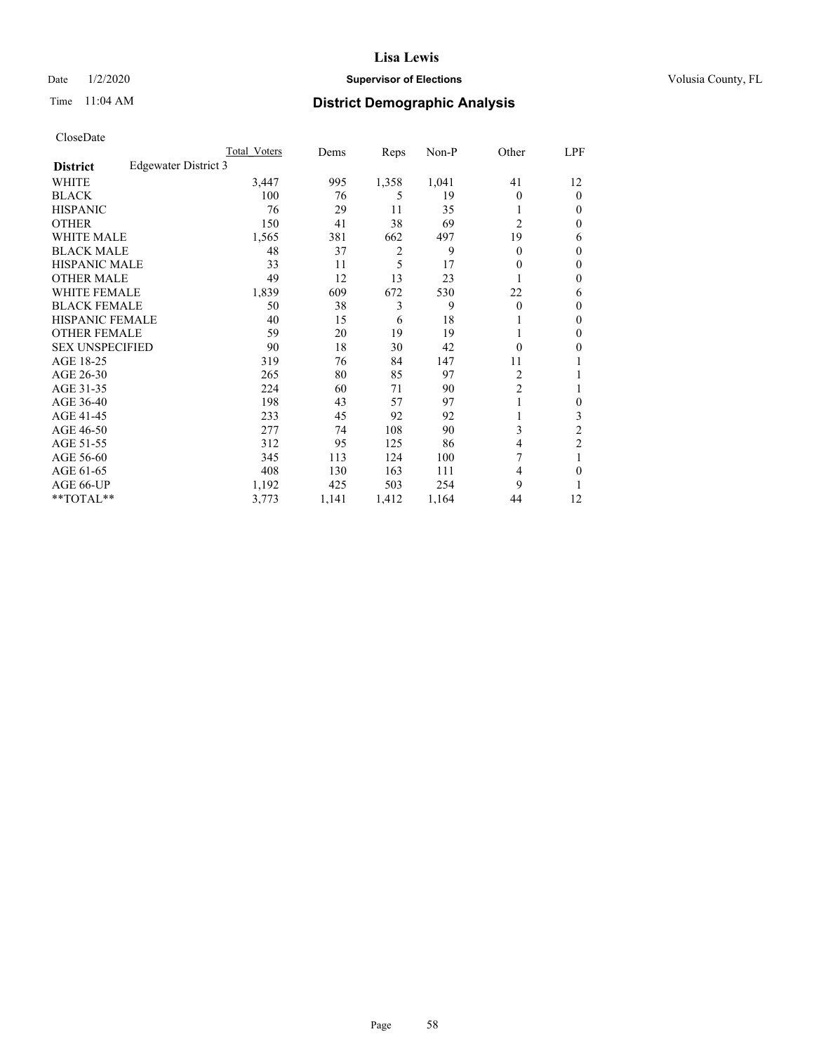## Date  $1/2/2020$  **Supervisor of Elections Supervisor of Elections** Volusia County, FL

# Time 11:04 AM **District Demographic Analysis**

|                        |                      | Total Voters | Dems  | Reps  | Non-P | Other          | LPF            |
|------------------------|----------------------|--------------|-------|-------|-------|----------------|----------------|
| <b>District</b>        | Edgewater District 3 |              |       |       |       |                |                |
| WHITE                  |                      | 3,447        | 995   | 1,358 | 1,041 | 41             | 12             |
| <b>BLACK</b>           |                      | 100          | 76    | 5     | 19    | 0              | $\mathbf{0}$   |
| <b>HISPANIC</b>        |                      | 76           | 29    | 11    | 35    |                | $\Omega$       |
| <b>OTHER</b>           |                      | 150          | 41    | 38    | 69    | $\overline{2}$ | 0              |
| <b>WHITE MALE</b>      |                      | 1,565        | 381   | 662   | 497   | 19             | 6              |
| <b>BLACK MALE</b>      |                      | 48           | 37    | 2     | 9     | 0              | $\mathbf{0}$   |
| <b>HISPANIC MALE</b>   |                      | 33           | 11    | 5     | 17    | 0              | $\theta$       |
| <b>OTHER MALE</b>      |                      | 49           | 12    | 13    | 23    |                | $\mathbf{0}$   |
| WHITE FEMALE           |                      | 1,839        | 609   | 672   | 530   | 22             | 6              |
| <b>BLACK FEMALE</b>    |                      | 50           | 38    | 3     | 9     | 0              | $\mathbf{0}$   |
| <b>HISPANIC FEMALE</b> |                      | 40           | 15    | 6     | 18    |                | 0              |
| <b>OTHER FEMALE</b>    |                      | 59           | 20    | 19    | 19    |                | 0              |
| <b>SEX UNSPECIFIED</b> |                      | 90           | 18    | 30    | 42    | 0              | 0              |
| AGE 18-25              |                      | 319          | 76    | 84    | 147   | 11             |                |
| AGE 26-30              |                      | 265          | 80    | 85    | 97    | 2              | 1              |
| AGE 31-35              |                      | 224          | 60    | 71    | 90    | $\overline{c}$ |                |
| AGE 36-40              |                      | 198          | 43    | 57    | 97    |                | 0              |
| AGE 41-45              |                      | 233          | 45    | 92    | 92    |                | 3              |
| AGE 46-50              |                      | 277          | 74    | 108   | 90    | 3              | $\overline{2}$ |
| AGE 51-55              |                      | 312          | 95    | 125   | 86    | 4              | $\overline{c}$ |
| AGE 56-60              |                      | 345          | 113   | 124   | 100   | 7              |                |
| AGE 61-65              |                      | 408          | 130   | 163   | 111   | 4              | 0              |
| AGE 66-UP              |                      | 1,192        | 425   | 503   | 254   | 9              |                |
| **TOTAL**              |                      | 3,773        | 1,141 | 1,412 | 1,164 | 44             | 12             |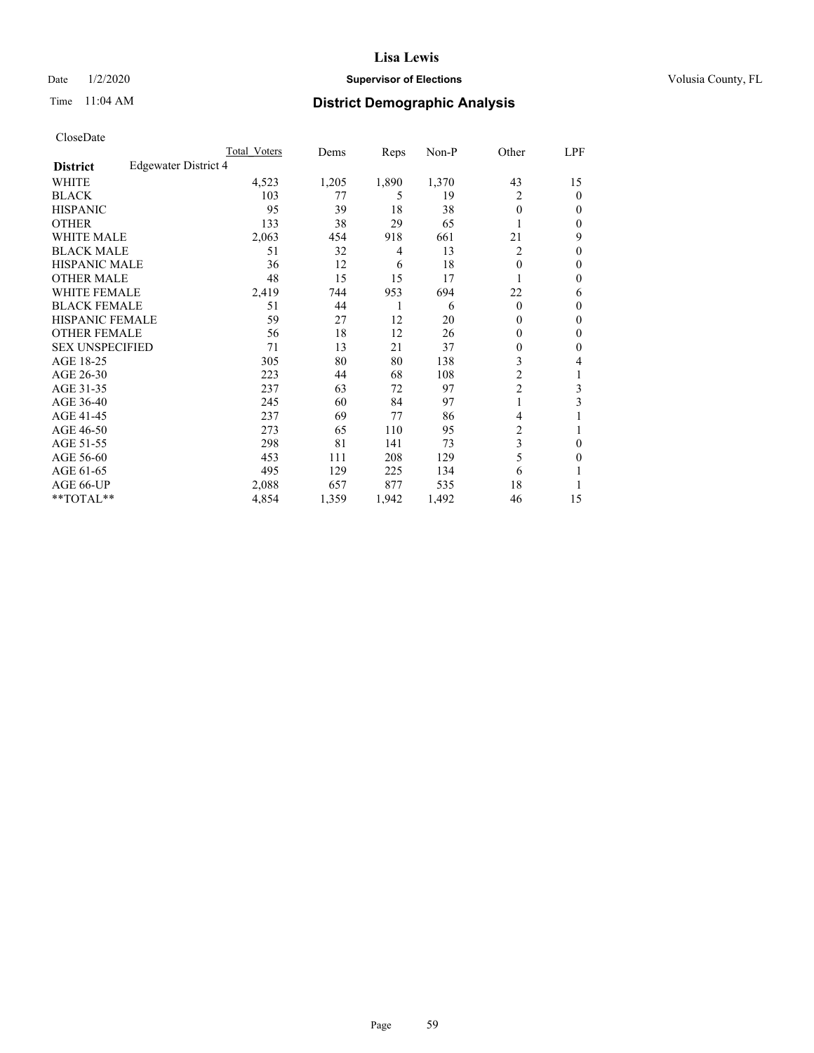## Date  $1/2/2020$  **Supervisor of Elections Supervisor of Elections** Volusia County, FL

# Time 11:04 AM **District Demographic Analysis**

|                        |                      | Total Voters | Dems  | Reps  | Non-P | Other          | LPF          |
|------------------------|----------------------|--------------|-------|-------|-------|----------------|--------------|
| <b>District</b>        | Edgewater District 4 |              |       |       |       |                |              |
| WHITE                  |                      | 4,523        | 1,205 | 1,890 | 1,370 | 43             | 15           |
| <b>BLACK</b>           |                      | 103          | 77    | 5     | 19    | 2              | $\mathbf{0}$ |
| <b>HISPANIC</b>        |                      | 95           | 39    | 18    | 38    | $\theta$       | $\Omega$     |
| <b>OTHER</b>           |                      | 133          | 38    | 29    | 65    |                | $\theta$     |
| <b>WHITE MALE</b>      |                      | 2,063        | 454   | 918   | 661   | 21             | 9            |
| <b>BLACK MALE</b>      |                      | 51           | 32    | 4     | 13    | $\overline{c}$ | $\theta$     |
| <b>HISPANIC MALE</b>   |                      | 36           | 12    | 6     | 18    | $\theta$       | $\theta$     |
| <b>OTHER MALE</b>      |                      | 48           | 15    | 15    | 17    |                | $\mathbf{0}$ |
| <b>WHITE FEMALE</b>    |                      | 2,419        | 744   | 953   | 694   | 22             | 6            |
| <b>BLACK FEMALE</b>    |                      | 51           | 44    | 1     | 6     | $\Omega$       | $\mathbf{0}$ |
| <b>HISPANIC FEMALE</b> |                      | 59           | 27    | 12    | 20    | 0              | $\theta$     |
| <b>OTHER FEMALE</b>    |                      | 56           | 18    | 12    | 26    | 0              | $\theta$     |
| <b>SEX UNSPECIFIED</b> |                      | 71           | 13    | 21    | 37    | 0              | $\theta$     |
| AGE 18-25              |                      | 305          | 80    | 80    | 138   | 3              | 4            |
| AGE 26-30              |                      | 223          | 44    | 68    | 108   | $\overline{c}$ | 1            |
| AGE 31-35              |                      | 237          | 63    | 72    | 97    | $\overline{c}$ | 3            |
| AGE 36-40              |                      | 245          | 60    | 84    | 97    |                | 3            |
| AGE 41-45              |                      | 237          | 69    | 77    | 86    | 4              |              |
| AGE 46-50              |                      | 273          | 65    | 110   | 95    | $\overline{2}$ | 1            |
| AGE 51-55              |                      | 298          | 81    | 141   | 73    | 3              | $\theta$     |
| AGE 56-60              |                      | 453          | 111   | 208   | 129   | 5              | $\theta$     |
| AGE 61-65              |                      | 495          | 129   | 225   | 134   | 6              | 1            |
| AGE 66-UP              |                      | 2,088        | 657   | 877   | 535   | 18             |              |
| **TOTAL**              |                      | 4,854        | 1,359 | 1,942 | 1,492 | 46             | 15           |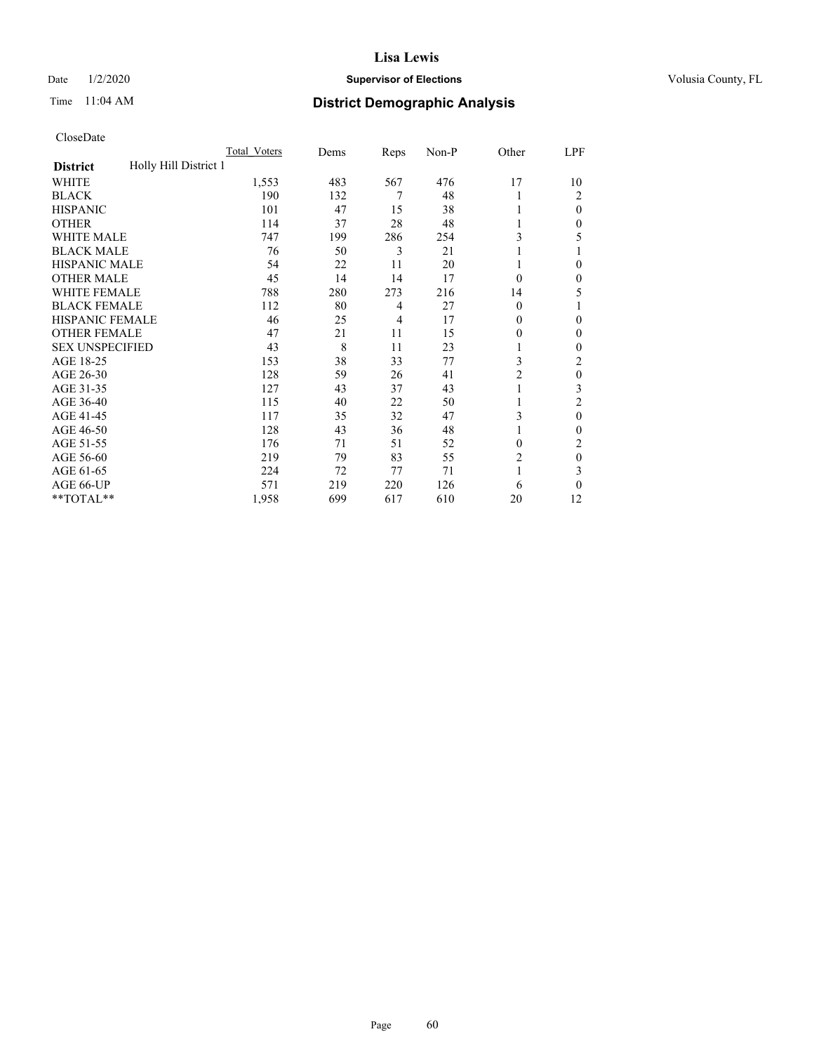## Date  $1/2/2020$  **Supervisor of Elections Supervisor of Elections** Volusia County, FL

## Time 11:04 AM **District Demographic Analysis**

|                                          | Total Voters | Dems | Reps | Non-P | Other          | LPF      |
|------------------------------------------|--------------|------|------|-------|----------------|----------|
| Holly Hill District 1<br><b>District</b> |              |      |      |       |                |          |
| WHITE                                    | 1,553        | 483  | 567  | 476   | 17             | 10       |
| <b>BLACK</b>                             | 190          | 132  | 7    | 48    |                | 2        |
| <b>HISPANIC</b>                          | 101          | 47   | 15   | 38    |                | 0        |
| <b>OTHER</b>                             | 114          | 37   | 28   | 48    |                | 0        |
| WHITE MALE                               | 747          | 199  | 286  | 254   | 3              | 5        |
| <b>BLACK MALE</b>                        | 76           | 50   | 3    | 21    |                |          |
| <b>HISPANIC MALE</b>                     | 54           | 22   | 11   | 20    |                | 0        |
| <b>OTHER MALE</b>                        | 45           | 14   | 14   | 17    | $\Omega$       | 0        |
| WHITE FEMALE                             | 788          | 280  | 273  | 216   | 14             | 5        |
| <b>BLACK FEMALE</b>                      | 112          | 80   | 4    | 27    | $\Omega$       |          |
| <b>HISPANIC FEMALE</b>                   | 46           | 25   | 4    | 17    | 0              | 0        |
| <b>OTHER FEMALE</b>                      | 47           | 21   | 11   | 15    | 0              | 0        |
| <b>SEX UNSPECIFIED</b>                   | 43           | 8    | 11   | 23    |                | 0        |
| AGE 18-25                                | 153          | 38   | 33   | 77    | 3              | 2        |
| AGE 26-30                                | 128          | 59   | 26   | 41    | 2              | $\theta$ |
| AGE 31-35                                | 127          | 43   | 37   | 43    |                | 3        |
| AGE 36-40                                | 115          | 40   | 22   | 50    |                | 2        |
| AGE 41-45                                | 117          | 35   | 32   | 47    | 3              | 0        |
| AGE 46-50                                | 128          | 43   | 36   | 48    |                | 0        |
| AGE 51-55                                | 176          | 71   | 51   | 52    | 0              | 2        |
| AGE 56-60                                | 219          | 79   | 83   | 55    | $\overline{c}$ | $\theta$ |
| AGE 61-65                                | 224          | 72   | 77   | 71    | 1              | 3        |
| AGE 66-UP                                | 571          | 219  | 220  | 126   | 6              | 0        |
| **TOTAL**                                | 1,958        | 699  | 617  | 610   | 20             | 12       |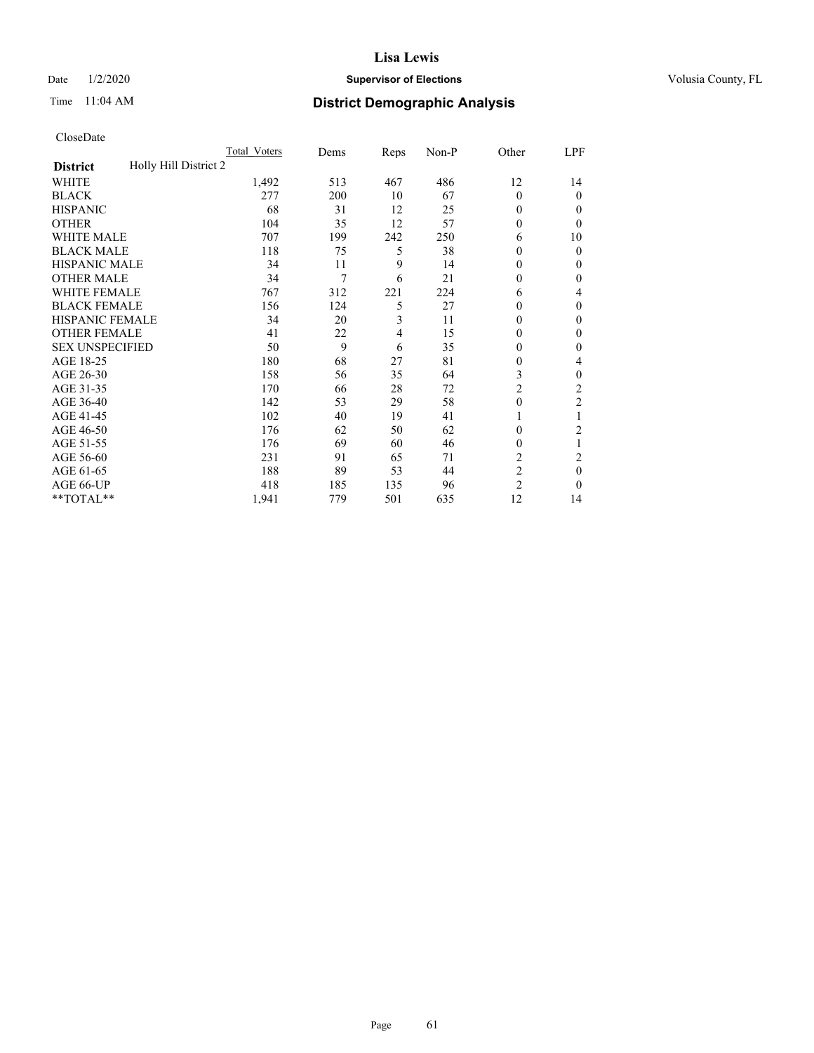## Date  $1/2/2020$  **Supervisor of Elections Supervisor of Elections** Volusia County, FL

# Time 11:04 AM **District Demographic Analysis**

|                                          | Total Voters | Dems | Reps | Non-P | Other          | LPF            |
|------------------------------------------|--------------|------|------|-------|----------------|----------------|
| Holly Hill District 2<br><b>District</b> |              |      |      |       |                |                |
| WHITE                                    | 1,492        | 513  | 467  | 486   | 12             | 14             |
| <b>BLACK</b>                             | 277          | 200  | 10   | 67    | $\Omega$       | 0              |
| <b>HISPANIC</b>                          | 68           | 31   | 12   | 25    | 0              | $_{0}$         |
| <b>OTHER</b>                             | 104          | 35   | 12   | 57    | 0              | 0              |
| WHITE MALE                               | 707          | 199  | 242  | 250   | 6              | 10             |
| <b>BLACK MALE</b>                        | 118          | 75   | 5    | 38    | 0              | 0              |
| <b>HISPANIC MALE</b>                     | 34           | 11   | 9    | 14    | 0              | 0              |
| <b>OTHER MALE</b>                        | 34           | 7    | 6    | 21    | 0              | 0              |
| WHITE FEMALE                             | 767          | 312  | 221  | 224   | 6              | 4              |
| <b>BLACK FEMALE</b>                      | 156          | 124  | 5    | 27    | 0              | 0              |
| <b>HISPANIC FEMALE</b>                   | 34           | 20   | 3    | 11    | 0              | 0              |
| <b>OTHER FEMALE</b>                      | 41           | 22   | 4    | 15    | 0              | 0              |
| <b>SEX UNSPECIFIED</b>                   | 50           | 9    | 6    | 35    | 0              | 0              |
| AGE 18-25                                | 180          | 68   | 27   | 81    | 0              | 4              |
| AGE 26-30                                | 158          | 56   | 35   | 64    | 3              | 0              |
| AGE 31-35                                | 170          | 66   | 28   | 72    | $\overline{2}$ | $\overline{c}$ |
| AGE 36-40                                | 142          | 53   | 29   | 58    | 0              | 2              |
| AGE 41-45                                | 102          | 40   | 19   | 41    |                |                |
| AGE 46-50                                | 176          | 62   | 50   | 62    | $\Omega$       | $\overline{c}$ |
| AGE 51-55                                | 176          | 69   | 60   | 46    | 0              | 1              |
| AGE 56-60                                | 231          | 91   | 65   | 71    | $\overline{c}$ | 2              |
| AGE 61-65                                | 188          | 89   | 53   | 44    | $\overline{2}$ | 0              |
| AGE 66-UP                                | 418          | 185  | 135  | 96    | $\overline{c}$ | 0              |
| **TOTAL**                                | 1,941        | 779  | 501  | 635   | 12             | 14             |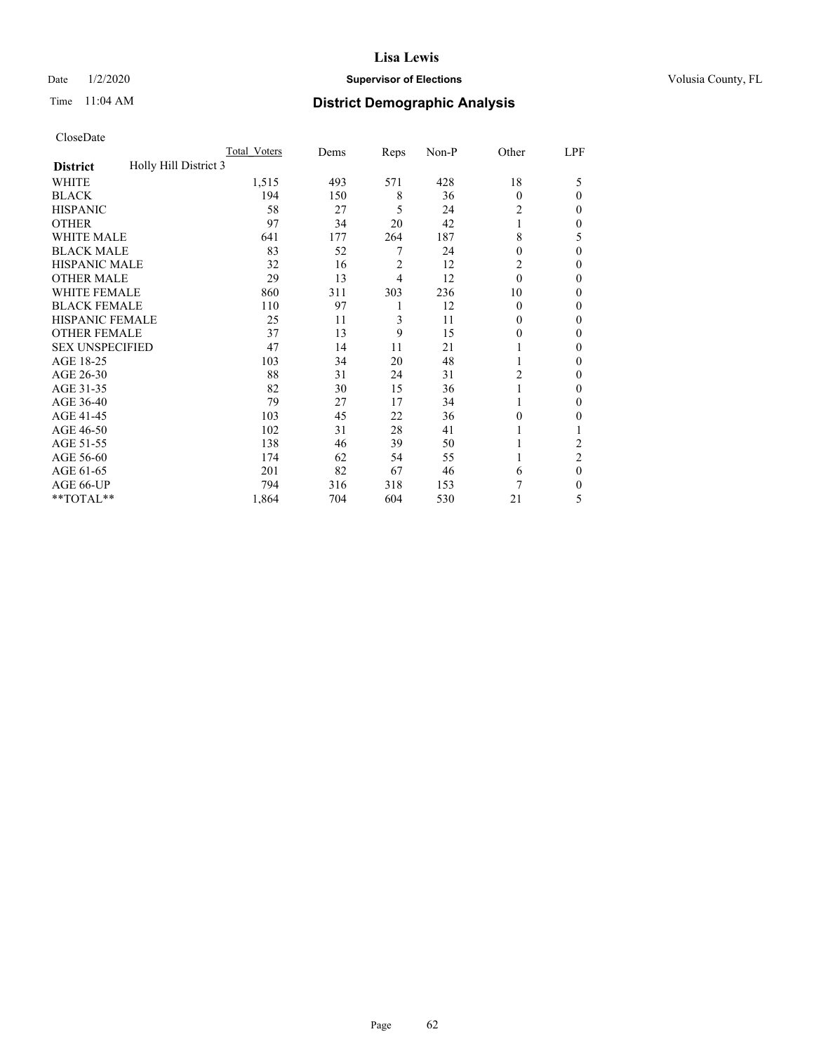## Date  $1/2/2020$  **Supervisor of Elections Supervisor of Elections** Volusia County, FL

# Time 11:04 AM **District Demographic Analysis**

|                                          | Total Voters | Dems | Reps           | Non-P | Other    | LPF            |
|------------------------------------------|--------------|------|----------------|-------|----------|----------------|
| Holly Hill District 3<br><b>District</b> |              |      |                |       |          |                |
| WHITE                                    | 1,515        | 493  | 571            | 428   | 18       | 5              |
| <b>BLACK</b>                             | 194          | 150  | 8              | 36    | $\Omega$ | 0              |
| <b>HISPANIC</b>                          | 58           | 27   | 5              | 24    | 2        | $_{0}$         |
| <b>OTHER</b>                             | 97           | 34   | 20             | 42    |          | 0              |
| WHITE MALE                               | 641          | 177  | 264            | 187   | 8        | 5              |
| <b>BLACK MALE</b>                        | 83           | 52   | 7              | 24    | 0        | 0              |
| <b>HISPANIC MALE</b>                     | 32           | 16   | $\overline{2}$ | 12    | 2        | 0              |
| <b>OTHER MALE</b>                        | 29           | 13   | 4              | 12    | $\theta$ | 0              |
| WHITE FEMALE                             | 860          | 311  | 303            | 236   | 10       | 0              |
| <b>BLACK FEMALE</b>                      | 110          | 97   | 1              | 12    | $\Omega$ | 0              |
| <b>HISPANIC FEMALE</b>                   | 25           | 11   | 3              | 11    | 0        | 0              |
| <b>OTHER FEMALE</b>                      | 37           | 13   | 9              | 15    | 0        | 0              |
| <b>SEX UNSPECIFIED</b>                   | 47           | 14   | 11             | 21    |          | 0              |
| AGE 18-25                                | 103          | 34   | 20             | 48    |          | 0              |
| AGE 26-30                                | 88           | 31   | 24             | 31    | 2        | 0              |
| AGE 31-35                                | 82           | 30   | 15             | 36    |          | 0              |
| AGE 36-40                                | 79           | 27   | 17             | 34    |          | 0              |
| AGE 41-45                                | 103          | 45   | 22             | 36    | 0        | 0              |
| AGE 46-50                                | 102          | 31   | 28             | 41    |          |                |
| AGE 51-55                                | 138          | 46   | 39             | 50    |          | $\overline{c}$ |
| AGE 56-60                                | 174          | 62   | 54             | 55    |          | $\overline{2}$ |
| AGE 61-65                                | 201          | 82   | 67             | 46    | 6        | 0              |
| AGE 66-UP                                | 794          | 316  | 318            | 153   | 7        | 0              |
| **TOTAL**                                | 1,864        | 704  | 604            | 530   | 21       | 5              |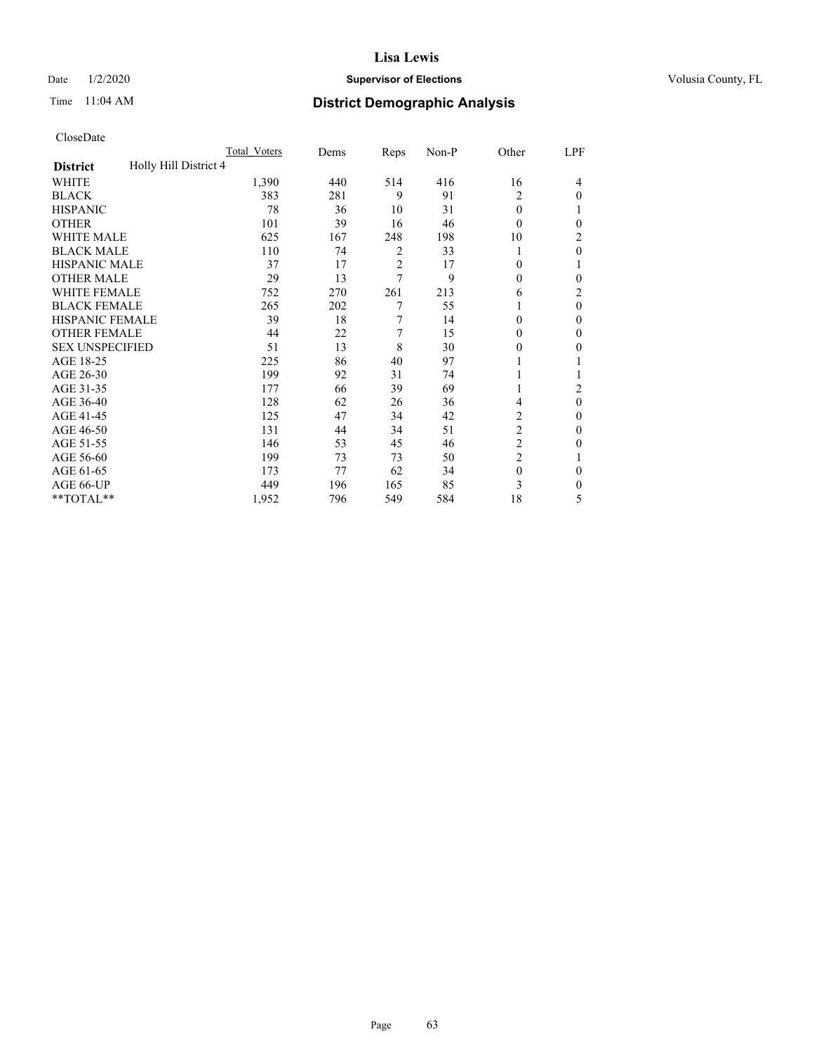## Date  $1/2/2020$  **Supervisor of Elections Supervisor of Elections** Volusia County, FL

# Time 11:04 AM **District Demographic Analysis**

|                                          | Total Voters | Dems | Reps           | Non-P | Other          | LPF      |
|------------------------------------------|--------------|------|----------------|-------|----------------|----------|
| Holly Hill District 4<br><b>District</b> |              |      |                |       |                |          |
| WHITE                                    | 1,390        | 440  | 514            | 416   | 16             | 4        |
| <b>BLACK</b>                             | 383          | 281  | 9              | 91    | 2              | $\Omega$ |
| <b>HISPANIC</b>                          | 78           | 36   | 10             | 31    | $\theta$       |          |
| <b>OTHER</b>                             | 101          | 39   | 16             | 46    | $\Omega$       | 0        |
| <b>WHITE MALE</b>                        | 625          | 167  | 248            | 198   | 10             | 2        |
| <b>BLACK MALE</b>                        | 110          | 74   | 2              | 33    | 1              | $\theta$ |
| <b>HISPANIC MALE</b>                     | 37           | 17   | $\overline{2}$ | 17    | $\theta$       |          |
| <b>OTHER MALE</b>                        | 29           | 13   | 7              | 9     | $\theta$       | 0        |
| <b>WHITE FEMALE</b>                      | 752          | 270  | 261            | 213   | 6              | 2        |
| <b>BLACK FEMALE</b>                      | 265          | 202  | 7              | 55    | 1              | $\theta$ |
| <b>HISPANIC FEMALE</b>                   | 39           | 18   | 7              | 14    | $\theta$       | 0        |
| <b>OTHER FEMALE</b>                      | 44           | 22   | 7              | 15    | $\theta$       | $\Omega$ |
| <b>SEX UNSPECIFIED</b>                   | 51           | 13   | 8              | 30    | $\theta$       | 0        |
| AGE 18-25                                | 225          | 86   | 40             | 97    |                |          |
| AGE 26-30                                | 199          | 92   | 31             | 74    | 1              |          |
| AGE 31-35                                | 177          | 66   | 39             | 69    | 1              | 2        |
| AGE 36-40                                | 128          | 62   | 26             | 36    | 4              | $\theta$ |
| AGE 41-45                                | 125          | 47   | 34             | 42    | 2              | 0        |
| AGE 46-50                                | 131          | 44   | 34             | 51    | $\overline{c}$ | $\Omega$ |
| AGE 51-55                                | 146          | 53   | 45             | 46    | $\overline{c}$ | 0        |
| AGE 56-60                                | 199          | 73   | 73             | 50    | $\overline{c}$ |          |
| AGE 61-65                                | 173          | 77   | 62             | 34    | $\mathbf{0}$   | $\theta$ |
| AGE 66-UP                                | 449          | 196  | 165            | 85    | 3              | 0        |
| **TOTAL**                                | 1,952        | 796  | 549            | 584   | 18             | 5        |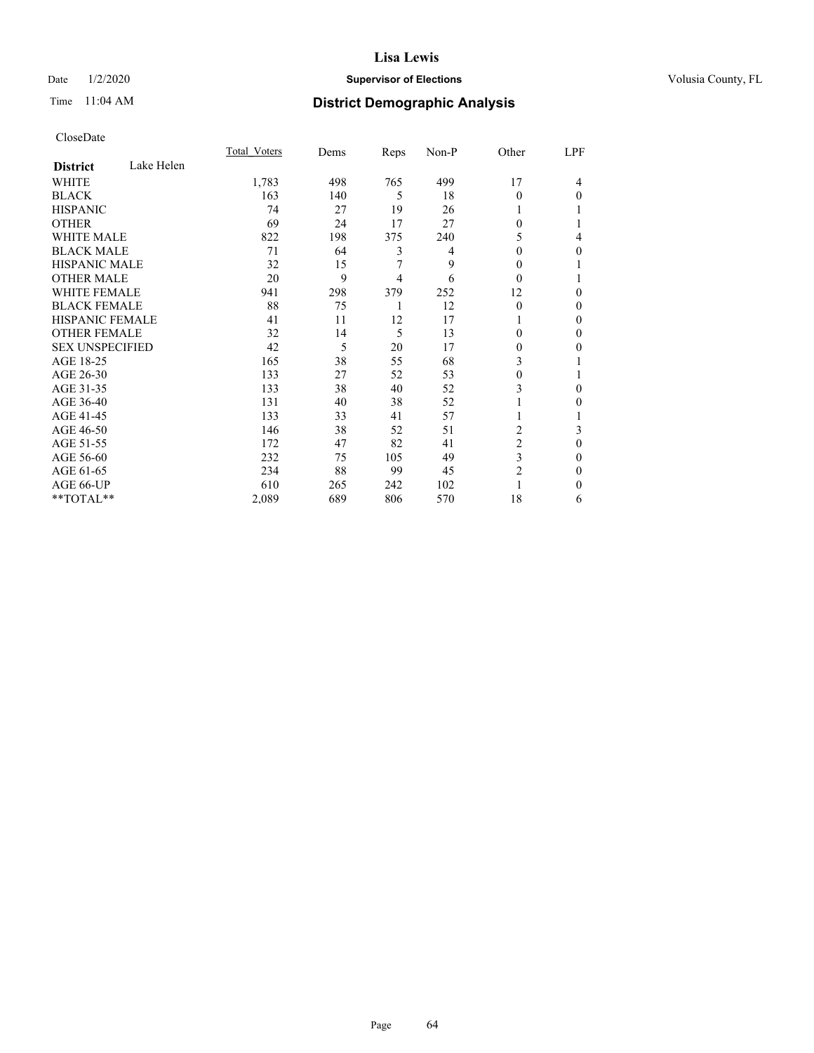## Date  $1/2/2020$  **Supervisor of Elections Supervisor of Elections** Volusia County, FL

# Time 11:04 AM **District Demographic Analysis**

|                        |            | Total Voters | Dems | Reps | Non-P | Other          | LPF |
|------------------------|------------|--------------|------|------|-------|----------------|-----|
| <b>District</b>        | Lake Helen |              |      |      |       |                |     |
| WHITE                  |            | 1,783        | 498  | 765  | 499   | 17             | 4   |
| <b>BLACK</b>           |            | 163          | 140  | 5    | 18    | 0              | 0   |
| <b>HISPANIC</b>        |            | 74           | 27   | 19   | 26    |                |     |
| <b>OTHER</b>           |            | 69           | 24   | 17   | 27    | 0              |     |
| <b>WHITE MALE</b>      |            | 822          | 198  | 375  | 240   | 5              | 4   |
| <b>BLACK MALE</b>      |            | 71           | 64   | 3    | 4     | 0              | 0   |
| <b>HISPANIC MALE</b>   |            | 32           | 15   | 7    | 9     | 0              |     |
| <b>OTHER MALE</b>      |            | 20           | 9    | 4    | 6     | $\Omega$       |     |
| <b>WHITE FEMALE</b>    |            | 941          | 298  | 379  | 252   | 12             | 0   |
| <b>BLACK FEMALE</b>    |            | 88           | 75   | 1    | 12    | $\theta$       | 0   |
| <b>HISPANIC FEMALE</b> |            | 41           | 11   | 12   | 17    |                | 0   |
| <b>OTHER FEMALE</b>    |            | 32           | 14   | 5    | 13    | 0              | 0   |
| <b>SEX UNSPECIFIED</b> |            | 42           | 5    | 20   | 17    | 0              | 0   |
| AGE 18-25              |            | 165          | 38   | 55   | 68    | 3              |     |
| AGE 26-30              |            | 133          | 27   | 52   | 53    | 0              |     |
| AGE 31-35              |            | 133          | 38   | 40   | 52    | 3              | 0   |
| AGE 36-40              |            | 131          | 40   | 38   | 52    |                | 0   |
| AGE 41-45              |            | 133          | 33   | 41   | 57    |                |     |
| AGE 46-50              |            | 146          | 38   | 52   | 51    | 2              | 3   |
| AGE 51-55              |            | 172          | 47   | 82   | 41    | $\overline{c}$ | 0   |
| AGE 56-60              |            | 232          | 75   | 105  | 49    | 3              | 0   |
| AGE 61-65              |            | 234          | 88   | 99   | 45    | 2              | 0   |
| AGE 66-UP              |            | 610          | 265  | 242  | 102   |                | 0   |
| **TOTAL**              |            | 2,089        | 689  | 806  | 570   | 18             | 6   |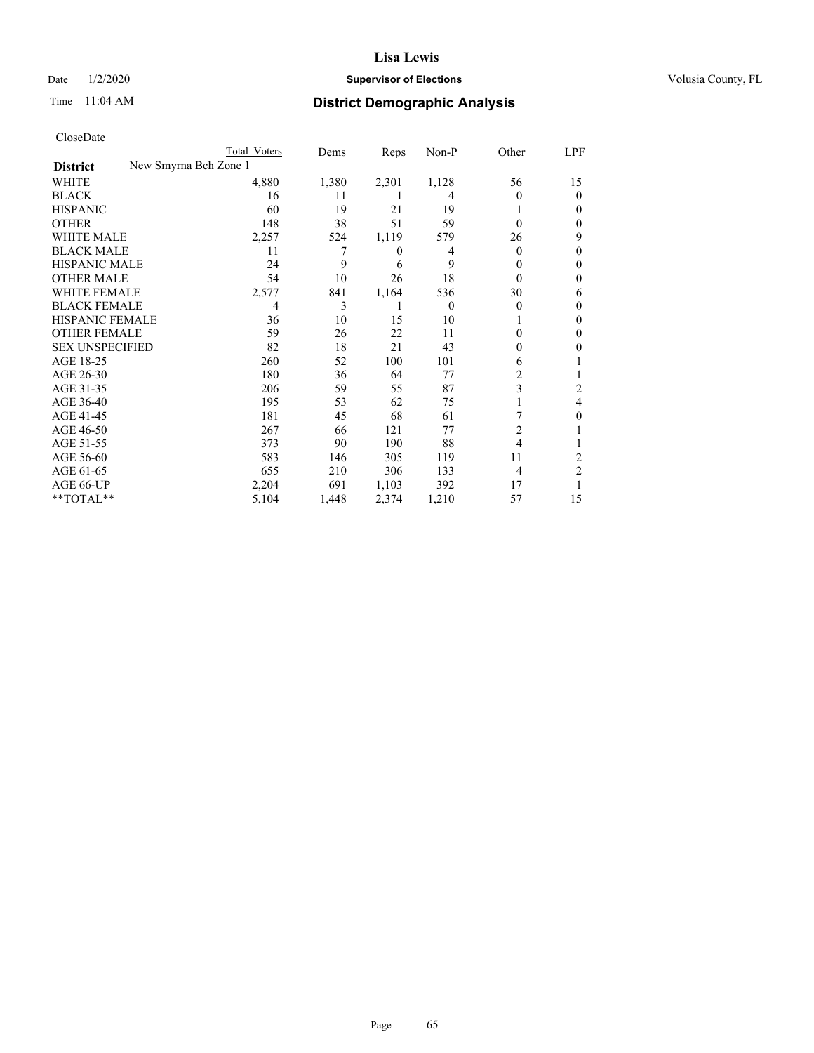## Date  $1/2/2020$  **Supervisor of Elections Supervisor of Elections** Volusia County, FL

|                                          | Total Voters | Dems  | Reps  | Non-P    | Other    | LPF            |
|------------------------------------------|--------------|-------|-------|----------|----------|----------------|
| New Smyrna Bch Zone 1<br><b>District</b> |              |       |       |          |          |                |
| WHITE                                    | 4,880        | 1,380 | 2,301 | 1,128    | 56       | 15             |
| <b>BLACK</b>                             | 16           | 11    |       | 4        | 0        | 0              |
| <b>HISPANIC</b>                          | 60           | 19    | 21    | 19       |          | $_{0}$         |
| <b>OTHER</b>                             | 148          | 38    | 51    | 59       | $\theta$ | 0              |
| <b>WHITE MALE</b>                        | 2,257        | 524   | 1,119 | 579      | 26       | 9              |
| <b>BLACK MALE</b>                        | 11           | 7     | 0     | 4        | 0        | 0              |
| <b>HISPANIC MALE</b>                     | 24           | 9     | 6     | 9        | 0        | 0              |
| <b>OTHER MALE</b>                        | 54           | 10    | 26    | 18       | $\theta$ | 0              |
| <b>WHITE FEMALE</b>                      | 2,577        | 841   | 1,164 | 536      | 30       | 6              |
| <b>BLACK FEMALE</b>                      | 4            | 3     |       | $\theta$ | 0        | $_{0}$         |
| HISPANIC FEMALE                          | 36           | 10    | 15    | 10       |          | 0              |
| <b>OTHER FEMALE</b>                      | 59           | 26    | 22    | 11       | 0        | 0              |
| <b>SEX UNSPECIFIED</b>                   | 82           | 18    | 21    | 43       | 0        | 0              |
| AGE 18-25                                | 260          | 52    | 100   | 101      | 6        |                |
| AGE 26-30                                | 180          | 36    | 64    | 77       | 2        |                |
| AGE 31-35                                | 206          | 59    | 55    | 87       | 3        | 2              |
| AGE 36-40                                | 195          | 53    | 62    | 75       |          | 4              |
| AGE 41-45                                | 181          | 45    | 68    | 61       |          | 0              |
| AGE 46-50                                | 267          | 66    | 121   | 77       | 2        |                |
| AGE 51-55                                | 373          | 90    | 190   | 88       | 4        |                |
| AGE 56-60                                | 583          | 146   | 305   | 119      | 11       | 2              |
| AGE 61-65                                | 655          | 210   | 306   | 133      | 4        | $\overline{2}$ |
| AGE 66-UP                                | 2,204        | 691   | 1,103 | 392      | 17       |                |
| **TOTAL**                                | 5,104        | 1,448 | 2,374 | 1,210    | 57       | 15             |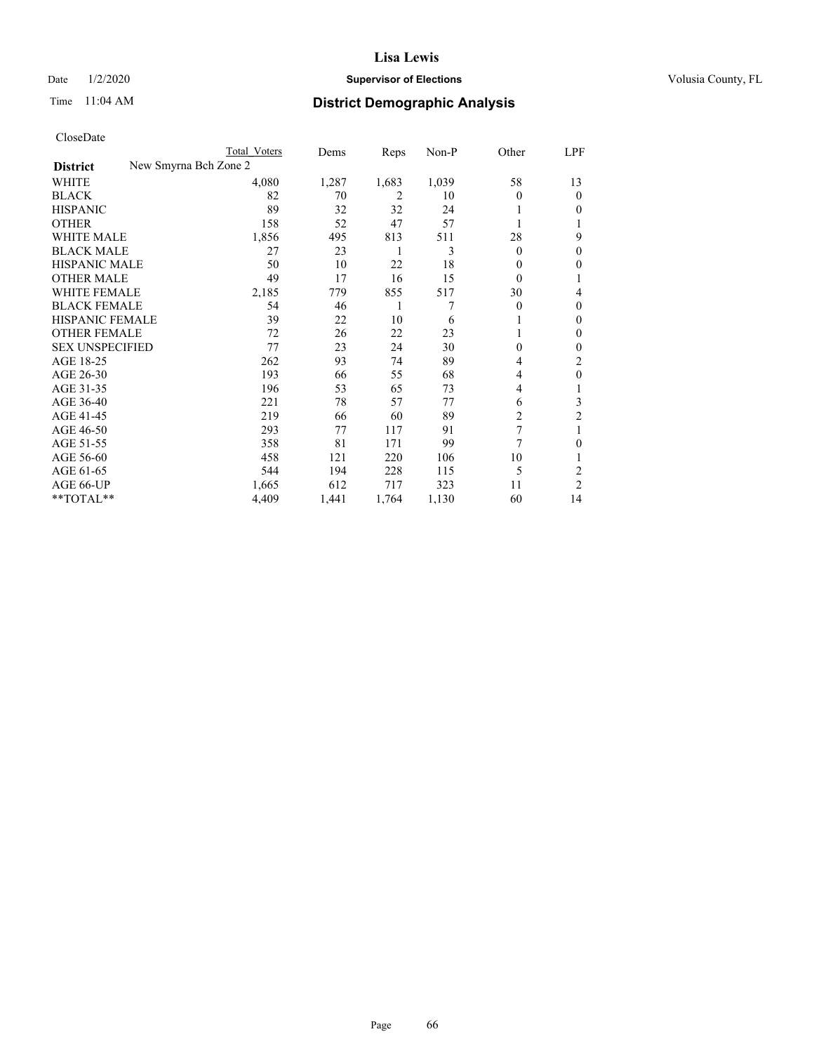## Date  $1/2/2020$  **Supervisor of Elections Supervisor of Elections** Volusia County, FL

| CloseDate |
|-----------|
|-----------|

|                                          | <b>Total Voters</b> | Dems  | Reps  | Non-P | Other    | LPF            |
|------------------------------------------|---------------------|-------|-------|-------|----------|----------------|
| New Smyrna Bch Zone 2<br><b>District</b> |                     |       |       |       |          |                |
| WHITE                                    | 4,080               | 1,287 | 1,683 | 1,039 | 58       | 13             |
| BLACK                                    | 82                  | 70    | 2     | 10    | 0        | $\theta$       |
| HISPANIC                                 | 89                  | 32    | 32    | 24    |          | $_{0}$         |
| OTHER                                    | 158                 | 52    | 47    | 57    |          |                |
| WHITE MALE                               | 1,856               | 495   | 813   | 511   | 28       | 9              |
| <b>BLACK MALE</b>                        | 27                  | 23    | 1     | 3     | $\Omega$ | 0              |
| HISPANIC MALE                            | 50                  | 10    | 22    | 18    | $\Omega$ | $_{0}$         |
| OTHER MALE                               | 49                  | 17    | 16    | 15    | $\theta$ |                |
| WHITE FEMALE                             | 2,185               | 779   | 855   | 517   | 30       | 4              |
| BLACK FEMALE                             | 54                  | 46    | 1     | 7     | $\Omega$ | $_{0}$         |
| HISPANIC FEMALE                          | 39                  | 22    | 10    | 6     |          | $_{0}$         |
| OTHER FEMALE                             | 72                  | 26    | 22    | 23    |          | $_{0}$         |
| <b>SEX UNSPECIFIED</b>                   | 77                  | 23    | 24    | 30    | 0        | 0              |
| AGE 18-25                                | 262                 | 93    | 74    | 89    | 4        | 2              |
| AGE 26-30                                | 193                 | 66    | 55    | 68    | 4        | 0              |
| AGE 31-35                                | 196                 | 53    | 65    | 73    | 4        |                |
| AGE 36-40                                | 221                 | 78    | 57    | 77    | 6        | 3              |
| AGE 41-45                                | 219                 | 66    | 60    | 89    | 2        | 2              |
| AGE 46-50                                | 293                 | 77    | 117   | 91    | 7        |                |
| AGE 51-55                                | 358                 | 81    | 171   | 99    | 7        | 0              |
| AGE 56-60                                | 458                 | 121   | 220   | 106   | 10       |                |
| AGE 61-65                                | 544                 | 194   | 228   | 115   | 5        | 2              |
| AGE 66-UP                                | 1,665               | 612   | 717   | 323   | 11       | $\overline{c}$ |
| $*$ $TOTAL**$                            | 4,409               | 1,441 | 1,764 | 1,130 | 60       | 14             |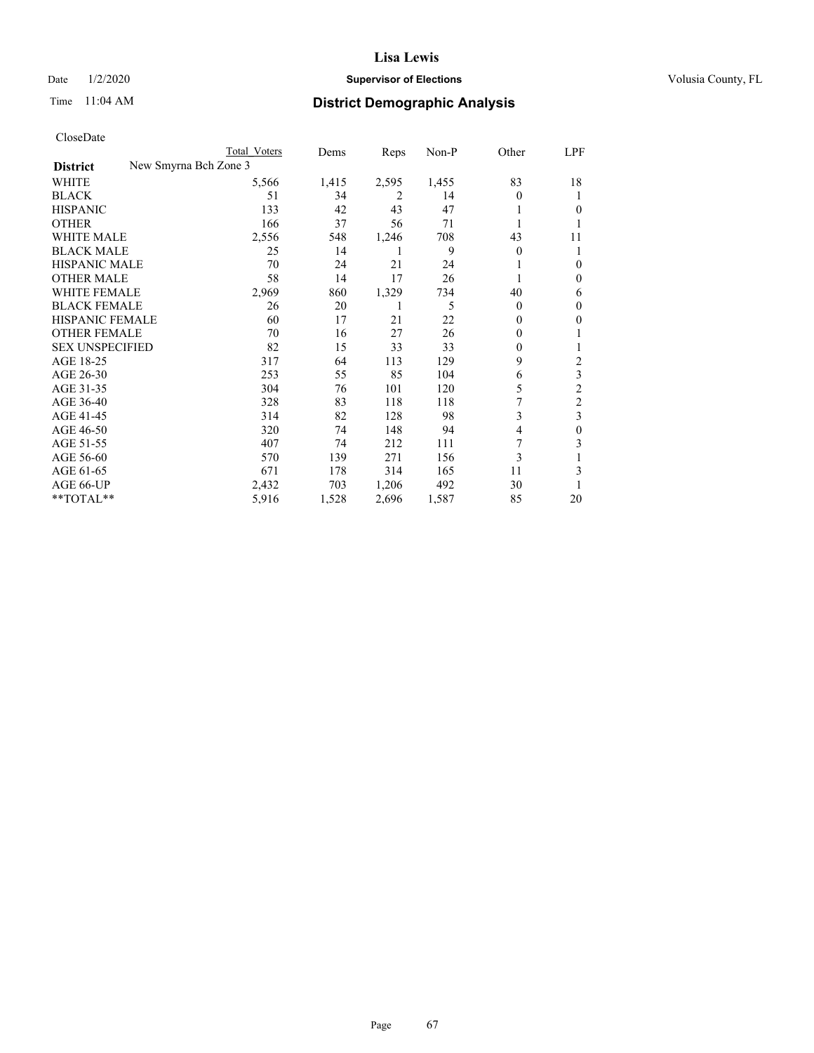## Date  $1/2/2020$  **Supervisor of Elections Supervisor of Elections** Volusia County, FL

|                                          | Total Voters | Dems  | Reps  | Non-P | Other    | LPF            |
|------------------------------------------|--------------|-------|-------|-------|----------|----------------|
| New Smyrna Bch Zone 3<br><b>District</b> |              |       |       |       |          |                |
| WHITE                                    | 5,566        | 1,415 | 2,595 | 1,455 | 83       | 18             |
| BLACK                                    | 51           | 34    | 2     | 14    | $\theta$ |                |
| HISPANIC                                 | 133          | 42    | 43    | 47    |          | $_{0}$         |
| OTHER                                    | 166          | 37    | 56    | 71    |          |                |
| WHITE MALE                               | 2,556        | 548   | 1,246 | 708   | 43       | 11             |
| BLACK MALE                               | 25           | 14    | 1     | 9     | $\theta$ |                |
| HISPANIC MALE                            | 70           | 24    | 21    | 24    |          | $_{0}$         |
| OTHER MALE                               | 58           | 14    | 17    | 26    |          | 0              |
| WHITE FEMALE                             | 2,969        | 860   | 1,329 | 734   | 40       | 6              |
| BLACK FEMALE                             | 26           | 20    |       | 5     | $\theta$ | $\theta$       |
| HISPANIC FEMALE                          | 60           | 17    | 21    | 22    | 0        | 0              |
| OTHER FEMALE                             | 70           | 16    | 27    | 26    | 0        |                |
| <b>SEX UNSPECIFIED</b>                   | 82           | 15    | 33    | 33    | 0        |                |
| AGE 18-25                                | 317          | 64    | 113   | 129   | 9        | 2              |
| AGE 26-30                                | 253          | 55    | 85    | 104   | 6        | 3              |
| AGE 31-35                                | 304          | 76    | 101   | 120   | 5        | 2              |
| AGE 36-40                                | 328          | 83    | 118   | 118   |          | $\overline{c}$ |
| AGE 41-45                                | 314          | 82    | 128   | 98    | 3        | 3              |
| AGE 46-50                                | 320          | 74    | 148   | 94    | 4        | 0              |
| AGE 51-55                                | 407          | 74    | 212   | 111   |          | 3              |
| AGE 56-60                                | 570          | 139   | 271   | 156   | 3        |                |
| AGE 61-65                                | 671          | 178   | 314   | 165   | 11       | 3              |
| AGE 66-UP                                | 2,432        | 703   | 1,206 | 492   | 30       |                |
| $*$ $TOTAL**$                            | 5,916        | 1,528 | 2,696 | 1,587 | 85       | 20             |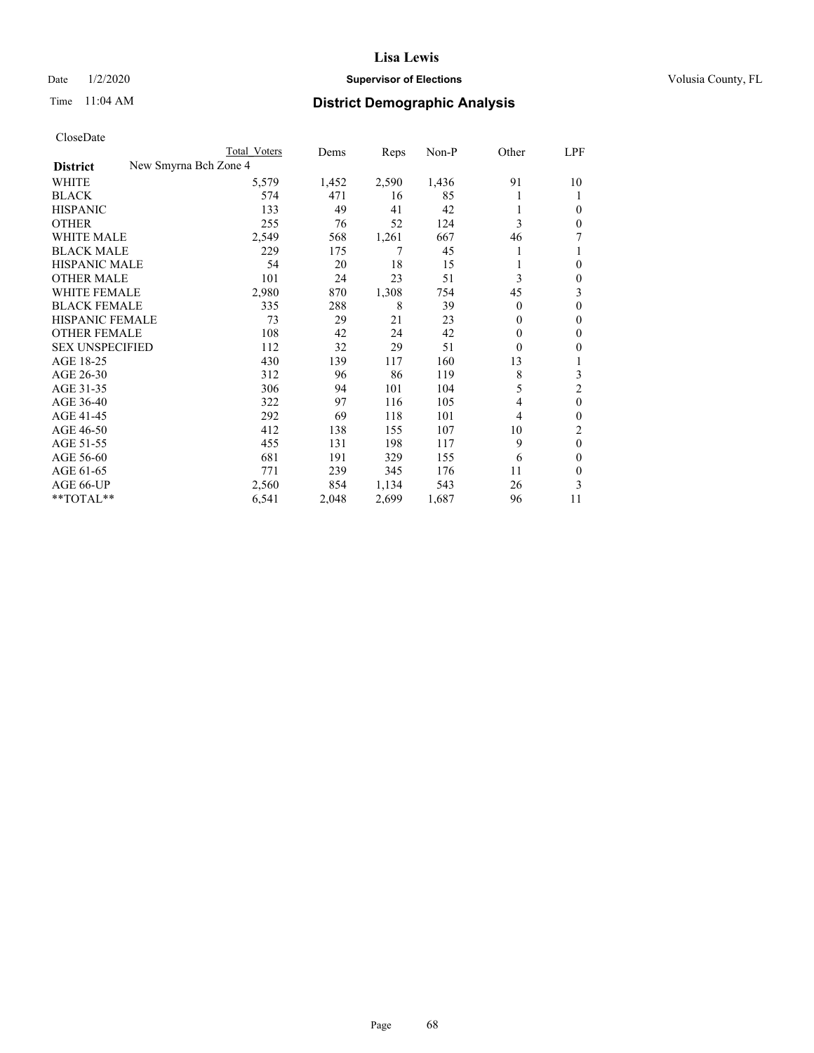## Date  $1/2/2020$  **Supervisor of Elections Supervisor of Elections** Volusia County, FL

|                                          | Total Voters | Dems  | Reps  | $Non-P$ | Other          | LPF          |
|------------------------------------------|--------------|-------|-------|---------|----------------|--------------|
| New Smyrna Bch Zone 4<br><b>District</b> |              |       |       |         |                |              |
| WHITE                                    | 5,579        | 1,452 | 2,590 | 1,436   | 91             | 10           |
| <b>BLACK</b>                             | 574          | 471   | 16    | 85      | 1              | 1            |
| <b>HISPANIC</b>                          | 133          | 49    | 41    | 42      | 1              | 0            |
| <b>OTHER</b>                             | 255          | 76    | 52    | 124     | 3              | 0            |
| <b>WHITE MALE</b>                        | 2,549        | 568   | 1,261 | 667     | 46             | 7            |
| <b>BLACK MALE</b>                        | 229          | 175   | 7     | 45      | 1              |              |
| <b>HISPANIC MALE</b>                     | 54           | 20    | 18    | 15      | 1              | 0            |
| <b>OTHER MALE</b>                        | 101          | 24    | 23    | 51      | 3              | 0            |
| WHITE FEMALE                             | 2,980        | 870   | 1,308 | 754     | 45             | 3            |
| <b>BLACK FEMALE</b>                      | 335          | 288   | 8     | 39      | $\theta$       | 0            |
| HISPANIC FEMALE                          | 73           | 29    | 21    | 23      | $\theta$       | 0            |
| <b>OTHER FEMALE</b>                      | 108          | 42    | 24    | 42      | $\theta$       | 0            |
| <b>SEX UNSPECIFIED</b>                   | 112          | 32    | 29    | 51      | $\theta$       | 0            |
| AGE 18-25                                | 430          | 139   | 117   | 160     | 13             |              |
| AGE 26-30                                | 312          | 96    | 86    | 119     | 8              | 3            |
| AGE 31-35                                | 306          | 94    | 101   | 104     | 5              | 2            |
| AGE 36-40                                | 322          | 97    | 116   | 105     | 4              | $\mathbf{0}$ |
| AGE 41-45                                | 292          | 69    | 118   | 101     | $\overline{4}$ | 0            |
| AGE 46-50                                | 412          | 138   | 155   | 107     | 10             | 2            |
| AGE 51-55                                | 455          | 131   | 198   | 117     | 9              | $\theta$     |
| AGE 56-60                                | 681          | 191   | 329   | 155     | 6              | 0            |
| AGE 61-65                                | 771          | 239   | 345   | 176     | 11             | 0            |
| AGE 66-UP                                | 2,560        | 854   | 1,134 | 543     | 26             | 3            |
| **TOTAL**                                | 6,541        | 2,048 | 2,699 | 1,687   | 96             | 11           |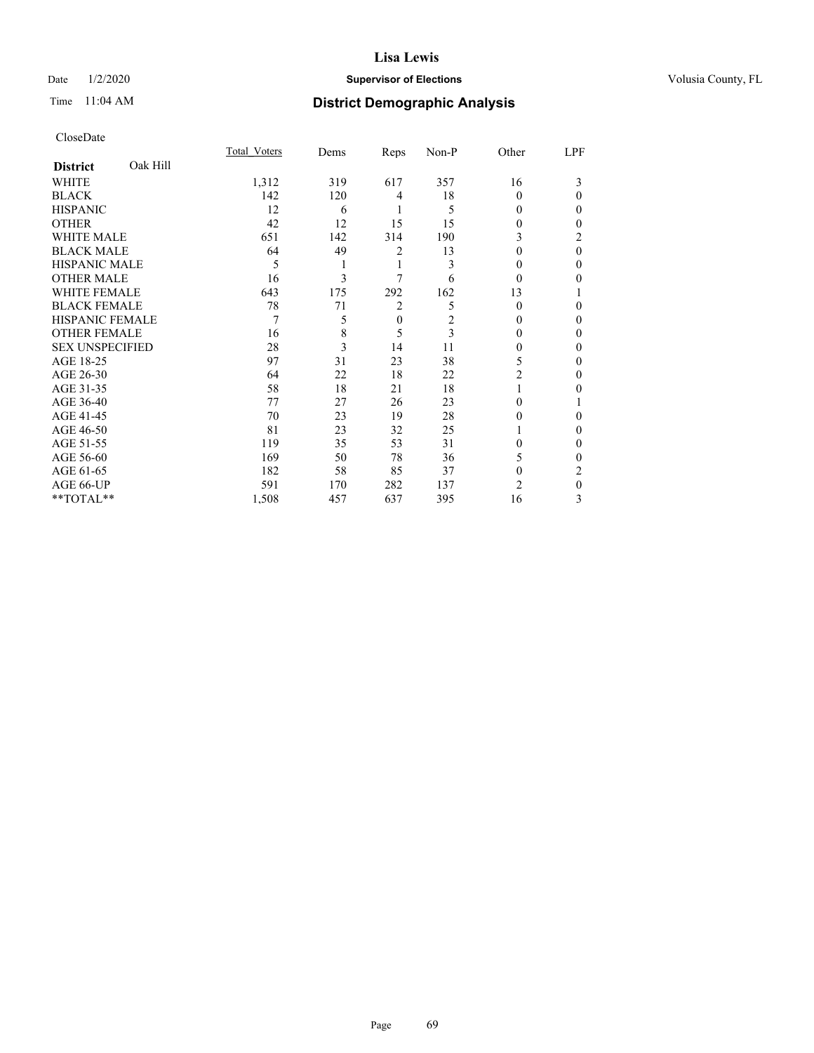## Date  $1/2/2020$  **Supervisor of Elections Supervisor of Elections** Volusia County, FL

## Time 11:04 AM **District Demographic Analysis**

|                        |          | Total Voters | Dems | Reps             | Non-P | Other          | LPF      |
|------------------------|----------|--------------|------|------------------|-------|----------------|----------|
| <b>District</b>        | Oak Hill |              |      |                  |       |                |          |
| WHITE                  |          | 1,312        | 319  | 617              | 357   | 16             | 3        |
| <b>BLACK</b>           |          | 142          | 120  | 4                | 18    | 0              | 0        |
| <b>HISPANIC</b>        |          | 12           | 6    | 1                | 5     | 0              | 0        |
| <b>OTHER</b>           |          | 42           | 12   | 15               | 15    | 0              | 0        |
| WHITE MALE             |          | 651          | 142  | 314              | 190   | 3              | 2        |
| <b>BLACK MALE</b>      |          | 64           | 49   | 2                | 13    | $\theta$       | $\theta$ |
| <b>HISPANIC MALE</b>   |          | 5            |      | 1                | 3     | $\theta$       | 0        |
| <b>OTHER MALE</b>      |          | 16           | 3    | 7                | 6     | $\Omega$       | 0        |
| WHITE FEMALE           |          | 643          | 175  | 292              | 162   | 13             |          |
| <b>BLACK FEMALE</b>    |          | 78           | 71   | 2                | 5     | $\Omega$       | 0        |
| <b>HISPANIC FEMALE</b> |          | 7            | 5    | $\boldsymbol{0}$ | 2     | $\Omega$       | 0        |
| <b>OTHER FEMALE</b>    |          | 16           | 8    | 5                | 3     | $\Omega$       | 0        |
| <b>SEX UNSPECIFIED</b> |          | 28           | 3    | 14               | 11    | 0              | 0        |
| AGE 18-25              |          | 97           | 31   | 23               | 38    | 5              | 0        |
| AGE 26-30              |          | 64           | 22   | 18               | 22    | 2              | 0        |
| AGE 31-35              |          | 58           | 18   | 21               | 18    |                | 0        |
| AGE 36-40              |          | 77           | 27   | 26               | 23    | 0              |          |
| AGE 41-45              |          | 70           | 23   | 19               | 28    | $\theta$       | 0        |
| AGE 46-50              |          | 81           | 23   | 32               | 25    |                | 0        |
| AGE 51-55              |          | 119          | 35   | 53               | 31    | 0              | 0        |
| AGE 56-60              |          | 169          | 50   | 78               | 36    | 5              | 0        |
| AGE 61-65              |          | 182          | 58   | 85               | 37    | $\theta$       | 2        |
| AGE 66-UP              |          | 591          | 170  | 282              | 137   | $\overline{c}$ | 0        |
| **TOTAL**              |          | 1,508        | 457  | 637              | 395   | 16             | 3        |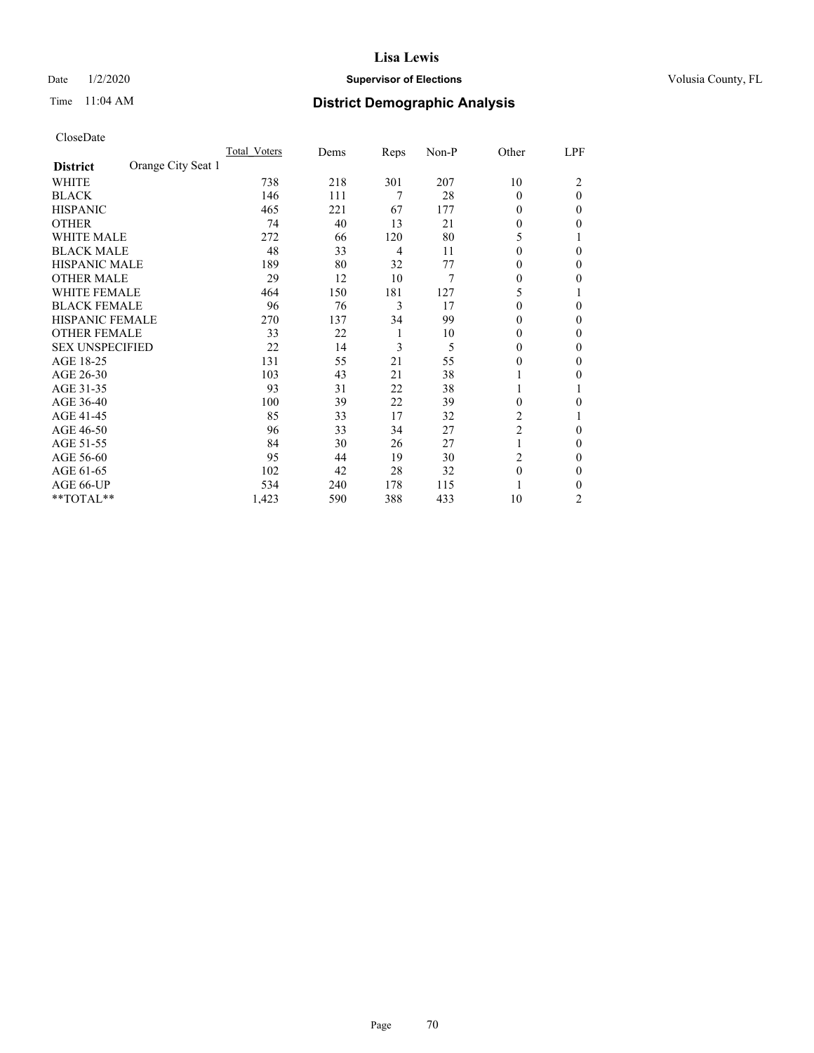## Date  $1/2/2020$  **Supervisor of Elections Supervisor of Elections** Volusia County, FL

# Time 11:04 AM **District Demographic Analysis**

|                                       | Total Voters | Dems | Reps | Non-P | Other          | LPF      |
|---------------------------------------|--------------|------|------|-------|----------------|----------|
| Orange City Seat 1<br><b>District</b> |              |      |      |       |                |          |
| WHITE                                 | 738          | 218  | 301  | 207   | 10             | 2        |
| <b>BLACK</b>                          | 146          | 111  | 7    | 28    | $\theta$       | $\theta$ |
| <b>HISPANIC</b>                       | 465          | 221  | 67   | 177   | 0              | 0        |
| <b>OTHER</b>                          | 74           | 40   | 13   | 21    | 0              | 0        |
| <b>WHITE MALE</b>                     | 272          | 66   | 120  | 80    | 5              |          |
| <b>BLACK MALE</b>                     | 48           | 33   | 4    | 11    | $\Omega$       | 0        |
| <b>HISPANIC MALE</b>                  | 189          | 80   | 32   | 77    | 0              | 0        |
| <b>OTHER MALE</b>                     | 29           | 12   | 10   | 7     | 0              | 0        |
| <b>WHITE FEMALE</b>                   | 464          | 150  | 181  | 127   | 5              |          |
| <b>BLACK FEMALE</b>                   | 96           | 76   | 3    | 17    | 0              | 0        |
| <b>HISPANIC FEMALE</b>                | 270          | 137  | 34   | 99    | 0              | 0        |
| <b>OTHER FEMALE</b>                   | 33           | 22   | 1    | 10    | $\Omega$       | 0        |
| <b>SEX UNSPECIFIED</b>                | 22           | 14   | 3    | 5     | $\Omega$       | 0        |
| AGE 18-25                             | 131          | 55   | 21   | 55    | 0              | 0        |
| AGE 26-30                             | 103          | 43   | 21   | 38    |                | 0        |
| AGE 31-35                             | 93           | 31   | 22   | 38    | 1              |          |
| AGE 36-40                             | 100          | 39   | 22   | 39    | 0              | 0        |
| AGE 41-45                             | 85           | 33   | 17   | 32    | 2              |          |
| AGE 46-50                             | 96           | 33   | 34   | 27    | $\overline{2}$ | 0        |
| AGE 51-55                             | 84           | 30   | 26   | 27    | 1              | 0        |
| AGE 56-60                             | 95           | 44   | 19   | 30    | 2              | 0        |
| AGE 61-65                             | 102          | 42   | 28   | 32    | $\theta$       | 0        |
| AGE 66-UP                             | 534          | 240  | 178  | 115   |                | 0        |
| **TOTAL**                             | 1,423        | 590  | 388  | 433   | 10             | 2        |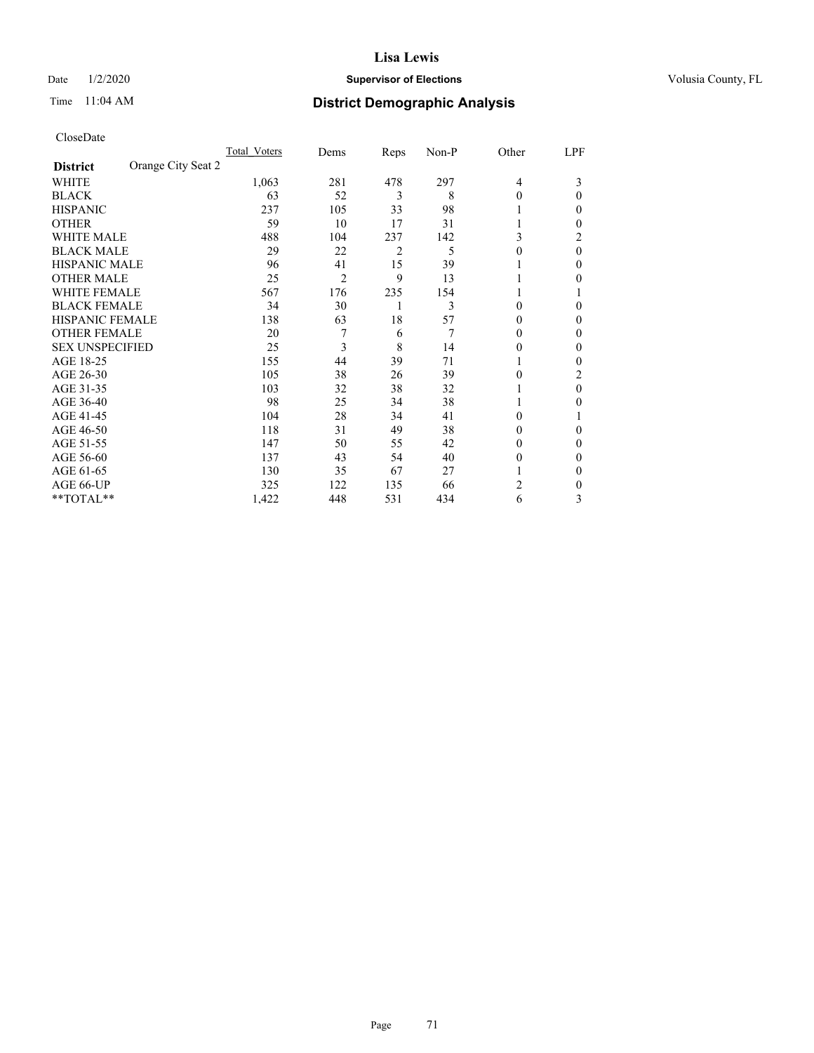## Date  $1/2/2020$  **Supervisor of Elections Supervisor of Elections** Volusia County, FL

# Time 11:04 AM **District Demographic Analysis**

|                                       | Total Voters | Dems | Reps | Non-P | Other          | LPF      |
|---------------------------------------|--------------|------|------|-------|----------------|----------|
| Orange City Seat 2<br><b>District</b> |              |      |      |       |                |          |
| WHITE                                 | 1,063        | 281  | 478  | 297   | $\overline{4}$ | 3        |
| <b>BLACK</b>                          | 63           | 52   | 3    | 8     | $\theta$       | 0        |
| <b>HISPANIC</b>                       | 237          | 105  | 33   | 98    | 1              | 0        |
| <b>OTHER</b>                          | 59           | 10   | 17   | 31    |                | 0        |
| <b>WHITE MALE</b>                     | 488          | 104  | 237  | 142   | 3              | 2        |
| <b>BLACK MALE</b>                     | 29           | 22   | 2    | 5     | $\theta$       | $\theta$ |
| <b>HISPANIC MALE</b>                  | 96           | 41   | 15   | 39    |                | 0        |
| <b>OTHER MALE</b>                     | 25           | 2    | 9    | 13    |                | 0        |
| <b>WHITE FEMALE</b>                   | 567          | 176  | 235  | 154   |                |          |
| <b>BLACK FEMALE</b>                   | 34           | 30   | 1    | 3     | $\theta$       | 0        |
| <b>HISPANIC FEMALE</b>                | 138          | 63   | 18   | 57    | $\theta$       | 0        |
| <b>OTHER FEMALE</b>                   | 20           |      | 6    | 7     | $\Omega$       | 0        |
| <b>SEX UNSPECIFIED</b>                | 25           | 3    | 8    | 14    | 0              | 0        |
| AGE 18-25                             | 155          | 44   | 39   | 71    |                | 0        |
| AGE 26-30                             | 105          | 38   | 26   | 39    | $\theta$       | 2        |
| AGE 31-35                             | 103          | 32   | 38   | 32    |                | 0        |
| AGE 36-40                             | 98           | 25   | 34   | 38    |                | 0        |
| AGE 41-45                             | 104          | 28   | 34   | 41    | $\Omega$       |          |
| AGE 46-50                             | 118          | 31   | 49   | 38    | $\Omega$       | 0        |
| AGE 51-55                             | 147          | 50   | 55   | 42    | $\theta$       | 0        |
| AGE 56-60                             | 137          | 43   | 54   | 40    | $\theta$       | 0        |
| AGE 61-65                             | 130          | 35   | 67   | 27    |                | 0        |
| AGE 66-UP                             | 325          | 122  | 135  | 66    | 2              | 0        |
| **TOTAL**                             | 1,422        | 448  | 531  | 434   | 6              | 3        |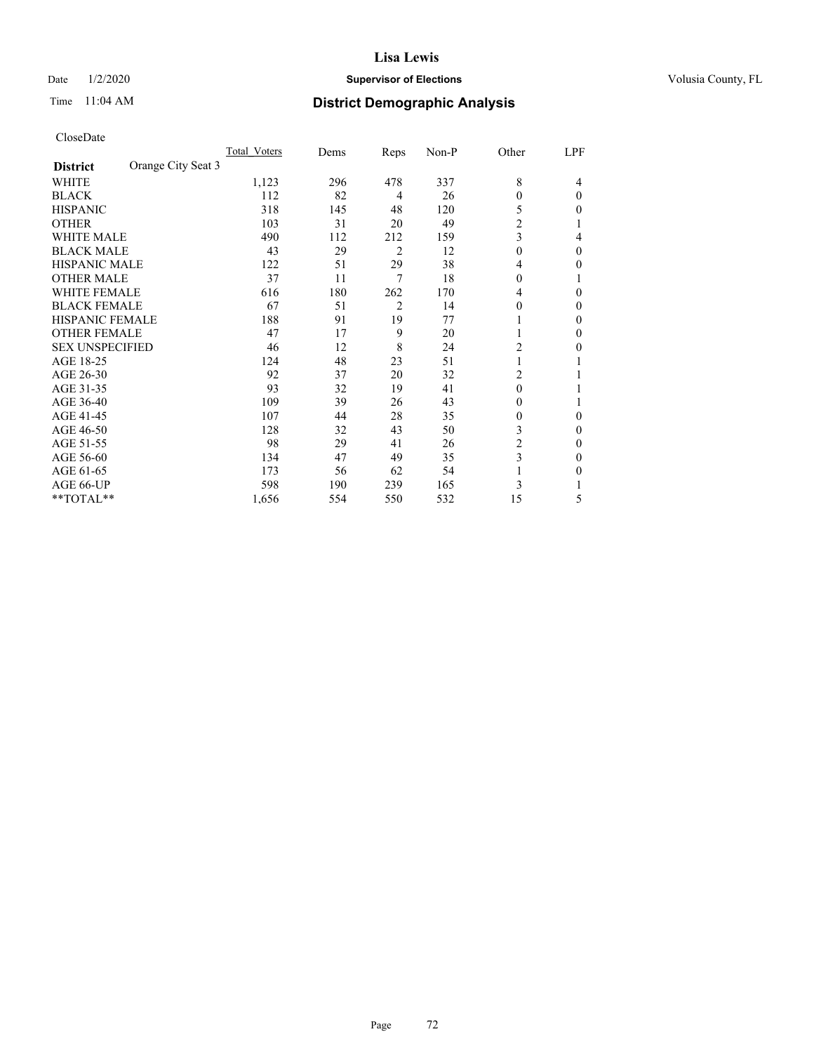## Date  $1/2/2020$  **Supervisor of Elections Supervisor of Elections** Volusia County, FL

| CloseDate |
|-----------|
|-----------|

|                                       | Total Voters | Dems | Reps           | $Non-P$ | Other                   | LPF      |
|---------------------------------------|--------------|------|----------------|---------|-------------------------|----------|
| Orange City Seat 3<br><b>District</b> |              |      |                |         |                         |          |
| WHITE                                 | 1,123        | 296  | 478            | 337     | 8                       | 4        |
| <b>BLACK</b>                          | 112          | 82   | 4              | 26      | 0                       | $\theta$ |
| <b>HISPANIC</b>                       | 318          | 145  | 48             | 120     | 5                       | 0        |
| <b>OTHER</b>                          | 103          | 31   | 20             | 49      | $\overline{c}$          |          |
| <b>WHITE MALE</b>                     | 490          | 112  | 212            | 159     | 3                       | 4        |
| <b>BLACK MALE</b>                     | 43           | 29   | $\overline{2}$ | 12      | $\theta$                | $\Omega$ |
| <b>HISPANIC MALE</b>                  | 122          | 51   | 29             | 38      | 4                       | 0        |
| <b>OTHER MALE</b>                     | 37           | 11   | 7              | 18      | 0                       |          |
| <b>WHITE FEMALE</b>                   | 616          | 180  | 262            | 170     | 4                       | 0        |
| <b>BLACK FEMALE</b>                   | 67           | 51   | 2              | 14      | 0                       | 0        |
| <b>HISPANIC FEMALE</b>                | 188          | 91   | 19             | 77      |                         | 0        |
| <b>OTHER FEMALE</b>                   | 47           | 17   | 9              | 20      |                         | 0        |
| <b>SEX UNSPECIFIED</b>                | 46           | 12   | 8              | 24      | 2                       | 0        |
| AGE 18-25                             | 124          | 48   | 23             | 51      |                         |          |
| AGE 26-30                             | 92           | 37   | 20             | 32      | 2                       |          |
| AGE 31-35                             | 93           | 32   | 19             | 41      | 0                       |          |
| AGE 36-40                             | 109          | 39   | 26             | 43      | 0                       |          |
| AGE 41-45                             | 107          | 44   | 28             | 35      | 0                       | 0        |
| AGE 46-50                             | 128          | 32   | 43             | 50      | 3                       | $\Omega$ |
| AGE 51-55                             | 98           | 29   | 41             | 26      | $\overline{\mathbf{c}}$ | $\Omega$ |
| AGE 56-60                             | 134          | 47   | 49             | 35      | 3                       | $_{0}$   |
| AGE 61-65                             | 173          | 56   | 62             | 54      |                         | 0        |
| AGE 66-UP                             | 598          | 190  | 239            | 165     | 3                       |          |
| **TOTAL**                             | 1,656        | 554  | 550            | 532     | 15                      | 5        |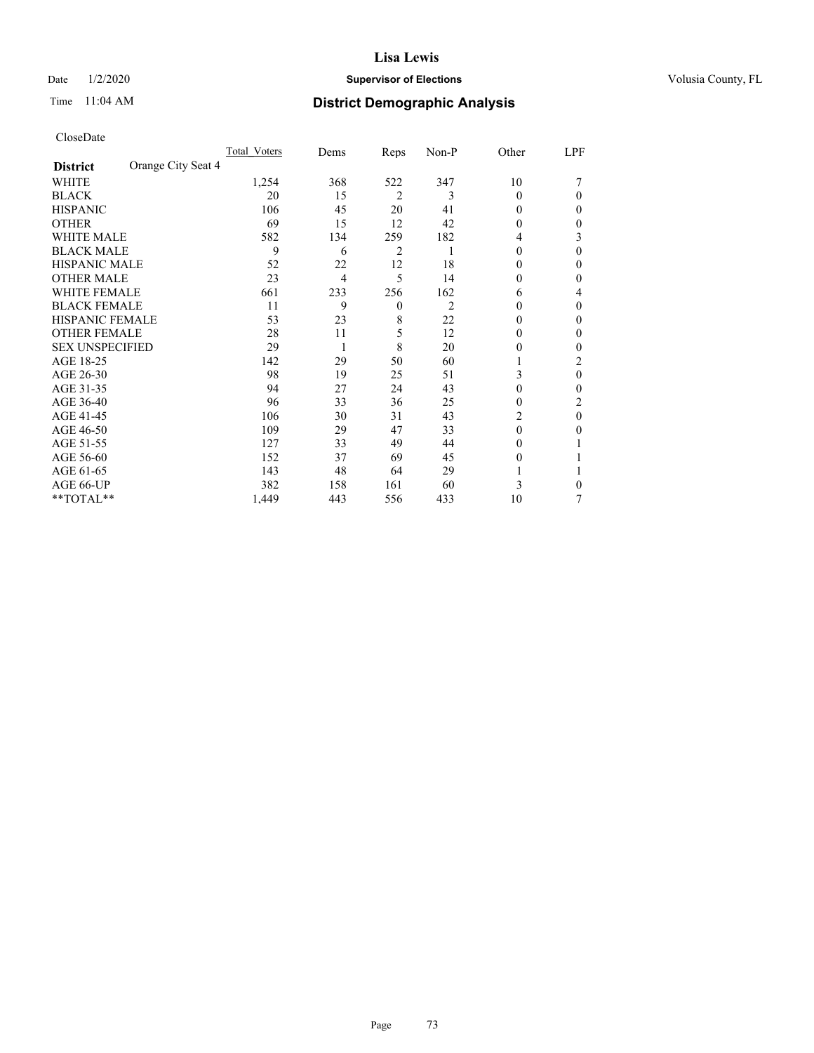### Date  $1/2/2020$  **Supervisor of Elections Supervisor of Elections** Volusia County, FL

# Time 11:04 AM **District Demographic Analysis**

|                        |                    | Total Voters | Dems           | Reps           | Non-P | Other    | LPF |
|------------------------|--------------------|--------------|----------------|----------------|-------|----------|-----|
| <b>District</b>        | Orange City Seat 4 |              |                |                |       |          |     |
| WHITE                  |                    | 1,254        | 368            | 522            | 347   | 10       |     |
| <b>BLACK</b>           |                    | 20           | 15             | $\overline{2}$ | 3     | 0        | 0   |
| <b>HISPANIC</b>        |                    | 106          | 45             | 20             | 41    | $_{0}$   | 0   |
| <b>OTHER</b>           |                    | 69           | 15             | 12             | 42    | 0        | 0   |
| WHITE MALE             |                    | 582          | 134            | 259            | 182   | 4        | 3   |
| <b>BLACK MALE</b>      |                    | 9            | 6              | 2              |       | $\Omega$ | 0   |
| <b>HISPANIC MALE</b>   |                    | 52           | 22             | 12             | 18    | $_{0}$   | 0   |
| <b>OTHER MALE</b>      |                    | 23           | $\overline{4}$ | 5              | 14    | 0        | 0   |
| WHITE FEMALE           |                    | 661          | 233            | 256            | 162   | 6        | 4   |
| <b>BLACK FEMALE</b>    |                    | 11           | 9              | $\mathbf{0}$   | 2     | 0        | 0   |
| <b>HISPANIC FEMALE</b> |                    | 53           | 23             | 8              | 22    | 0        | 0   |
| <b>OTHER FEMALE</b>    |                    | 28           | 11             | 5              | 12    | $_{0}$   | 0   |
| <b>SEX UNSPECIFIED</b> |                    | 29           | 1              | 8              | 20    | 0        | 0   |
| AGE 18-25              |                    | 142          | 29             | 50             | 60    |          | 2   |
| AGE 26-30              |                    | 98           | 19             | 25             | 51    | 3        | 0   |
| AGE 31-35              |                    | 94           | 27             | 24             | 43    | 0        | 0   |
| AGE 36-40              |                    | 96           | 33             | 36             | 25    | 0        | 2   |
| AGE 41-45              |                    | 106          | 30             | 31             | 43    | 2        | 0   |
| AGE 46-50              |                    | 109          | 29             | 47             | 33    | $\Omega$ | 0   |
| AGE 51-55              |                    | 127          | 33             | 49             | 44    | $_{0}$   |     |
| AGE 56-60              |                    | 152          | 37             | 69             | 45    | $_{0}$   |     |
| AGE 61-65              |                    | 143          | 48             | 64             | 29    |          |     |
| AGE 66-UP              |                    | 382          | 158            | 161            | 60    | 3        | 0   |
| **TOTAL**              |                    | 1,449        | 443            | 556            | 433   | 10       | 7   |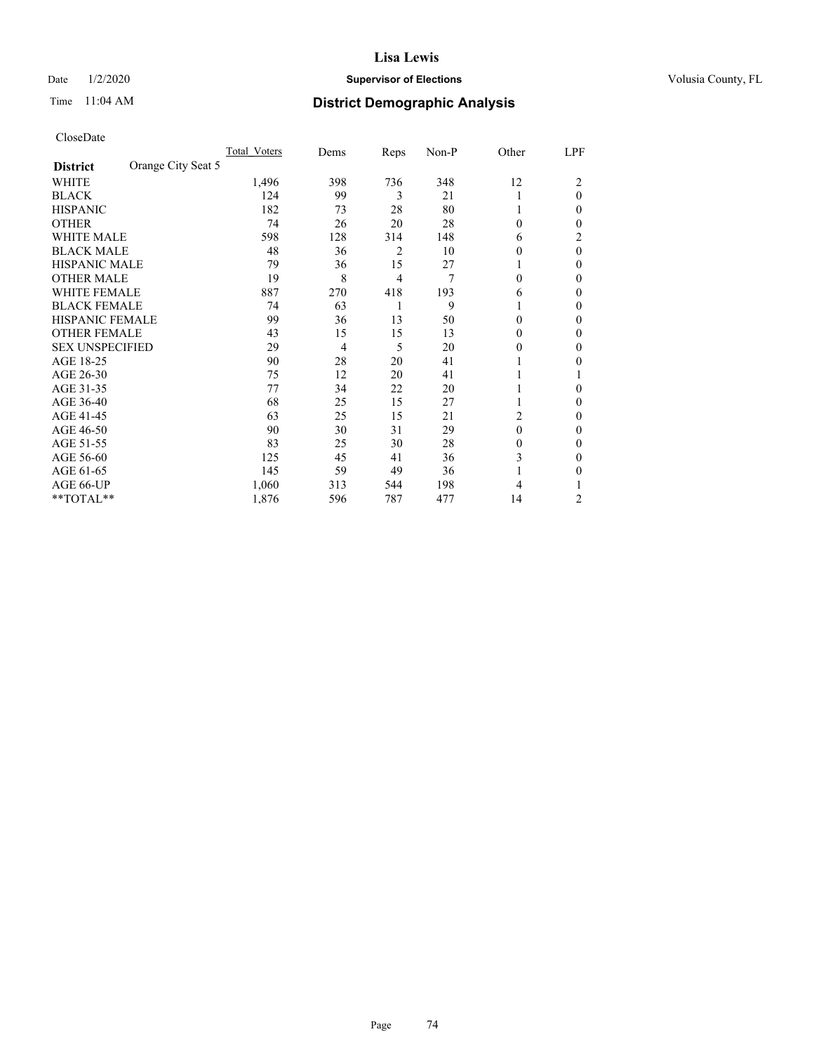### Date  $1/2/2020$  **Supervisor of Elections Supervisor of Elections** Volusia County, FL

# Time 11:04 AM **District Demographic Analysis**

|                                       | Total Voters | Dems | Reps           | Non-P | Other    | LPF      |
|---------------------------------------|--------------|------|----------------|-------|----------|----------|
| Orange City Seat 5<br><b>District</b> |              |      |                |       |          |          |
| WHITE                                 | 1,496        | 398  | 736            | 348   | 12       | 2        |
| <b>BLACK</b>                          | 124          | 99   | 3              | 21    |          | $\Omega$ |
| <b>HISPANIC</b>                       | 182          | 73   | 28             | 80    |          | $\Omega$ |
| <b>OTHER</b>                          | 74           | 26   | 20             | 28    | $\theta$ | 0        |
| <b>WHITE MALE</b>                     | 598          | 128  | 314            | 148   | 6        | 2        |
| <b>BLACK MALE</b>                     | 48           | 36   | $\overline{2}$ | 10    | 0        | $\theta$ |
| <b>HISPANIC MALE</b>                  | 79           | 36   | 15             | 27    |          | 0        |
| <b>OTHER MALE</b>                     | 19           | 8    | $\overline{4}$ | 7     | 0        | 0        |
| <b>WHITE FEMALE</b>                   | 887          | 270  | 418            | 193   | 6        | 0        |
| <b>BLACK FEMALE</b>                   | 74           | 63   | 1              | 9     |          | 0        |
| <b>HISPANIC FEMALE</b>                | 99           | 36   | 13             | 50    | 0        | 0        |
| <b>OTHER FEMALE</b>                   | 43           | 15   | 15             | 13    | 0        | 0        |
| <b>SEX UNSPECIFIED</b>                | 29           | 4    | 5              | 20    | $\theta$ | 0        |
| AGE 18-25                             | 90           | 28   | 20             | 41    |          | 0        |
| AGE 26-30                             | 75           | 12   | 20             | 41    |          |          |
| AGE 31-35                             | 77           | 34   | 22             | 20    |          | 0        |
| AGE 36-40                             | 68           | 25   | 15             | 27    |          | 0        |
| AGE 41-45                             | 63           | 25   | 15             | 21    | 2        | 0        |
| AGE 46-50                             | 90           | 30   | 31             | 29    | $\theta$ | $\Omega$ |
| AGE 51-55                             | 83           | 25   | 30             | 28    | 0        | 0        |
| AGE 56-60                             | 125          | 45   | 41             | 36    | 3        | 0        |
| AGE 61-65                             | 145          | 59   | 49             | 36    |          | 0        |
| AGE 66-UP                             | 1,060        | 313  | 544            | 198   | 4        |          |
| **TOTAL**                             | 1,876        | 596  | 787            | 477   | 14       | 2        |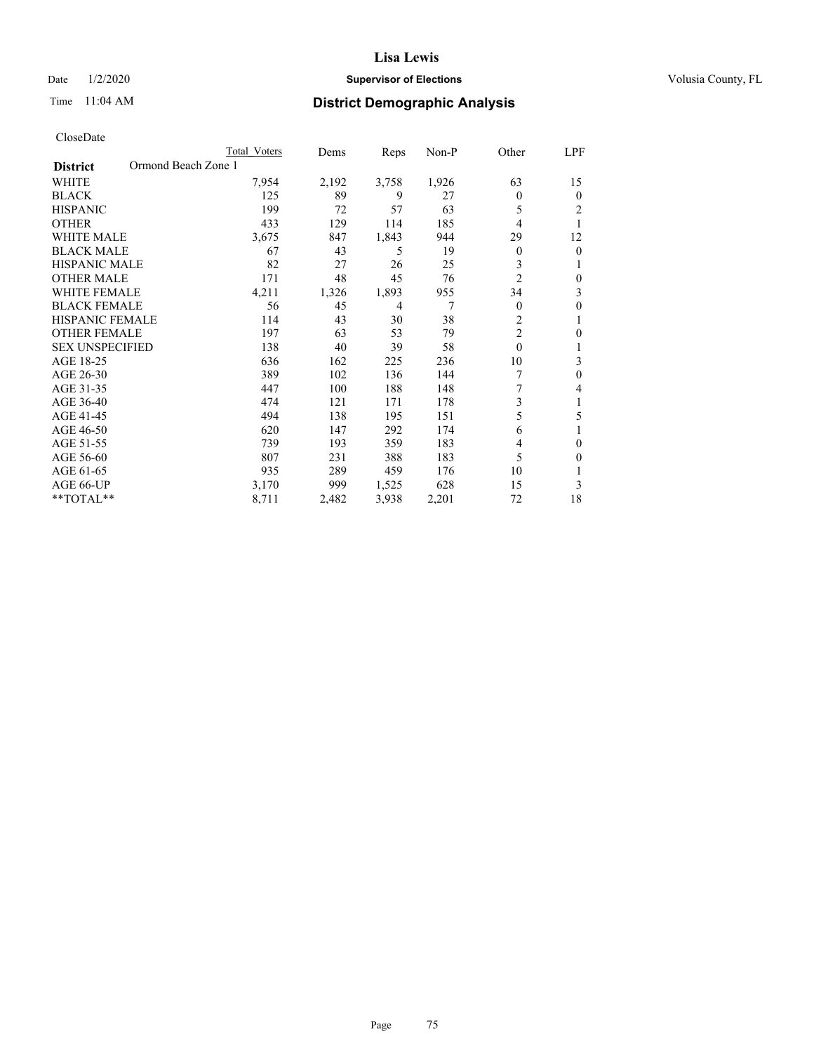### Date  $1/2/2020$  **Supervisor of Elections Supervisor of Elections** Volusia County, FL

# Time 11:04 AM **District Demographic Analysis**

|                                        | Total Voters | Dems  | Reps           | $Non-P$ | Other          | LPF          |
|----------------------------------------|--------------|-------|----------------|---------|----------------|--------------|
| Ormond Beach Zone 1<br><b>District</b> |              |       |                |         |                |              |
| <b>WHITE</b>                           | 7,954        | 2,192 | 3,758          | 1,926   | 63             | 15           |
| <b>BLACK</b>                           | 125          | 89    | 9              | 27      | 0              | $\theta$     |
| <b>HISPANIC</b>                        | 199          | 72    | 57             | 63      | 5              | 2            |
| <b>OTHER</b>                           | 433          | 129   | 114            | 185     | 4              | 1            |
| <b>WHITE MALE</b>                      | 3,675        | 847   | 1,843          | 944     | 29             | 12           |
| <b>BLACK MALE</b>                      | 67           | 43    | 5              | 19      | 0              | $\mathbf{0}$ |
| HISPANIC MALE                          | 82           | 27    | 26             | 25      | 3              | 1            |
| <b>OTHER MALE</b>                      | 171          | 48    | 45             | 76      | $\overline{2}$ | $\theta$     |
| <b>WHITE FEMALE</b>                    | 4,211        | 1,326 | 1,893          | 955     | 34             | 3            |
| <b>BLACK FEMALE</b>                    | 56           | 45    | $\overline{4}$ | 7       | 0              | $\theta$     |
| <b>HISPANIC FEMALE</b>                 | 114          | 43    | 30             | 38      | 2              | 1            |
| <b>OTHER FEMALE</b>                    | 197          | 63    | 53             | 79      | $\overline{c}$ | 0            |
| <b>SEX UNSPECIFIED</b>                 | 138          | 40    | 39             | 58      | $\mathbf{0}$   | 1            |
| AGE 18-25                              | 636          | 162   | 225            | 236     | 10             | 3            |
| AGE 26-30                              | 389          | 102   | 136            | 144     |                | $\theta$     |
| AGE 31-35                              | 447          | 100   | 188            | 148     | 7              | 4            |
| AGE 36-40                              | 474          | 121   | 171            | 178     | 3              | 1            |
| AGE 41-45                              | 494          | 138   | 195            | 151     | 5              | 5            |
| AGE 46-50                              | 620          | 147   | 292            | 174     | 6              |              |
| AGE 51-55                              | 739          | 193   | 359            | 183     | 4              | $\theta$     |
| AGE 56-60                              | 807          | 231   | 388            | 183     | 5              | $\Omega$     |
| AGE 61-65                              | 935          | 289   | 459            | 176     | 10             |              |
| AGE 66-UP                              | 3,170        | 999   | 1,525          | 628     | 15             | 3            |
| $*$ TOTAL $*$                          | 8,711        | 2,482 | 3,938          | 2,201   | 72             | 18           |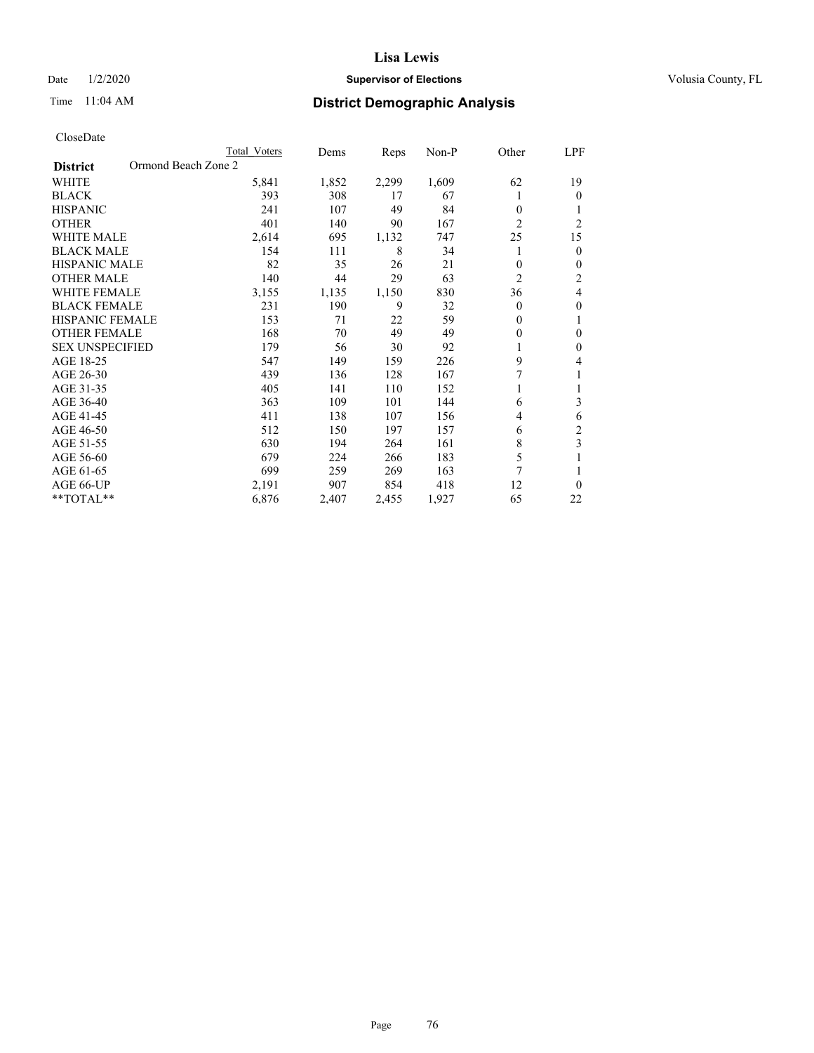### Date  $1/2/2020$  **Supervisor of Elections Supervisor of Elections** Volusia County, FL

# Time 11:04 AM **District Demographic Analysis**

|                                        | Total Voters | Dems  | Reps  | Non-P | Other          | LPF            |
|----------------------------------------|--------------|-------|-------|-------|----------------|----------------|
| Ormond Beach Zone 2<br><b>District</b> |              |       |       |       |                |                |
| WHITE                                  | 5,841        | 1,852 | 2,299 | 1,609 | 62             | 19             |
| <b>BLACK</b>                           | 393          | 308   | 17    | 67    |                | $\theta$       |
| <b>HISPANIC</b>                        | 241          | 107   | 49    | 84    | $\theta$       | 1              |
| <b>OTHER</b>                           | 401          | 140   | 90    | 167   | $\overline{2}$ | $\overline{2}$ |
| <b>WHITE MALE</b>                      | 2,614        | 695   | 1,132 | 747   | 25             | 15             |
| <b>BLACK MALE</b>                      | 154          | 111   | 8     | 34    | 1              | $\mathbf{0}$   |
| <b>HISPANIC MALE</b>                   | 82           | 35    | 26    | 21    | 0              | $\mathbf{0}$   |
| <b>OTHER MALE</b>                      | 140          | 44    | 29    | 63    | $\overline{2}$ | $\overline{c}$ |
| <b>WHITE FEMALE</b>                    | 3,155        | 1,135 | 1,150 | 830   | 36             | 4              |
| <b>BLACK FEMALE</b>                    | 231          | 190   | 9     | 32    | $\Omega$       | $\mathbf{0}$   |
| <b>HISPANIC FEMALE</b>                 | 153          | 71    | 22    | 59    | 0              | 1              |
| <b>OTHER FEMALE</b>                    | 168          | 70    | 49    | 49    | 0              | $\theta$       |
| <b>SEX UNSPECIFIED</b>                 | 179          | 56    | 30    | 92    | 1              | $\mathbf{0}$   |
| AGE 18-25                              | 547          | 149   | 159   | 226   | 9              | 4              |
| AGE 26-30                              | 439          | 136   | 128   | 167   | 7              | 1              |
| AGE 31-35                              | 405          | 141   | 110   | 152   |                | 1              |
| AGE 36-40                              | 363          | 109   | 101   | 144   | 6              | 3              |
| AGE 41-45                              | 411          | 138   | 107   | 156   | 4              | 6              |
| AGE 46-50                              | 512          | 150   | 197   | 157   | 6              | $\overline{c}$ |
| AGE 51-55                              | 630          | 194   | 264   | 161   | 8              | 3              |
| AGE 56-60                              | 679          | 224   | 266   | 183   | 5              |                |
| AGE 61-65                              | 699          | 259   | 269   | 163   | 7              | 1              |
| AGE 66-UP                              | 2,191        | 907   | 854   | 418   | 12             | $\theta$       |
| **TOTAL**                              | 6,876        | 2,407 | 2,455 | 1,927 | 65             | 22             |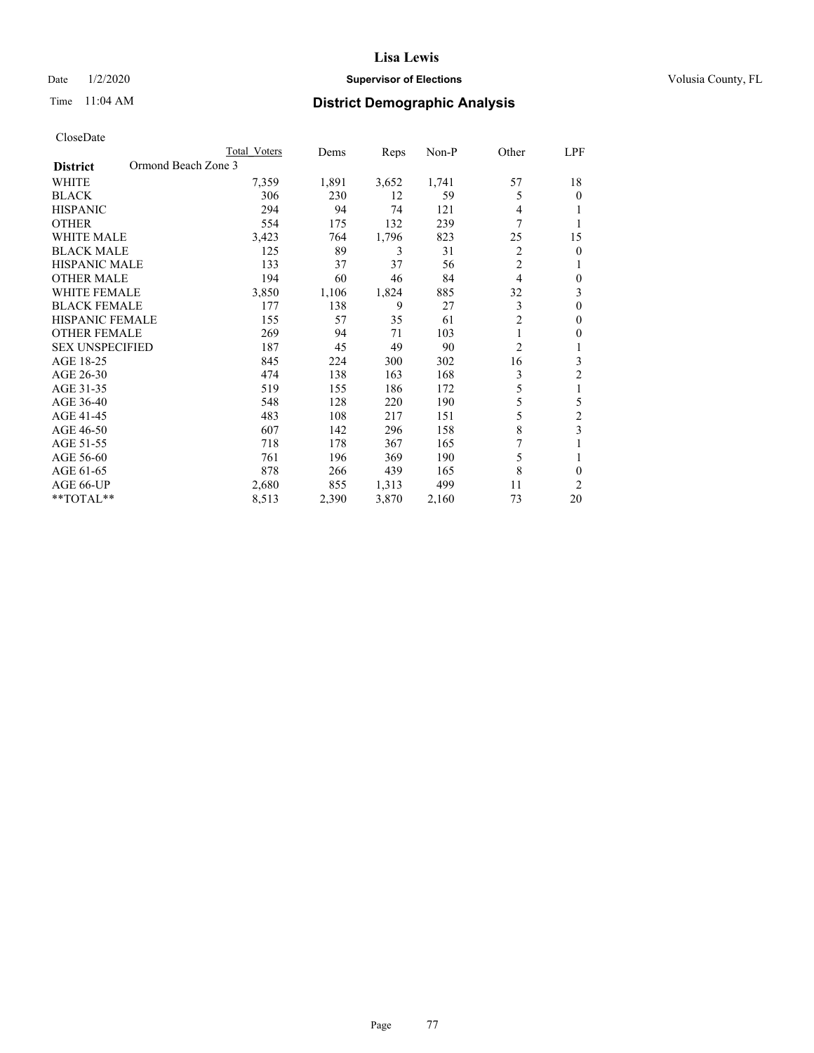### Date  $1/2/2020$  **Supervisor of Elections Supervisor of Elections** Volusia County, FL

# Time 11:04 AM **District Demographic Analysis**

| Total Voters        | Dems  | Reps  | $Non-P$ | Other          | LPF            |
|---------------------|-------|-------|---------|----------------|----------------|
| Ormond Beach Zone 3 |       |       |         |                |                |
| 7,359               | 1,891 | 3,652 | 1,741   | 57             | 18             |
| 306                 | 230   | 12    | 59      | 5              | 0              |
| 294                 | 94    | 74    | 121     | 4              |                |
| 554                 | 175   | 132   | 239     | 7              |                |
| 3,423               | 764   | 1,796 | 823     | 25             | 15             |
| 125                 | 89    | 3     | 31      | 2              | 0              |
| 133                 | 37    | 37    | 56      | $\overline{2}$ |                |
| 194                 | 60    | 46    | 84      | 4              | 0              |
| 3,850               | 1,106 | 1,824 | 885     | 32             | 3              |
| 177                 | 138   | 9     | 27      | 3              | 0              |
| 155                 | 57    | 35    | 61      | $\overline{2}$ | 0              |
| 269                 | 94    | 71    | 103     | 1              | 0              |
| 187                 | 45    | 49    | 90      | $\overline{2}$ |                |
| 845                 | 224   | 300   | 302     | 16             | 3              |
| 474                 | 138   | 163   | 168     | 3              | 2              |
| 519                 | 155   | 186   | 172     | 5              | 1              |
| 548                 | 128   | 220   | 190     | 5              | 5              |
| 483                 | 108   | 217   | 151     | 5              | $\overline{c}$ |
| 607                 | 142   | 296   | 158     | 8              | 3              |
| 718                 | 178   | 367   | 165     | 7              |                |
| 761                 | 196   | 369   | 190     | 5              | 1              |
| 878                 | 266   | 439   | 165     | 8              | 0              |
| 2,680               | 855   | 1,313 | 499     | 11             | 2              |
| 8,513               | 2,390 | 3,870 | 2,160   | 73             | 20             |
|                     |       |       |         |                |                |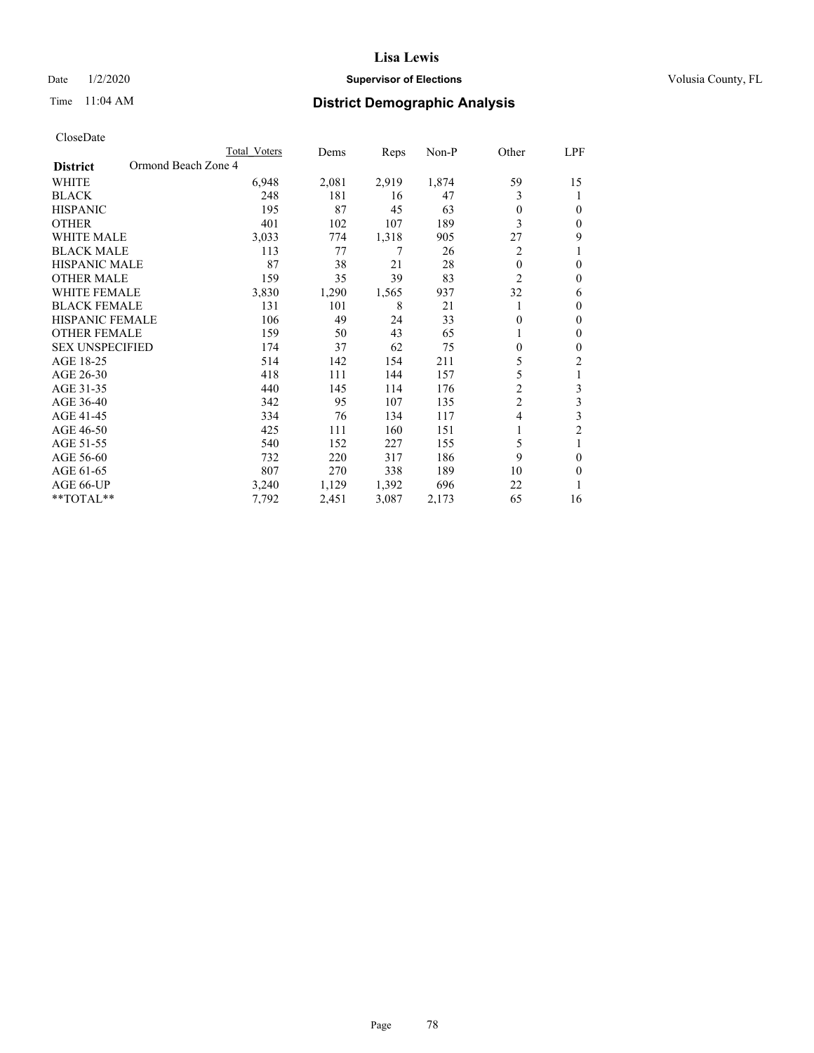### Date  $1/2/2020$  **Supervisor of Elections Supervisor of Elections** Volusia County, FL

# Time 11:04 AM **District Demographic Analysis**

|                                        | Total Voters | Dems  | Reps  | Non-P | Other            | LPF            |
|----------------------------------------|--------------|-------|-------|-------|------------------|----------------|
| Ormond Beach Zone 4<br><b>District</b> |              |       |       |       |                  |                |
| WHITE                                  | 6,948        | 2,081 | 2,919 | 1,874 | 59               | 15             |
| <b>BLACK</b>                           | 248          | 181   | 16    | 47    | 3                |                |
| <b>HISPANIC</b>                        | 195          | 87    | 45    | 63    | $\Omega$         | $\Omega$       |
| <b>OTHER</b>                           | 401          | 102   | 107   | 189   | 3                | $\Omega$       |
| <b>WHITE MALE</b>                      | 3,033        | 774   | 1,318 | 905   | 27               | 9              |
| <b>BLACK MALE</b>                      | 113          | 77    | 7     | 26    | 2                |                |
| <b>HISPANIC MALE</b>                   | 87           | 38    | 21    | 28    | $\theta$         | $\theta$       |
| <b>OTHER MALE</b>                      | 159          | 35    | 39    | 83    | $\overline{c}$   | $\theta$       |
| <b>WHITE FEMALE</b>                    | 3,830        | 1,290 | 1,565 | 937   | 32               | 6              |
| <b>BLACK FEMALE</b>                    | 131          | 101   | 8     | 21    |                  | $\mathbf{0}$   |
| <b>HISPANIC FEMALE</b>                 | 106          | 49    | 24    | 33    | $\theta$         | $\theta$       |
| <b>OTHER FEMALE</b>                    | 159          | 50    | 43    | 65    |                  | $\theta$       |
| <b>SEX UNSPECIFIED</b>                 | 174          | 37    | 62    | 75    | $\boldsymbol{0}$ | $\theta$       |
| AGE 18-25                              | 514          | 142   | 154   | 211   | 5                | $\overline{c}$ |
| AGE 26-30                              | 418          | 111   | 144   | 157   | 5                | 1              |
| AGE 31-35                              | 440          | 145   | 114   | 176   | $\overline{c}$   | 3              |
| AGE 36-40                              | 342          | 95    | 107   | 135   | $\overline{c}$   | 3              |
| AGE 41-45                              | 334          | 76    | 134   | 117   | 4                | 3              |
| AGE 46-50                              | 425          | 111   | 160   | 151   | 1                | $\overline{2}$ |
| AGE 51-55                              | 540          | 152   | 227   | 155   | 5                | 1              |
| AGE 56-60                              | 732          | 220   | 317   | 186   | 9                | $\theta$       |
| AGE 61-65                              | 807          | 270   | 338   | 189   | 10               | $\theta$       |
| AGE 66-UP                              | 3,240        | 1,129 | 1,392 | 696   | 22               |                |
| **TOTAL**                              | 7,792        | 2,451 | 3,087 | 2,173 | 65               | 16             |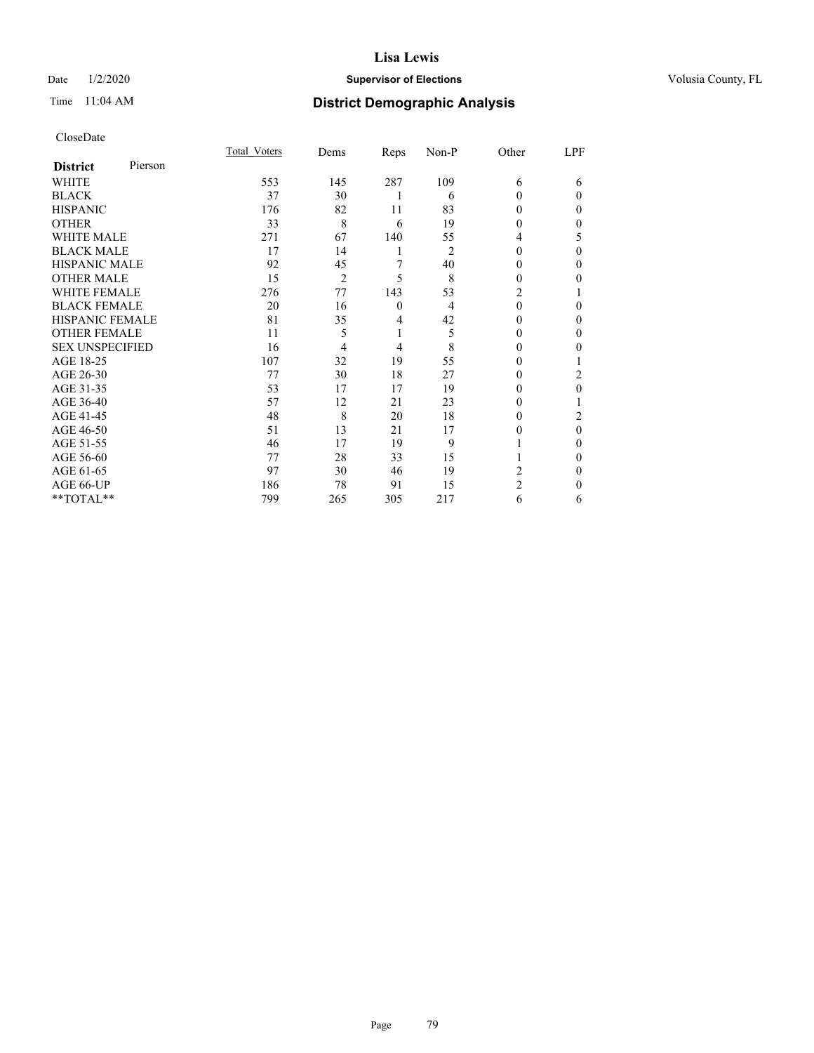### Date  $1/2/2020$  **Supervisor of Elections Supervisor of Elections** Volusia County, FL

# Time 11:04 AM **District Demographic Analysis**

| CloseDate |
|-----------|
|-----------|

|                        |         | Total Voters | Dems           | Reps         | Non-P          | Other          | LPF      |
|------------------------|---------|--------------|----------------|--------------|----------------|----------------|----------|
| <b>District</b>        | Pierson |              |                |              |                |                |          |
| WHITE                  |         | 553          | 145            | 287          | 109            | 6              | 6        |
| <b>BLACK</b>           |         | 37           | 30             |              | 6              | $\Omega$       | $\Omega$ |
| <b>HISPANIC</b>        |         | 176          | 82             | 11           | 83             | 0              | 0        |
| <b>OTHER</b>           |         | 33           | 8              | 6            | 19             | 0              | 0        |
| <b>WHITE MALE</b>      |         | 271          | 67             | 140          | 55             | 4              | 5        |
| <b>BLACK MALE</b>      |         | 17           | 14             | 1            | $\overline{2}$ | $\Omega$       | $\Omega$ |
| <b>HISPANIC MALE</b>   |         | 92           | 45             | 7            | 40             | $_{0}$         | 0        |
| <b>OTHER MALE</b>      |         | 15           | $\overline{2}$ | 5            | 8              | 0              | 0        |
| <b>WHITE FEMALE</b>    |         | 276          | 77             | 143          | 53             | 2              |          |
| <b>BLACK FEMALE</b>    |         | 20           | 16             | $\mathbf{0}$ | 4              | $\Omega$       | 0        |
| <b>HISPANIC FEMALE</b> |         | 81           | 35             | 4            | 42             | 0              | 0        |
| <b>OTHER FEMALE</b>    |         | 11           | 5              | 1            | 5              | 0              | 0        |
| <b>SEX UNSPECIFIED</b> |         | 16           | 4              | 4            | 8              | 0              | 0        |
| AGE 18-25              |         | 107          | 32             | 19           | 55             | 0              |          |
| AGE 26-30              |         | 77           | 30             | 18           | 27             | $\theta$       | 2        |
| AGE 31-35              |         | 53           | 17             | 17           | 19             |                | 0        |
| AGE 36-40              |         | 57           | 12             | 21           | 23             | 0              |          |
| AGE 41-45              |         | 48           | 8              | 20           | 18             | $_{0}$         | 2        |
| AGE 46-50              |         | 51           | 13             | 21           | 17             | 0              | $\theta$ |
| AGE 51-55              |         | 46           | 17             | 19           | 9              |                | 0        |
| AGE 56-60              |         | 77           | 28             | 33           | 15             |                | 0        |
| AGE 61-65              |         | 97           | 30             | 46           | 19             | 2              | 0        |
| AGE 66-UP              |         | 186          | 78             | 91           | 15             | $\overline{c}$ | 0        |
| **TOTAL**              |         | 799          | 265            | 305          | 217            | 6              | 6        |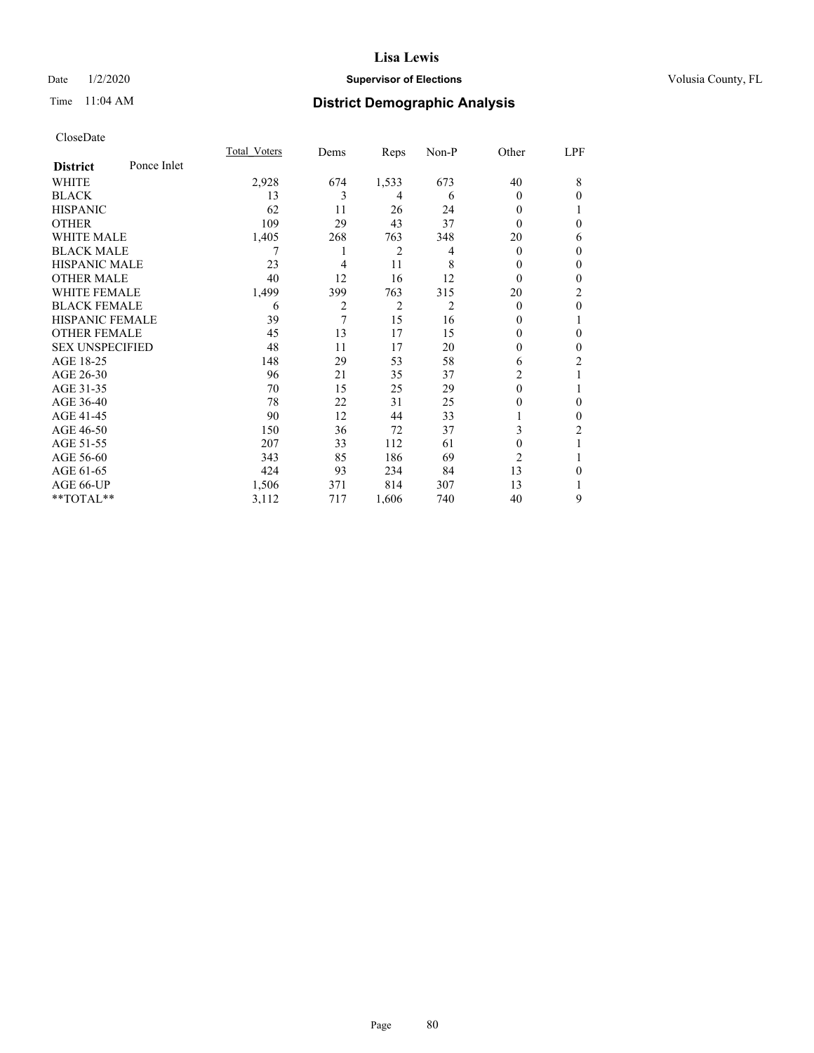### Date  $1/2/2020$  **Supervisor of Elections Supervisor of Elections** Volusia County, FL

## Time 11:04 AM **District Demographic Analysis**

|                        |             | Total Voters | Dems | Reps           | Non-P          | Other          | LPF            |
|------------------------|-------------|--------------|------|----------------|----------------|----------------|----------------|
| <b>District</b>        | Ponce Inlet |              |      |                |                |                |                |
| WHITE                  |             | 2,928        | 674  | 1,533          | 673            | 40             | 8              |
| <b>BLACK</b>           |             | 13           | 3    | 4              | 6              | $\theta$       | $\theta$       |
| <b>HISPANIC</b>        |             | 62           | 11   | 26             | 24             | 0              |                |
| <b>OTHER</b>           |             | 109          | 29   | 43             | 37             | 0              | $\theta$       |
| WHITE MALE             |             | 1,405        | 268  | 763            | 348            | 20             | 6              |
| <b>BLACK MALE</b>      |             | 7            | 1    | 2              | 4              | $\Omega$       | $\mathbf{0}$   |
| <b>HISPANIC MALE</b>   |             | 23           | 4    | 11             | 8              | 0              | $\mathbf{0}$   |
| <b>OTHER MALE</b>      |             | 40           | 12   | 16             | 12             | $\Omega$       | $\mathbf{0}$   |
| <b>WHITE FEMALE</b>    |             | 1,499        | 399  | 763            | 315            | 20             | 2              |
| <b>BLACK FEMALE</b>    |             | 6            | 2    | $\overline{2}$ | $\overline{c}$ | $\Omega$       | $\mathbf{0}$   |
| <b>HISPANIC FEMALE</b> |             | 39           | 7    | 15             | 16             | 0              | 1              |
| <b>OTHER FEMALE</b>    |             | 45           | 13   | 17             | 15             | 0              | $\theta$       |
| <b>SEX UNSPECIFIED</b> |             | 48           | 11   | 17             | 20             | 0              | $\mathbf{0}$   |
| AGE 18-25              |             | 148          | 29   | 53             | 58             | 6              | $\overline{2}$ |
| AGE 26-30              |             | 96           | 21   | 35             | 37             | 2              | 1              |
| AGE 31-35              |             | 70           | 15   | 25             | 29             | 0              |                |
| AGE 36-40              |             | 78           | 22   | 31             | 25             | 0              | $\mathbf{0}$   |
| AGE 41-45              |             | 90           | 12   | 44             | 33             |                | $\theta$       |
| AGE 46-50              |             | 150          | 36   | 72             | 37             | 3              | 2              |
| AGE 51-55              |             | 207          | 33   | 112            | 61             | $\Omega$       | 1              |
| AGE 56-60              |             | 343          | 85   | 186            | 69             | $\overline{c}$ | 1              |
| AGE 61-65              |             | 424          | 93   | 234            | 84             | 13             | $\theta$       |
| AGE 66-UP              |             | 1,506        | 371  | 814            | 307            | 13             | 1              |
| **TOTAL**              |             | 3,112        | 717  | 1,606          | 740            | 40             | 9              |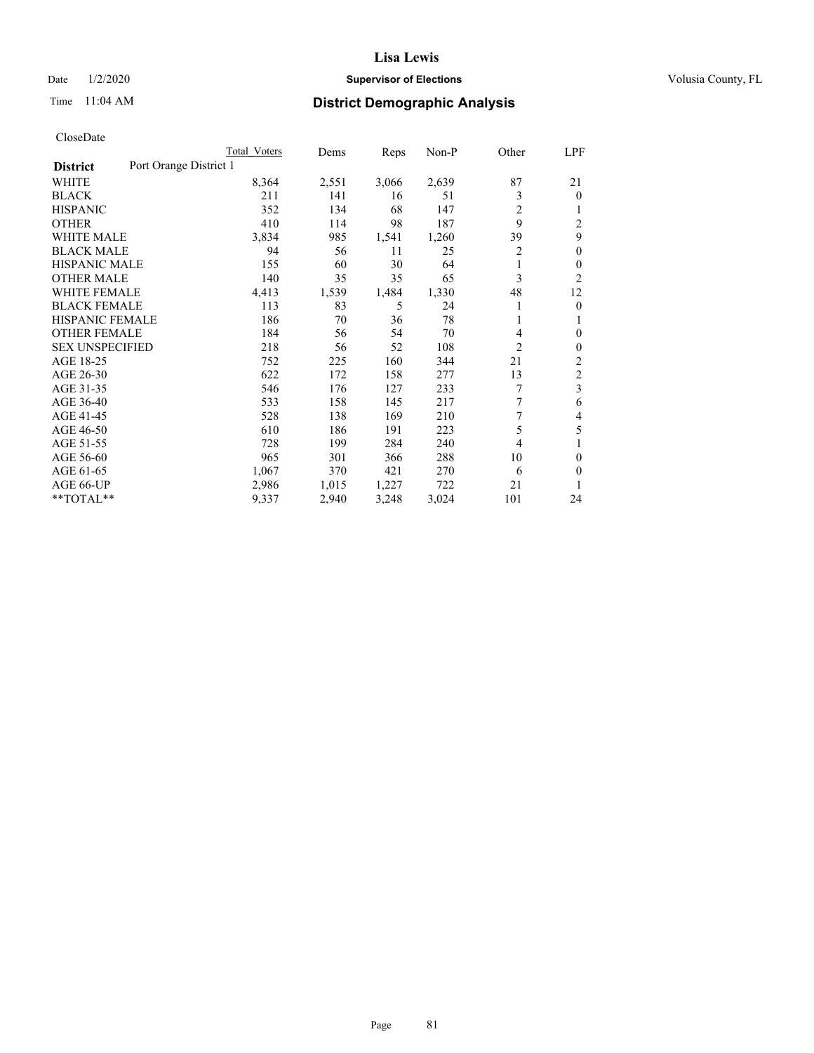### Date  $1/2/2020$  **Supervisor of Elections Supervisor of Elections** Volusia County, FL

## Time 11:04 AM **District Demographic Analysis**

|                        | Total Voters           | Dems  | Reps  | Non-P | Other          | LPF                     |
|------------------------|------------------------|-------|-------|-------|----------------|-------------------------|
| <b>District</b>        | Port Orange District 1 |       |       |       |                |                         |
| WHITE                  | 8,364                  | 2,551 | 3,066 | 2,639 | 87             | 21                      |
| <b>BLACK</b>           | 211                    | 141   | 16    | 51    | 3              | $\mathbf{0}$            |
| <b>HISPANIC</b>        | 352                    | 134   | 68    | 147   | 2              | 1                       |
| <b>OTHER</b>           | 410                    | 114   | 98    | 187   | 9              | $\overline{2}$          |
| <b>WHITE MALE</b>      | 3,834                  | 985   | 1,541 | 1,260 | 39             | 9                       |
| <b>BLACK MALE</b>      | 94                     | 56    | 11    | 25    | 2              | $\theta$                |
| <b>HISPANIC MALE</b>   | 155                    | 60    | 30    | 64    | 1              | $\theta$                |
| <b>OTHER MALE</b>      | 140                    | 35    | 35    | 65    | 3              | 2                       |
| <b>WHITE FEMALE</b>    | 4,413                  | 1,539 | 1,484 | 1,330 | 48             | 12                      |
| <b>BLACK FEMALE</b>    | 113                    | 83    | 5     | 24    |                | $\mathbf{0}$            |
| <b>HISPANIC FEMALE</b> | 186                    | 70    | 36    | 78    |                | 1                       |
| <b>OTHER FEMALE</b>    | 184                    | 56    | 54    | 70    | 4              | $\theta$                |
| <b>SEX UNSPECIFIED</b> | 218                    | 56    | 52    | 108   | $\overline{2}$ | $\theta$                |
| AGE 18-25              | 752                    | 225   | 160   | 344   | 21             | $\overline{c}$          |
| AGE 26-30              | 622                    | 172   | 158   | 277   | 13             | $\mathfrak{2}$          |
| AGE 31-35              | 546                    | 176   | 127   | 233   | 7              | $\overline{\mathbf{3}}$ |
| AGE 36-40              | 533                    | 158   | 145   | 217   | 7              | 6                       |
| AGE 41-45              | 528                    | 138   | 169   | 210   | 7              | 4                       |
| AGE 46-50              | 610                    | 186   | 191   | 223   | 5              | 5                       |
| AGE 51-55              | 728                    | 199   | 284   | 240   | 4              | 1                       |
| AGE 56-60              | 965                    | 301   | 366   | 288   | 10             | $\theta$                |
| AGE 61-65              | 1,067                  | 370   | 421   | 270   | 6              | $\theta$                |
| AGE 66-UP              | 2,986                  | 1,015 | 1,227 | 722   | 21             |                         |
| **TOTAL**              | 9,337                  | 2,940 | 3,248 | 3,024 | 101            | 24                      |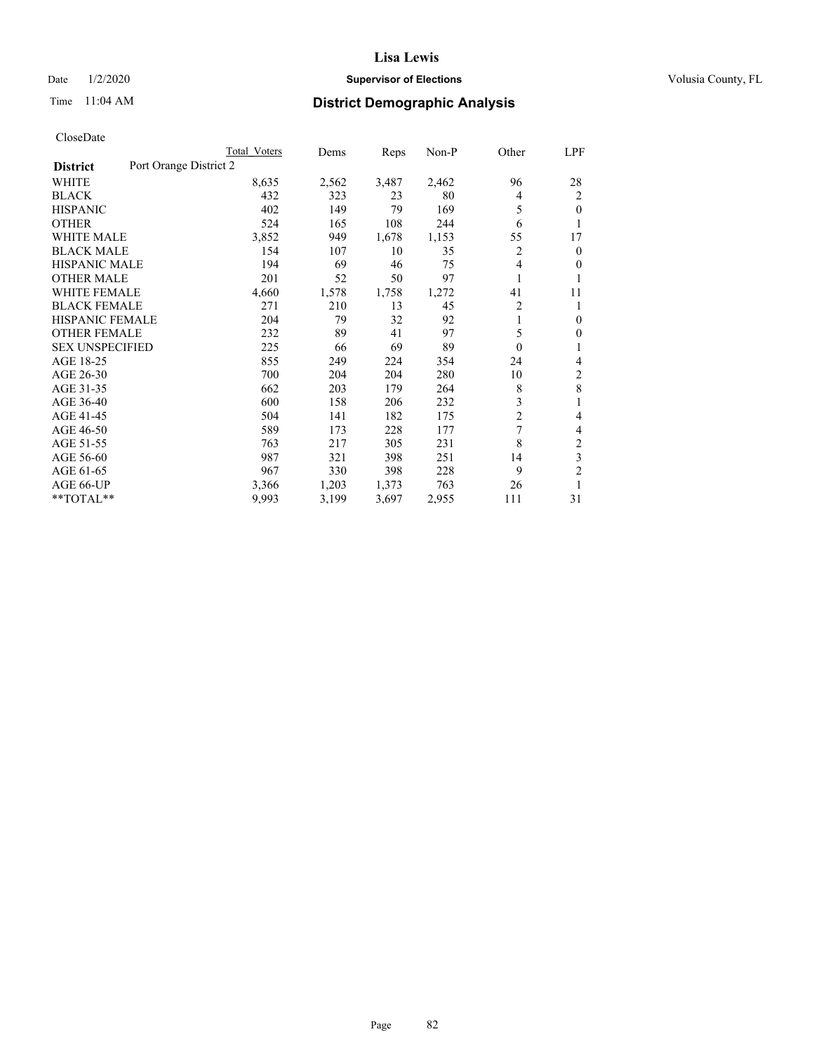### Date  $1/2/2020$  **Supervisor of Elections Supervisor of Elections** Volusia County, FL

# Time 11:04 AM **District Demographic Analysis**

|                        | Total Voters           | Dems  | Reps  | Non-P | Other    | LPF            |
|------------------------|------------------------|-------|-------|-------|----------|----------------|
| <b>District</b>        | Port Orange District 2 |       |       |       |          |                |
| WHITE                  | 8,635                  | 2,562 | 3,487 | 2,462 | 96       | 28             |
| <b>BLACK</b>           | 432                    | 323   | 23    | 80    | 4        | 2              |
| <b>HISPANIC</b>        | 402                    | 149   | 79    | 169   | 5        | $\theta$       |
| <b>OTHER</b>           | 524                    | 165   | 108   | 244   | 6        | 1              |
| <b>WHITE MALE</b>      | 3,852                  | 949   | 1,678 | 1,153 | 55       | 17             |
| <b>BLACK MALE</b>      | 154                    | 107   | 10    | 35    | 2        | $\mathbf{0}$   |
| <b>HISPANIC MALE</b>   | 194                    | 69    | 46    | 75    | 4        | $\mathbf{0}$   |
| <b>OTHER MALE</b>      | 201                    | 52    | 50    | 97    | 1        | 1              |
| WHITE FEMALE           | 4,660                  | 1,578 | 1,758 | 1,272 | 41       | 11             |
| <b>BLACK FEMALE</b>    | 271                    | 210   | 13    | 45    | 2        | 1              |
| <b>HISPANIC FEMALE</b> | 204                    | 79    | 32    | 92    | 1        | $\theta$       |
| <b>OTHER FEMALE</b>    | 232                    | 89    | 41    | 97    | 5        | $\theta$       |
| <b>SEX UNSPECIFIED</b> | 225                    | 66    | 69    | 89    | $\theta$ | 1              |
| AGE 18-25              | 855                    | 249   | 224   | 354   | 24       | 4              |
| AGE 26-30              | 700                    | 204   | 204   | 280   | 10       | $\overline{c}$ |
| AGE 31-35              | 662                    | 203   | 179   | 264   | 8        | 8              |
| AGE 36-40              | 600                    | 158   | 206   | 232   | 3        | 1              |
| AGE 41-45              | 504                    | 141   | 182   | 175   | 2        | 4              |
| AGE 46-50              | 589                    | 173   | 228   | 177   | 7        | 4              |
| AGE 51-55              | 763                    | 217   | 305   | 231   | 8        | $\overline{2}$ |
| AGE 56-60              | 987                    | 321   | 398   | 251   | 14       | 3              |
| AGE 61-65              | 967                    | 330   | 398   | 228   | 9        | $\overline{2}$ |
| AGE 66-UP              | 3,366                  | 1,203 | 1,373 | 763   | 26       | 1              |
| **TOTAL**              | 9,993                  | 3,199 | 3,697 | 2,955 | 111      | 31             |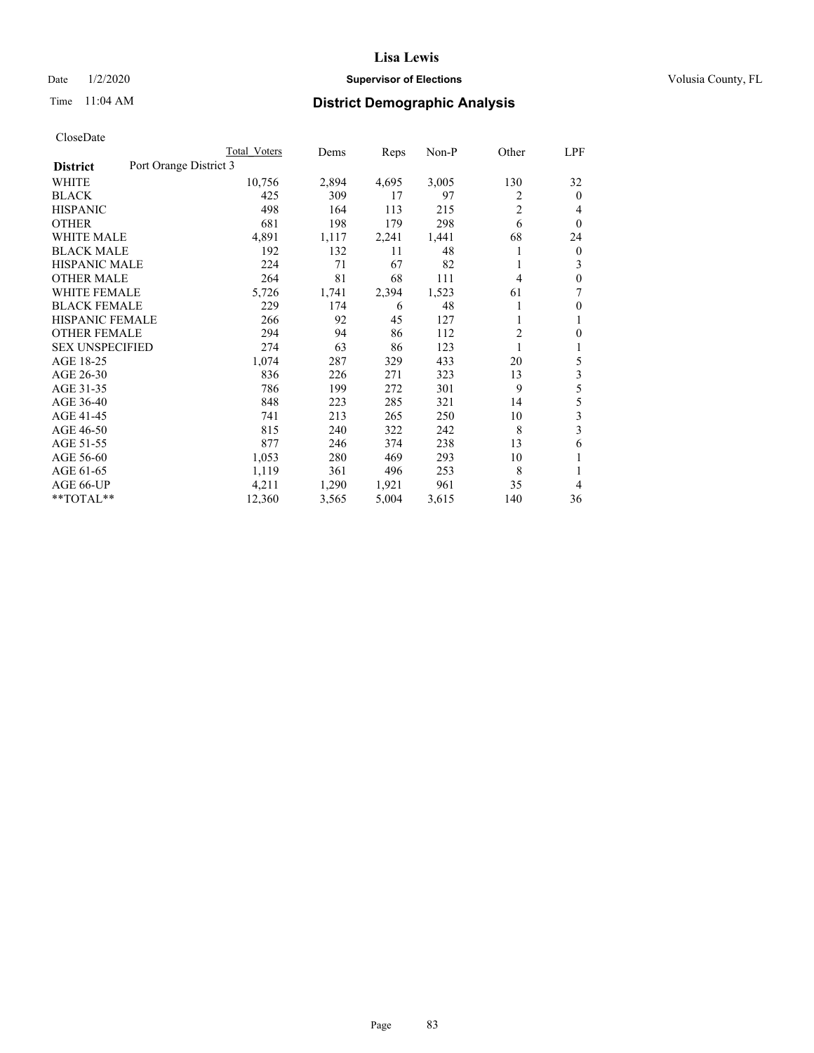### Date  $1/2/2020$  **Supervisor of Elections Supervisor of Elections** Volusia County, FL

# Time 11:04 AM **District Demographic Analysis**

|                                           | Total Voters | Dems  | Reps  | $Non-P$ | Other          | LPF            |
|-------------------------------------------|--------------|-------|-------|---------|----------------|----------------|
| Port Orange District 3<br><b>District</b> |              |       |       |         |                |                |
| WHITE                                     | 10,756       | 2,894 | 4,695 | 3,005   | 130            | 32             |
| <b>BLACK</b>                              | 425          | 309   | 17    | 97      | 2              | $\theta$       |
| <b>HISPANIC</b>                           | 498          | 164   | 113   | 215     | $\overline{2}$ | 4              |
| <b>OTHER</b>                              | 681          | 198   | 179   | 298     | 6              | $\theta$       |
| <b>WHITE MALE</b>                         | 4,891        | 1,117 | 2,241 | 1,441   | 68             | 24             |
| <b>BLACK MALE</b>                         | 192          | 132   | 11    | 48      | 1              | $\overline{0}$ |
| <b>HISPANIC MALE</b>                      | 224          | 71    | 67    | 82      |                | 3              |
| <b>OTHER MALE</b>                         | 264          | 81    | 68    | 111     | 4              | $\mathbf{0}$   |
| <b>WHITE FEMALE</b>                       | 5,726        | 1,741 | 2,394 | 1,523   | 61             | 7              |
| <b>BLACK FEMALE</b>                       | 229          | 174   | 6     | 48      |                | $\mathbf{0}$   |
| <b>HISPANIC FEMALE</b>                    | 266          | 92    | 45    | 127     | 1              | 1              |
| <b>OTHER FEMALE</b>                       | 294          | 94    | 86    | 112     | 2              | $\Omega$       |
| <b>SEX UNSPECIFIED</b>                    | 274          | 63    | 86    | 123     |                | 1              |
| AGE 18-25                                 | 1,074        | 287   | 329   | 433     | 20             | 5              |
| AGE 26-30                                 | 836          | 226   | 271   | 323     | 13             | 3              |
| AGE 31-35                                 | 786          | 199   | 272   | 301     | 9              | 5              |
| AGE 36-40                                 | 848          | 223   | 285   | 321     | 14             | 5              |
| AGE 41-45                                 | 741          | 213   | 265   | 250     | 10             | 3              |
| AGE 46-50                                 | 815          | 240   | 322   | 242     | 8              | 3              |
| AGE 51-55                                 | 877          | 246   | 374   | 238     | 13             | 6              |
| AGE 56-60                                 | 1,053        | 280   | 469   | 293     | 10             | 1              |
| AGE 61-65                                 | 1,119        | 361   | 496   | 253     | 8              | 1              |
| AGE 66-UP                                 | 4,211        | 1,290 | 1,921 | 961     | 35             | 4              |
| **TOTAL**                                 | 12,360       | 3,565 | 5,004 | 3,615   | 140            | 36             |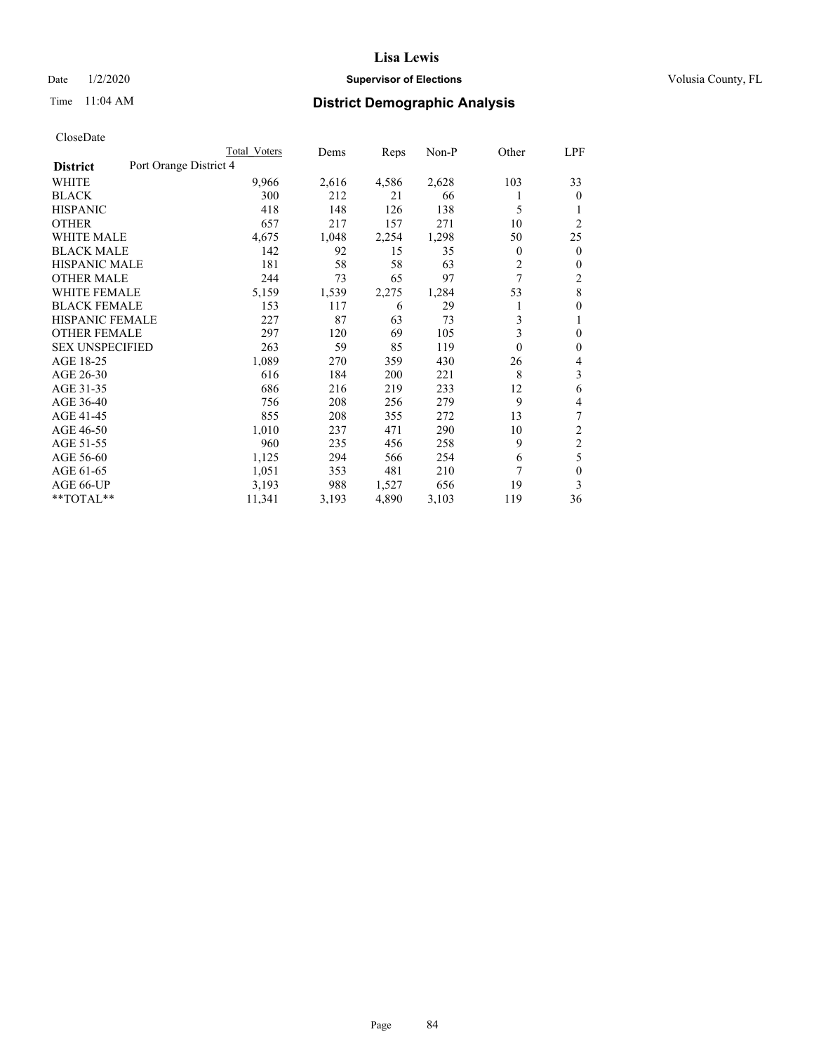### Date  $1/2/2020$  **Supervisor of Elections Supervisor of Elections** Volusia County, FL

# Time 11:04 AM **District Demographic Analysis**

|                        | Total Voters           | Dems  | Reps  | $Non-P$ | Other        | LPF            |
|------------------------|------------------------|-------|-------|---------|--------------|----------------|
| <b>District</b>        | Port Orange District 4 |       |       |         |              |                |
| WHITE                  | 9,966                  | 2,616 | 4,586 | 2,628   | 103          | 33             |
| <b>BLACK</b>           | 300                    | 212   | 21    | 66      |              | $\theta$       |
| <b>HISPANIC</b>        | 418                    | 148   | 126   | 138     | 5            | 1              |
| <b>OTHER</b>           | 657                    | 217   | 157   | 271     | 10           | $\overline{2}$ |
| <b>WHITE MALE</b>      | 4,675                  | 1,048 | 2,254 | 1,298   | 50           | 25             |
| <b>BLACK MALE</b>      | 142                    | 92    | 15    | 35      | $\mathbf{0}$ | $\mathbf{0}$   |
| <b>HISPANIC MALE</b>   | 181                    | 58    | 58    | 63      | 2            | $\mathbf{0}$   |
| <b>OTHER MALE</b>      | 244                    | 73    | 65    | 97      | 7            | $\overline{2}$ |
| <b>WHITE FEMALE</b>    | 5,159                  | 1,539 | 2,275 | 1,284   | 53           | 8              |
| <b>BLACK FEMALE</b>    | 153                    | 117   | 6     | 29      |              | $\mathbf{0}$   |
| HISPANIC FEMALE        | 227                    | 87    | 63    | 73      | 3            | 1              |
| <b>OTHER FEMALE</b>    | 297                    | 120   | 69    | 105     | 3            | $\theta$       |
| <b>SEX UNSPECIFIED</b> | 263                    | 59    | 85    | 119     | $\theta$     | $\mathbf{0}$   |
| AGE 18-25              | 1,089                  | 270   | 359   | 430     | 26           | 4              |
| AGE 26-30              | 616                    | 184   | 200   | 221     | 8            | 3              |
| AGE 31-35              | 686                    | 216   | 219   | 233     | 12           | 6              |
| AGE 36-40              | 756                    | 208   | 256   | 279     | 9            | 4              |
| AGE 41-45              | 855                    | 208   | 355   | 272     | 13           | 7              |
| AGE 46-50              | 1,010                  | 237   | 471   | 290     | 10           | 2              |
| AGE 51-55              | 960                    | 235   | 456   | 258     | 9            | $\overline{c}$ |
| AGE 56-60              | 1,125                  | 294   | 566   | 254     | 6            | 5              |
| AGE 61-65              | 1,051                  | 353   | 481   | 210     | 7            | $\theta$       |
| AGE 66-UP              | 3,193                  | 988   | 1,527 | 656     | 19           | 3              |
| **TOTAL**              | 11,341                 | 3,193 | 4,890 | 3,103   | 119          | 36             |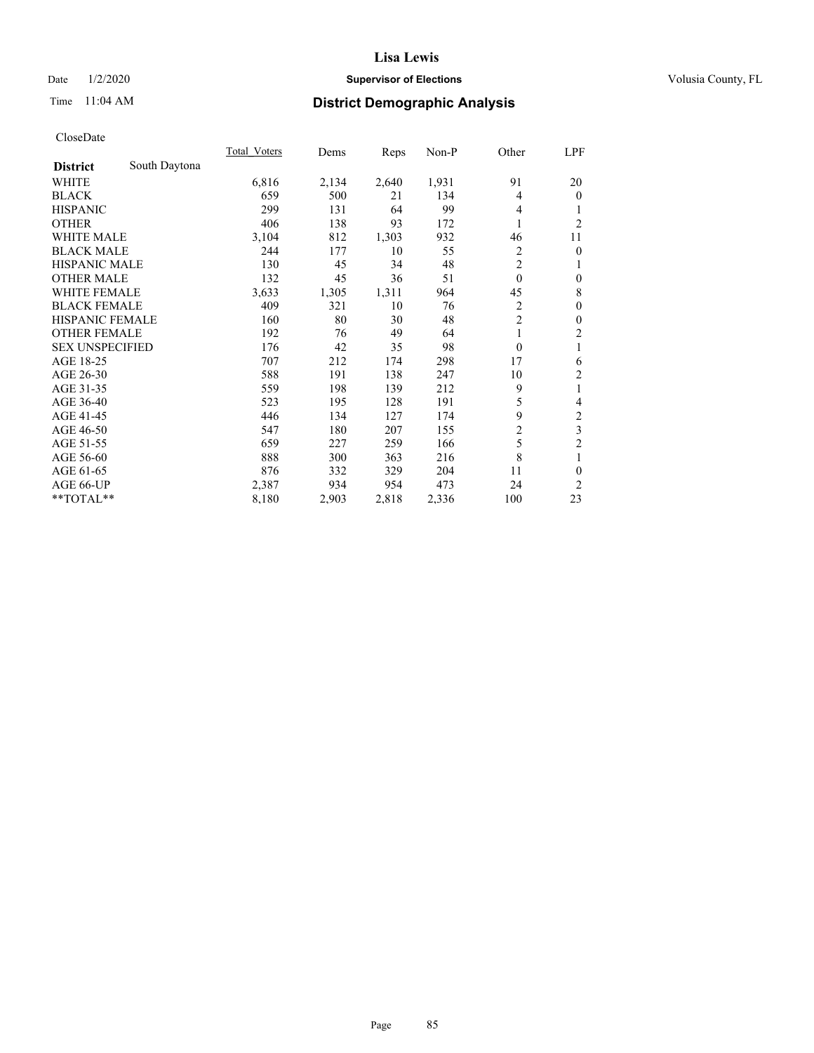### Date  $1/2/2020$  **Supervisor of Elections Supervisor of Elections** Volusia County, FL

## Time 11:04 AM **District Demographic Analysis**

|                        |               | Total Voters | Dems  | Reps  | Non-P | Other          | <u>LPF</u>              |
|------------------------|---------------|--------------|-------|-------|-------|----------------|-------------------------|
| <b>District</b>        | South Daytona |              |       |       |       |                |                         |
| WHITE                  |               | 6,816        | 2,134 | 2,640 | 1,931 | 91             | 20                      |
| <b>BLACK</b>           |               | 659          | 500   | 21    | 134   | 4              | $\overline{0}$          |
| <b>HISPANIC</b>        |               | 299          | 131   | 64    | 99    | 4              |                         |
| <b>OTHER</b>           |               | 406          | 138   | 93    | 172   | 1              | $\overline{2}$          |
| WHITE MALE             |               | 3,104        | 812   | 1,303 | 932   | 46             | 11                      |
| <b>BLACK MALE</b>      |               | 244          | 177   | 10    | 55    | $\overline{2}$ | $\theta$                |
| <b>HISPANIC MALE</b>   |               | 130          | 45    | 34    | 48    | $\overline{2}$ | 1                       |
| <b>OTHER MALE</b>      |               | 132          | 45    | 36    | 51    | $\mathbf{0}$   | $\mathbf{0}$            |
| <b>WHITE FEMALE</b>    |               | 3,633        | 1,305 | 1,311 | 964   | 45             | 8                       |
| <b>BLACK FEMALE</b>    |               | 409          | 321   | 10    | 76    | 2              | $\mathbf{0}$            |
| HISPANIC FEMALE        |               | 160          | 80    | 30    | 48    | $\overline{2}$ | $\mathbf{0}$            |
| <b>OTHER FEMALE</b>    |               | 192          | 76    | 49    | 64    | 1              | $\overline{2}$          |
| <b>SEX UNSPECIFIED</b> |               | 176          | 42    | 35    | 98    | $\theta$       | 1                       |
| AGE 18-25              |               | 707          | 212   | 174   | 298   | 17             | 6                       |
| AGE 26-30              |               | 588          | 191   | 138   | 247   | 10             | $\overline{c}$          |
| AGE 31-35              |               | 559          | 198   | 139   | 212   | 9              | 1                       |
| AGE 36-40              |               | 523          | 195   | 128   | 191   | 5              | 4                       |
| AGE 41-45              |               | 446          | 134   | 127   | 174   | 9              | $\overline{\mathbf{c}}$ |
| AGE 46-50              |               | 547          | 180   | 207   | 155   | $\overline{2}$ | 3                       |
| AGE 51-55              |               | 659          | 227   | 259   | 166   | 5              | $\overline{2}$          |
| AGE 56-60              |               | 888          | 300   | 363   | 216   | 8              | 1                       |
| AGE 61-65              |               | 876          | 332   | 329   | 204   | 11             | $\theta$                |
| AGE 66-UP              |               | 2,387        | 934   | 954   | 473   | 24             | 2                       |
| **TOTAL**              |               | 8,180        | 2,903 | 2,818 | 2,336 | 100            | 23                      |